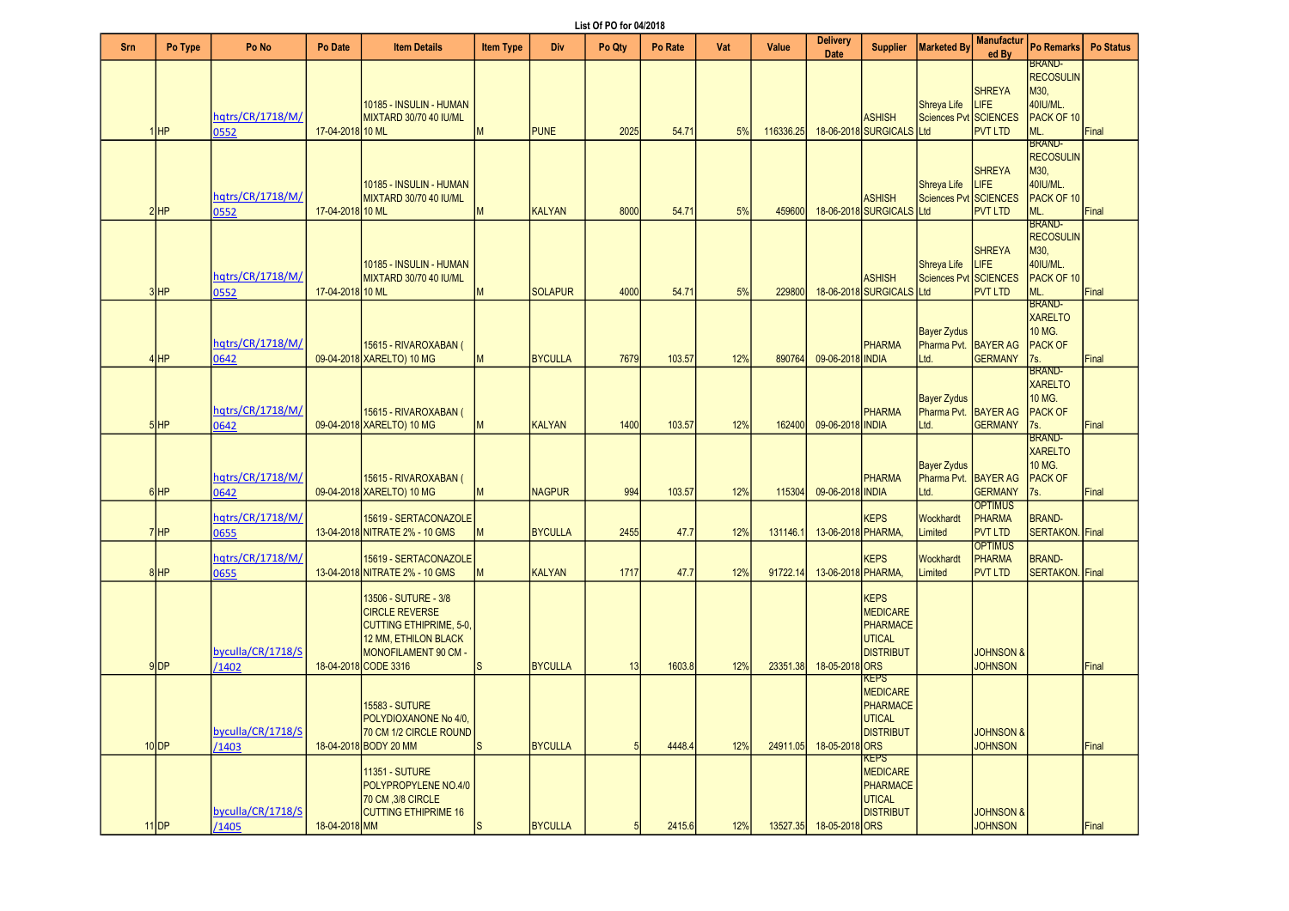List Of PO for 04/2018

| Srn | Po Type  | Po No                      | Po Date          | <b>Item Details</b>                                                                                                                                     | <b>Item Type</b> | Div            | <b>LIJI VII V IVI VTILV IV</b><br>Po Qtv | Po Rate | Vat | Value     | Delivery                | <b>Supplier</b>                                                                 | <b>Marketed By</b>                                 | <b>Manufactur</b>                                 | Po Remarks   Po Status                                                              |       |
|-----|----------|----------------------------|------------------|---------------------------------------------------------------------------------------------------------------------------------------------------------|------------------|----------------|------------------------------------------|---------|-----|-----------|-------------------------|---------------------------------------------------------------------------------|----------------------------------------------------|---------------------------------------------------|-------------------------------------------------------------------------------------|-------|
|     |          |                            |                  |                                                                                                                                                         |                  |                |                                          |         |     |           | Date                    |                                                                                 |                                                    | ed By                                             | <b>BRAND-</b>                                                                       |       |
|     | 1HP      | hatrs/CR/1718/M/<br>0552   | 17-04-2018 10 ML | 10185 - INSULIN - HUMAN<br>MIXTARD 30/70 40 IU/ML                                                                                                       | M                | <b>PUNE</b>    | 2025                                     | 54.71   | 5%  | 116336.25 |                         | <b>ASHISH</b><br>18-06-2018 SURGICALS Ltd                                       | <b>Shreya Life</b><br>Sciences Pvt SCIENCES        | <b>SHREYA</b><br><b>LIFE</b><br><b>PVT LTD</b>    | <b>RECOSULIN</b><br>M30,<br>40IU/ML.<br>PACK OF 10<br>ML.                           | Final |
|     | $2$ $HP$ | hqtrs/CR/1718/M/<br>0552   | 17-04-2018 10 ML | 10185 - INSULIN - HUMAN<br>MIXTARD 30/70 40 IU/ML                                                                                                       | M                | <b>KALYAN</b>  | 8000                                     | 54.71   | 5%  | 459600    |                         | <b>ASHISH</b><br>18-06-2018 SURGICALS Ltd                                       | Shreya Life<br>Sciences Pvt SCIENCES               | <b>SHREYA</b><br>LIFE<br><b>PVT LTD</b>           | <b>BRAND-</b><br><b>RECOSULIN</b><br>M30.<br>40IU/ML.<br>PACK OF 10<br>ML.          | Final |
|     | $3$ $HP$ | hqtrs/CR/1718/M/<br>0552   | 17-04-2018 10 ML | 10185 - INSULIN - HUMAN<br>MIXTARD 30/70 40 IU/ML                                                                                                       | M                | <b>SOLAPUR</b> | 4000                                     | 54.71   | 5%  | 229800    |                         | <b>ASHISH</b><br>18-06-2018 SURGICALS Ltd                                       | Shreya Life<br>Sciences Pvt SCIENCES               | <b>SHREYA</b><br>LIFE<br><b>PVT LTD</b>           | <b>BRAND-</b><br><b>RECOSULIN</b><br>M30,<br>40IU/ML.<br>PACK OF 10<br>ML.          | Final |
|     | $4$ HP   | hatrs/CR/1718/M/<br>0642   |                  | 15615 - RIVAROXABAN (<br>09-04-2018 XARELTO) 10 MG                                                                                                      | M                | <b>BYCULLA</b> | 7679                                     | 103.57  | 12% | 890764    | 09-06-2018 INDIA        | <b>PHARMA</b>                                                                   | <b>Bayer Zydus</b><br>Pharma Pvt.<br>Ltd.          | <b>BAYER AG</b><br><b>GERMANY</b>                 | <b>BRAND-</b><br><b>XARELTO</b><br>10 MG.<br><b>PACK OF</b><br>7s.                  | Final |
|     | $5$ HP   | hqtrs/CR/1718/M/<br>0642   |                  | 15615 - RIVAROXABAN (<br>09-04-2018 XARELTO) 10 MG                                                                                                      | M                | <b>KALYAN</b>  | 1400                                     | 103.57  | 12% | 162400    | 09-06-2018 INDIA        | PHARMA                                                                          | <b>Bayer Zydus</b><br>Pharma Pvt.<br>Ltd.          | <b>BAYER AG</b><br><b>GERMANY</b>                 | <b>BRAND-</b><br><b>XARELTO</b><br>10 MG.<br><b>PACK OF</b><br>7s.<br><b>BRAND-</b> | Final |
|     | $6$ $HP$ | hqtrs/CR/1718/M/<br>0642   |                  | 15615 - RIVAROXABAN (<br>09-04-2018 XARELTO) 10 MG                                                                                                      | M                | <b>NAGPUR</b>  | 994                                      | 103.57  | 12% | 115304    | 09-06-2018 INDIA        | PHARMA                                                                          | <b>Bayer Zydus</b><br>Pharma Pvt. BAYER AG<br>Ltd. | <b>GERMANY</b>                                    | <b>XARELTO</b><br>10 MG.<br><b>PACK OF</b><br>7s.                                   | Final |
|     | $7$ HP   | hqtrs/CR/1718/M/<br>0655   |                  | 15619 - SERTACONAZOLE<br>13-04-2018 NITRATE 2% - 10 GMS                                                                                                 | M                | <b>BYCULLA</b> | 2455                                     | 47.7    | 12% | 131146.1  | 13-06-2018 PHARMA,      | <b>KEPS</b>                                                                     | Wockhardt<br>Limited                               | <b>OPTIMUS</b><br><b>PHARMA</b><br><b>PVT LTD</b> | <b>BRAND-</b><br>SERTAKON. Final                                                    |       |
|     | $8$ HP   | hqtrs/CR/1718/M/<br>0655   |                  | 15619 - SERTACONAZOLE<br>13-04-2018 NITRATE 2% - 10 GMS                                                                                                 | M                | <b>KALYAN</b>  | 1717                                     | 47.7    | 12% | 91722.14  | 13-06-2018 PHARMA,      | <b>KEPS</b>                                                                     | Wockhardt<br>Limited                               | <b>OPTIMUS</b><br><b>PHARMA</b><br><b>PVT LTD</b> | <b>BRAND-</b><br>SERTAKON. Final                                                    |       |
|     | $9$ DP   | byculla/CR/1718/S<br>/1402 |                  | 13506 - SUTURE - 3/8<br><b>CIRCLE REVERSE</b><br><b>CUTTING ETHIPRIME, 5-0,</b><br>12 MM, ETHILON BLACK<br>MONOFILAMENT 90 CM -<br>18-04-2018 CODE 3316 | ls.              | <b>BYCULLA</b> | 13                                       | 1603.8  | 12% | 23351.38  | 18-05-2018 ORS          | <b>KEPS</b><br><b>MEDICARE</b><br>PHARMACE<br>UTICAL<br><b>DISTRIBUT</b>        |                                                    | <b>JOHNSON &amp;</b><br><b>JOHNSON</b>            |                                                                                     | Final |
|     | $10$ DP  | byculla/CR/1718/S<br>1403  |                  | <b>15583 - SUTURE</b><br>POLYDIOXANONE No 4/0,<br>70 CM 1/2 CIRCLE ROUND<br>18-04-2018 BODY 20 MM                                                       | ls.              | <b>BYCULLA</b> | 5                                        | 4448.4  | 12% | 24911.05  | 18-05-2018 ORS          | <b>KEPS</b><br><b>MEDICARE</b><br>PHARMACE<br><b>UTICAL</b><br><b>DISTRIBUT</b> |                                                    | <b>JOHNSON &amp;</b><br><b>JOHNSON</b>            |                                                                                     | Final |
|     | $11$ DP  | byculla/CR/1718/S<br>/1405 | 18-04-2018 MM    | <b>11351 - SUTURE</b><br>POLYPROPYLENE NO.4/0<br>70 CM .3/8 CIRCLE<br><b>CUTTING ETHIPRIME 16</b>                                                       | <sub>S</sub>     | <b>BYCULLA</b> | 5                                        | 2415.6  | 12% |           | 13527.35 18-05-2018 ORS | <b>KEPS</b><br><b>MEDICARE</b><br>PHARMACE<br>UTICAL<br><b>DISTRIBUT</b>        |                                                    | <b>JOHNSON &amp;</b><br><b>JOHNSON</b>            |                                                                                     | Final |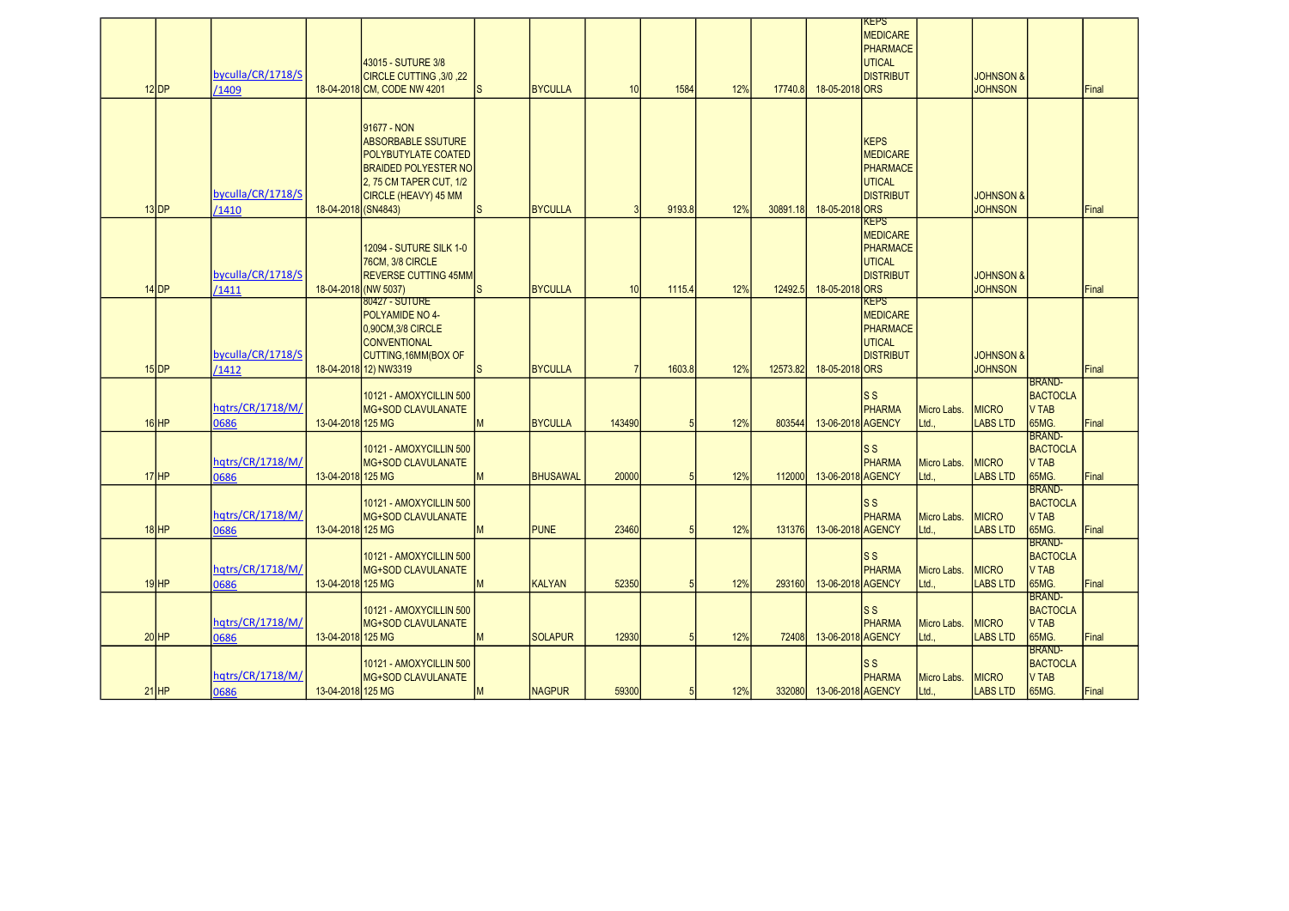| $12$ DP   | byculla/CR/1718/S<br>/1409 |                     | 43015 - SUTURE 3/8<br>CIRCLE CUTTING , 3/0, 22<br>18-04-2018 CM, CODE NW 4201                                                                            | ls.          | <b>BYCULLA</b>  | 10     | 1584   | 12% | 17740.8  | 18-05-2018 ORS    | <b>KEPS</b><br>MEDICARE<br>PHARMACE<br>UTICAL<br><b>DISTRIBUT</b>        |                      | <b>JOHNSON &amp;</b><br><b>JOHNSON</b> |                                                           | Final |
|-----------|----------------------------|---------------------|----------------------------------------------------------------------------------------------------------------------------------------------------------|--------------|-----------------|--------|--------|-----|----------|-------------------|--------------------------------------------------------------------------|----------------------|----------------------------------------|-----------------------------------------------------------|-------|
| $13$ DP   | byculla/CR/1718/S<br>1410  | 18-04-2018 (SN4843) | 91677 - NON<br><b>ABSORBABLE SSUTURE</b><br><b>POLYBUTYLATE COATED</b><br><b>BRAIDED POLYESTER NO</b><br>2, 75 CM TAPER CUT, 1/2<br>CIRCLE (HEAVY) 45 MM | ls           | <b>BYCULLA</b>  | P      | 9193.8 | 12% | 30891.18 | 18-05-2018 ORS    | <b>KEPS</b><br>MEDICARE<br>PHARMACE<br>UTICAL<br>DISTRIBUT               |                      | <b>JOHNSON &amp;</b><br><b>JOHNSON</b> |                                                           | Final |
| $14$ DP   | byculla/CR/1718/S<br>1411  |                     | 12094 - SUTURE SILK 1-0<br>76CM, 3/8 CIRCLE<br><b>IREVERSE CUTTING 45MM</b><br>18-04-2018 (NW 5037)                                                      | <sub>S</sub> | <b>BYCULLA</b>  | 10     | 1115.4 | 12% | 12492.5  | 18-05-2018 ORS    | <b>KEPS</b><br>MEDICARE<br>PHARMACE<br>UTICAL<br><b>DISTRIBUT</b>        |                      | <b>JOHNSON &amp;</b><br><b>JOHNSON</b> |                                                           | Final |
| $15$ DP   | byculla/CR/1718/S<br>/1412 |                     | 80427 - SUTURE<br>POLYAMIDE NO 4-<br>0,90CM,3/8 CIRCLE<br><b>CONVENTIONAL</b><br>CUTTING, 16MM (BOX OF<br>18-04-2018 12) NW3319                          | <sub>S</sub> | <b>BYCULLA</b>  |        | 1603.8 | 12% | 12573.82 | 18-05-2018 ORS    | <b>KEPS</b><br>MEDICARE<br>PHARMACE<br><b>UTICAL</b><br><b>DISTRIBUT</b> |                      | <b>JOHNSON &amp;</b><br><b>JOHNSON</b> |                                                           | Final |
| $16$ HP   | hqtrs/CR/1718/M/<br>0686   | 13-04-2018 125 MG   | 10121 - AMOXYCILLIN 500<br><b>MG+SOD CLAVULANATE</b>                                                                                                     | M            | <b>BYCULLA</b>  | 143490 |        | 12% | 803544   | 13-06-2018 AGENCY | $\vert$ ss<br>PHARMA                                                     | Micro Labs.<br>Ltd.  | <b>MICRO</b><br><b>LABS LTD</b>        | BRAND-<br><b>BACTOCLA</b><br>V TAB<br>65MG.               | Final |
| $17$ $HP$ | hqtrs/CR/1718/M/<br>0686   | 13-04-2018 125 MG   | 10121 - AMOXYCILLIN 500<br>MG+SOD CLAVULANATE                                                                                                            | M            | <b>BHUSAWAL</b> | 20000  |        | 12% | 112000   | 13-06-2018 AGENCY | ls s<br>PHARMA                                                           | Micro Labs.<br>Ltd., | <b>MICRO</b><br><b>LABS LTD</b>        | <b>BRAND-</b><br>BACTOCLA<br><b>V TAB</b><br>65MG.        | Final |
| $18$ HP   | hqtrs/CR/1718/M/<br>0686   | 13-04-2018 125 MG   | 10121 - AMOXYCILLIN 500<br><b>MG+SOD CLAVULANATE</b>                                                                                                     | M            | <b>PUNE</b>     | 23460  |        | 12% | 131376   | 13-06-2018 AGENCY | ls s<br>PHARMA                                                           | Micro Labs.<br>Ltd   | <b>MICRO</b><br><b>LABS LTD</b>        | <b>BRAND-</b><br>BACTOCLA<br>V TAB<br>65MG.               | Final |
| $19$ HP   | hqtrs/CR/1718/M/<br>0686   | 13-04-2018 125 MG   | 10121 - AMOXYCILLIN 500<br>MG+SOD CLAVULANATE                                                                                                            | M            | <b>KALYAN</b>   | 52350  |        | 12% | 293160   | 13-06-2018 AGENCY | ls s<br>PHARMA                                                           | Micro Labs.<br>Ltd., | <b>MICRO</b><br><b>LABS LTD</b>        | <b>BRAND-</b><br><b>BACTOCLA</b><br><b>V TAB</b><br>65MG. | Final |
| $20$ HP   | hqtrs/CR/1718/M/<br>0686   | 13-04-2018 125 MG   | 10121 - AMOXYCILLIN 500<br><b>IMG+SOD CLAVULANATE</b>                                                                                                    | M            | <b>SOLAPUR</b>  | 12930  |        | 12% | 72408    | 13-06-2018 AGENCY | ls s<br>PHARMA                                                           | Micro Labs.<br>Ltd., | <b>MICRO</b><br><b>LABS LTD</b>        | BRAND-<br><b>BACTOCLA</b><br><b>V TAB</b><br>65MG.        | Final |
| $21$ HP   | hqtrs/CR/1718/M/<br>0686   | 13-04-2018 125 MG   | 10121 - AMOXYCILLIN 500<br><b>IMG+SOD CLAVULANATE</b>                                                                                                    | M            | <b>NAGPUR</b>   | 59300  | 5      | 12% | 332080   | 13-06-2018 AGENCY | ls s<br><b>PHARMA</b>                                                    | Micro Labs.<br>Ltd., | <b>MICRO</b><br><b>LABS LTD</b>        | <b>BRAND-</b><br><b>BACTOCLA</b><br><b>V TAB</b><br>65MG. | Final |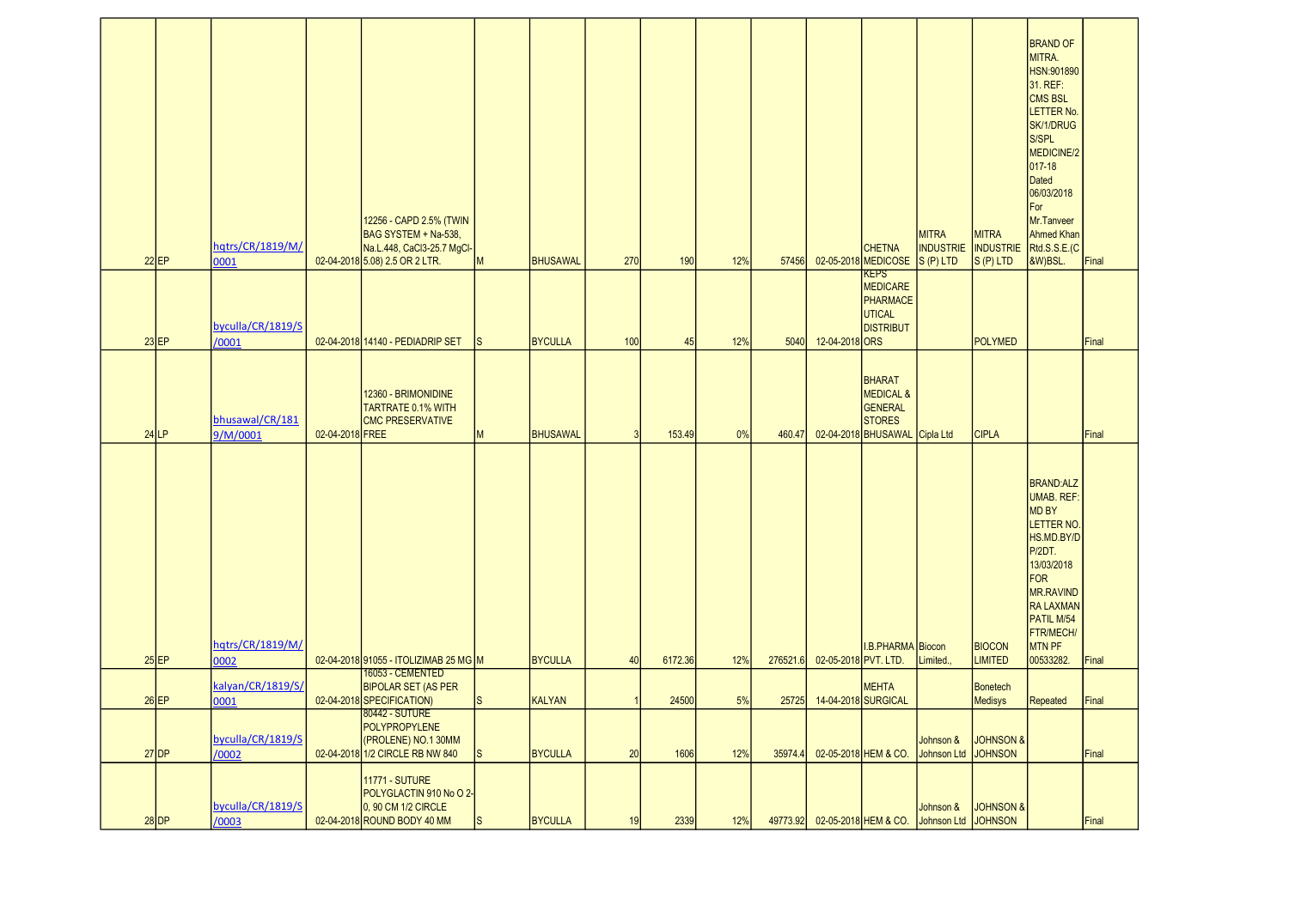| $22$ EP | hqtrs/CR/1819/M/<br>0001    |                 | 12256 - CAPD 2.5% (TWIN<br>BAG SYSTEM + Na-538,<br>Na.L.448, CaCl3-25.7 MgCl-<br>02-04-2018 5.08) 2.5 OR 2 LTR. | M             | <b>BHUSAWAL</b> | 270 | 190     | 12% | 57456    |                           | <b>CHETNA</b><br>02-05-2018 MEDICOSE S (P) LTD                                                     | <b>MITRA</b><br><b>INDUSTRIE</b> | <b>MITRA</b><br><b>INDUSTRIE</b><br>$S(P)$ LTD | <b>BRAND OF</b><br>MITRA.<br>HSN:901890<br>31. REF:<br><b>CMS BSL</b><br>LETTER No.<br>SK/1/DRUG<br>S/SPL<br>MEDICINE/2<br>017-18<br>Dated<br>06/03/2018<br>For<br>Mr.Tanveer<br><b>Ahmed Khan</b><br>Rtd.S.S.E.(C<br>&W)BSL. | Final |
|---------|-----------------------------|-----------------|-----------------------------------------------------------------------------------------------------------------|---------------|-----------------|-----|---------|-----|----------|---------------------------|----------------------------------------------------------------------------------------------------|----------------------------------|------------------------------------------------|-------------------------------------------------------------------------------------------------------------------------------------------------------------------------------------------------------------------------------|-------|
| $23$ EP | byculla/CR/1819/S<br>/0001  |                 | 02-04-2018 14140 - PEDIADRIP SET                                                                                | IS            | <b>BYCULLA</b>  | 100 | 45      | 12% | 5040     | 12-04-2018 ORS            | <b>KEPS</b><br><b>MEDICARE</b><br>PHARMACE<br><b>UTICAL</b><br><b>DISTRIBUT</b>                    |                                  | <b>POLYMED</b>                                 |                                                                                                                                                                                                                               | Final |
| $24$ LP | bhusawal/CR/181<br>9/M/0001 | 02-04-2018 FREE | 12360 - BRIMONIDINE<br><b>TARTRATE 0.1% WITH</b><br><b>CMC PRESERVATIVE</b>                                     | M             | <b>BHUSAWAL</b> |     | 153.49  | 0%  | 460.47   |                           | <b>BHARAT</b><br><b>MEDICAL &amp;</b><br>GENERAL<br><b>STORES</b><br>02-04-2018 BHUSAWAL Cipla Ltd |                                  | <b>CIPLA</b>                                   |                                                                                                                                                                                                                               | Final |
| $25$ EP | hqtrs/CR/1819/M/<br>0002    |                 | 02-04-2018 91055 - ITOLIZIMAB 25 MG M                                                                           |               | <b>BYCULLA</b>  | 40  | 6172.36 | 12% | 276521.6 | 02-05-2018 PVT. LTD.      | I.B.PHARMA Biocon                                                                                  | Limited.,                        | <b>BIOCON</b><br><b>LIMITED</b>                | <b>BRAND:ALZ</b><br><b>UMAB. REF:</b><br>MD BY<br>LETTER NO.<br>HS.MD.BY/D<br>P/2DT.<br>13/03/2018<br>FOR<br>MR.RAVIND<br><b>RA LAXMAN</b><br>PATIL M/54<br>FTR/MECH/<br>MTN PF<br>00533282.                                  | Final |
| $26$ EP | kalyan/CR/1819/S/<br>0001   |                 | 16053 - CEMENTED<br><b>BIPOLAR SET (AS PER</b><br>02-04-2018 SPECIFICATION)                                     | <sub>IS</sub> | <b>KALYAN</b>   |     | 24500   | 5%  |          | 25725 14-04-2018 SURGICAL | <b>MEHTA</b>                                                                                       |                                  | <b>Bonetech</b><br><b>Medisys</b>              | Repeated                                                                                                                                                                                                                      | Final |
| $27$ DP | byculla/CR/1819/S<br>/0002  |                 | 80442 - SUTURE<br><b>POLYPROPYLENE</b><br>(PROLENE) NO.1 30MM<br>02-04-2018 1/2 CIRCLE RB NW 840                | ls.           | <b>BYCULLA</b>  | 20  | 1606    | 12% | 35974.4  |                           | 02-05-2018 HEM & CO.                                                                               | Johnson &<br>Johnson Ltd JOHNSON | <b>JOHNSON &amp;</b>                           |                                                                                                                                                                                                                               | Final |
| $28$ DP | byculla/CR/1819/S<br>/0003  |                 | <b>11771 - SUTURE</b><br>POLYGLACTIN 910 No O 2-<br>0, 90 CM 1/2 CIRCLE<br>02-04-2018 ROUND BODY 40 MM          | ls.           | <b>BYCULLA</b>  | 19  | 2339    | 12% | 49773.92 |                           | 02-05-2018 HEM & CO.                                                                               | Johnson &<br>Johnson Ltd JOHNSON | <b>JOHNSON &amp;</b>                           |                                                                                                                                                                                                                               | Final |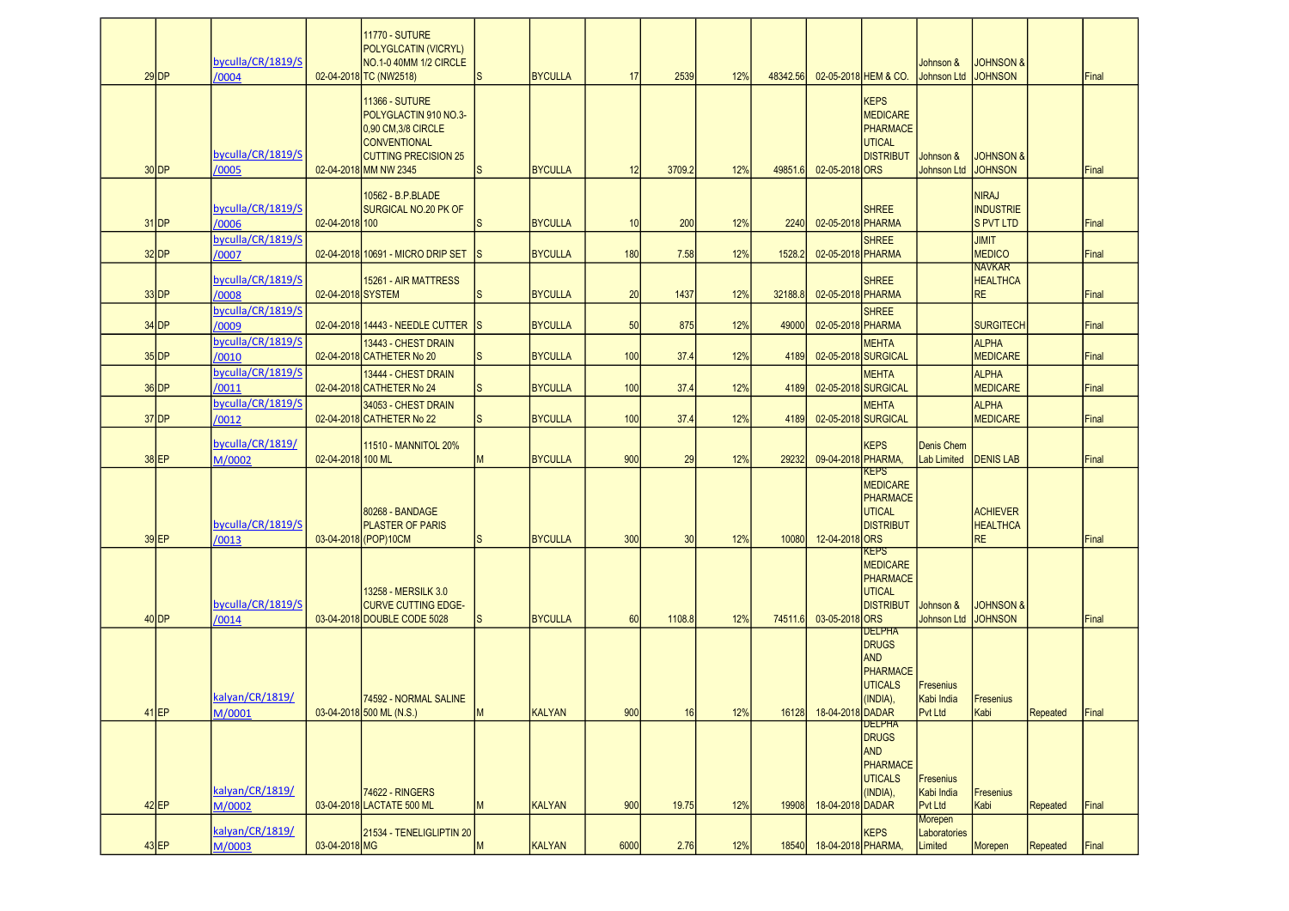| $29$ DP            | byculla/CR/1819/S<br>/0004 |                   | <b>11770 - SUTURE</b><br>POLYGLCATIN (VICRYL)<br>NO.1-0 40MM 1/2 CIRCLE<br>02-04-2018 TC (NW2518)                                                   | <sub>S</sub> | <b>BYCULLA</b> | 17   | 2539   | 12% | 48342.56 |                    | 02-05-2018 HEM & CO.                                                                                          | Johnson &<br><b>Johnson Ltd</b>                  | <b>JOHNSON &amp;</b><br><b>JOHNSON</b>               |                 | Final |
|--------------------|----------------------------|-------------------|-----------------------------------------------------------------------------------------------------------------------------------------------------|--------------|----------------|------|--------|-----|----------|--------------------|---------------------------------------------------------------------------------------------------------------|--------------------------------------------------|------------------------------------------------------|-----------------|-------|
| $30$ DP            | byculla/CR/1819/S<br>/0005 |                   | <b>11366 - SUTURE</b><br>POLYGLACTIN 910 NO.3-<br>0,90 CM,3/8 CIRCLE<br><b>CONVENTIONAL</b><br><b>CUTTING PRECISION 25</b><br>02-04-2018 MM NW 2345 | ls.          | <b>BYCULLA</b> | 12   | 3709.2 | 12% | 49851.6  | 02-05-2018 ORS     | <b>KEPS</b><br><b>MEDICARE</b><br>PHARMACE<br><b>UTICAL</b><br><b>DISTRIBUT</b>                               | Johnson &<br><b>Johnson Ltd</b>                  | <b>JOHNSON &amp;</b><br><b>JOHNSON</b>               |                 | Final |
| $31$ DP            | byculla/CR/1819/S<br>/0006 | 02-04-2018 100    | 10562 - B.P.BLADE<br><b>SURGICAL NO.20 PK OF</b>                                                                                                    | <sub>S</sub> | <b>BYCULLA</b> | 10   | 200    | 12% | 2240     | 02-05-2018 PHARMA  | <b>SHREE</b>                                                                                                  |                                                  | <b>NIRAJ</b><br><b>INDUSTRIE</b><br><b>S PVT LTD</b> |                 | Final |
| $32$ DP            | byculla/CR/1819/S<br>/0007 |                   | 02-04-2018 10691 - MICRO DRIP SET                                                                                                                   | IS.          | <b>BYCULLA</b> | 180  | 7.58   | 12% | 1528.2   | 02-05-2018 PHARMA  | <b>SHREE</b>                                                                                                  |                                                  | <b>JIMIT</b><br><b>MEDICO</b>                        |                 | Final |
| $33$ DP            | byculla/CR/1819/S<br>/0008 | 02-04-2018 SYSTEM | 15261 - AIR MATTRESS                                                                                                                                | <sub>S</sub> | <b>BYCULLA</b> | 20   | 1437   | 12% | 32188.8  | 02-05-2018 PHARMA  | <b>SHREE</b>                                                                                                  |                                                  | <b>NAVKAR</b><br><b>HEALTHCA</b><br><b>RE</b>        |                 | Final |
| $34$ DP            | byculla/CR/1819/S<br>/0009 |                   | 02-04-2018 14443 - NEEDLE CUTTER IS                                                                                                                 |              | <b>BYCULLA</b> | 50   | 875    | 12% | 49000    | 02-05-2018 PHARMA  | <b>SHREE</b>                                                                                                  |                                                  | <b>SURGITECH</b>                                     |                 | Final |
| $35$ <sub>DP</sub> | byculla/CR/1819/S<br>/0010 |                   | 13443 - CHEST DRAIN<br>02-04-2018 CATHETER No 20                                                                                                    | <sub>S</sub> | <b>BYCULLA</b> | 100  | 37.4   | 12% | 4189     |                    | <b>MEHTA</b><br>02-05-2018 SURGICAL                                                                           |                                                  | <b>ALPHA</b><br><b>MEDICARE</b>                      |                 | Final |
| $36$ DP            | byculla/CR/1819/S<br>/0011 |                   | 13444 - CHEST DRAIN<br>02-04-2018 CATHETER No 24                                                                                                    | <sub>S</sub> | <b>BYCULLA</b> | 100  | 37.4   | 12% | 4189     |                    | <b>MEHTA</b><br>02-05-2018 SURGICAL                                                                           |                                                  | <b>ALPHA</b><br><b>MEDICARE</b>                      |                 | Final |
| $37$ DP            | byculla/CR/1819/S<br>/0012 |                   | 34053 - CHEST DRAIN<br>02-04-2018 CATHETER No 22                                                                                                    | <sub>S</sub> | <b>BYCULLA</b> | 100  | 37.4   | 12% | 4189     |                    | <b>MEHTA</b><br>02-05-2018 SURGICAL                                                                           |                                                  | <b>ALPHA</b><br><b>MEDICARE</b>                      |                 | Final |
| $38$ EP            | byculla/CR/1819/<br>M/0002 | 02-04-2018 100 ML | <b>11510 - MANNITOL 20%</b>                                                                                                                         | M            | <b>BYCULLA</b> | 900  | 29     | 12% | 29232    | 09-04-2018 PHARMA, | <b>KEPS</b>                                                                                                   | <b>Denis Chem</b><br><b>Lab Limited</b>          | <b>DENIS LAB</b>                                     |                 | Final |
| $39$ EP            | byculla/CR/1819/S<br>/0013 |                   | 80268 - BANDAGE<br><b>PLASTER OF PARIS</b><br>03-04-2018 (POP) 10CM                                                                                 | <sub>S</sub> | <b>BYCULLA</b> | 300  | 30     | 12% | 10080    | 12-04-2018 ORS     | KEPS<br><b>MEDICARE</b><br>PHARMACE<br><b>UTICAL</b><br><b>DISTRIBUT</b>                                      |                                                  | <b>ACHIEVER</b><br><b>HEALTHCA</b><br><b>RE</b>      |                 | Final |
| $40$ DP            | byculla/CR/1819/S<br>/0014 |                   | 13258 - MERSILK 3.0<br><b>CURVE CUTTING EDGE-</b><br>03-04-2018 DOUBLE CODE 5028                                                                    | <sub>S</sub> | <b>BYCULLA</b> | 60   | 1108.8 | 12% | 74511.6  | 03-05-2018 ORS     | <b>KEPS</b><br><b>MEDICARE</b><br>PHARMACE<br><b>UTICAL</b><br><b>DISTRIBUT</b>                               | Johnson &<br><b>Johnson Ltd</b>                  | <b>JOHNSON &amp;</b><br><b>JOHNSON</b>               |                 | Final |
| $41$ EP            | kalyan/CR/1819/<br>M/0001  |                   | 74592 - NORMAL SALINE<br>03-04-2018 500 ML (N.S.)                                                                                                   | M            | KALYAN         | 900  | 16     | 12% | 16128    | 18-04-2018 DADAR   | <b>DELPHA</b><br><b>DRUGS</b><br><b>AND</b><br><b>PHARMACE</b><br><b>UTICALS</b><br>(INDIA),<br><b>DELPHA</b> | <b>Fresenius</b><br>Kabi India<br><b>Pvt Ltd</b> | Fresenius<br>Kabi                                    | Repeated        | Final |
| $42$ EP            | kalyan/CR/1819/<br>M/0002  |                   | 74622 - RINGERS<br>03-04-2018 LACTATE 500 ML                                                                                                        | M            | <b>KALYAN</b>  | 900  | 19.75  | 12% | 19908    | 18-04-2018 DADAR   | <b>DRUGS</b><br><b>AND</b><br>PHARMACE<br><b>UTICALS</b><br>(INDIA),                                          | <b>Fresenius</b><br>Kabi India<br><b>Pvt Ltd</b> | <b>Fresenius</b><br>Kabi                             | <b>Repeated</b> | Final |
| $43$ EP            | kalyan/CR/1819/<br>M/0003  | 03-04-2018 MG     | 21534 - TENELIGLIPTIN 20                                                                                                                            | M            | <b>KALYAN</b>  | 6000 | 2.76   | 12% | 18540    | 18-04-2018 PHARMA, | <b>KEPS</b>                                                                                                   | <b>Morepen</b><br>Laboratories<br>Limited        | Morepen                                              | <b>Repeated</b> | Final |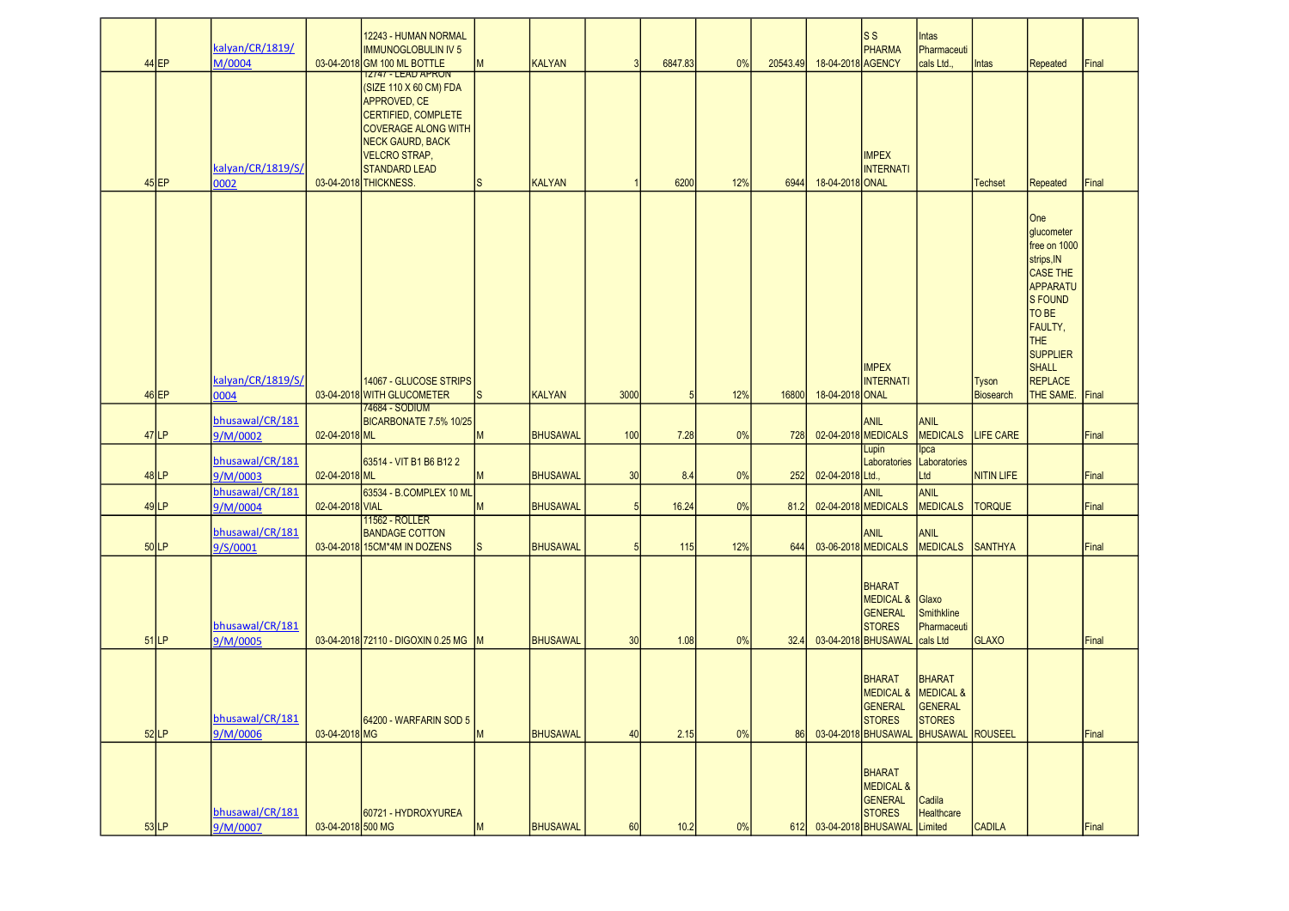|         |                    | kalyan/CR/1819/                     |                   | 12243 - HUMAN NORMAL<br><b>IMMUNOGLOBULIN IV 5</b>                                                                                                                                                                                                   |                   |                                |      |                 |           |                  |                                      | ls s<br><b>PHARMA</b>                                                                                   | Intas<br>Pharmaceuti                      |                                  |                                                                                                                                                                          |                |
|---------|--------------------|-------------------------------------|-------------------|------------------------------------------------------------------------------------------------------------------------------------------------------------------------------------------------------------------------------------------------------|-------------------|--------------------------------|------|-----------------|-----------|------------------|--------------------------------------|---------------------------------------------------------------------------------------------------------|-------------------------------------------|----------------------------------|--------------------------------------------------------------------------------------------------------------------------------------------------------------------------|----------------|
|         | $44$ EP<br>$45$ EP | M/0004<br>kalyan/CR/1819/S/<br>0002 |                   | 03-04-2018 GM 100 ML BOTTLE<br>12/4/ - LEAD APRON<br>(SIZE 110 X 60 CM) FDA<br>APPROVED, CE<br>CERTIFIED, COMPLETE<br><b>COVERAGE ALONG WITH</b><br><b>NECK GAURD, BACK</b><br><b>VELCRO STRAP,</b><br><b>STANDARD LEAD</b><br>03-04-2018 THICKNESS. | M<br><sub>S</sub> | <b>KALYAN</b><br><b>KALYAN</b> | 3    | 6847.83<br>6200 | 0%<br>12% | 20543.49<br>6944 | 18-04-2018 AGENCY<br>18-04-2018 ONAL | <b>IMPEX</b><br><b>INTERNATI</b>                                                                        | cals Ltd.,                                | Intas<br><b>Techset</b>          | Repeated<br>Repeated                                                                                                                                                     | Final<br>Final |
|         | $46$ EP            | kalyan/CR/1819/S/<br>0004           |                   | 14067 - GLUCOSE STRIPS<br>03-04-2018 WITH GLUCOMETER                                                                                                                                                                                                 | ls.               | <b>KALYAN</b>                  | 3000 | 5               | 12%       | 16800            | 18-04-2018 ONAL                      | <b>IMPEX</b><br><b>INTERNATI</b>                                                                        |                                           | <b>Tyson</b><br><b>Biosearch</b> | One<br>glucometer<br>free on 1000<br>strips, IN<br>CASE THE<br>APPARATU<br>S FOUND<br>TO BE<br>FAULTY,<br>THE<br><b>SUPPLIER</b><br><b>SHALL</b><br>REPLACE<br>THE SAME. | Final          |
|         | $47$ LP            | bhusawal/CR/181<br>9/M/0002         | 02-04-2018 ML     | 74684 - SODIUM<br>BICARBONATE 7.5% 10/25                                                                                                                                                                                                             | M                 | <b>BHUSAWAL</b>                | 100  | 7.28            | 0%        | 728              |                                      | <b>ANIL</b><br>02-04-2018 MEDICALS                                                                      | ANIL<br><b>MEDICALS</b>                   | LIFE CARE                        |                                                                                                                                                                          | Final          |
|         | $48$ LP            | bhusawal/CR/181<br>9/M/0003         | 02-04-2018 ML     | 63514 - VIT B1 B6 B12 2                                                                                                                                                                                                                              | M                 | <b>BHUSAWAL</b>                | 30   | 8.4             | 0%        | 252              | 02-04-2018 Ltd.,                     | Lupin                                                                                                   | lpca<br>Laboratories Laboratories<br>Ltd  | <b>NITIN LIFE</b>                |                                                                                                                                                                          | Final          |
|         | $49$ $LP$          | bhusawal/CR/181<br>9/M/0004         | 02-04-2018 VIAL   | 63534 - B.COMPLEX 10 ML                                                                                                                                                                                                                              | М                 | <b>BHUSAWAL</b>                | 5    | 16.24           | 0%        | 81.2             |                                      | <b>ANIL</b><br>02-04-2018 MEDICALS                                                                      | ANIL<br><b>MEDICALS</b>                   | <b>TORQUE</b>                    |                                                                                                                                                                          | Final          |
|         | 50 LP              | bhusawal/CR/181<br>9/S/0001         |                   | <b>11562 - ROLLER</b><br><b>BANDAGE COTTON</b><br>03-04-2018 15CM*4M IN DOZENS                                                                                                                                                                       | <sub>S</sub>      | <b>BHUSAWAL</b>                |      | 115             | 12%       | 644              |                                      | <b>ANIL</b><br>03-06-2018 MEDICALS                                                                      | ANIL<br><b>MEDICALS</b>                   | <b>SANTHYA</b>                   |                                                                                                                                                                          | Final          |
|         | $51$ LP            | bhusawal/CR/181<br>9/M/0005         |                   | 03-04-2018 72110 - DIGOXIN 0.25 MG M                                                                                                                                                                                                                 |                   | <b>BHUSAWAL</b>                | 30   | 1.08            | 0%        | 32.4             |                                      | <b>BHARAT</b><br>MEDICAL & Glaxo<br><b>GENERAL</b><br><b>STORES</b><br>03-04-2018 BHUSAWAL              | Smithkline<br>Pharmaceuti<br>cals Ltd     | <b>GLAXO</b>                     |                                                                                                                                                                          | Final          |
|         | $52$ LP            | bhusawal/CR/181<br>9/M/0006         | 03-04-2018 MG     | 64200 - WARFARIN SOD 5                                                                                                                                                                                                                               | M                 | <b>BHUSAWAL</b>                | 40   | 2.15            | 0%        | 86               |                                      | <b>BHARAT</b><br>MEDICAL & MEDICAL &<br>GENERAL<br><b>STORES</b><br>03-04-2018 BHUSAWAL BHUSAWAL        | BHARAT<br><b>GENERAL</b><br><b>STORES</b> | ROUSEEL                          |                                                                                                                                                                          | Final          |
| $53$ LP |                    | bhusawal/CR/181<br>9/M/0007         | 03-04-2018 500 MG | 60721 - HYDROXYUREA                                                                                                                                                                                                                                  | M                 | <b>BHUSAWAL</b>                | 60   | 10.2            | 0%        | 612              |                                      | <b>BHARAT</b><br><b>MEDICAL &amp;</b><br><b>GENERAL</b><br><b>STORES</b><br>03-04-2018 BHUSAWAL Limited | Cadila<br><b>Healthcare</b>               | <b>CADILA</b>                    |                                                                                                                                                                          | Final          |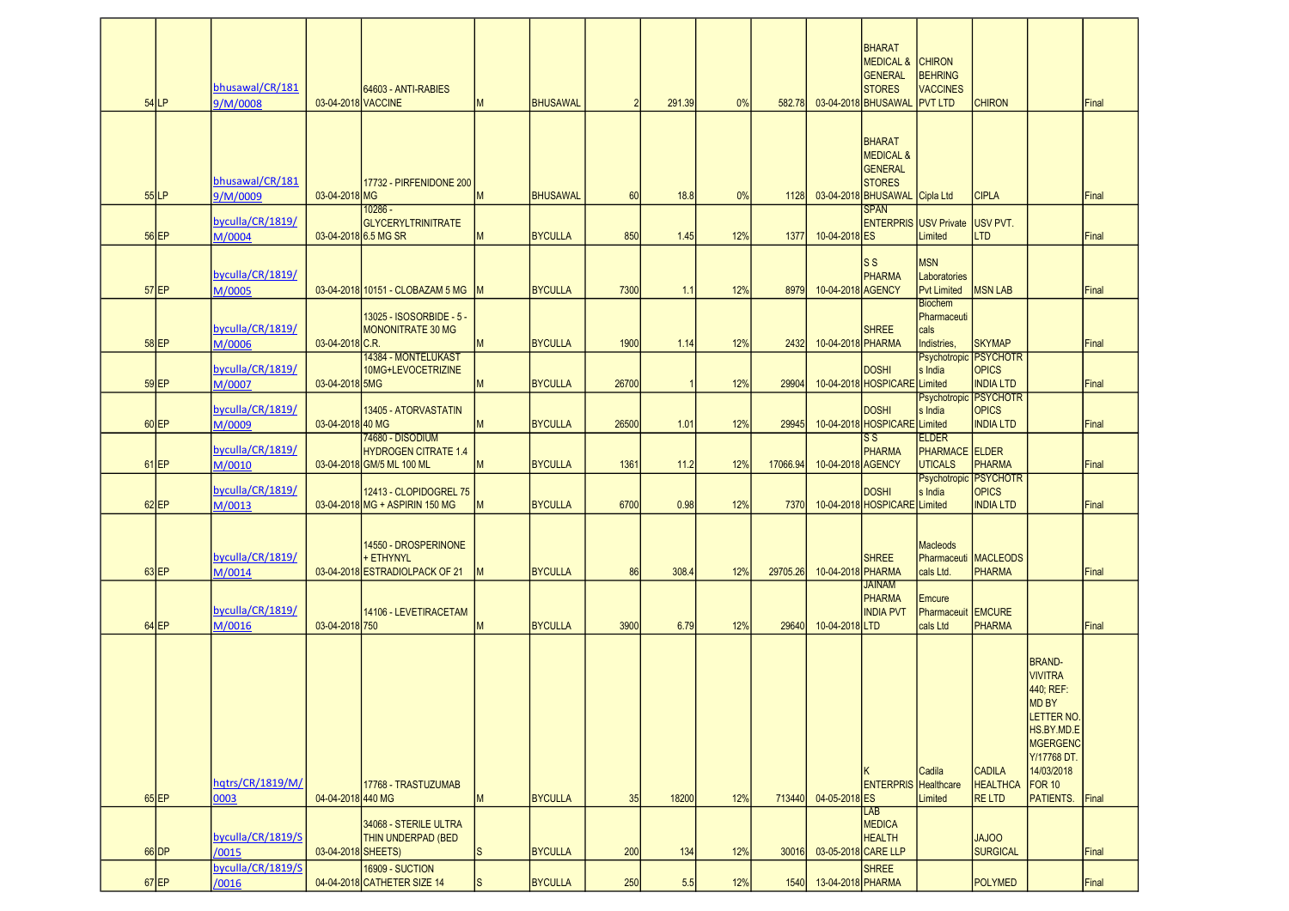| $54$ <sub>LP</sub> | bhusawal/CR/181<br>9/M/0008 | 03-04-2018 VACCINE | 64603 - ANTI-RABIES                                                 | M            | <b>BHUSAWAL</b> | $\overline{2}$ | 291.39 | 0%  | 582.78   |                     | BHARAT<br><b>MEDICAL &amp;</b><br><b>GENERAL</b><br><b>STORES</b><br>03-04-2018 BHUSAWAL           | <b>CHIRON</b><br><b>BEHRING</b><br><b>VACCINES</b><br><b>PVT LTD</b> | <b>CHIRON</b>                                                                                    |                                                                                                                                                   | Final |
|--------------------|-----------------------------|--------------------|---------------------------------------------------------------------|--------------|-----------------|----------------|--------|-----|----------|---------------------|----------------------------------------------------------------------------------------------------|----------------------------------------------------------------------|--------------------------------------------------------------------------------------------------|---------------------------------------------------------------------------------------------------------------------------------------------------|-------|
| $55$ LP            | bhusawal/CR/181<br>9/M/0009 | 03-04-2018 MG      | 17732 - PIRFENIDONE 200                                             | M            | <b>BHUSAWAL</b> | 60             | 18.8   | 0%  | 1128     |                     | <b>BHARAT</b><br><b>MEDICAL &amp;</b><br>GENERAL<br><b>STORES</b><br>03-04-2018 BHUSAWAL Cipla Ltd |                                                                      | <b>CIPLA</b>                                                                                     |                                                                                                                                                   | Final |
| $56$ EP            | byculla/CR/1819/<br>M/0004  |                    | $10286 -$<br><b>GLYCERYLTRINITRATE</b><br>03-04-2018 6.5 MG SR      | М            | <b>BYCULLA</b>  | 850            | 1.45   | 12% | 1377     | 10-04-2018 ES       | <b>SPAN</b><br><b>ENTERPRIS USV Private</b>                                                        | Limited                                                              | USV PVT.<br><b>LTD</b>                                                                           |                                                                                                                                                   | Final |
| $57$ EP            | byculla/CR/1819/<br>M/0005  |                    | 03-04-2018 10151 - CLOBAZAM 5 MG                                    |              | <b>BYCULLA</b>  | 7300           | 1.1    | 12% | 8979     | 10-04-2018 AGENCY   | ls s<br>PHARMA                                                                                     | <b>MSN</b><br>Laboratories<br><b>Pvt Limited</b>                     | <b>MSN LAB</b>                                                                                   |                                                                                                                                                   | Final |
| $58$ EP            | byculla/CR/1819/<br>M/0006  | 03-04-2018 C.R.    | 13025 - ISOSORBIDE - 5 -<br>MONONITRATE 30 MG                       |              | <b>BYCULLA</b>  | 1900           | 1.14   | 12% | 2432     | 10-04-2018 PHARMA   | <b>SHREE</b>                                                                                       | <b>Biochem</b><br>Pharmaceuti<br>cals<br>Indistries,                 | <b>SKYMAP</b>                                                                                    |                                                                                                                                                   | Final |
| $59$ EP            | byculla/CR/1819/<br>M/0007  | 03-04-2018 5MG     | 14384 - MONTELUKAST<br>10MG+LEVOCETRIZINE                           | M            | <b>BYCULLA</b>  | 26700          |        | 12% | 29904    |                     | <b>DOSHI</b><br>10-04-2018 HOSPICARE Limited                                                       | s India                                                              | <b>Psychotropic PSYCHOTR</b><br><b>OPICS</b><br><b>INDIA LTD</b><br><b>Psychotropic PSYCHOTR</b> |                                                                                                                                                   | Final |
| $60$ EP            | byculla/CR/1819/<br>M/0009  | 03-04-2018 40 MG   | 13405 - ATORVASTATIN<br>74680 - DISODIUM                            | M            | <b>BYCULLA</b>  | 26500          | 1.01   | 12% | 29945    |                     | <b>DOSHI</b><br>10-04-2018 HOSPICARE Limited<br>$\mathsf{S}\,\mathsf{S}$                           | s India<br><b>ELDER</b>                                              | <b>OPICS</b><br><b>INDIA LTD</b>                                                                 |                                                                                                                                                   | Final |
| $61$ EP            | byculla/CR/1819/<br>M/0010  |                    | <b>HYDROGEN CITRATE 1.4</b><br>03-04-2018 GM/5 ML 100 ML            | M            | <b>BYCULLA</b>  | 1361           | 11.2   | 12% | 17066.94 | 10-04-2018 AGENCY   | PHARMA                                                                                             | <b>PHARMACE ELDER</b><br><b>UTICALS</b>                              | PHARMA<br><b>Psychotropic PSYCHOTR</b>                                                           |                                                                                                                                                   | Final |
| $62$ EP            | byculla/CR/1819/<br>M/0013  |                    | 12413 - CLOPIDOGREL 75<br>03-04-2018 MG + ASPIRIN 150 MG            | M            | <b>BYCULLA</b>  | 6700           | 0.98   | 12% | 7370     |                     | <b>DOSHI</b><br>10-04-2018 HOSPICARE Limited                                                       | s India                                                              | <b>OPICS</b><br><b>INDIA LTD</b>                                                                 |                                                                                                                                                   | Final |
| $63$ EP            | byculla/CR/1819/<br>M/0014  |                    | 14550 - DROSPERINONE<br>+ ETHYNYL<br>03-04-2018 ESTRADIOLPACK OF 21 | M            | <b>BYCULLA</b>  | 86             | 308.4  | 12% | 29705.26 | 10-04-2018 PHARMA   | <b>SHREE</b>                                                                                       | <b>Macleods</b><br>Pharmaceuti<br>cals Ltd.                          | <b>MACLEODS</b><br><b>PHARMA</b>                                                                 |                                                                                                                                                   | Final |
| $64$ EP            | byculla/CR/1819/<br>M/0016  | 03-04-2018 750     | 14106 - LEVETIRACETAM                                               | M            | <b>BYCULLA</b>  | 3900           | 6.79   | 12% | 29640    | 10-04-2018 LTD      | <b>JAINAM</b><br>PHARMA<br><b>INDIA PVT</b>                                                        | Emcure<br>Pharmaceuit EMCURE<br>cals Ltd                             | <b>PHARMA</b>                                                                                    |                                                                                                                                                   | Final |
| $65$ EP            | hatrs/CR/1819/M/<br>0003    | 04-04-2018 440 MG  | 17768 - TRASTUZUMAB                                                 | M            | <b>BYCULLA</b>  | 35             | 18200  | 12% | 713440   | 04-05-2018 ES       | <b>ENTERPRIS</b> Healthcare                                                                        | Cadila<br>Limited                                                    | <b>CADILA</b><br><b>HEALTHCA</b><br><b>RELTD</b>                                                 | <b>BRAND-</b><br><b>VIVITRA</b><br>440; REF:<br>MD BY<br>LETTER NO.<br>HS.BY.MD.E<br>MGERGENC<br>Y/17768 DT.<br>14/03/2018<br>FOR 10<br>PATIENTS. | Final |
|                    | byculla/CR/1819/S           |                    | 34068 - STERILE ULTRA<br>THIN UNDERPAD (BED                         |              |                 |                |        |     |          |                     | LAB<br><b>MEDICA</b><br><b>HEALTH</b>                                                              |                                                                      | <b>JAJOO</b>                                                                                     |                                                                                                                                                   |       |
| $66$ DP            | /0015<br>byculla/CR/1819/S  | 03-04-2018 SHEETS) | 16909 - SUCTION                                                     | <sub>S</sub> | <b>BYCULLA</b>  | 200            | 134    | 12% | 30016    | 03-05-2018 CARE LLP | <b>SHREE</b>                                                                                       |                                                                      | <b>SURGICAL</b>                                                                                  |                                                                                                                                                   | Final |
| $67$ EP            | /0016                       |                    | 04-04-2018 CATHETER SIZE 14                                         | S            | <b>BYCULLA</b>  | 250            | 5.5    | 12% | 1540     | 13-04-2018 PHARMA   |                                                                                                    |                                                                      | <b>POLYMED</b>                                                                                   |                                                                                                                                                   | Final |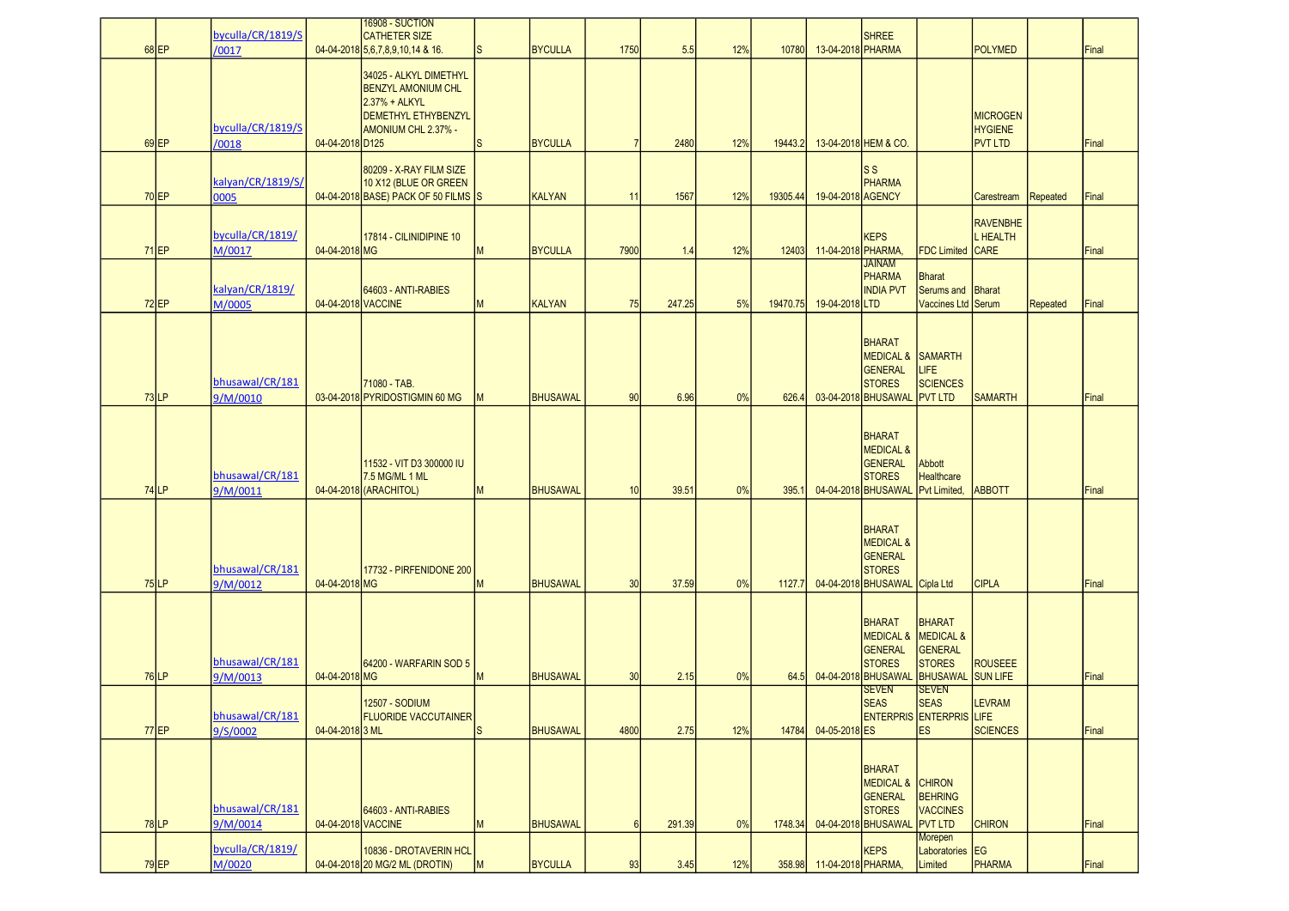| $68$ EP | byculla/CR/1819/S<br>/0017  |                    | <b>16908 - SUCTION</b><br><b>CATHETER SIZE</b><br>04-04-2018 5,6,7,8,9,10,14 & 16.                                               | S            | <b>BYCULLA</b>  | 1750           | 5.5    | 12% | 10780    | 13-04-2018 PHARMA         | <b>SHREE</b>                                                                                              |                                                                    | <b>POLYMED</b>                                      |                 | Final |
|---------|-----------------------------|--------------------|----------------------------------------------------------------------------------------------------------------------------------|--------------|-----------------|----------------|--------|-----|----------|---------------------------|-----------------------------------------------------------------------------------------------------------|--------------------------------------------------------------------|-----------------------------------------------------|-----------------|-------|
| $69$ EP | byculla/CR/1819/S<br>/0018  | 04-04-2018 D125    | 34025 - ALKYL DIMETHYL<br><b>BENZYL AMONIUM CHL</b><br>2.37% + ALKYL<br><b>DEMETHYL ETHYBENZYL</b><br><b>AMONIUM CHL 2.37% -</b> | <sub>S</sub> | <b>BYCULLA</b>  | $\overline{7}$ | 2480   | 12% | 19443.2  |                           | 13-04-2018 HEM & CO.                                                                                      |                                                                    | <b>MICROGEN</b><br><b>HYGIENE</b><br><b>PVT LTD</b> |                 | Final |
| $70$ EP | kalyan/CR/1819/S/<br>0005   |                    | 80209 - X-RAY FILM SIZE<br>10 X12 (BLUE OR GREEN<br>04-04-2018 BASE) PACK OF 50 FILMS S                                          |              | <b>KALYAN</b>   | 11             | 1567   | 12% | 19305.44 | 19-04-2018 AGENCY         | $\overline{\mathsf{s}}\,\mathsf{s}$<br><b>PHARMA</b>                                                      |                                                                    | Carestream                                          | Repeated        | Final |
| $71$ EP | byculla/CR/1819/<br>M/0017  | 04-04-2018 MG      | 17814 - CILINIDIPINE 10                                                                                                          | M            | <b>BYCULLA</b>  | 7900           | 1.4    | 12% | 12403    | 11-04-2018 PHARMA,        | <b>KEPS</b>                                                                                               | <b>FDC Limited CARE</b>                                            | <b>RAVENBHE</b><br><b>L</b> HEALTH                  |                 | Final |
| $72$ EP | kalyan/CR/1819/<br>M/0005   | 04-04-2018 VACCINE | 64603 - ANTI-RABIES                                                                                                              | M            | <b>KALYAN</b>   | 75             | 247.25 | 5%  | 19470.75 | 19-04-2018 LTD            | <b>JAINAM</b><br>PHARMA<br><b>INDIA PVT</b>                                                               | <b>Bharat</b><br>Serums and <b>Bharat</b><br>Vaccines Ltd Serum    |                                                     | <b>Repeated</b> | Final |
| $73$ LP | bhusawal/CR/181<br>9/M/0010 |                    | 71080 - TAB.<br>03-04-2018 PYRIDOSTIGMIN 60 MG                                                                                   |              | <b>BHUSAWAL</b> | 90             | 6.96   | 0%  | 626.4    |                           | <b>BHARAT</b><br>MEDICAL & SAMARTH<br><b>GENERAL</b><br><b>STORES</b><br>03-04-2018 BHUSAWAL PVT LTD      | LIFE<br><b>SCIENCES</b>                                            | <b>SAMARTH</b>                                      |                 | Final |
| $74$ LP | bhusawal/CR/181<br>9/M/0011 |                    | 11532 - VIT D3 300000 IU<br>7.5 MG/ML 1 ML<br>04-04-2018 (ARACHITOL)                                                             | M            | <b>BHUSAWAL</b> | 10             | 39.51  | 0%  | 395.1    |                           | <b>BHARAT</b><br><b>MEDICAL &amp;</b><br><b>GENERAL</b><br><b>STORES</b><br>04-04-2018 BHUSAWAL           | Abbott<br>Healthcare<br>Pvt Limited,                               | <b>ABBOTT</b>                                       |                 | Final |
| $75$ LP | bhusawal/CR/181<br>9/M/0012 | 04-04-2018 MG      | 17732 - PIRFENIDONE 200                                                                                                          | M            | <b>BHUSAWAL</b> | 30             | 37.59  | 0%  | 1127.7   |                           | <b>BHARAT</b><br><b>MEDICAL &amp;</b><br><b>GENERAL</b><br><b>STORES</b><br>04-04-2018 BHUSAWAL Cipla Ltd |                                                                    | <b>CIPLA</b>                                        |                 | Final |
| $76$ LP | bhusawal/CR/181<br>9/M/0013 | 04-04-2018 MG      | 64200 - WARFARIN SOD 5                                                                                                           | M            | <b>BHUSAWAL</b> | 30             | 2.15   | 0%  | 64.5     |                           | <b>BHARAT</b><br><b>MEDICAL &amp;</b><br><b>GENERAL</b><br><b>STORES</b><br>04-04-2018 BHUSAWAL           | <b>BHARAT</b><br>MEDICAL &<br>GENERAL<br><b>STORES</b><br>BHUSAWAL | <b>ROUSEEE</b><br>SUN LIFE                          |                 | Final |
| $77$ EP | bhusawal/CR/181<br>9/S/0002 | 04-04-2018 3 ML    | <b>12507 - SODIUM</b><br><b>FLUORIDE VACCUTAINER</b>                                                                             | <sub>S</sub> | <b>BHUSAWAL</b> | 4800           | 2.75   | 12% | 14784    | 04-05-2018 ES             | <b>SEVEN</b><br><b>SEAS</b><br><b>ENTERPRIS ENTERPRIS LIFE</b>                                            | <b>SEVEN</b><br><b>SEAS</b><br><b>ES</b>                           | <b>LEVRAM</b><br><b>SCIENCES</b>                    |                 | Final |
| $78$ LP | bhusawal/CR/181<br>9/M/0014 | 04-04-2018 VACCINE | 64603 - ANTI-RABIES                                                                                                              | M            | <b>BHUSAWAL</b> | 6              | 291.39 | 0%  | 1748.34  |                           | <b>BHARAT</b><br>MEDICAL & CHIRON<br>GENERAL<br><b>STORES</b><br>04-04-2018 BHUSAWAL                      | <b>BEHRING</b><br><b>VACCINES</b><br><b>PVT LTD</b>                | <b>CHIRON</b>                                       |                 | Final |
| $79$ EP | byculla/CR/1819/<br>M/0020  |                    | 10836 - DROTAVERIN HCL<br>04-04-2018 20 MG/2 ML (DROTIN)                                                                         | M            | <b>BYCULLA</b>  | 93             | 3.45   | 12% |          | 358.98 11-04-2018 PHARMA, | <b>KEPS</b>                                                                                               | Morepen<br>Laboratories EG<br>Limited                              | PHARMA                                              |                 | Final |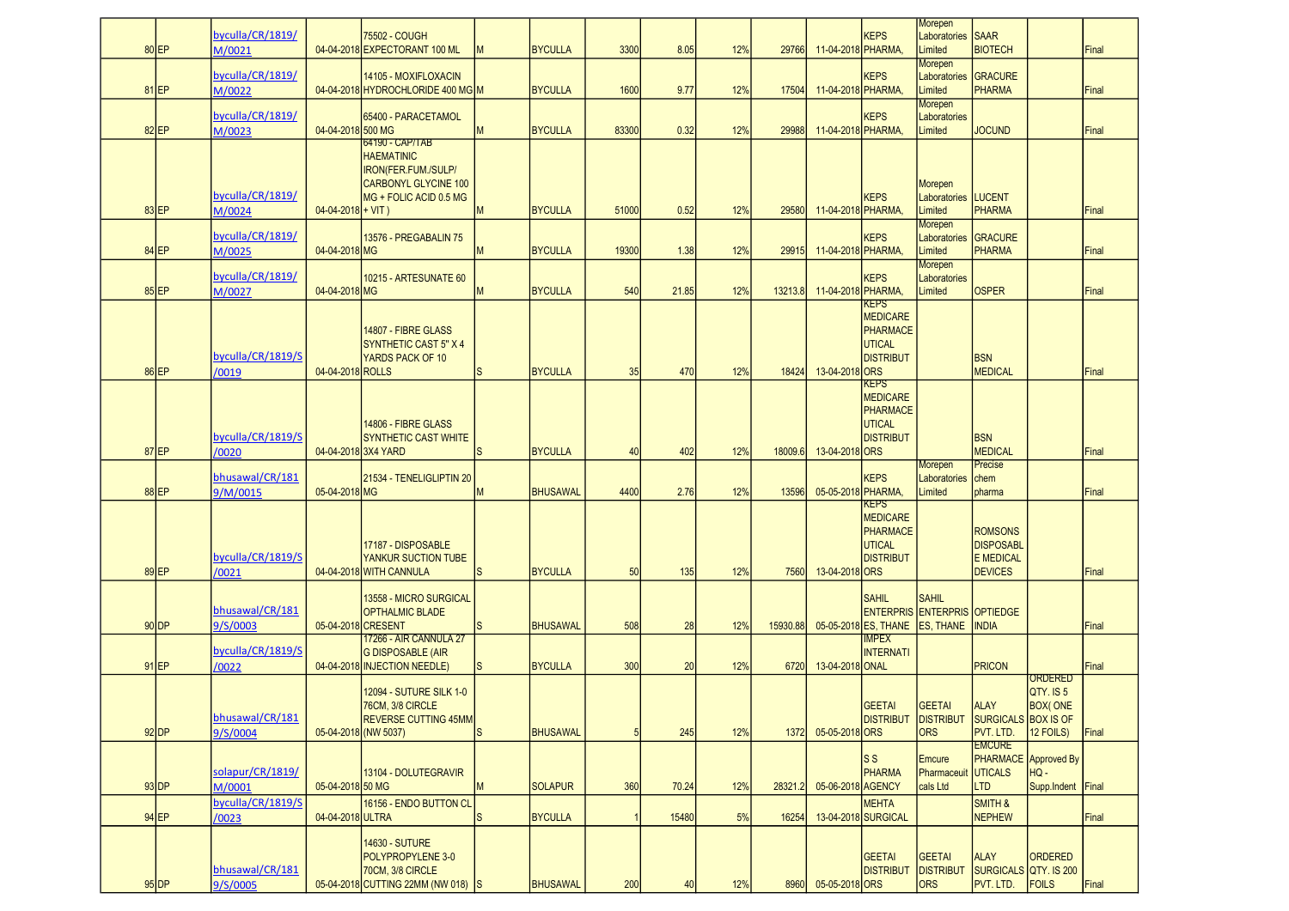|                    |         | byculla/CR/1819/            |                               | 75502 - COUGH                                                                                                        |              |                 |                 |       |     |          |                    | KEPS                                                                     | Morepen<br>Laboratories SAAR                        |                                                                          |                                                     |              |
|--------------------|---------|-----------------------------|-------------------------------|----------------------------------------------------------------------------------------------------------------------|--------------|-----------------|-----------------|-------|-----|----------|--------------------|--------------------------------------------------------------------------|-----------------------------------------------------|--------------------------------------------------------------------------|-----------------------------------------------------|--------------|
| 80 EP              |         | M/0021                      |                               | 04-04-2018 EXPECTORANT 100 ML                                                                                        | M            | <b>BYCULLA</b>  | 3300            | 8.05  | 12% | 29766    | 11-04-2018 PHARMA. |                                                                          | Limited                                             | <b>BIOTECH</b>                                                           |                                                     | Final        |
| 81 EP              |         | byculla/CR/1819/<br>M/0022  |                               | 14105 - MOXIFLOXACIN<br>04-04-2018 HYDROCHLORIDE 400 MG M                                                            |              | <b>BYCULLA</b>  | 1600            | 9.77  | 12% | 17504    | 11-04-2018 PHARMA  | <b>KEPS</b>                                                              | Morepen<br>Laboratories<br>Limited                  | <b>GRACURE</b><br><b>PHARMA</b>                                          |                                                     | Final        |
| 82 EP              |         | byculla/CR/1819/<br>M/0023  | 04-04-2018 500 MG             | 65400 - PARACETAMOL                                                                                                  | M            | <b>BYCULLA</b>  | 83300           | 0.32  | 12% | 29988    | 11-04-2018 PHARMA  | <b>KEPS</b>                                                              | Morepen<br>Laboratories<br>Limited                  | <b>JOCUND</b>                                                            |                                                     | Final        |
|                    |         | byculla/CR/1819/            |                               | 64190 - CAP/TAB<br><b>HAEMATINIC</b><br>IRON(FER.FUM./SULP/<br><b>CARBONYL GLYCINE 100</b><br>MG + FOLIC ACID 0.5 MG |              |                 |                 |       |     |          |                    | <b>KEPS</b>                                                              | Morepen<br>Laboratories LUCENT                      |                                                                          |                                                     |              |
| 83 EP              |         | M/0024                      | $04 - 04 - 2018 + \text{VIT}$ |                                                                                                                      | M            | <b>BYCULLA</b>  | 51000           | 0.52  | 12% | 29580    | 11-04-2018 PHARMA, |                                                                          | Limited<br>Morepen                                  | PHARMA                                                                   |                                                     | Final        |
| $84$ EP            |         | byculla/CR/1819/<br>M/0025  | 04-04-2018 MG                 | 13576 - PREGABALIN 75                                                                                                | М            | <b>BYCULLA</b>  | 19300           | 1.38  | 12% | 29915    | 11-04-2018 PHARMA, | <b>KEPS</b>                                                              | Laboratories<br>Limited                             | <b>GRACURE</b><br><b>PHARMA</b>                                          |                                                     | Final        |
| 85 EP              |         | byculla/CR/1819/<br>M/0027  | 04-04-2018 MG                 | 10215 - ARTESUNATE 60                                                                                                |              | <b>BYCULLA</b>  | 540             | 21.85 | 12% | 13213.8  | 11-04-2018 PHARMA, | <b>KEPS</b>                                                              | Morepen<br>Laboratories<br>Limited                  | <b>OSPER</b>                                                             |                                                     | Final        |
|                    |         | byculla/CR/1819/S           |                               | 14807 - FIBRE GLASS<br><b>SYNTHETIC CAST 5" X 4</b><br>YARDS PACK OF 10                                              |              |                 |                 |       |     |          |                    | <b>KEPS</b><br>MEDICARE<br><b>PHARMACE</b><br>UTICAL<br><b>DISTRIBUT</b> |                                                     | <b>BSN</b>                                                               |                                                     |              |
| 86 EP              |         | /0019                       | 04-04-2018 ROLLS              |                                                                                                                      | S            | <b>BYCULLA</b>  | 35              | 470   | 12% | 18424    | 13-04-2018 ORS     | <b>KEPS</b>                                                              |                                                     | <b>MEDICAL</b>                                                           |                                                     | Final        |
| 87 EP              |         | byculla/CR/1819/S<br>/0020  |                               | 14806 - FIBRE GLASS<br><b>SYNTHETIC CAST WHITE</b><br>04-04-2018 3X4 YARD                                            | <sub>S</sub> | <b>BYCULLA</b>  | 40              | 402   | 12% | 18009.6  | 13-04-2018 ORS     | <b>MEDICARE</b><br>PHARMACE<br>UTICAL<br><b>DISTRIBUT</b>                |                                                     | <b>BSN</b><br><b>MEDICAL</b>                                             |                                                     | Final        |
| 88EP               |         | bhusawal/CR/181<br>9/M/0015 | 05-04-2018 MG                 | 21534 - TENELIGLIPTIN 20                                                                                             | м            | <b>BHUSAWAL</b> | 4400            | 2.76  | 12% | 13596    | 05-05-2018 PHARMA, | <b>KEPS</b>                                                              | <b>Morepen</b><br>Laboratories<br>Limited           | Precise<br>chem<br>pharma                                                |                                                     | Final        |
| 89 EP              |         | byculla/CR/1819/S<br>/0021  |                               | 17187 - DISPOSABLE<br><b>YANKUR SUCTION TUBE</b><br>04-04-2018 WITH CANNULA                                          | <sub>S</sub> | <b>BYCULLA</b>  | 50              | 135   | 12% | 7560     | 13-04-2018 ORS     | KEPS<br><b>MEDICARE</b><br>PHARMACE<br>UTICAL<br><b>IDISTRIBUT</b>       |                                                     | <b>ROMSONS</b><br><b>DISPOSABL</b><br><b>E MEDICAL</b><br><b>DEVICES</b> |                                                     | Final        |
|                    |         | bhusawal/CR/181             |                               | 13558 - MICRO SURGICAL<br><b>OPTHALMIC BLADE</b>                                                                     |              |                 |                 |       |     |          |                    | <b>SAHIL</b>                                                             | <b>SAHIL</b><br><b>ENTERPRIS ENTERPRIS OPTIEDGE</b> |                                                                          |                                                     |              |
| $90$ DP            |         | 9/S/0003                    |                               | 05-04-2018 CRESENT                                                                                                   | S.           | <b>BHUSAWAL</b> | 508             | 28    | 12% | 15930.88 |                    | 05-05-2018 ES, THANE<br><b>IMPEX</b>                                     | <b>ES, THANE</b>                                    | <b>INDIA</b>                                                             |                                                     | Final        |
| $91$ EP            |         | byculla/CR/1819/S<br>/0022  |                               | 17266 - AIR CANNULA 27<br><b>G DISPOSABLE (AIR</b><br>04-04-2018 INJECTION NEEDLE)                                   | <sub>S</sub> | <b>BYCULLA</b>  | 300             | 20    | 12% | 6720     | 13-04-2018 ONAL    | <b>INTERNATI</b>                                                         |                                                     | <b>PRICON</b>                                                            |                                                     | Final        |
| $92$ DP            |         | bhusawal/CR/181<br>9/S/0004 |                               | <b>12094 - SUTURE SILK 1-0</b><br>76CM, 3/8 CIRCLE<br><b>REVERSE CUTTING 45MM</b><br>05-04-2018 (NW 5037)            | $\mathsf{s}$ | <b>BHUSAWAL</b> | $5\overline{5}$ | 245   | 12% | 1372     | 05-05-2018 ORS     | GEETAI<br><b>DISTRIBUT</b>                                               | GEETAI<br><b>DISTRIBUT</b><br><b>ORS</b>            | <b>ALAY</b><br>SURGICALS BOX IS OF<br>PVT. LTD.                          | <b>ORDERED</b><br>QTY. IS 5<br>BOX(ONE<br>12 FOILS) | <b>Final</b> |
|                    | $93$ DP | solapur/CR/1819/<br>M/0001  | 05-04-2018 50 MG              | 13104 - DOLUTEGRAVIR                                                                                                 | M            | <b>SOLAPUR</b>  | 360             | 70.24 | 12% | 28321.2  | 05-06-2018 AGENCY  | ls s<br>PHARMA                                                           | Emcure<br>Pharmaceuit<br>cals Ltd                   | <b>EMCURE</b><br><b>UTICALS</b><br><b>LTD</b>                            | PHARMACE Approved By<br>HQ-<br>Supp.Indent Final    |              |
| $94$ EP            |         | byculla/CR/1819/S<br>/0023  | 04-04-2018 ULTRA              | 16156 - ENDO BUTTON CL                                                                                               | <sub>S</sub> | <b>BYCULLA</b>  | $\overline{1}$  | 15480 | 5%  | 16254    |                    | <b>MEHTA</b><br>13-04-2018 SURGICAL                                      |                                                     | SMITH &<br><b>NEPHEW</b>                                                 |                                                     | Final        |
| $95$ <sub>DP</sub> |         | bhusawal/CR/181<br>9/S/0005 |                               | <b>14630 - SUTURE</b><br>POLYPROPYLENE 3-0<br>70CM, 3/8 CIRCLE<br>05-04-2018 CUTTING 22MM (NW 018) S                 |              | <b>BHUSAWAL</b> | 200             | 40    | 12% | 8960     | 05-05-2018 ORS     | GEETAI<br><b>DISTRIBUT</b>                                               | GEETAI<br><b>DISTRIBUT</b><br><b>ORS</b>            | <b>ALAY</b><br>SURGICALS QTY. IS 200<br>PVT. LTD.                        | ORDERED<br>FOILS                                    | Final        |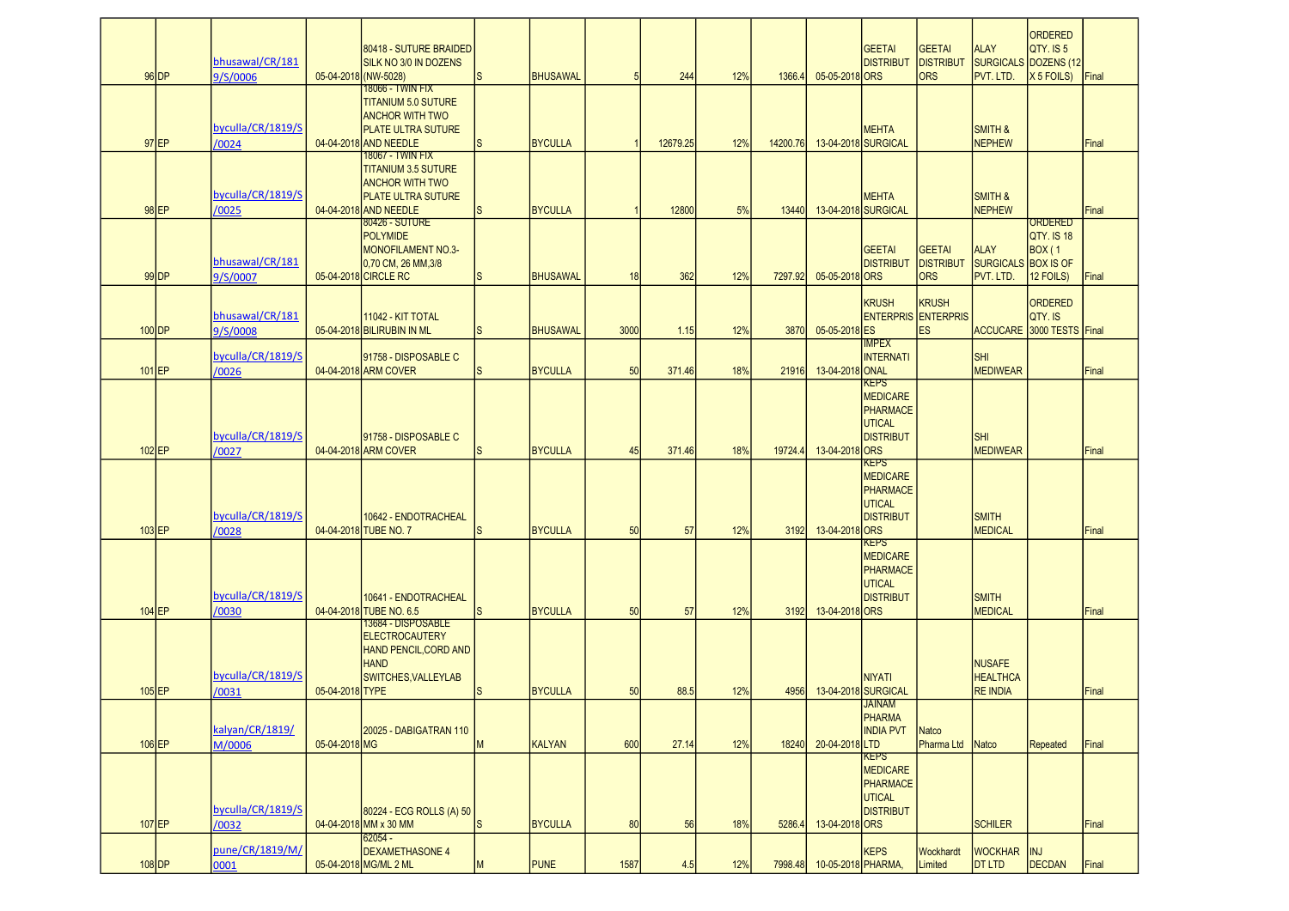|          | $96$ DP | bhusawal/CR/181<br>9/S/0006 |                 | 80418 - SUTURE BRAIDED<br>SILK NO 3/0 IN DOZENS<br>05-04-2018 (NW-5028)                                                        | <b>S</b>     | <b>BHUSAWAL</b> |      | 244      | 12% | 1366.4   | 05-05-2018 ORS     | <b>GEETAI</b><br><b>DISTRIBUT</b>                                                      | <b>GEETAI</b><br><b>DISTRIBUT</b><br><b>ORS</b>         | <b>ALAY</b><br>PVT. LTD.                               | ORDERED<br>QTY. IS 5<br>SURGICALS DOZENS (12<br>$X 5$ FOILS) | Final |
|----------|---------|-----------------------------|-----------------|--------------------------------------------------------------------------------------------------------------------------------|--------------|-----------------|------|----------|-----|----------|--------------------|----------------------------------------------------------------------------------------|---------------------------------------------------------|--------------------------------------------------------|--------------------------------------------------------------|-------|
|          | $97$ EP | byculla/CR/1819/S<br>/0024  |                 | 18066 - TWIN FIX<br><b>TITANIUM 5.0 SUTURE</b><br><b>ANCHOR WITH TWO</b><br><b>PLATE ULTRA SUTURE</b><br>04-04-2018 AND NEEDLE | ls.          | <b>BYCULLA</b>  |      | 12679.25 | 12% | 14200.76 |                    | <b>MEHTA</b><br>13-04-2018 SURGICAL                                                    |                                                         | <b>SMITH &amp;</b><br><b>NEPHEW</b>                    |                                                              | Final |
|          | $98$ EP | byculla/CR/1819/S<br>/0025  |                 | 18067 - TWIN FIX<br><b>TITANIUM 3.5 SUTURE</b><br><b>ANCHOR WITH TWO</b><br><b>PLATE ULTRA SUTURE</b><br>04-04-2018 AND NEEDLE | <sub>S</sub> | <b>BYCULLA</b>  |      | 12800    | 5%  | 13440    |                    | <b>MEHTA</b><br>13-04-2018 SURGICAL                                                    |                                                         | <b>SMITH &amp;</b><br><b>NEPHEW</b>                    |                                                              | Final |
|          | $99$ DP | bhusawal/CR/181<br>9/S/0007 |                 | 80426 - SUTURE<br><b>POLYMIDE</b><br><b>MONOFILAMENT NO.3-</b><br>0,70 CM, 26 MM, 3/8<br>05-04-2018 CIRCLE RC                  | lS.          | <b>BHUSAWAL</b> | 18   | 362      | 12% | 7297.92  | 05-05-2018 ORS     | <b>GEETAI</b><br><b>DISTRIBUT</b>                                                      | <b>GEETAI</b><br><b>DISTRIBUT</b><br><b>ORS</b>         | <b>ALAY</b><br><b>SURGICALS BOX IS OF</b><br>PVT. LTD. | ORDERED<br><b>OTY. IS 18</b><br><b>BOX</b> (1<br>12 FOILS)   | Final |
| $100$ DP |         | bhusawal/CR/181<br>9/S/0008 |                 | 11042 - KIT TOTAL<br>05-04-2018 BILIRUBIN IN ML                                                                                | <sub>S</sub> | <b>BHUSAWAL</b> | 3000 | 1.15     | 12% | 3870     | 05-05-2018 ES      | <b>KRUSH</b><br><b>IMPEX</b>                                                           | <b>KRUSH</b><br><b>ENTERPRIS ENTERPRIS</b><br><b>ES</b> |                                                        | ORDERED<br>QTY. IS<br><b>ACCUCARE 3000 TESTS Final</b>       |       |
| $101$ EP |         | byculla/CR/1819/S<br>/0026  |                 | 91758 - DISPOSABLE C<br>04-04-2018 ARM COVER                                                                                   | ls.          | <b>BYCULLA</b>  | 50   | 371.46   | 18% | 21916    | 13-04-2018 ONAL    | <b>INTERNATI</b>                                                                       |                                                         | <b>SHI</b><br><b>MEDIWEAR</b>                          |                                                              | Final |
| $102$ EP |         | byculla/CR/1819/S<br>/0027  |                 | 91758 - DISPOSABLE C<br>04-04-2018 ARM COVER                                                                                   | <sub>S</sub> | <b>BYCULLA</b>  | 45   | 371.46   | 18% | 19724.4  | 13-04-2018 ORS     | <b>KEPS</b><br><b>MEDICARE</b><br><b>PHARMACE</b><br><b>UTICAL</b><br><b>DISTRIBUT</b> |                                                         | <b>SHI</b><br><b>MEDIWEAR</b>                          |                                                              | Final |
| $103$ EP |         | byculla/CR/1819/S<br>/0028  |                 | 10642 - ENDOTRACHEAL<br>04-04-2018 TUBE NO. 7                                                                                  | <sub>S</sub> | <b>BYCULLA</b>  | 50   | 57       | 12% | 3192     | 13-04-2018 ORS     | <b>KEPS</b><br><b>MEDICARE</b><br>PHARMACE<br><b>UTICAL</b><br><b>DISTRIBUT</b>        |                                                         | <b>SMITH</b><br><b>MEDICAL</b>                         |                                                              | Final |
| $104$ EP |         | byculla/CR/1819/S<br>/0030  |                 | 10641 - ENDOTRACHEAL<br>04-04-2018 TUBE NO. 6.5                                                                                | ls.          | <b>BYCULLA</b>  | 50   | 57       | 12% | 3192     | 13-04-2018 ORS     | <b>KEPS</b><br><b>MEDICARE</b><br>PHARMACE<br><b>UTICAL</b><br><b>DISTRIBUT</b>        |                                                         | <b>SMITH</b><br><b>MEDICAL</b>                         |                                                              | Final |
| $105$ EP |         | byculla/CR/1819/S<br>/0031  | 05-04-2018 TYPE | 13684 - DISPOSABLE<br><b>ELECTROCAUTERY</b><br><b>HAND PENCIL, CORD AND</b><br><b>HAND</b><br>SWITCHES, VALLEYLAB              | <b>S</b>     | <b>BYCULLA</b>  | 50   | 88.5     | 12% | 4956     |                    | <b>NIYATI</b><br>13-04-2018 SURGICAL                                                   |                                                         | <b>NUSAFE</b><br><b>HEALTHCA</b><br><b>RE INDIA</b>    |                                                              | Final |
| 106EP    |         | kalyan/CR/1819/<br>M/0006   | 05-04-2018 MG   | 20025 - DABIGATRAN 110                                                                                                         | M            | <b>KALYAN</b>   | 600  | 27.14    | 12% | 18240    | 20-04-2018 LTD     | <b>JAINAM</b><br>PHARMA<br><b>INDIA PVT</b>                                            | <b>Natco</b><br>Pharma Ltd Natco                        |                                                        | <b>Repeated</b>                                              | Final |
| 107 EP   |         | byculla/CR/1819/S<br>/0032  |                 | 80224 - ECG ROLLS (A) 50<br>04-04-2018 MM x 30 MM                                                                              | <sub>S</sub> | <b>BYCULLA</b>  | 80   | 56       | 18% | 5286.4   | 13-04-2018 ORS     | <b>KEPS</b><br><b>MEDICARE</b><br>PHARMACE<br><b>UTICAL</b><br><b>DISTRIBUT</b>        |                                                         | <b>SCHILER</b>                                         |                                                              | Final |
| 108 DP   |         | pune/CR/1819/M/<br>0001     |                 | $62054 -$<br><b>DEXAMETHASONE 4</b><br>05-04-2018 MG/ML 2 ML                                                                   | M            | <b>PUNE</b>     | 1587 | 4.5      | 12% | 7998.48  | 10-05-2018 PHARMA, | <b>KEPS</b>                                                                            | Wockhardt<br>Limited                                    | <b>WOCKHAR</b><br><b>DT LTD</b>                        | <b>INJ</b><br>DECDAN                                         | Final |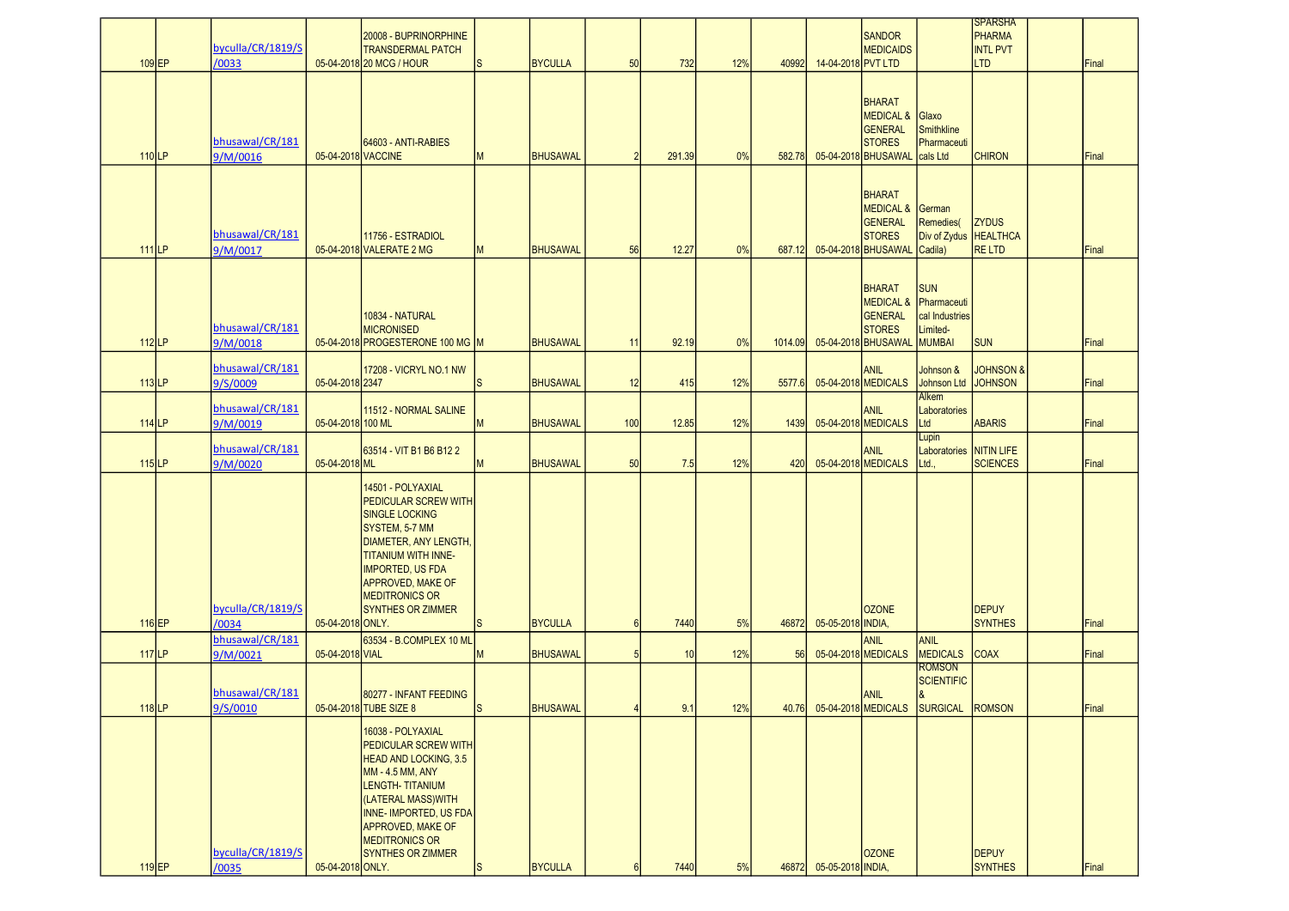| $109$ EP            | byculla/CR/1819/S<br>/0033  |                    | 20008 - BUPRINORPHINE<br><b>TRANSDERMAL PATCH</b><br>05-04-2018 20 MCG / HOUR                                                                                                                                                                           | ls       | <b>BYCULLA</b>  | 50             | 732    | 12% | 40992   | 14-04-2018 PVT LTD      | <b>SANDOR</b><br><b>MEDICAIDS</b>                                                               |                                                                          | <b>SPARSHA</b><br><b>PHARMA</b><br><b>INTL PVT</b><br><b>LTD</b> | Final        |
|---------------------|-----------------------------|--------------------|---------------------------------------------------------------------------------------------------------------------------------------------------------------------------------------------------------------------------------------------------------|----------|-----------------|----------------|--------|-----|---------|-------------------------|-------------------------------------------------------------------------------------------------|--------------------------------------------------------------------------|------------------------------------------------------------------|--------------|
| $110$ <sub>LP</sub> | bhusawal/CR/181<br>9/M/0016 | 05-04-2018 VACCINE | 64603 - ANTI-RABIES                                                                                                                                                                                                                                     | M        | <b>BHUSAWAL</b> | $\overline{2}$ | 291.39 | 0%  | 582.78  |                         | <b>BHARAT</b><br><b>MEDICAL &amp;</b><br><b>GENERAL</b><br><b>STORES</b><br>05-04-2018 BHUSAWAL | Glaxo<br><b>Smithkline</b><br>Pharmaceuti<br>cals Ltd                    | <b>CHIRON</b>                                                    | <b>Final</b> |
| $111$ LP            | bhusawal/CR/181<br>9/M/0017 |                    | 11756 - ESTRADIOL<br>05-04-2018 VALERATE 2 MG                                                                                                                                                                                                           | M        | <b>BHUSAWAL</b> | 56             | 12.27  | 0%  | 687.12  |                         | <b>BHARAT</b><br><b>MEDICAL &amp;</b><br>GENERAL<br><b>STORES</b><br>05-04-2018 BHUSAWAL        | German<br>Remedies(<br>Div of Zydus   HEALTHCA<br>Cadila)                | <b>ZYDUS</b><br><b>RELTD</b>                                     | Final        |
| $112$ LP            | bhusawal/CR/181<br>9/M/0018 |                    | 10834 - NATURAL<br><b>MICRONISED</b><br>05-04-2018 PROGESTERONE 100 MG M                                                                                                                                                                                |          | <b>BHUSAWAL</b> | 11             | 92.19  | 0%  | 1014.09 |                         | <b>BHARAT</b><br><b>MEDICAL &amp;</b><br>GENERAL<br><b>STORES</b><br>05-04-2018 BHUSAWAL        | <b>SUN</b><br>Pharmaceuti<br>cal Industries<br>Limited-<br><b>MUMBAI</b> | <b>SUN</b>                                                       | Final        |
| $113$ LP            | bhusawal/CR/181<br>9/S/0009 | 05-04-2018 2347    | 17208 - VICRYL NO.1 NW                                                                                                                                                                                                                                  | ls.      | <b>BHUSAWAL</b> | 12             | 415    | 12% | 5577.6  |                         | ANIL<br>05-04-2018 MEDICALS                                                                     | Johnson &<br>Johnson Ltd                                                 | <b>JOHNSON &amp;</b><br><b>JOHNSON</b>                           | Final        |
| $114$ <sub>LP</sub> | bhusawal/CR/181<br>9/M/0019 | 05-04-2018 100 ML  | 11512 - NORMAL SALINE                                                                                                                                                                                                                                   | M        | <b>BHUSAWAL</b> | 100            | 12.85  | 12% | 1439    |                         | <b>ANIL</b><br>05-04-2018 MEDICALS                                                              | Alkem<br>Laboratories<br>Ltd                                             | <b>ABARIS</b>                                                    | Final        |
| $115$ LP            | bhusawal/CR/181<br>9/M/0020 | 05-04-2018 ML      | 63514 - VIT B1 B6 B12 2                                                                                                                                                                                                                                 | M        | <b>BHUSAWAL</b> | 50             | 7.5    | 12% | 420     |                         | <b>ANIL</b><br>05-04-2018 MEDICALS                                                              | Lupin<br>Laboratories NITIN LIFE<br>Ltd.                                 | <b>SCIENCES</b>                                                  | Final        |
| $116$ EP            | byculla/CR/1819/S<br>/0034  | 05-04-2018 ONLY.   | 14501 - POLYAXIAL<br><b>PEDICULAR SCREW WITH</b><br><b>SINGLE LOCKING</b><br>SYSTEM, 5-7 MM<br>DIAMETER, ANY LENGTH,<br>TITANIUM WITH INNE-<br><b>IMPORTED, US FDA</b><br><b>APPROVED, MAKE OF</b><br><b>MEDITRONICS OR</b><br><b>SYNTHES OR ZIMMER</b> | lS.      | <b>BYCULLA</b>  | 6              | 7440   | 5%  | 46872   | 05-05-2018 INDIA,       | <b>OZONE</b>                                                                                    |                                                                          | <b>DEPUY</b><br><b>SYNTHES</b>                                   | Final        |
| $117$ LP            | bhusawal/CR/181<br>9/M/0021 | 05-04-2018 VIAL    | 63534 - B.COMPLEX 10 ML                                                                                                                                                                                                                                 | M        | <b>BHUSAWAL</b> | 5              | 10     | 12% | 56      |                         | ANIL<br>05-04-2018 MEDICALS                                                                     | ANIL<br><b>MEDICALS</b>                                                  | <b>COAX</b>                                                      | Final        |
| $118$ LP            | bhusawal/CR/181<br>9/S/0010 |                    | 80277 - INFANT FEEDING<br>05-04-2018 TUBE SIZE 8                                                                                                                                                                                                        | lS.      | <b>BHUSAWAL</b> |                | 9.1    | 12% | 40.76   |                         | ANIL<br>05-04-2018 MEDICALS                                                                     | Romson<br><b>SCIENTIFIC</b><br>SURGICAL                                  | <b>ROMSON</b>                                                    | Final        |
| $119$ EP            | byculla/CR/1819/S<br>/0035  | 05-04-2018 ONLY.   | 16038 - POLYAXIAL<br>PEDICULAR SCREW WITH<br><b>HEAD AND LOCKING, 3.5</b><br>MM - 4.5 MM, ANY<br>LENGTH-TITANIUM<br>(LATERAL MASS)WITH<br>INNE-IMPORTED, US FDA<br>APPROVED, MAKE OF<br><b>MEDITRONICS OR</b><br>SYNTHES OR ZIMMER                      | <b>S</b> | <b>BYCULLA</b>  | $6\phantom{1}$ | 7440   | 5%  |         | 46872 05-05-2018 INDIA, | <b>OZONE</b>                                                                                    |                                                                          | <b>DEPUY</b><br><b>SYNTHES</b>                                   | Final        |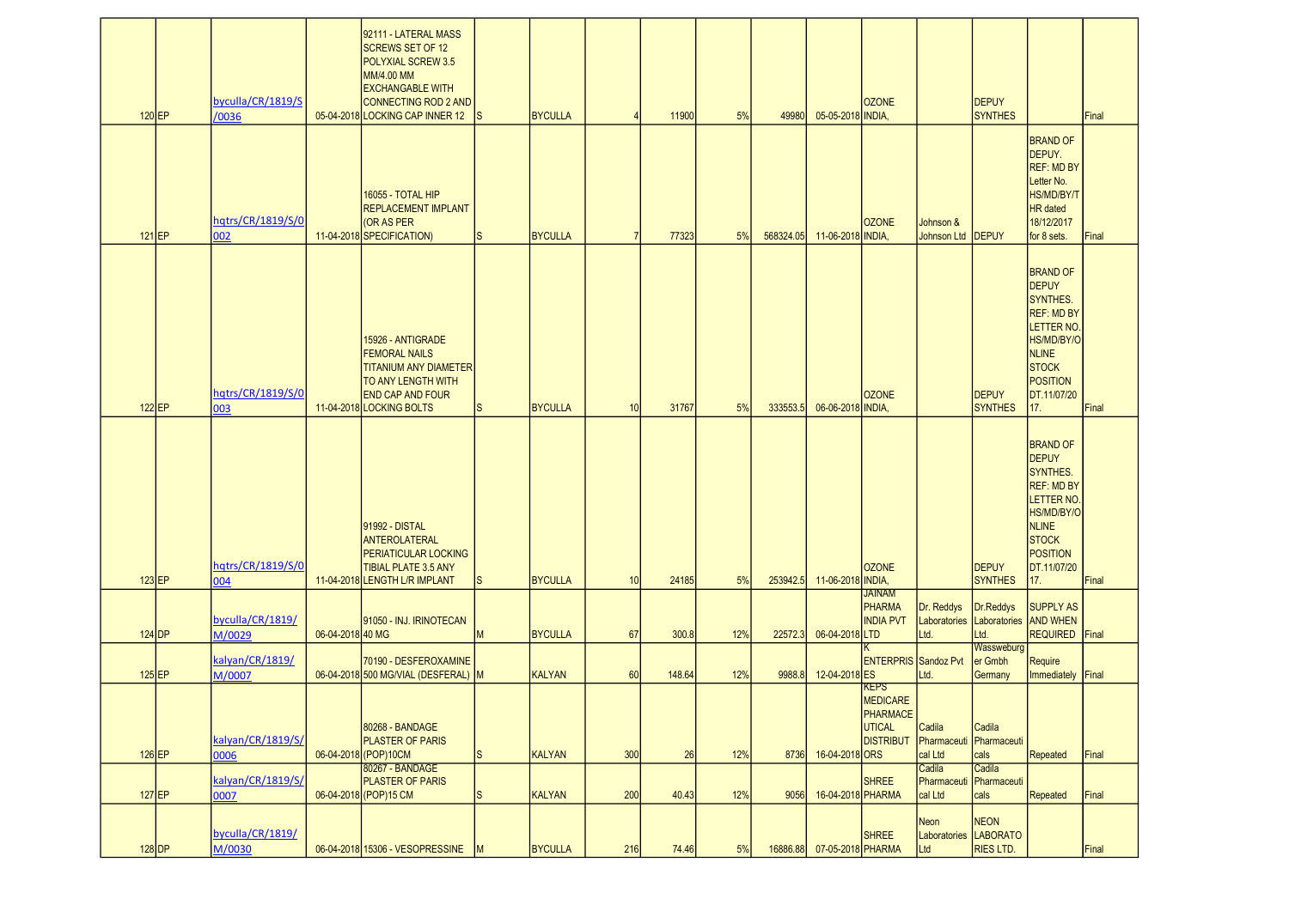| $120$ EP | byculla/CR/1819/S<br>/0036 |                  | 92111 - LATERAL MASS<br><b>SCREWS SET OF 12</b><br>POLYXIAL SCREW 3.5<br>MM/4.00 MM<br><b>EXCHANGABLE WITH</b><br>CONNECTING ROD 2 AND<br>05-04-2018 LOCKING CAP INNER 12 |     | <b>BYCULLA</b> |     | 11900  | 5%  | 49980     | 05-05-2018 INDIA, | <b>OZONE</b>                                                             |                                                        | <b>DEPUY</b><br><b>SYNTHES</b>             |                                                                                                                                                                             | Final |
|----------|----------------------------|------------------|---------------------------------------------------------------------------------------------------------------------------------------------------------------------------|-----|----------------|-----|--------|-----|-----------|-------------------|--------------------------------------------------------------------------|--------------------------------------------------------|--------------------------------------------|-----------------------------------------------------------------------------------------------------------------------------------------------------------------------------|-------|
| $121$ EP | hqtrs/CR/1819/S/0<br>002   |                  | <b>16055 - TOTAL HIP</b><br><b>REPLACEMENT IMPLANT</b><br><b>OR AS PER</b><br>11-04-2018 SPECIFICATION)                                                                   | S   | <b>BYCULLA</b> |     | 77323  | 5%  | 568324.05 | 11-06-2018 INDIA, | <b>OZONE</b>                                                             | Johnson &<br><b>Johnson Ltd</b>                        | <b>DEPUY</b>                               | <b>BRAND OF</b><br>DEPUY.<br><b>REF: MD BY</b><br>Letter No.<br><b>HS/MD/BY/T</b><br><b>HR</b> dated<br>18/12/2017<br>for 8 sets.                                           | Final |
| $122$ EP | hqtrs/CR/1819/S/0<br>003   |                  | 15926 - ANTIGRADE<br><b>FEMORAL NAILS</b><br><b>TITANIUM ANY DIAMETER</b><br><b>TO ANY LENGTH WITH</b><br><b>END CAP AND FOUR</b><br>11-04-2018 LOCKING BOLTS             | S   | <b>BYCULLA</b> | 10  | 31767  | 5%  | 333553.5  | 06-06-2018 INDIA, | <b>OZONE</b>                                                             |                                                        | <b>DEPUY</b><br><b>SYNTHES</b>             | <b>BRAND OF</b><br><b>DEPUY</b><br>SYNTHES.<br><b>REF: MD BY</b><br><b>LETTER NO</b><br>HS/MD/BY/O<br><b>NLINE</b><br><b>STOCK</b><br><b>POSITION</b><br>DT.11/07/20<br>17. | Final |
| $123$ EP | hqtrs/CR/1819/S/0<br>004   |                  | 91992 - DISTAL<br>ANTEROLATERAL<br><b>PERIATICULAR LOCKING</b><br><b>TIBIAL PLATE 3.5 ANY</b><br>11-04-2018 LENGTH L/R IMPLANT                                            | lS. | BYCULLA        | 10  | 24185  | 5%  | 253942.5  | 11-06-2018 INDIA  | <b>OZONE</b>                                                             |                                                        | <b>DEPUY</b><br><b>SYNTHES</b>             | <b>BRAND OF</b><br><b>DEPUY</b><br>SYNTHES.<br><b>REF: MD BY</b><br><b>LETTER NO</b><br>HS/MD/BY/O<br><b>NLINE</b><br><b>STOCK</b><br><b>POSITION</b><br>DT.11/07/20<br>17. | Final |
| $124$ DP | byculla/CR/1819/<br>M/0029 | 06-04-2018 40 MG | 91050 - INJ. IRINOTECAN                                                                                                                                                   | M   | <b>BYCULLA</b> | 67  | 300.8  | 12% | 22572.3   | 06-04-2018 LTD    | <b>JAINAM</b><br>PHARMA<br><b>INDIA PVT</b>                              | Dr. Reddys<br>Laboratories<br>Ltd.                     | Dr.Reddys<br>Laboratories AND WHEN<br>Ltd. | <b>SUPPLY AS</b><br>REQUIRED Final                                                                                                                                          |       |
| $125$ EP | kalyan/CR/1819/<br>M/0007  |                  | 70190 - DESFEROXAMINE<br>06-04-2018 500 MG/VIAL (DESFERAL) M                                                                                                              |     | KALYAN         | 60  | 148.64 | 12% | 9988.8    | 12-04-2018 ES     | <b>ENTERPRIS Sandoz Pvt</b>                                              | Ltd.                                                   | Wassweburg<br>er Gmbh<br>Germany           | Require<br>Immediately Final                                                                                                                                                |       |
| $126$ EP | kalyan/CR/1819/S/<br>0006  |                  | 80268 - BANDAGE<br><b>PLASTER OF PARIS</b><br>06-04-2018 (POP) 10CM<br>80267 - BANDAGE                                                                                    | S   | KALYAN         | 300 | 26     | 12% | 8736      | 16-04-2018 ORS    | <b>KEPS</b><br>MEDICARE<br>PHARMACE<br><b>UTICAL</b><br><b>DISTRIBUT</b> | Cadila<br>Pharmaceuti Pharmaceuti<br>cal Ltd<br>Cadila | Cadila<br>cals<br>Cadila                   | Repeated                                                                                                                                                                    | Final |
| $127$ EP | kalyan/CR/1819/S/<br>0007  |                  | <b>PLASTER OF PARIS</b><br>06-04-2018 (POP) 15 CM                                                                                                                         | S   | KALYAN         | 200 | 40.43  | 12% | 9056      | 16-04-2018 PHARMA | <b>SHREE</b>                                                             | Pharmaceuti<br>cal Ltd                                 | Pharmaceuti<br>cals                        | Repeated                                                                                                                                                                    | Final |
| $128$ DP | byculla/CR/1819/<br>M/0030 |                  | 06-04-2018 15306 - VESOPRESSINE M                                                                                                                                         |     | BYCULLA        | 216 | 74.46  | 5%  | 16886.88  | 07-05-2018 PHARMA | <b>SHREE</b>                                                             | Neon<br>Laboratories LABORATO<br>Ltd                   | <b>NEON</b><br><b>RIES LTD.</b>            |                                                                                                                                                                             | Final |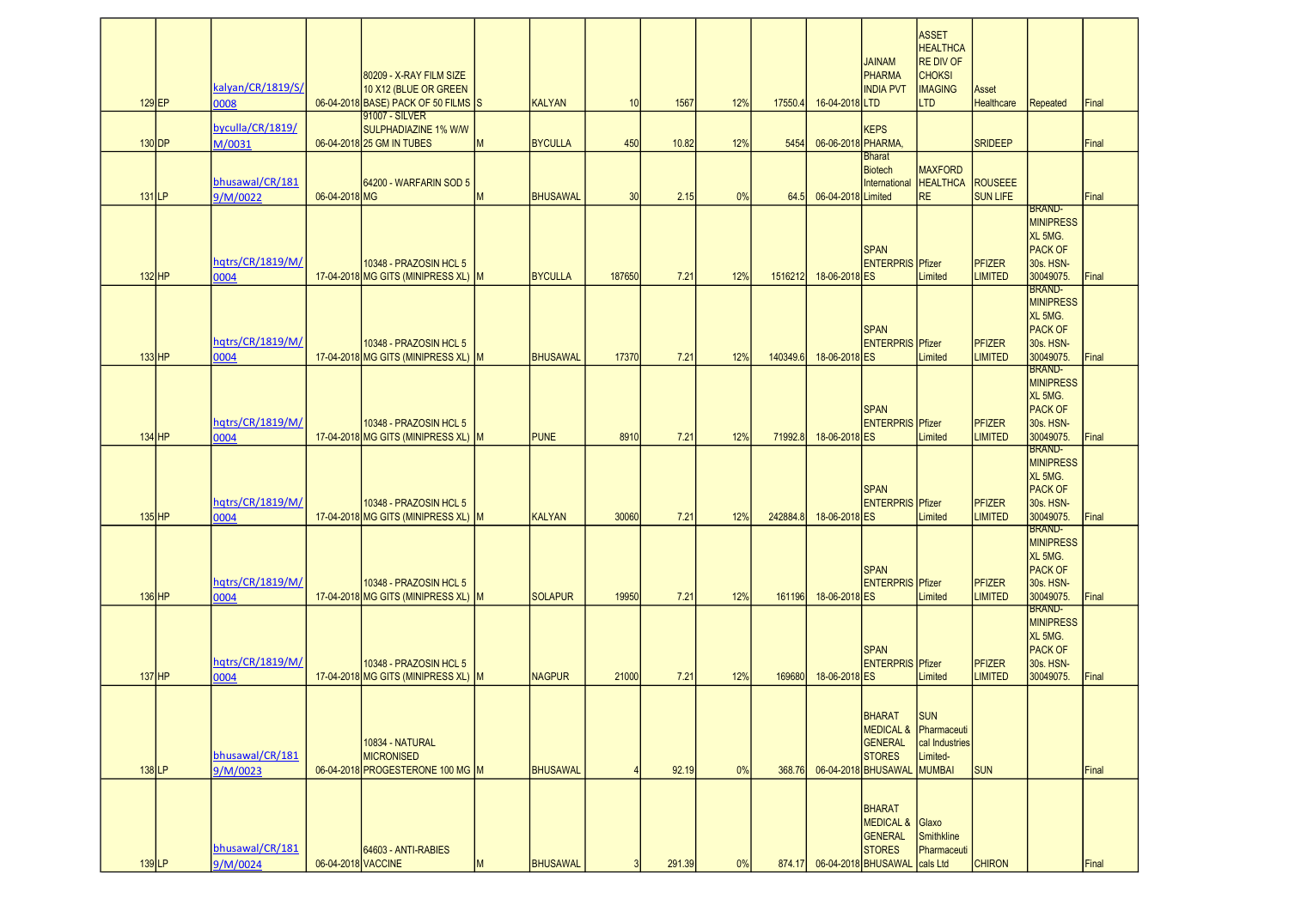| $129$ EP            | kalyan/CR/1819/S/<br>8000   |                    | 80209 - X-RAY FILM SIZE<br>10 X12 (BLUE OR GREEN<br>06-04-2018 BASE) PACK OF 50 FILMS S |   | <b>KALYAN</b>   | 10     | 1567   | 12% | 17550.4  | 16-04-2018 LTD     | <b>JAINAM</b><br>PHARMA<br><b>INDIA PVT</b>                                                         | <b>ASSET</b><br><b>HEALTHCA</b><br>RE DIV OF<br><b>CHOKSI</b><br><b>IMAGING</b><br><b>LTD</b> | Asset<br>Healthcare             | Repeated                                                                                 | Final |
|---------------------|-----------------------------|--------------------|-----------------------------------------------------------------------------------------|---|-----------------|--------|--------|-----|----------|--------------------|-----------------------------------------------------------------------------------------------------|-----------------------------------------------------------------------------------------------|---------------------------------|------------------------------------------------------------------------------------------|-------|
| $130$ DP            | byculla/CR/1819/<br>M/0031  |                    | 91007 - SILVER<br>SULPHADIAZINE 1% W/W<br>06-04-2018 25 GM IN TUBES                     | M | <b>BYCULLA</b>  | 450    | 10.82  | 12% | 5454     | 06-06-2018 PHARMA, | <b>KEPS</b>                                                                                         |                                                                                               | <b>SRIDEEP</b>                  |                                                                                          | Final |
| $131$ <sub>LP</sub> | bhusawal/CR/181<br>9/M/0022 | 06-04-2018 MG      | 64200 - WARFARIN SOD 5                                                                  | M | <b>BHUSAWAL</b> | 30     | 2.15   | 0%  | 64.5     | 06-04-2018 Limited | <b>Bharat</b><br><b>Biotech</b><br>International HEALTHCA                                           | <b>MAXFORD</b><br><b>RE</b>                                                                   | ROUSEEE<br><b>SUN LIFE</b>      |                                                                                          | Final |
| $132$ HP            | hqtrs/CR/1819/M/<br>0004    |                    | 10348 - PRAZOSIN HCL 5<br>17-04-2018 MG GITS (MINIPRESS XL) M                           |   | <b>BYCULLA</b>  | 187650 | 7.21   | 12% | 1516212  | 18-06-2018 ES      | <b>SPAN</b><br><b>ENTERPRIS</b> Pfizer                                                              | Limited                                                                                       | <b>PFIZER</b><br><b>LIMITED</b> | <b>BRAND-</b><br><b>MINIPRESS</b><br>XL 5MG.<br><b>PACK OF</b><br>30s. HSN-<br>30049075. | Final |
| $133$ HP            | hqtrs/CR/1819/M/<br>0004    |                    | 10348 - PRAZOSIN HCL 5<br>17-04-2018 MG GITS (MINIPRESS XL) M                           |   | <b>BHUSAWAL</b> | 17370  | 7.21   | 12% | 140349.6 | 18-06-2018 ES      | <b>SPAN</b><br><b>ENTERPRIS</b> Pfizer                                                              | Limited                                                                                       | <b>PFIZER</b><br><b>LIMITED</b> | <b>BRAND-</b><br><b>MINIPRESS</b><br>XL 5MG.<br><b>PACK OF</b><br>30s. HSN-<br>30049075. | Final |
| $134$ HP            | hqtrs/CR/1819/M/<br>0004    |                    | 10348 - PRAZOSIN HCL 5<br>17-04-2018 MG GITS (MINIPRESS XL) M                           |   | <b>PUNE</b>     | 8910   | 7.21   | 12% | 71992.8  | 18-06-2018 ES      | SPAN<br><b>ENTERPRIS</b> Pfizer                                                                     | Limited                                                                                       | <b>PFIZER</b><br><b>LIMITED</b> | <b>BRAND-</b><br><b>MINIPRESS</b><br>XL 5MG.<br><b>PACK OF</b><br>30s. HSN-<br>30049075. | Final |
| $135$ HP            | hqtrs/CR/1819/M/<br>0004    |                    | 10348 - PRAZOSIN HCL 5<br>17-04-2018 MG GITS (MINIPRESS XL) M                           |   | <b>KALYAN</b>   | 30060  | 7.21   | 12% | 242884.8 | 18-06-2018 ES      | <b>SPAN</b><br><b>ENTERPRIS</b> Pfizer                                                              | Limited                                                                                       | <b>PFIZER</b><br><b>LIMITED</b> | <b>BRAND-</b><br><b>MINIPRESS</b><br>XL 5MG.<br><b>PACK OF</b><br>30s. HSN-<br>30049075. | Final |
| $136$ HP            | hqtrs/CR/1819/M/<br>0004    |                    | 10348 - PRAZOSIN HCL 5<br>17-04-2018 MG GITS (MINIPRESS XL) M                           |   | <b>SOLAPUR</b>  | 19950  | 7.21   | 12% | 161196   | 18-06-2018 ES      | <b>SPAN</b><br><b>ENTERPRIS</b> Pfizer                                                              | Limited                                                                                       | <b>PFIZER</b><br><b>LIMITED</b> | <b>BRAND-</b><br><b>MINIPRESS</b><br>XL 5MG.<br><b>PACK OF</b><br>30s. HSN-<br>30049075. | Final |
| $137$ HP            | hqtrs/CR/1819/M/<br>0004    |                    | 10348 - PRAZOSIN HCL 5<br>17-04-2018 MG GITS (MINIPRESS XL) M                           |   | <b>NAGPUR</b>   | 21000  | 7.21   | 12% | 169680   | 18-06-2018 ES      | <b>SPAN</b><br><b>ENTERPRIS</b> Pfizer                                                              | Limited                                                                                       | <b>PFIZER</b><br><b>LIMITED</b> | <b>BRAND-</b><br><b>MINIPRESS</b><br>XL 5MG.<br><b>PACK OF</b><br>30s. HSN-<br>30049075. | Final |
| $138$ <sub>LP</sub> | bhusawal/CR/181<br>9/M/0023 |                    | 10834 - NATURAL<br><b>MICRONISED</b><br>06-04-2018 PROGESTERONE 100 MG M                |   | <b>BHUSAWAL</b> |        | 92.19  | 0%  | 368.76   |                    | <b>BHARAT</b><br><b>GENERAL</b><br><b>STORES</b><br>06-04-2018 BHUSAWAL                             | <b>SUN</b><br>MEDICAL & Pharmaceuti<br>cal Industries<br>Limited-<br><b>MUMBAI</b>            | <b>SUN</b>                      |                                                                                          | Final |
| $139$ <sub>LP</sub> | bhusawal/CR/181<br>9/M/0024 | 06-04-2018 VACCINE | 64603 - ANTI-RABIES                                                                     | M | <b>BHUSAWAL</b> |        | 291.39 | 0%  | 874.17   |                    | <b>BHARAT</b><br>MEDICAL & Glaxo<br><b>GENERAL</b><br><b>STORES</b><br>06-04-2018 BHUSAWAL cals Ltd | <b>Smithkline</b><br>Pharmaceuti                                                              | <b>CHIRON</b>                   |                                                                                          | Final |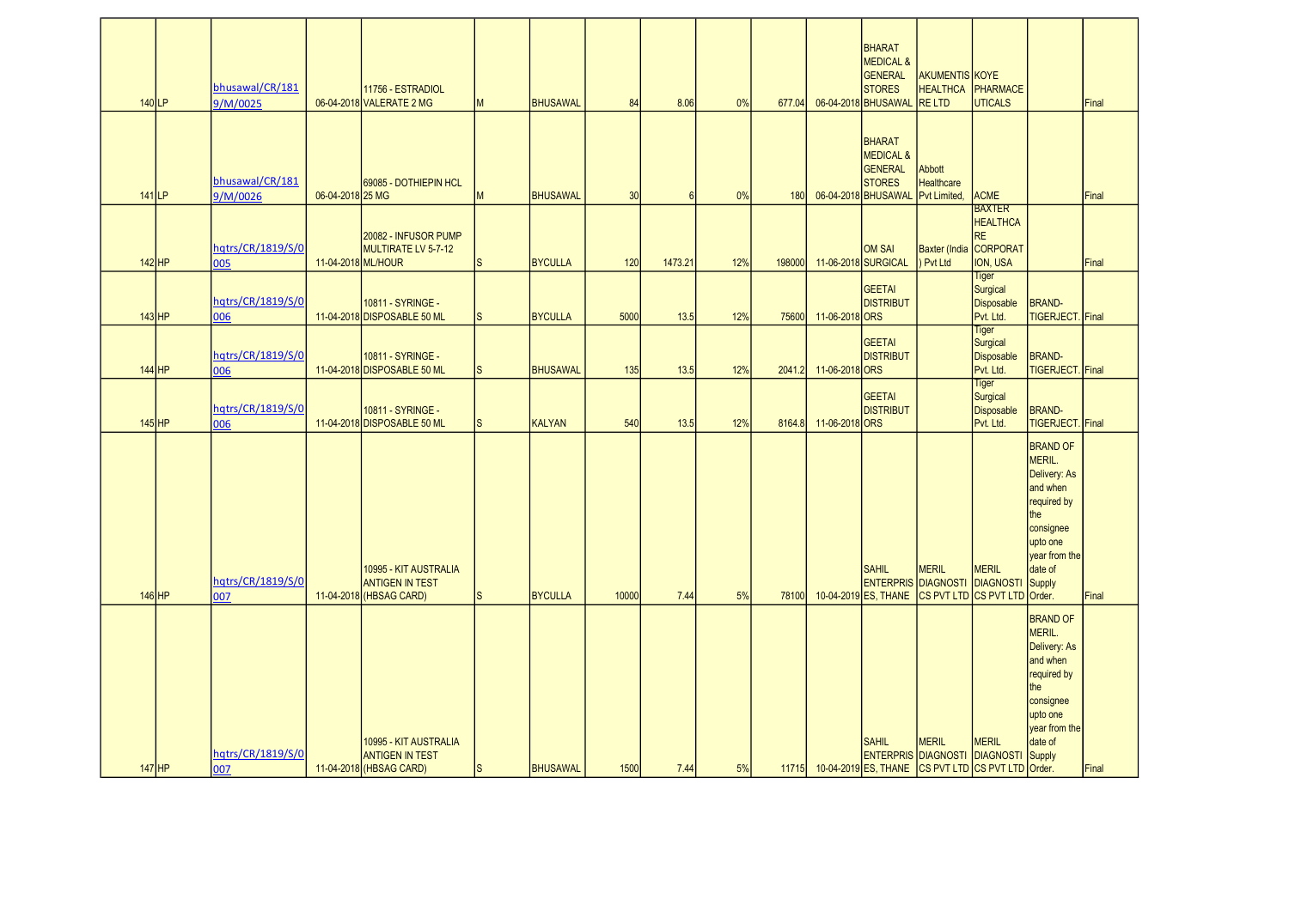| $140$ LP |          | bhusawal/CR/181<br>9/M/0025 |                    | 11756 - ESTRADIOL<br>06-04-2018 VALERATE 2 MG                              | M            | <b>BHUSAWAL</b> | 84    | 8.06    | 0%  | 677.04 |                | <b>BHARAT</b><br><b>MEDICAL &amp;</b><br><b>GENERAL</b><br><b>STORES</b><br>06-04-2018 BHUSAWAL RE LTD                 | <b>AKUMENTIS KOYE</b><br><b>HEALTHCA</b>     | PHARMACE<br><b>UTICALS</b>                                                          |                                                                                                                                            | Final |
|----------|----------|-----------------------------|--------------------|----------------------------------------------------------------------------|--------------|-----------------|-------|---------|-----|--------|----------------|------------------------------------------------------------------------------------------------------------------------|----------------------------------------------|-------------------------------------------------------------------------------------|--------------------------------------------------------------------------------------------------------------------------------------------|-------|
| $141$ LP |          | bhusawal/CR/181<br>9/M/0026 | 06-04-2018 25 MG   | 69085 - DOTHIEPIN HCL                                                      | M            | <b>BHUSAWAL</b> | 30    | -6      | 0%  | 180    |                | BHARAT<br><b>MEDICAL &amp;</b><br>GENERAL<br><b>STORES</b><br>06-04-2018 BHUSAWAL                                      | Abbott<br>Healthcare<br>Pvt Limited          | <b>ACME</b>                                                                         |                                                                                                                                            | Final |
|          | $142$ HP | hqtrs/CR/1819/S/0<br>005    | 11-04-2018 ML/HOUR | 20082 - INFUSOR PUMP<br>MULTIRATE LV 5-7-12                                | <sub>S</sub> | <b>BYCULLA</b>  | 120   | 1473.21 | 12% | 198000 |                | <b>OM SAI</b><br>11-06-2018 SURGICAL                                                                                   | Pvt Ltd                                      | <b>BAXTER</b><br><b>HEALTHCA</b><br><b>RE</b><br>Baxter (India CORPORAT<br>ION, USA |                                                                                                                                            | Final |
|          | $143$ HP | hqtrs/CR/1819/S/0<br>006    |                    | 10811 - SYRINGE -<br>11-04-2018 DISPOSABLE 50 ML                           | <sub>S</sub> | <b>BYCULLA</b>  | 5000  | 13.5    | 12% | 75600  | 11-06-2018 ORS | <b>GEETAI</b><br><b>DISTRIBUT</b>                                                                                      |                                              | <b>Tiger</b><br>Surgical<br><b>Disposable</b><br>Pvt. Ltd.                          | <b>BRAND-</b><br>TIGERJECT. Final                                                                                                          |       |
|          | $144$ HP | hqtrs/CR/1819/S/0<br>006    |                    | 10811 - SYRINGE -<br>11-04-2018 DISPOSABLE 50 ML                           | S            | <b>BHUSAWAL</b> | 135   | 13.5    | 12% | 2041.2 | 11-06-2018 ORS | <b>GEETAI</b><br><b>DISTRIBUT</b>                                                                                      |                                              | Tiger<br>Surgical<br><b>Disposable</b><br>Pvt. Ltd.                                 | <b>BRAND-</b><br>TIGERJECT. Final                                                                                                          |       |
|          | $145$ HP | hgtrs/CR/1819/S/0<br>006    |                    | 10811 - SYRINGE -<br>11-04-2018 DISPOSABLE 50 ML                           | <sub>S</sub> | <b>KALYAN</b>   | 540   | 13.5    | 12% | 8164.8 | 11-06-2018 ORS | <b>GEETAI</b><br><b>DISTRIBUT</b>                                                                                      |                                              | <b>Tiger</b><br>Surgical<br><b>Disposable</b><br>Pvt. Ltd.                          | <b>BRAND-</b><br>TIGERJECT. Final                                                                                                          |       |
|          | $146$ HP | hqtrs/CR/1819/S/0<br>007    |                    | 10995 - KIT AUSTRALIA<br><b>ANTIGEN IN TEST</b><br>11-04-2018 (HBSAG CARD) | <sub>S</sub> | <b>BYCULLA</b>  | 10000 | 7.44    | 5%  | 78100  |                | SAHIL<br>ENTERPRIS DIAGNOSTI DIAGNOSTI<br>10-04-2019 ES, THANE                                                         | <b>MERIL</b><br>CS PVT LTD CS PVT LTD Order. | <b>MERIL</b>                                                                        | <b>BRAND OF</b><br>MERIL.<br>Delivery: As<br>and when<br>required by<br>the<br>consignee<br>upto one<br>year from the<br>date of<br>Supply | Final |
| $147$ HP |          | hgtrs/CR/1819/S/0<br>007    |                    | 10995 - KIT AUSTRALIA<br><b>ANTIGEN IN TEST</b><br>11-04-2018 (HBSAG CARD) | ls.          | <b>BHUSAWAL</b> | 1500  | 7.44    | 5%  |        |                | <b>SAHIL</b><br><b>ENTERPRIS DIAGNOSTI DIAGNOSTI Supply</b><br>11715 10-04-2019 ES, THANE CS PVT LTD CS PVT LTD Order. | <b>MERIL</b>                                 | <b>MERIL</b>                                                                        | <b>BRAND OF</b><br>MERIL.<br>Delivery: As<br>and when<br>required by<br>the<br>consignee<br>upto one<br>year from the<br>date of           | Final |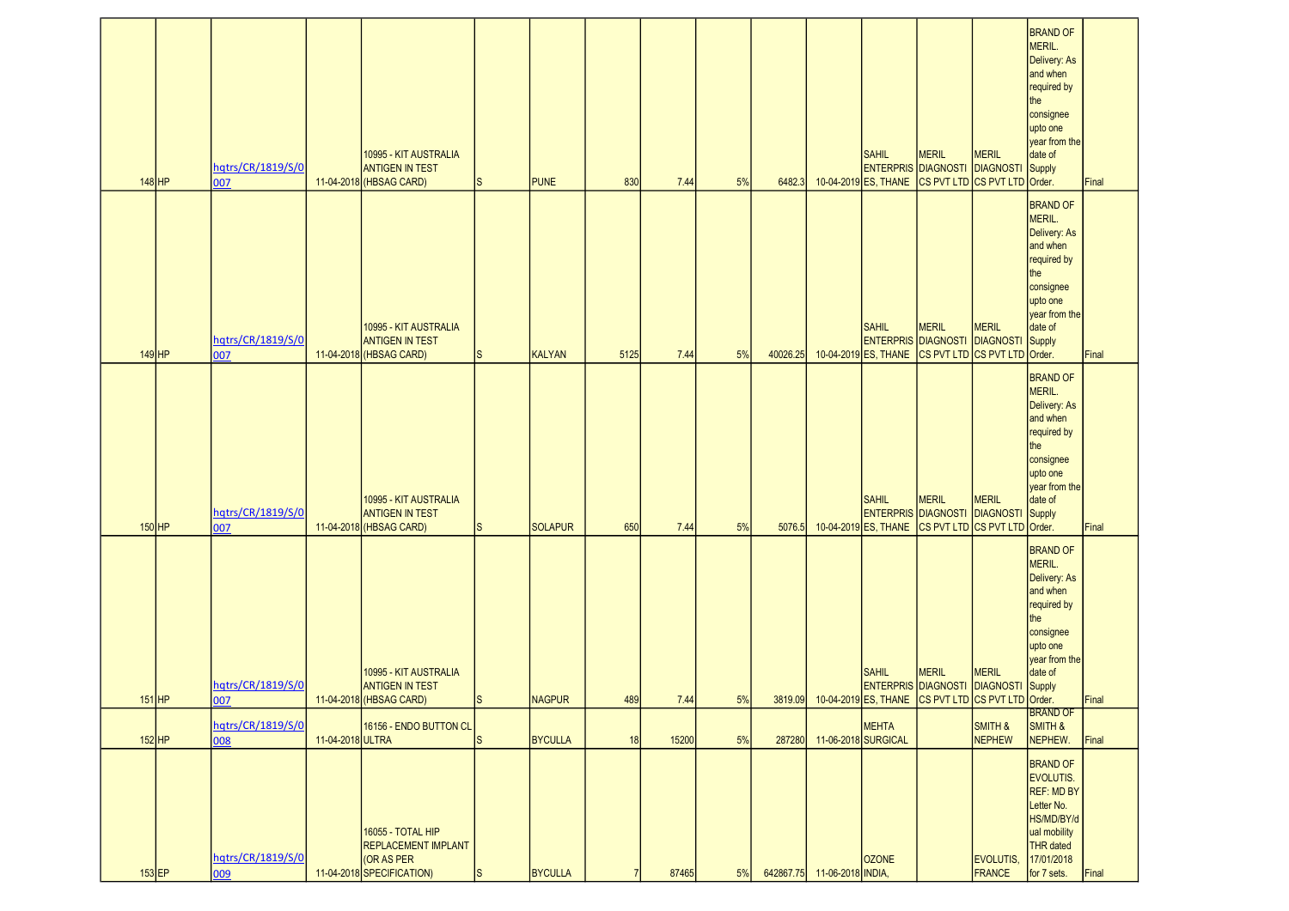|          |                                 |                  |                                                                                                   |          |                |      |       |    |          |                             |                                                                    |                                                                                                                   |                                  | <b>BRAND OF</b><br>MERIL.<br>Delivery: As<br>and when<br>required by<br>the<br>consignee<br>upto one<br>year from the                      |       |
|----------|---------------------------------|------------------|---------------------------------------------------------------------------------------------------|----------|----------------|------|-------|----|----------|-----------------------------|--------------------------------------------------------------------|-------------------------------------------------------------------------------------------------------------------|----------------------------------|--------------------------------------------------------------------------------------------------------------------------------------------|-------|
| $148$ HP | hqtrs/CR/1819/S/0               |                  | 10995 - KIT AUSTRALIA<br><b>ANTIGEN IN TEST</b><br>11-04-2018 (HBSAG CARD)                        |          | <b>PUNE</b>    | 830  | 7.44  | 5% | 6482.3   |                             | <b>SAHIL</b><br><b>ENTERPRIS DIAGNOSTI</b><br>10-04-2019 ES, THANE | <b>MERIL</b><br>CS PVT LTD CS PVT LTD Order.                                                                      | <b>MERIL</b><br><b>DIAGNOSTI</b> | date of<br>Supply                                                                                                                          | Final |
|          | 007<br>hqtrs/CR/1819/S/0        |                  | 10995 - KIT AUSTRALIA<br><b>ANTIGEN IN TEST</b>                                                   |          |                |      |       |    |          |                             | <b>SAHIL</b><br><b>ENTERPRIS DIAGNOSTI</b>                         | <b>MERIL</b>                                                                                                      | <b>MERIL</b><br><b>DIAGNOSTI</b> | <b>BRAND OF</b><br>MERIL.<br>Delivery: As<br>and when<br>required by<br>the<br>consignee<br>upto one<br>year from the<br>date of<br>Supply |       |
| $149$ HP | 007                             |                  | 11-04-2018 (HBSAG CARD)                                                                           | Is       | KALYAN         | 5125 | 7.44  | 5% | 40026.25 |                             | 10-04-2019 ES, THANE                                               | CS PVT LTD CS PVT LTD Order.                                                                                      |                                  | <b>BRAND OF</b>                                                                                                                            | Final |
| $150$ HP | hqtrs/CR/1819/S/0<br>007        |                  | 10995 - KIT AUSTRALIA<br><b>ANTIGEN IN TEST</b><br>11-04-2018 (HBSAG CARD)                        | IS       | <b>SOLAPUR</b> | 650  | 7.44  | 5% | 5076.5   |                             | <b>SAHIL</b><br><b>ENTERPRIS DIAGNOSTI</b><br>10-04-2019 ES, THANE | <b>MERIL</b><br>CS PVT LTD CS PVT LTD Order.                                                                      | <b>MERIL</b><br><b>DIAGNOSTI</b> | MERIL.<br>Delivery: As<br>and when<br>required by<br>the<br>consignee<br>upto one<br>year from the<br>date of<br>Supply                    | Final |
| $151$ HP | hqtrs/CR/1819/S/0<br>007        |                  | 10995 - KIT AUSTRALIA<br><b>ANTIGEN IN TEST</b><br>11-04-2018 (HBSAG CARD)                        | <b>S</b> | NAGPUR         | 489  | 7.44  | 5% |          |                             | <b>SAHIL</b>                                                       | <b>MERIL</b><br><b>ENTERPRIS DIAGNOSTI DIAGNOSTI</b><br>3819.09 10-04-2019 ES, THANE CS PVT LTD CS PVT LTD Order. | <b>MERIL</b>                     | <b>BRAND OF</b><br>MERIL.<br>Delivery: As<br>and when<br>required by<br>the<br>consignee<br>upto one<br>year from the<br>date of<br>Supply | Final |
| $152$ HP | hqtrs/CR/1819/S/0               | 11-04-2018 ULTRA | 16156 - ENDO BUTTON CL                                                                            | lS.      | <b>BYCULLA</b> | 18   | 15200 | 5% | 287280   | 11-06-2018 SURGICAL         | <b>MEHTA</b>                                                       |                                                                                                                   | SMITH &<br><b>NEPHEW</b>         | <b>BRAND OF</b><br>SMITH &<br>NEPHEW.                                                                                                      | Final |
| $153$ EP | 008<br>hqtrs/CR/1819/S/0<br>009 |                  | <b>16055 - TOTAL HIP</b><br><b>REPLACEMENT IMPLANT</b><br>(OR AS PER<br>11-04-2018 SPECIFICATION) | ls       | <b>BYCULLA</b> |      | 87465 | 5% |          | 642867.75 11-06-2018 INDIA, | <b>OZONE</b>                                                       |                                                                                                                   | EVOLUTIS,<br><b>FRANCE</b>       | <b>BRAND OF</b><br>EVOLUTIS.<br><b>REF: MD BY</b><br>Letter No.<br>HS/MD/BY/d<br>ual mobility<br>THR dated<br>17/01/2018<br>for 7 sets.    | Final |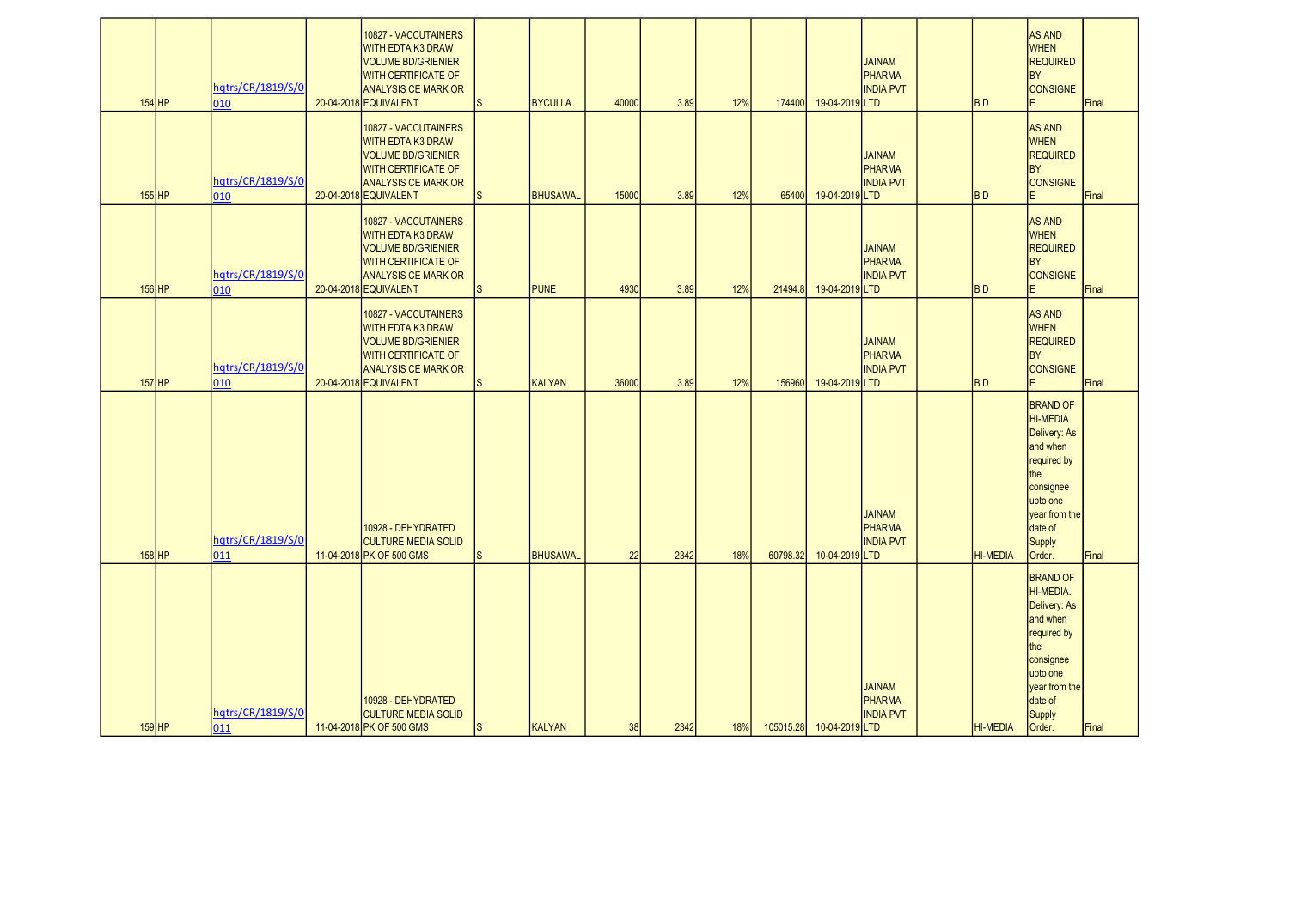| $154$ HP | hqtrs/CR/1819/S/0<br>010 | 10827 - VACCUTAINERS<br><b>WITH EDTA K3 DRAW</b><br><b>VOLUME BD/GRIENIER</b><br><b>WITH CERTIFICATE OF</b><br><b>ANALYSIS CE MARK OR</b><br>20-04-2018 EQUIVALENT | <sub>S</sub> | <b>BYCULLA</b>  | 40000 | 3.89 | 12% | 174400   | 19-04-2019 LTD           | <b>JAINAM</b><br>PHARMA<br><b>INDIA PVT</b>        | <b>BD</b>       | <b>AS AND</b><br><b>WHEN</b><br><b>REQUIRED</b><br><b>BY</b><br><b>CONSIGNE</b>                                                                         | Final |
|----------|--------------------------|--------------------------------------------------------------------------------------------------------------------------------------------------------------------|--------------|-----------------|-------|------|-----|----------|--------------------------|----------------------------------------------------|-----------------|---------------------------------------------------------------------------------------------------------------------------------------------------------|-------|
| $155$ HP | hqtrs/CR/1819/S/0<br>010 | 10827 - VACCUTAINERS<br><b>WITH EDTA K3 DRAW</b><br><b>VOLUME BD/GRIENIER</b><br><b>WITH CERTIFICATE OF</b><br><b>ANALYSIS CE MARK OR</b><br>20-04-2018 EQUIVALENT | <sub>S</sub> | <b>BHUSAWAL</b> | 15000 | 3.89 | 12% | 65400    | 19-04-2019 LTD           | <b>JAINAM</b><br>PHARMA<br><b>INDIA PVT</b>        | <b>BD</b>       | <b>AS AND</b><br><b>WHEN</b><br><b>REQUIRED</b><br><b>BY</b><br><b>CONSIGNE</b><br>F                                                                    | Final |
| $156$ HP | hqtrs/CR/1819/S/0<br>010 | 10827 - VACCUTAINERS<br><b>WITH EDTA K3 DRAW</b><br><b>VOLUME BD/GRIENIER</b><br><b>WITH CERTIFICATE OF</b><br><b>ANALYSIS CE MARK OR</b><br>20-04-2018 EQUIVALENT | <sub>S</sub> | <b>PUNE</b>     | 4930  | 3.89 | 12% | 21494.8  | 19-04-2019 LTD           | <b>JAINAM</b><br>PHARMA<br><b>INDIA PVT</b>        | <b>BD</b>       | <b>AS AND</b><br><b>WHEN</b><br><b>REQUIRED</b><br><b>BY</b><br><b>CONSIGNE</b><br>E                                                                    | Final |
| $157$ HP | hqtrs/CR/1819/S/0<br>010 | 10827 - VACCUTAINERS<br><b>WITH EDTA K3 DRAW</b><br><b>VOLUME BD/GRIENIER</b><br><b>WITH CERTIFICATE OF</b><br><b>ANALYSIS CE MARK OR</b><br>20-04-2018 EQUIVALENT | <sub>S</sub> | <b>KALYAN</b>   | 36000 | 3.89 | 12% | 156960   | 19-04-2019 LTD           | <b>JAINAM</b><br>PHARMA<br><b>INDIA PVT</b>        | <b>BD</b>       | <b>AS AND</b><br><b>WHEN</b><br><b>REQUIRED</b><br><b>BY</b><br><b>CONSIGNE</b><br>E                                                                    | Final |
| $158$ HP | hqtrs/CR/1819/S/0<br>011 | 10928 - DEHYDRATED<br><b>CULTURE MEDIA SOLID</b><br>11-04-2018 PK OF 500 GMS                                                                                       | <sub>S</sub> | <b>BHUSAWAL</b> | 22    | 2342 | 18% | 60798.32 | 10-04-2019 LTD           | <b>JAINAM</b><br><b>PHARMA</b><br><b>INDIA PVT</b> | <b>HI-MEDIA</b> | <b>BRAND OF</b><br>HI-MEDIA.<br>Delivery: As<br>and when<br>required by<br>the<br>consignee<br>upto one<br>year from the<br>date of<br>Supply<br>Order. | Final |
| $159$ HP | hqtrs/CR/1819/S/0<br>011 | 10928 - DEHYDRATED<br><b>CULTURE MEDIA SOLID</b><br>11-04-2018 PK OF 500 GMS                                                                                       | <sub>S</sub> | KALYAN          | 38    | 2342 | 18% |          | 105015.28 10-04-2019 LTD | <b>JAINAM</b><br>PHARMA<br><b>INDIA PVT</b>        | <b>HI-MEDIA</b> | <b>BRAND OF</b><br>HI-MEDIA.<br>Delivery: As<br>and when<br>required by<br>the<br>consignee<br>upto one<br>year from the<br>date of<br>Supply<br>Order. | Final |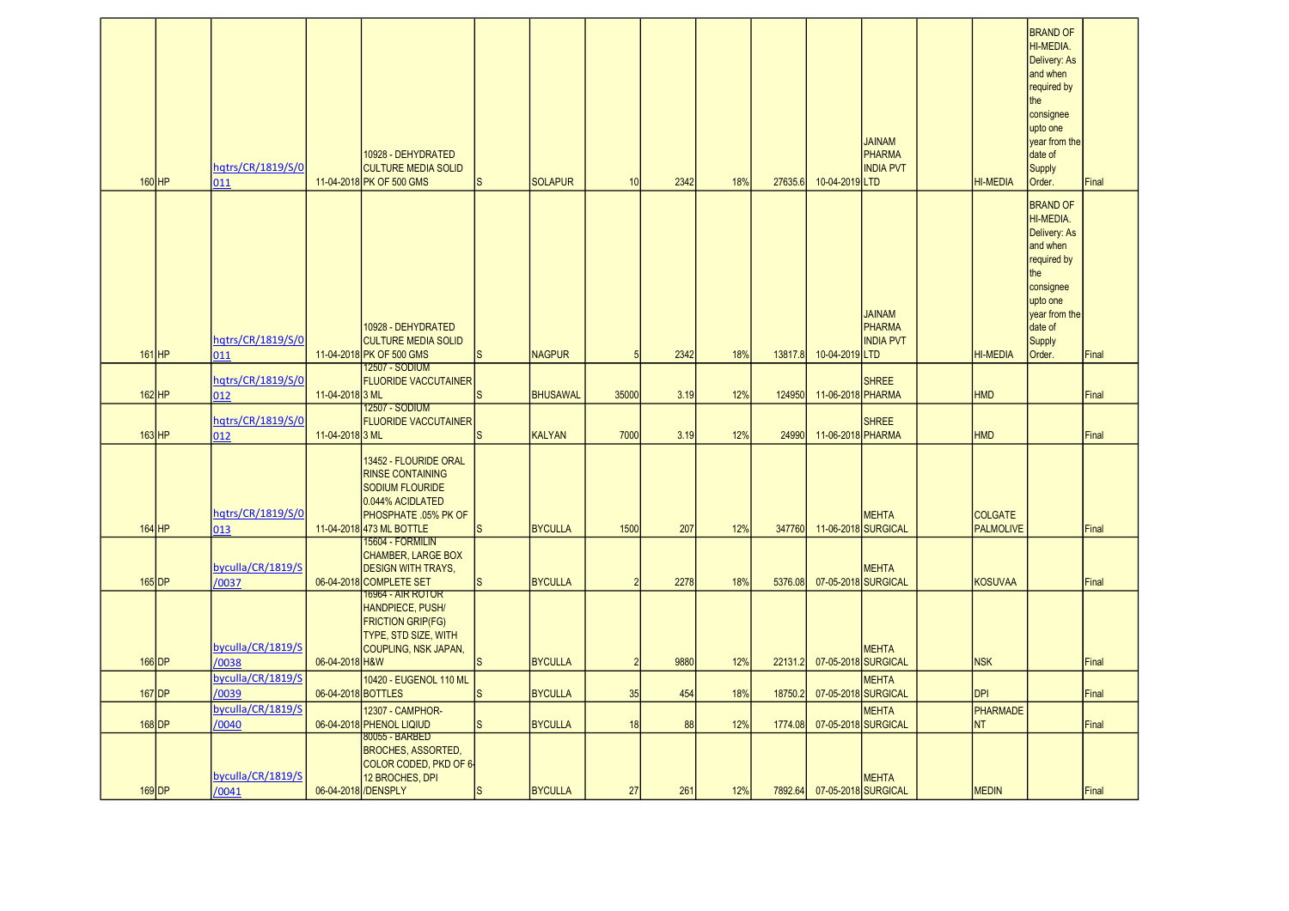| $160$ HP | hqtrs/CR/1819/S/0<br>011            |                     | 10928 - DEHYDRATED<br><b>CULTURE MEDIA SOLID</b><br>11-04-2018 PK OF 500 GMS                                                                       | S        | <b>SOLAPUR</b>  | 10             | 2342 | 18% | 27635.6 | 10-04-2019 LTD      | <b>JAINAM</b><br><b>PHARMA</b><br><b>INDIA PVT</b> | <b>HI-MEDIA</b>                    | <b>BRAND OF</b><br>HI-MEDIA.<br>Delivery: As<br>and when<br>required by<br>the<br>consignee<br>upto one<br>year from the<br>date of<br><b>Supply</b><br>Order. | Final |
|----------|-------------------------------------|---------------------|----------------------------------------------------------------------------------------------------------------------------------------------------|----------|-----------------|----------------|------|-----|---------|---------------------|----------------------------------------------------|------------------------------------|----------------------------------------------------------------------------------------------------------------------------------------------------------------|-------|
| $161$ HP | hqtrs/CR/1819/S/0<br>011            |                     | 10928 - DEHYDRATED<br><b>CULTURE MEDIA SOLID</b><br>11-04-2018 PK OF 500 GMS                                                                       | <b>S</b> | <b>NAGPUR</b>   | 5              | 2342 | 18% | 13817.8 | 10-04-2019 LTD      | <b>JAINAM</b><br>PHARMA<br><b>INDIA PVT</b>        | <b>HI-MEDIA</b>                    | <b>BRAND OF</b><br>HI-MEDIA.<br>Delivery: As<br>and when<br>required by<br>the<br>consignee<br>upto one<br>year from the<br>date of<br><b>Supply</b><br>Order. | Final |
|          | hqtrs/CR/1819/S/0                   |                     | 12507 - SODIUM<br><b>FLUORIDE VACCUTAINER</b>                                                                                                      |          |                 |                |      |     |         |                     | <b>SHREE</b>                                       |                                    |                                                                                                                                                                |       |
| $162$ HP | 012                                 | 11-04-20183 ML      | 12507 - SODIUM                                                                                                                                     |          | <b>BHUSAWAL</b> | 35000          | 3.19 | 12% | 124950  | 11-06-2018 PHARMA   |                                                    | <b>HMD</b>                         |                                                                                                                                                                | Final |
| $163$ HP | hqtrs/CR/1819/S/0<br>012            | 11-04-2018 3 ML     | <b>FLUORIDE VACCUTAINER</b>                                                                                                                        |          | <b>KALYAN</b>   | 7000           | 3.19 | 12% | 24990   | 11-06-2018 PHARMA   | <b>SHREE</b>                                       | <b>HMD</b>                         |                                                                                                                                                                | Final |
| $164$ HP | hqtrs/CR/1819/S/0<br>013            |                     | 13452 - FLOURIDE ORAL<br><b>RINSE CONTAINING</b><br><b>SODIUM FLOURIDE</b><br>0.044% ACIDLATED<br>PHOSPHATE .05% PK OF<br>11-04-2018 473 ML BOTTLE | S        | <b>BYCULLA</b>  | 1500           | 207  | 12% | 347760  |                     | <b>MEHTA</b><br>11-06-2018 SURGICAL                | <b>COLGATE</b><br><b>PALMOLIVE</b> |                                                                                                                                                                | Final |
|          |                                     |                     | <b>15604 - FORMILIN</b>                                                                                                                            |          |                 |                |      |     |         |                     |                                                    |                                    |                                                                                                                                                                |       |
|          | byculla/CR/1819/S                   |                     | <b>CHAMBER, LARGE BOX</b><br><b>DESIGN WITH TRAYS,</b>                                                                                             |          |                 |                |      |     |         |                     | <b>MEHTA</b>                                       |                                    |                                                                                                                                                                |       |
| $165$ DP | /0037                               |                     | 06-04-2018 COMPLETE SET                                                                                                                            | S        | <b>BYCULLA</b>  | $\overline{2}$ | 2278 | 18% | 5376.08 |                     | 07-05-2018 SURGICAL                                | <b>KOSUVAA</b>                     |                                                                                                                                                                | Final |
|          | byculla/CR/1819/S                   |                     | <u> 16964 - AIR ROTOR</u><br>HANDPIECE, PUSH/<br><b>FRICTION GRIP(FG)</b><br><b>TYPE, STD SIZE, WITH</b><br>COUPLING, NSK JAPAN,                   |          |                 |                |      |     |         |                     | <b>MEHTA</b>                                       |                                    |                                                                                                                                                                |       |
| 166 DP   | /0038                               | 06-04-2018 H&W      |                                                                                                                                                    |          | <b>BYCULLA</b>  | $\overline{2}$ | 9880 | 12% | 22131.2 |                     | 07-05-2018 SURGICAL                                | <b>NSK</b>                         |                                                                                                                                                                | Final |
| 167 DP   | byculla/CR/1819/S<br>/0039          | 06-04-2018 BOTTLES  | 10420 - EUGENOL 110 ML                                                                                                                             |          | <b>BYCULLA</b>  | 35             | 454  | 18% | 18750.2 |                     | <b>MEHTA</b><br>07-05-2018 SURGICAL                | <b>DPI</b>                         |                                                                                                                                                                | Final |
| 168 DP   | byculla/CR/1819/S                   |                     | 12307 - CAMPHOR-<br>06-04-2018 PHENOL LIQIUD                                                                                                       | S        | <b>BYCULLA</b>  | 18             | 88   | 12% | 1774.08 |                     | <b>MEHTA</b><br>07-05-2018 SURGICAL                | <b>PHARMADE</b><br><b>NT</b>       |                                                                                                                                                                | Final |
| $169$ DP | /0040<br>byculla/CR/1819/S<br>/0041 | 06-04-2018 /DENSPLY | 80055 - BARBED<br><b>BROCHES, ASSORTED,</b><br>COLOR CODED, PKD OF 6-<br>12 BROCHES, DPI                                                           | S        | <b>BYCULLA</b>  | 27             | 261  | 12% | 7892.64 | 07-05-2018 SURGICAL | <b>MEHTA</b>                                       | <b>MEDIN</b>                       |                                                                                                                                                                | Final |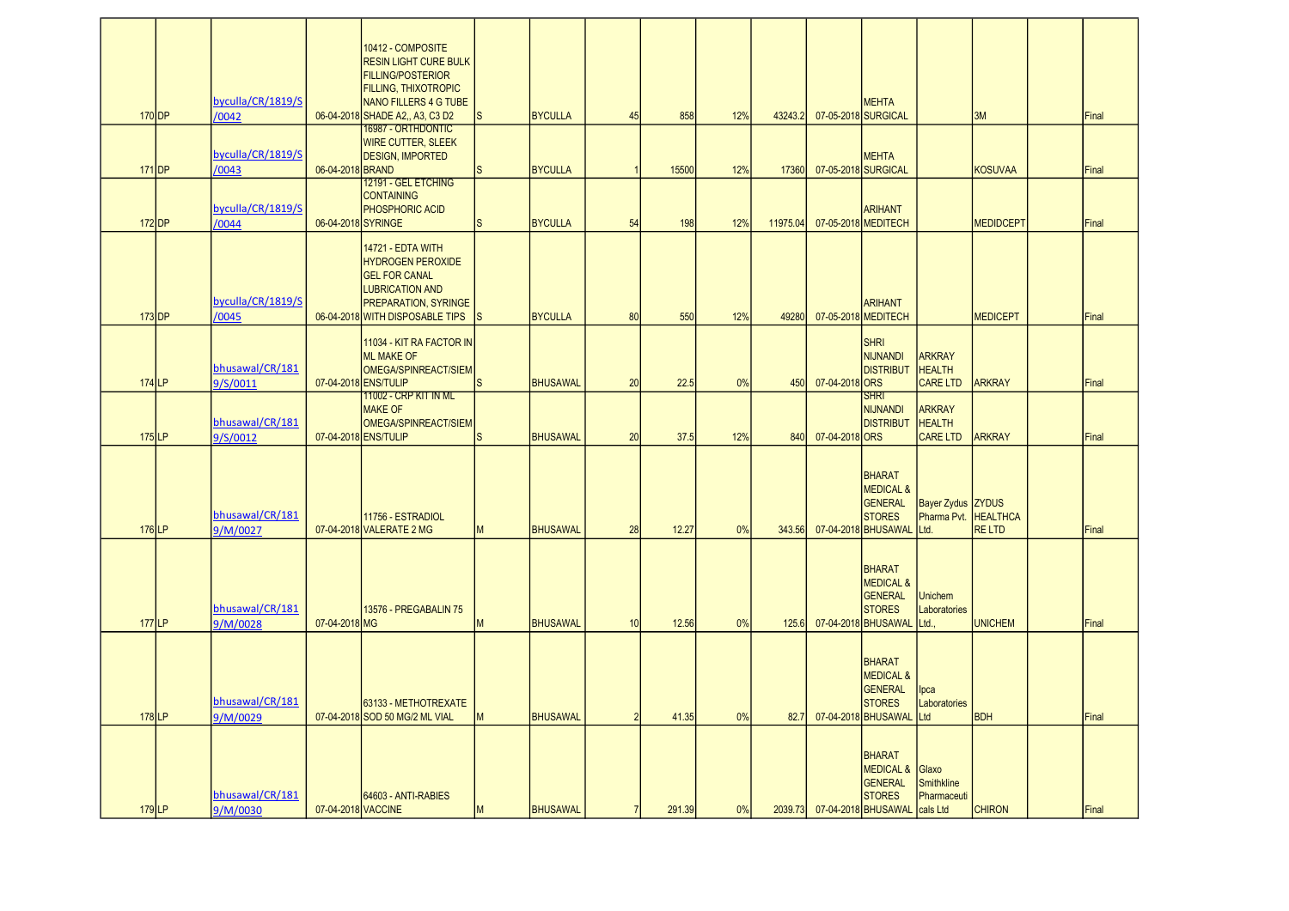| $170$ DP | byculla/CR/1819/S<br>/0042  |                    | 10412 - COMPOSITE<br><b>RESIN LIGHT CURE BULK</b><br><b>FILLING/POSTERIOR</b><br><b>FILLING, THIXOTROPIC</b><br>NANO FILLERS 4 G TUBE<br>06-04-2018 SHADE A2., A3, C3 D2<br><b>16987 - ORTHDONTIC</b> | $\mathsf{s}$ | <b>BYCULLA</b>  | 45             | 858    | 12% | 43243.2  |                | <b>MEHTA</b><br>07-05-2018 SURGICAL                                                                         |                                                          | 3M               | Final |
|----------|-----------------------------|--------------------|-------------------------------------------------------------------------------------------------------------------------------------------------------------------------------------------------------|--------------|-----------------|----------------|--------|-----|----------|----------------|-------------------------------------------------------------------------------------------------------------|----------------------------------------------------------|------------------|-------|
| $171$ DP | byculla/CR/1819/S<br>/0043  | 06-04-2018 BRAND   | <b>WIRE CUTTER, SLEEK</b><br><b>DESIGN. IMPORTED</b>                                                                                                                                                  | S            | <b>BYCULLA</b>  |                | 15500  | 12% | 17360    |                | <b>MEHTA</b><br>07-05-2018 SURGICAL                                                                         |                                                          | <b>KOSUVAA</b>   | Final |
| $172$ DP | byculla/CR/1819/S<br>/0044  | 06-04-2018 SYRINGE | 12191 - GEL ETCHING<br><b>CONTAINING</b><br>PHOSPHORIC ACID                                                                                                                                           | <sub>S</sub> | <b>BYCULLA</b>  | 54             | 198    | 12% | 11975.04 |                | <b>ARIHANT</b><br>07-05-2018 MEDITECH                                                                       |                                                          | <b>MEDIDCEPT</b> | Final |
| $173$ DP | byculla/CR/1819/S<br>/0045  |                    | 14721 - EDTA WITH<br><b>HYDROGEN PEROXIDE</b><br><b>GEL FOR CANAL</b><br><b>LUBRICATION AND</b><br><b>PREPARATION, SYRINGE</b><br>06-04-2018 WITH DISPOSABLE TIPS                                     | <sub>S</sub> | <b>BYCULLA</b>  | 80             | 550    | 12% | 49280    |                | <b>ARIHANT</b><br>07-05-2018 MEDITECH                                                                       |                                                          | <b>MEDICEPT</b>  | Final |
| $174$ LP | bhusawal/CR/181<br>9/S/0011 |                    | 11034 - KIT RA FACTOR IN<br><b>ML MAKE OF</b><br>OMEGA/SPINREACT/SIEM<br>07-04-2018 ENS/TULIP                                                                                                         | S            | <b>BHUSAWAL</b> | 20             | 22.5   | 0%  | 450      | 07-04-2018 ORS | <b>SHRI</b><br><b>NIJNANDI</b><br><b>DISTRIBUT</b>                                                          | <b>ARKRAY</b><br><b>HEALTH</b><br><b>CARE LTD</b>        | <b>ARKRAY</b>    | Final |
| $175$ LP | bhusawal/CR/181<br>9/S/0012 |                    | <u> 11002 - CRP KIT IN ML</u><br><b>MAKE OF</b><br>OMEGA/SPINREACT/SIEM<br>07-04-2018 ENS/TULIP                                                                                                       | <sub>S</sub> | <b>BHUSAWAL</b> | 20             | 37.5   | 12% | 840      | 07-04-2018 ORS | <b>SHRI</b><br><b>NIJNANDI</b><br><b>DISTRIBUT</b>                                                          | <b>ARKRAY</b><br><b>HEALTH</b><br><b>CARE LTD</b>        | <b>ARKRAY</b>    | Final |
| $176$ LP | bhusawal/CR/181<br>9/M/0027 |                    | 11756 - ESTRADIOL<br>07-04-2018 VALERATE 2 MG                                                                                                                                                         | M            | <b>BHUSAWAL</b> | 28             | 12.27  | 0%  | 343.56   |                | <b>BHARAT</b><br><b>MEDICAL &amp;</b><br><b>GENERAL</b><br><b>STORES</b><br>07-04-2018 BHUSAWAL             | <b>Bayer Zydus ZYDUS</b><br>Pharma Pvt. HEALTHCA<br>Ltd. | <b>RELTD</b>     | Final |
| $177$ LP | bhusawal/CR/181<br>9/M/0028 | 07-04-2018 MG      | 13576 - PREGABALIN 75                                                                                                                                                                                 | M            | <b>BHUSAWAL</b> | 10             | 12.56  | 0%  | 125.6    |                | <b>BHARAT</b><br><b>MEDICAL &amp;</b><br><b>GENERAL</b><br><b>STORES</b><br>07-04-2018 BHUSAWAL             | Unichem<br>Laboratories<br>Ltd.,                         | <b>UNICHEM</b>   | Final |
| 178LP    | bhusawal/CR/181<br>9/M/0029 |                    | 63133 - METHOTREXATE<br>07-04-2018 SOD 50 MG/2 ML VIAL                                                                                                                                                | M            | <b>BHUSAWAL</b> | $\mathcal{P}$  | 41.35  | 0%  | 82.7     |                | BHARAT<br><b>MEDICAL &amp;</b><br><b>GENERAL</b><br><b>STORES</b><br>07-04-2018 BHUSAWAL                    | lpca<br>Laboratories<br>Ltd                              | <b>BDH</b>       | Final |
| $179$ LP | bhusawal/CR/181<br>9/M/0030 | 07-04-2018 VACCINE | 64603 - ANTI-RABIES                                                                                                                                                                                   | M            | <b>BHUSAWAL</b> | $\overline{7}$ | 291.39 | 0%  |          |                | <b>BHARAT</b><br>MEDICAL & Glaxo<br><b>GENERAL</b><br><b>STORES</b><br>2039.73 07-04-2018 BHUSAWAL cals Ltd | <b>Smithkline</b><br>Pharmaceuti                         | <b>CHIRON</b>    | Final |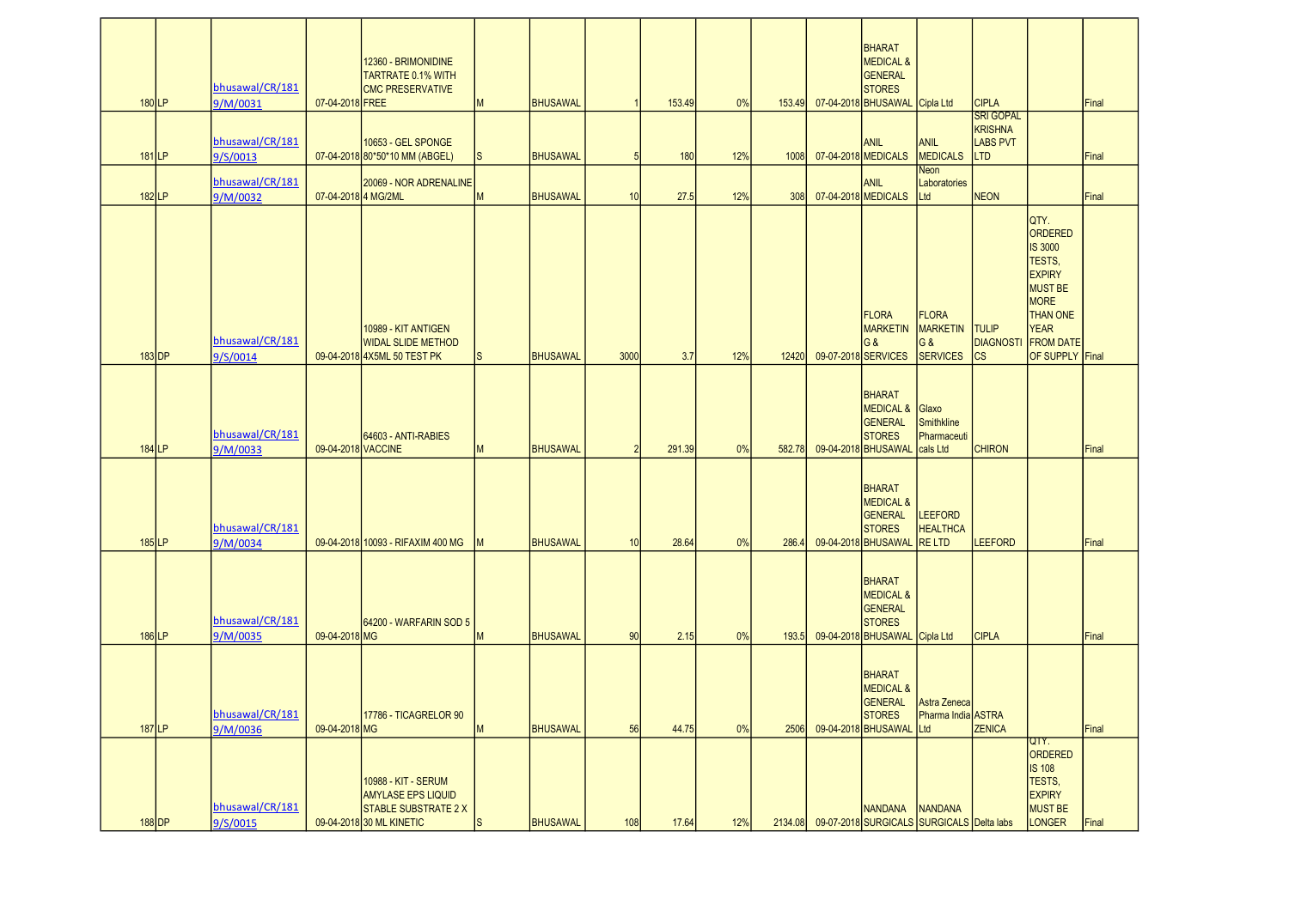| $180$ <sup>LP</sup> | bhusawal/CR/181<br>9/M/0031 | 07-04-2018 FREE    | 12360 - BRIMONIDINE<br><b>TARTRATE 0.1% WITH</b><br><b>CMC PRESERVATIVE</b>                                 | <b>IM</b>    | BHUSAWAL        |      | 153.49 | 0%  | 153.49  | <b>BHARAT</b><br><b>MEDICAL &amp;</b><br><b>GENERAL</b><br><b>STORES</b><br>07-04-2018 BHUSAWAL | Cipla Ltd                                                   | <b>CIPLA</b><br><b>SRI GOPAL</b>                |                                                                                                                                                                        | Final |
|---------------------|-----------------------------|--------------------|-------------------------------------------------------------------------------------------------------------|--------------|-----------------|------|--------|-----|---------|-------------------------------------------------------------------------------------------------|-------------------------------------------------------------|-------------------------------------------------|------------------------------------------------------------------------------------------------------------------------------------------------------------------------|-------|
| $181$ LP            | bhusawal/CR/181<br>9/S/0013 |                    | 10653 - GEL SPONGE<br>07-04-2018 80*50*10 MM (ABGEL)                                                        | <sub>S</sub> | BHUSAWAL        | 5    | 180    | 12% | 1008    | ANIL<br>07-04-2018 MEDICALS                                                                     | <b>ANIL</b><br><b>MEDICALS</b>                              | <b>KRISHNA</b><br><b>LABS PVT</b><br><b>LTD</b> |                                                                                                                                                                        | Final |
| $182$ <sub>LP</sub> | bhusawal/CR/181<br>9/M/0032 | 07-04-20184 MG/2ML | 20069 - NOR ADRENALINE                                                                                      | M            | BHUSAWAL        | 10   | 27.5   | 12% | 308     | ANIL<br>07-04-2018 MEDICALS                                                                     | Neon<br>Laboratories<br>Ltd                                 | <b>NEON</b>                                     |                                                                                                                                                                        | Final |
| $183$ DP            | bhusawal/CR/181<br>9/S/0014 |                    | 10989 - KIT ANTIGEN<br><b>WIDAL SLIDE METHOD</b><br>09-04-2018 4X5ML 50 TEST PK                             | S            | BHUSAWAL        | 3000 | 3.7    | 12% | 12420   | FLORA<br><b>MARKETIN</b><br><b>G&amp;</b><br>09-07-2018 SERVICES                                | <b>FLORA</b><br>MARKETIN<br>G&<br><b>SERVICES</b>           | <b>TULIP</b><br><b>DIAGNOSTI</b><br><b>CS</b>   | QTY.<br>ORDERED<br><b>IS 3000</b><br>TESTS,<br><b>EXPIRY</b><br><b>MUST BE</b><br><b>MORE</b><br><b>THAN ONE</b><br><b>YEAR</b><br><b>FROM DATE</b><br>OF SUPPLY Final |       |
| $184$ <sub>LP</sub> | bhusawal/CR/181<br>9/M/0033 | 09-04-2018 VACCINE | 64603 - ANTI-RABIES                                                                                         | M            | <b>BHUSAWAL</b> |      | 291.39 | 0%  | 582.78  | <b>BHARAT</b><br><b>MEDICAL &amp;</b><br><b>GENERAL</b><br><b>STORES</b><br>09-04-2018 BHUSAWAL | Glaxo<br>Smithkline<br>Pharmaceuti<br>cals Ltd              | <b>CHIRON</b>                                   |                                                                                                                                                                        | Final |
| $185$ LP            | bhusawal/CR/181<br>9/M/0034 |                    | 09-04-2018 10093 - RIFAXIM 400 MG                                                                           | <b>IM</b>    | BHUSAWAL        | 10   | 28.64  | 0%  | 286.4   | <b>BHARAT</b><br><b>MEDICAL &amp;</b><br>GENERAL<br><b>STORES</b><br>09-04-2018 BHUSAWAL        | <b>LEEFORD</b><br><b>HEALTHCA</b><br><b>RELTD</b>           | <b>LEEFORD</b>                                  |                                                                                                                                                                        | Final |
| $186$ LP            | bhusawal/CR/181<br>9/M/0035 | 09-04-2018 MG      | 64200 - WARFARIN SOD 5                                                                                      | M            | BHUSAWAL        | 90   | 2.15   | 0%  | 193.5   | <b>BHARAT</b><br><b>MEDICAL &amp;</b><br>GENERAL<br><b>STORES</b><br>09-04-2018 BHUSAWAL        | Cipla Ltd                                                   | <b>CIPLA</b>                                    |                                                                                                                                                                        | Final |
| $187$ LP            | bhusawal/CR/181<br>9/M/0036 | 09-04-2018 MG      | 17786 - TICAGRELOR 90                                                                                       | M            | BHUSAWAL        | 56   | 44.75  | 0%  | 2506    | <b>BHARAT</b><br><b>MEDICAL &amp;</b><br>GENERAL<br><b>STORES</b><br>09-04-2018 BHUSAWAL        | Astra Zeneca<br>Pharma India ASTRA<br>Ltd                   | <b>ZENICA</b>                                   |                                                                                                                                                                        | Final |
| $188$ DP            | bhusawal/CR/181<br>9/S/0015 |                    | 10988 - KIT - SERUM<br><b>AMYLASE EPS LIQUID</b><br><b>STABLE SUBSTRATE 2 X</b><br>09-04-2018 30 ML KINETIC | <sub>S</sub> | <b>BHUSAWAL</b> | 108  | 17.64  | 12% | 2134.08 | <b>NANDANA</b>                                                                                  | <b>NANDANA</b><br>09-07-2018 SURGICALS SURGICALS Delta labs |                                                 | QTY.<br>ORDERED<br><b>IS 108</b><br>TESTS,<br><b>EXPIRY</b><br><b>MUST BE</b><br>LONGER                                                                                | Final |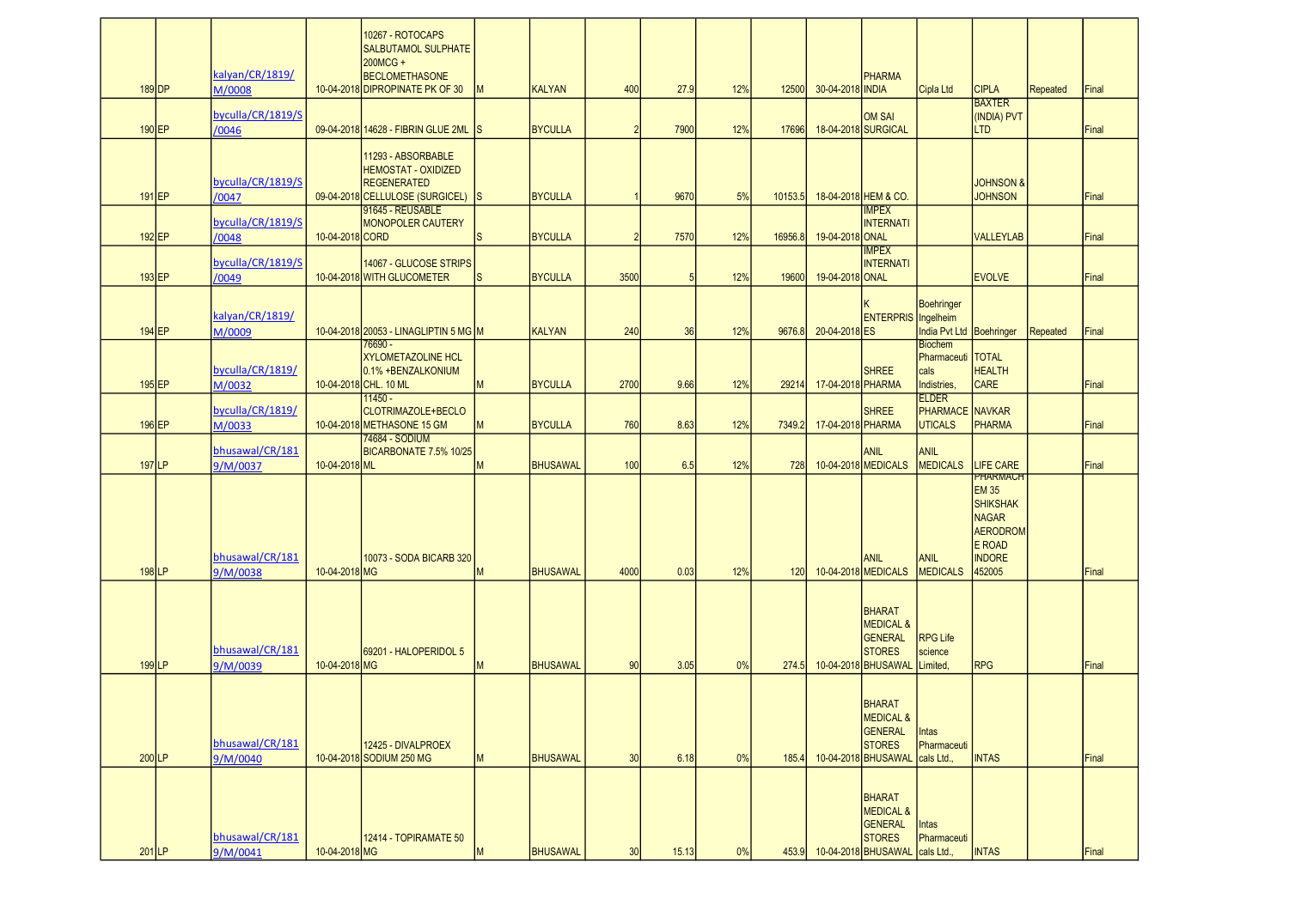| $189$ DP            | kalyan/CR/1819/<br>M/0008   |                 | 10267 - ROTOCAPS<br><b>SALBUTAMOL SULPHATE</b><br>200MCG +<br><b>BECLOMETHASONE</b><br>10-04-2018 DIPROPINATE PK OF 30 | M | <b>KALYAN</b>   | 400            | 27.9  | 12% | 12500   | 30-04-2018 INDIA  | <b>PHARMA</b>                                                                                   | Cipla Ltd                                                    | <b>CIPLA</b>                                                                                                                      | <b>Repeated</b> | Final |
|---------------------|-----------------------------|-----------------|------------------------------------------------------------------------------------------------------------------------|---|-----------------|----------------|-------|-----|---------|-------------------|-------------------------------------------------------------------------------------------------|--------------------------------------------------------------|-----------------------------------------------------------------------------------------------------------------------------------|-----------------|-------|
| $190$ EP            | byculla/CR/1819/S<br>/0046  |                 | 09-04-2018 14628 - FIBRIN GLUE 2ML S                                                                                   |   | <b>BYCULLA</b>  | $\overline{2}$ | 7900  | 12% | 17696   |                   | <b>OM SAI</b><br>18-04-2018 SURGICAL                                                            |                                                              | <b>BAXTER</b><br>(INDIA) PVT<br><b>LTD</b>                                                                                        |                 | Final |
| $191$ EP            | byculla/CR/1819/S<br>/0047  |                 | 11293 - ABSORBABLE<br><b>HEMOSTAT - OXIDIZED</b><br><b>REGENERATED</b><br>09-04-2018 CELLULOSE (SURGICEL) S            |   | <b>BYCULLA</b>  |                | 9670  | 5%  | 10153.5 |                   | 18-04-2018 HEM & CO.                                                                            |                                                              | <b>JOHNSON &amp;</b><br><b>JOHNSON</b>                                                                                            |                 | Final |
| $192$ EP            | byculla/CR/1819/S<br>/0048  | 10-04-2018 CORD | 91645 - REUSABLE<br><b>MONOPOLER CAUTERY</b>                                                                           | S | <b>BYCULLA</b>  | $\overline{2}$ | 7570  | 12% | 16956.8 | 19-04-2018 ONAL   | <b>IMPEX</b><br><b>INTERNATI</b>                                                                |                                                              | <b>VALLEYLAB</b>                                                                                                                  |                 | Final |
| $193$ EP            | byculla/CR/1819/S<br>/0049  |                 | 14067 - GLUCOSE STRIPS<br>10-04-2018 WITH GLUCOMETER                                                                   | S | <b>BYCULLA</b>  | 3500           | 5     | 12% | 19600   | 19-04-2018 ONAL   | <b>IMPEX</b><br><b>INTERNATI</b>                                                                |                                                              | <b>EVOLVE</b>                                                                                                                     |                 | Final |
| 194 EP              | kalyan/CR/1819/<br>M/0009   |                 | 10-04-2018 20053 - LINAGLIPTIN 5 MG M                                                                                  |   | <b>KALYAN</b>   | 240            | 36    | 12% | 9676.8  | 20-04-2018 ES     | ENTERPRIS Ingelheim                                                                             | <b>Boehringer</b><br>India Pvt Ltd Boehringer                |                                                                                                                                   | Repeated        | Final |
| $195$ EP            | byculla/CR/1819/<br>M/0032  |                 | 76690 -<br><b>XYLOMETAZOLINE HCL</b><br>0.1% +BENZALKONIUM<br>10-04-2018 CHL. 10 ML                                    | M | <b>BYCULLA</b>  | 2700           | 9.66  | 12% | 29214   | 17-04-2018 PHARMA | <b>SHREE</b>                                                                                    | <b>Biochem</b><br>Pharmaceuti   TOTAL<br>cals<br>Indistries, | <b>HEALTH</b><br><b>CARE</b>                                                                                                      |                 | Final |
| $196$ EP            | byculla/CR/1819/<br>M/0033  |                 | $11450 -$<br>CLOTRIMAZOLE+BECLO<br>10-04-2018 METHASONE 15 GM                                                          | M | <b>BYCULLA</b>  | 760            | 8.63  | 12% | 7349.2  | 17-04-2018 PHARMA | <b>SHREE</b>                                                                                    | <b>ELDER</b><br><b>PHARMACE</b> NAVKAR<br><b>UTICALS</b>     | <b>PHARMA</b>                                                                                                                     |                 | Final |
| 197 LP              | bhusawal/CR/181<br>9/M/0037 | 10-04-2018 ML   | 74684 - SODIUM<br>BICARBONATE 7.5% 10/25                                                                               | M | <b>BHUSAWAL</b> | 100            | 6.5   | 12% | 728     |                   | <b>ANIL</b><br>10-04-2018 MEDICALS                                                              | <b>ANIL</b><br><b>MEDICALS</b>                               | LIFE CARE                                                                                                                         |                 | Final |
| $198$ LP            | bhusawal/CR/181<br>9/M/0038 | 10-04-2018 MG   | 10073 - SODA BICARB 320                                                                                                | M | <b>BHUSAWAL</b> | 4000           | 0.03  | 12% | 120     |                   | <b>ANIL</b><br>10-04-2018 MEDICALS                                                              | <b>ANIL</b><br><b>MEDICALS</b>                               | <b>PHARMACH</b><br><b>EM 35</b><br><b>SHIKSHAK</b><br><b>NAGAR</b><br><b>AERODROM</b><br><b>E ROAD</b><br><b>INDORE</b><br>452005 |                 | Final |
| $199$ <sub>LP</sub> | bhusawal/CR/181<br>9/M/0039 | 10-04-2018 MG   | 69201 - HALOPERIDOL 5                                                                                                  | M | <b>BHUSAWAL</b> | 90             | 3.05  | 0%  | 274.5   |                   | <b>BHARAT</b><br><b>MEDICAL &amp;</b><br>GENERAL<br><b>STORES</b><br>10-04-2018 BHUSAWAL        | <b>RPG Life</b><br>science<br>Limited,                       | <b>RPG</b>                                                                                                                        |                 | Final |
| $200$ LP            | bhusawal/CR/181<br>9/M/0040 |                 | 12425 - DIVALPROEX<br>10-04-2018 SODIUM 250 MG                                                                         | M | <b>BHUSAWAL</b> | 30             | 6.18  | 0%  | 185.4   |                   | BHARAT<br><b>MEDICAL &amp;</b><br>GENERAL<br><b>STORES</b><br>10-04-2018 BHUSAWAL               | <b>Intas</b><br>Pharmaceuti<br>cals Ltd.,                    | <b>INTAS</b>                                                                                                                      |                 | Final |
| $201$ <sub>LP</sub> | bhusawal/CR/181<br>9/M/0041 | 10-04-2018 MG   | 12414 - TOPIRAMATE 50                                                                                                  | M | <b>BHUSAWAL</b> | 30             | 15.13 | 0%  | 453.9   |                   | <b>BHARAT</b><br><b>MEDICAL &amp;</b><br><b>GENERAL</b><br><b>STORES</b><br>10-04-2018 BHUSAWAL | Intas<br>Pharmaceuti<br>cals Ltd.,                           | <b>INTAS</b>                                                                                                                      |                 | Final |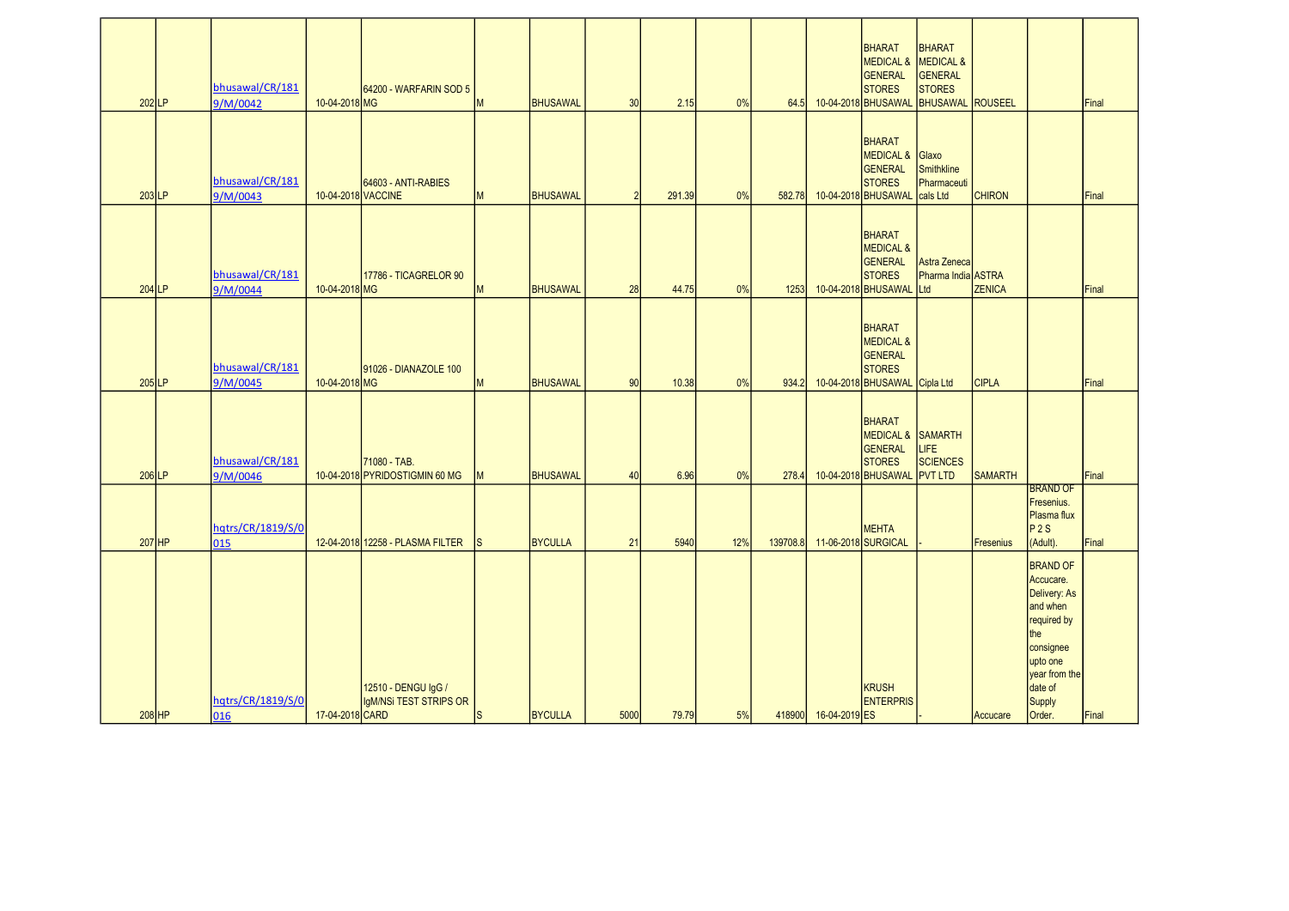|                     |                             |                    |                                                |              |                 |      |        |     |          |                      | <b>BHARAT</b><br>MEDICAL & MEDICAL &<br>GENERAL                                                    | <b>BHARAT</b><br><b>GENERAL</b>                  |                  |                                                                                                                                               |       |
|---------------------|-----------------------------|--------------------|------------------------------------------------|--------------|-----------------|------|--------|-----|----------|----------------------|----------------------------------------------------------------------------------------------------|--------------------------------------------------|------------------|-----------------------------------------------------------------------------------------------------------------------------------------------|-------|
| $202$ LP            | bhusawal/CR/181<br>9/M/0042 | 10-04-2018 MG      | 64200 - WARFARIN SOD 5                         | M            | <b>BHUSAWAL</b> | 30   | 2.15   | 0%  | 64.5     |                      | <b>STORES</b><br>10-04-2018 BHUSAWAL                                                               | <b>STORES</b><br><b>BHUSAWAL</b> ROUSEEL         |                  |                                                                                                                                               | Final |
|                     |                             |                    |                                                |              |                 |      |        |     |          |                      | BHARAT                                                                                             |                                                  |                  |                                                                                                                                               |       |
|                     | bhusawal/CR/181             |                    | 64603 - ANTI-RABIES                            |              |                 |      |        |     |          |                      | MEDICAL & Glaxo<br><b>GENERAL</b><br><b>STORES</b>                                                 | Smithkline<br>Pharmaceuti                        |                  |                                                                                                                                               |       |
| $203$ <sub>LP</sub> | 9/M/0043                    | 10-04-2018 VACCINE |                                                | M            | <b>BHUSAWAL</b> | 2    | 291.39 | 0%  | 582.78   |                      | 10-04-2018 BHUSAWAL                                                                                | cals Ltd                                         | <b>CHIRON</b>    |                                                                                                                                               | Final |
| $204$ <sub>LP</sub> | bhusawal/CR/181<br>9/M/0044 | 10-04-2018 MG      | 17786 - TICAGRELOR 90                          | M            | <b>BHUSAWAL</b> | 28   | 44.75  | 0%  | 1253     |                      | <b>BHARAT</b><br><b>MEDICAL &amp;</b><br><b>GENERAL</b><br><b>STORES</b><br>10-04-2018 BHUSAWAL    | Astra Zeneca<br>Pharma India ASTRA<br><b>Ltd</b> | <b>ZENICA</b>    |                                                                                                                                               | Final |
|                     |                             |                    |                                                |              |                 |      |        |     |          |                      |                                                                                                    |                                                  |                  |                                                                                                                                               |       |
| $205$ LP            | bhusawal/CR/181<br>9/M/0045 | 10-04-2018 MG      | 91026 - DIANAZOLE 100                          | M            | <b>BHUSAWAL</b> | 90   | 10.38  | 0%  | 934.2    |                      | <b>BHARAT</b><br><b>MEDICAL &amp;</b><br>GENERAL<br><b>STORES</b><br>10-04-2018 BHUSAWAL Cipla Ltd |                                                  | <b>CIPLA</b>     |                                                                                                                                               | Final |
| $206$ LP            | bhusawal/CR/181<br>9/M/0046 |                    | 71080 - TAB.<br>10-04-2018 PYRIDOSTIGMIN 60 MG | M            | <b>BHUSAWAL</b> | 40   | 6.96   | 0%  | 278.4    |                      | <b>BHARAT</b><br>MEDICAL & SAMARTH<br><b>GENERAL</b><br><b>STORES</b><br>10-04-2018 BHUSAWAL       | LIFE<br><b>SCIENCES</b><br><b>PVT LTD</b>        | <b>SAMARTH</b>   |                                                                                                                                               | Final |
|                     | hqtrs/CR/1819/S/0           |                    |                                                |              |                 |      |        |     |          |                      | <b>MEHTA</b>                                                                                       |                                                  |                  | <b>BRAND OF</b><br>Fresenius.<br>Plasma flux<br>P 2S                                                                                          |       |
| 207 HP              | 015                         |                    | 12-04-2018 12258 - PLASMA FILTER               | Is.          | <b>BYCULLA</b>  | 21   | 5940   | 12% | 139708.8 | 11-06-2018 SURGICAL  |                                                                                                    |                                                  | <b>Fresenius</b> | (Adult).                                                                                                                                      | Final |
|                     | hqtrs/CR/1819/S/0           |                    | 12510 - DENGU IgG /<br>IgM/NSi TEST STRIPS OR  |              |                 |      |        |     |          |                      | KRUSH<br><b>ENTERPRIS</b>                                                                          |                                                  |                  | <b>BRAND OF</b><br>Accucare.<br>Delivery: As<br>and when<br>required by<br>the<br>consignee<br>upto one<br>vear from the<br>date of<br>Supply |       |
| $208$ HP            | 016                         | 17-04-2018 CARD    |                                                | $\mathsf{s}$ | <b>BYCULLA</b>  | 5000 | 79.79  | 5%  |          | 418900 16-04-2019 ES |                                                                                                    |                                                  | Accucare         | Order.                                                                                                                                        | Final |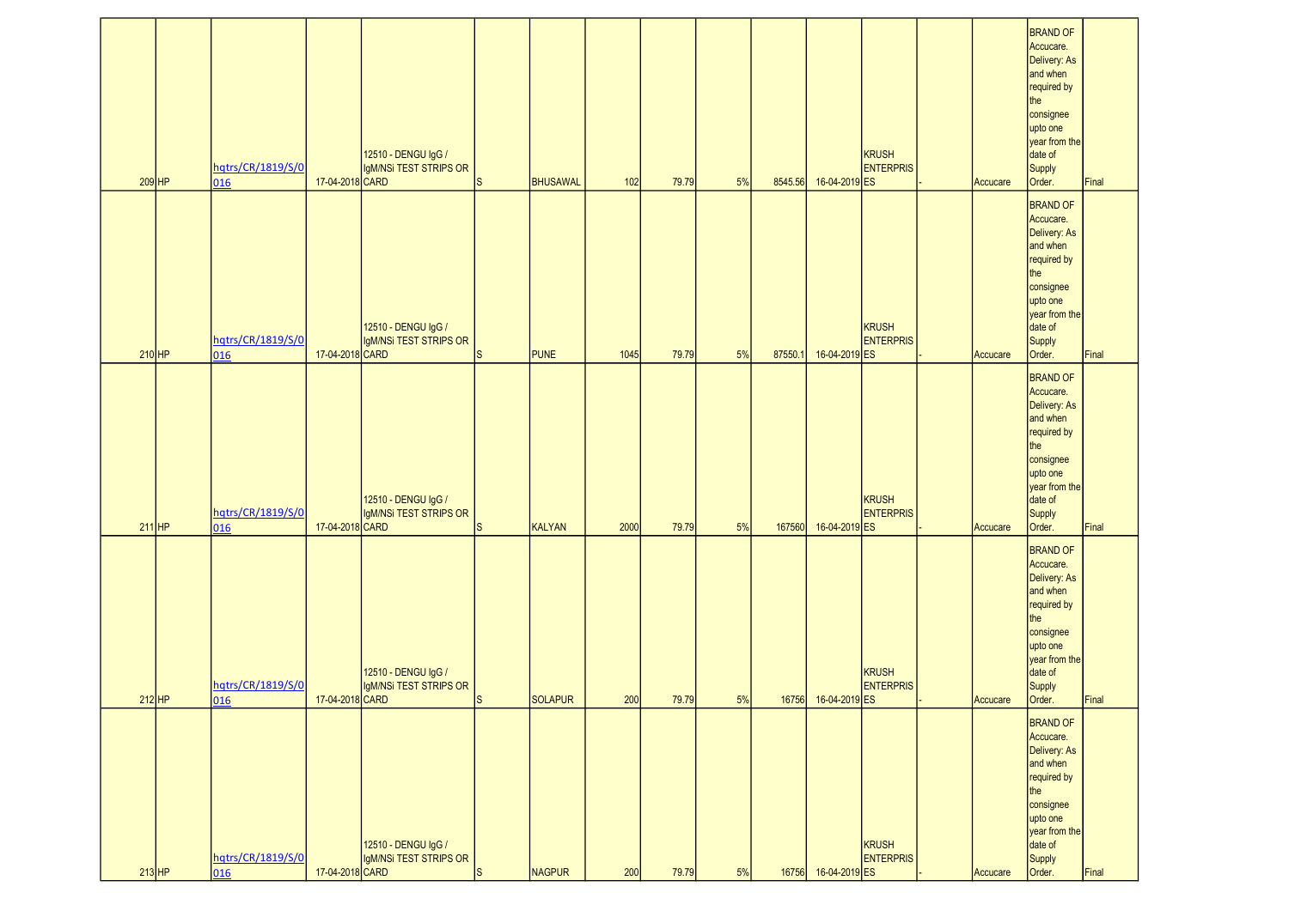| $209$ HP | hqtrs/CR/1819/S/0<br>016 | 17-04-2018 CARD | 12510 - DENGU IgG /<br>IgM/NSi TEST STRIPS OR | ls. | <b>BHUSAWAL</b> | 102  | 79.79 | 5% | 8545.56 | 16-04-2019 ES       | <b>KRUSH</b><br><b>ENTERPRIS</b> | Accucare | <b>BRAND OF</b><br>Accucare.<br>Delivery: As<br>and when<br>required by<br>the<br>consignee<br>upto one<br>year from the<br>date of<br>Supply<br>Order. | Final |
|----------|--------------------------|-----------------|-----------------------------------------------|-----|-----------------|------|-------|----|---------|---------------------|----------------------------------|----------|---------------------------------------------------------------------------------------------------------------------------------------------------------|-------|
| $210$ HP | hqtrs/CR/1819/S/0<br>016 | 17-04-2018 CARD | 12510 - DENGU IgG /<br>IgM/NSi TEST STRIPS OR | lS. | <b>PUNE</b>     | 1045 | 79.79 | 5% | 87550.1 | 16-04-2019 ES       | <b>KRUSH</b><br><b>ENTERPRIS</b> | Accucare | <b>BRAND OF</b><br>Accucare.<br>Delivery: As<br>and when<br>required by<br>the<br>consignee<br>upto one<br>year from the<br>date of<br>Supply<br>Order. | Final |
| $211$ HP | hqtrs/CR/1819/S/0<br>016 | 17-04-2018 CARD | 12510 - DENGU IgG /<br>IgM/NSi TEST STRIPS OR | ls  | KALYAN          | 2000 | 79.79 | 5% | 167560  | 16-04-2019 ES       | <b>KRUSH</b><br><b>ENTERPRIS</b> | Accucare | <b>BRAND OF</b><br>Accucare.<br>Delivery: As<br>and when<br>required by<br>the<br>consignee<br>upto one<br>year from the<br>date of<br>Supply<br>Order. | Final |
| $212$ HP | hqtrs/CR/1819/S/0<br>016 | 17-04-2018 CARD | 12510 - DENGU IgG /<br>IgM/NSi TEST STRIPS OR | IS. | SOLAPUR         | 200  | 79.79 | 5% |         | 16756 16-04-2019 ES | KRUSH<br><b>ENTERPRIS</b>        | Accucare | <b>BRAND OF</b><br>Accucare.<br>Delivery: As<br>and when<br>required by<br>the<br>consignee<br>upto one<br>year from the<br>date of<br>Supply<br>Order. | Final |
| $213$ HP | hqtrs/CR/1819/S/0<br>016 | 17-04-2018 CARD | 12510 - DENGU IgG /<br>IgM/NSi TEST STRIPS OR | ls. | NAGPUR          | 200  | 79.79 | 5% |         | 16756 16-04-2019 ES | <b>KRUSH</b><br><b>ENTERPRIS</b> | Accucare | <b>BRAND OF</b><br>Accucare.<br>Delivery: As<br>and when<br>required by<br>the<br>consignee<br>upto one<br>year from the<br>date of<br>Supply<br>Order. | Final |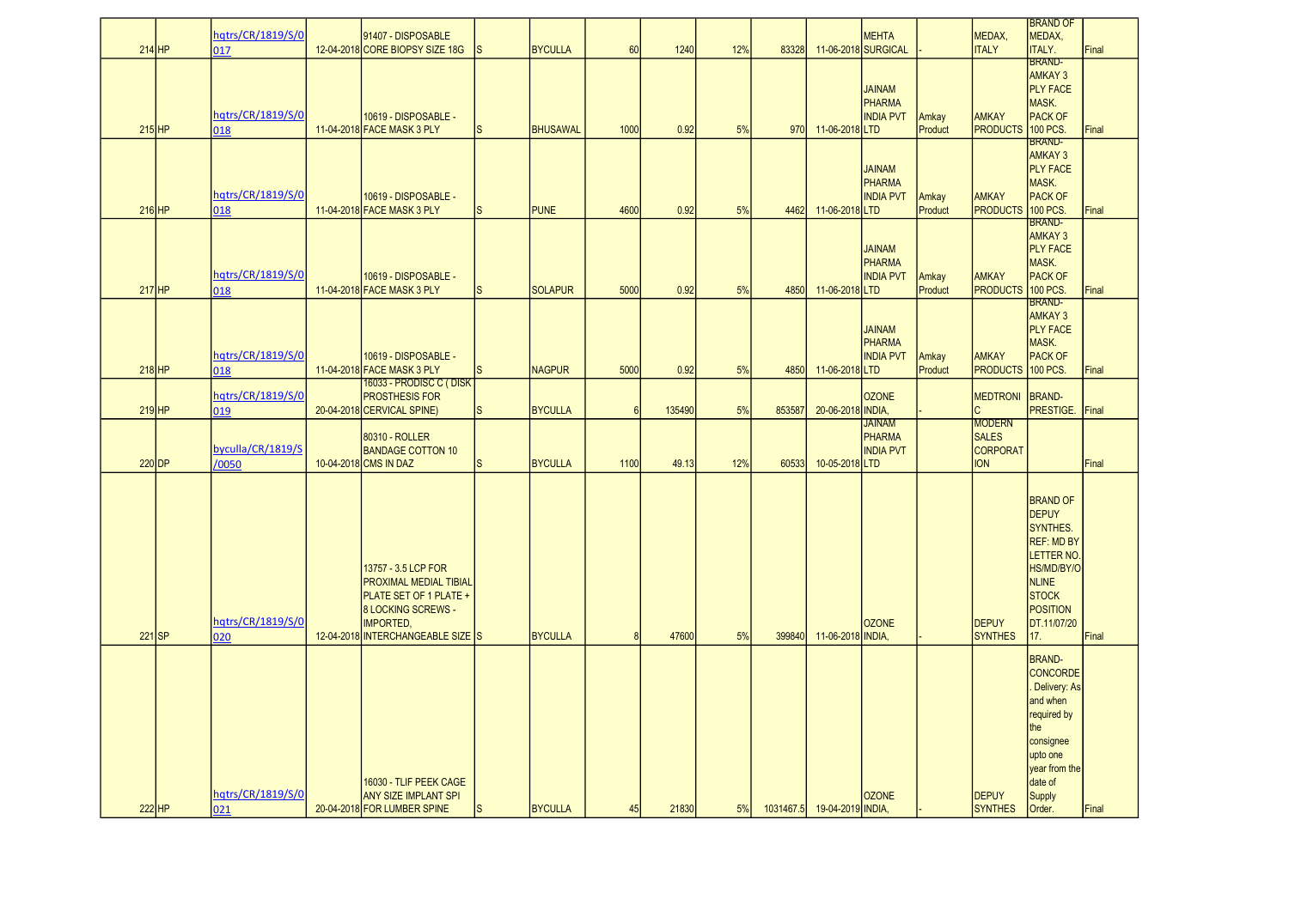|          | hqtrs/CR/1819/S/0 | 91407 - DISPOSABLE                                  |              |                 |                 |        |     |        |                             | MEHTA                   |         | MEDAX,                        | BRAND OF<br>MEDAX,                    |       |
|----------|-------------------|-----------------------------------------------------|--------------|-----------------|-----------------|--------|-----|--------|-----------------------------|-------------------------|---------|-------------------------------|---------------------------------------|-------|
| $214$ HP | 017               | 12-04-2018 CORE BIOPSY SIZE 18G                     | ls.          | <b>BYCULLA</b>  | 60              | 1240   | 12% | 83328  |                             | 11-06-2018 SURGICAL     |         | <b>ITALY</b>                  | <b>ITALY.</b><br><b>BRAND-</b>        | Final |
|          |                   |                                                     |              |                 |                 |        |     |        |                             | <b>JAINAM</b>           |         |                               | <b>AMKAY 3</b><br><b>PLY FACE</b>     |       |
|          |                   |                                                     |              |                 |                 |        |     |        |                             | PHARMA                  |         |                               | MASK.                                 |       |
|          | hqtrs/CR/1819/S/0 | 10619 - DISPOSABLE -                                |              |                 |                 |        |     |        |                             | <b>INDIA PVT</b>        | Amkay   | <b>AMKAY</b>                  | <b>PACK OF</b>                        |       |
| $215$ HP | 018               | 11-04-2018 FACE MASK 3 PLY                          | $\vert$ S    | <b>BHUSAWAL</b> | 1000            | 0.92   | 5%  | 970    | 11-06-2018 LTD              |                         | Product | <b>PRODUCTS</b>               | 100 PCS.<br><b>BRAND-</b>             | Final |
|          |                   |                                                     |              |                 |                 |        |     |        |                             |                         |         |                               | <b>AMKAY 3</b>                        |       |
|          |                   |                                                     |              |                 |                 |        |     |        |                             | <b>JAINAM</b><br>PHARMA |         |                               | <b>PLY FACE</b><br>MASK.              |       |
|          | hqtrs/CR/1819/S/0 | 10619 - DISPOSABLE -                                |              |                 |                 |        |     |        |                             | <b>INDIA PVT</b>        | Amkay   | <b>AMKAY</b>                  | <b>PACK OF</b>                        |       |
| $216$ HP | 018               | 11-04-2018 FACE MASK 3 PLY                          | ls.          | <b>PUNE</b>     | 4600            | 0.92   | 5%  | 4462   | 11-06-2018 LTD              |                         | Product | <b>PRODUCTS</b>               | <b>100 PCS</b><br><b>BRAND-</b>       | Final |
|          |                   |                                                     |              |                 |                 |        |     |        |                             |                         |         |                               | <b>AMKAY 3</b>                        |       |
|          |                   |                                                     |              |                 |                 |        |     |        |                             | <b>JAINAM</b><br>PHARMA |         |                               | <b>PLY FACE</b><br>MASK.              |       |
|          | hqtrs/CR/1819/S/0 | 10619 - DISPOSABLE -                                |              |                 |                 |        |     |        |                             | <b>INDIA PVT</b>        | Amkay   | <b>AMKAY</b>                  | <b>PACK OF</b>                        |       |
| $217$ HP | 018               | 11-04-2018 FACE MASK 3 PLY                          | ls.          | <b>SOLAPUR</b>  | 5000            | 0.92   | 5%  | 4850   | 11-06-2018 LTD              |                         | Product | <b>PRODUCTS</b>               | 100 PCS.<br><b>BRAND-</b>             | Final |
|          |                   |                                                     |              |                 |                 |        |     |        |                             |                         |         |                               | <b>AMKAY 3</b>                        |       |
|          |                   |                                                     |              |                 |                 |        |     |        |                             | <b>JAINAM</b><br>PHARMA |         |                               | <b>PLY FACE</b><br>MASK.              |       |
|          | hqtrs/CR/1819/S/0 | 10619 - DISPOSABLE -                                |              |                 |                 |        |     |        |                             | <b>INDIA PVT</b>        | Amkay   | <b>AMKAY</b>                  | <b>PACK OF</b>                        |       |
| $218$ HP | 018               | 11-04-2018 FACE MASK 3 PLY                          | <sub>S</sub> | <b>NAGPUR</b>   | 5000            | 0.92   | 5%  | 4850   | 11-06-2018 LTD              |                         | Product | <b>PRODUCTS</b>               | 100 PCS.                              | Final |
|          | hqtrs/CR/1819/S/0 | 16033 - PRODISC C ( DISK<br><b>PROSTHESIS FOR</b>   |              |                 |                 |        |     |        |                             | <b>OZONE</b>            |         | <b>MEDTRONI</b>               | <b>BRAND-</b>                         |       |
| $219$ HP | 019               | 20-04-2018 CERVICAL SPINE)                          | ls           | <b>BYCULLA</b>  | $6\overline{6}$ | 135490 | 5%  | 853587 | 20-06-2018 INDIA,           |                         |         |                               | PRESTIGE.                             | Final |
|          |                   | 80310 - ROLLER                                      |              |                 |                 |        |     |        |                             | <b>JAINAM</b><br>PHARMA |         | <b>MODERN</b><br><b>SALES</b> |                                       |       |
|          | byculla/CR/1819/S | <b>BANDAGE COTTON 10</b>                            |              |                 |                 |        |     |        |                             | <b>INDIA PVT</b>        |         | <b>CORPORAT</b>               |                                       |       |
| 220 DP   | /0050             | 10-04-2018 CMS IN DAZ                               | ls           | <b>BYCULLA</b>  | 1100            | 49.13  | 12% | 60533  | 10-05-2018 LTD              |                         |         | <b>ION</b>                    |                                       | Final |
|          |                   |                                                     |              |                 |                 |        |     |        |                             |                         |         |                               |                                       |       |
|          |                   |                                                     |              |                 |                 |        |     |        |                             |                         |         |                               | <b>BRAND OF</b><br><b>DEPUY</b>       |       |
|          |                   |                                                     |              |                 |                 |        |     |        |                             |                         |         |                               | SYNTHES.                              |       |
|          |                   |                                                     |              |                 |                 |        |     |        |                             |                         |         |                               | <b>REF: MD BY</b><br><b>LETTER NO</b> |       |
|          |                   | 13757 - 3.5 LCP FOR                                 |              |                 |                 |        |     |        |                             |                         |         |                               | HS/MD/BY/O                            |       |
|          |                   | <b>PROXIMAL MEDIAL TIBIAL</b>                       |              |                 |                 |        |     |        |                             |                         |         |                               | <b>NLINE</b>                          |       |
|          |                   | PLATE SET OF 1 PLATE +<br><b>8 LOCKING SCREWS -</b> |              |                 |                 |        |     |        |                             |                         |         |                               | <b>STOCK</b><br><b>POSITION</b>       |       |
|          | hqtrs/CR/1819/S/0 | <b>IMPORTED,</b>                                    |              |                 |                 |        |     |        |                             | <b>OZONE</b>            |         | <b>DEPUY</b>                  | DT.11/07/20                           |       |
| $221$ SP | 020               | 12-04-2018 INTERCHANGEABLE SIZE S                   |              | <b>BYCULLA</b>  | 8               | 47600  | 5%  | 399840 | 11-06-2018 INDIA,           |                         |         | <b>SYNTHES</b>                | 17.                                   | Final |
|          |                   |                                                     |              |                 |                 |        |     |        |                             |                         |         |                               | <b>BRAND-</b>                         |       |
|          |                   |                                                     |              |                 |                 |        |     |        |                             |                         |         |                               | <b>CONCORDE</b><br>Delivery: As       |       |
|          |                   |                                                     |              |                 |                 |        |     |        |                             |                         |         |                               | and when                              |       |
|          |                   |                                                     |              |                 |                 |        |     |        |                             |                         |         |                               | required by<br>the                    |       |
|          |                   |                                                     |              |                 |                 |        |     |        |                             |                         |         |                               | consignee                             |       |
|          |                   |                                                     |              |                 |                 |        |     |        |                             |                         |         |                               | upto one                              |       |
|          |                   | 16030 - TLIF PEEK CAGE                              |              |                 |                 |        |     |        |                             |                         |         |                               | year from the<br>date of              |       |
|          | hqtrs/CR/1819/S/0 | <b>ANY SIZE IMPLANT SPI</b>                         |              |                 |                 |        |     |        |                             | <b>OZONE</b>            |         | <b>DEPUY</b>                  | <b>Supply</b>                         |       |
| 222 HP   | 021               | 20-04-2018 FOR LUMBER SPINE                         | <sub>S</sub> | <b>BYCULLA</b>  | 45              | 21830  | 5%  |        | 1031467.5 19-04-2019 INDIA, |                         |         | <b>SYNTHES</b>                | Order.                                | Final |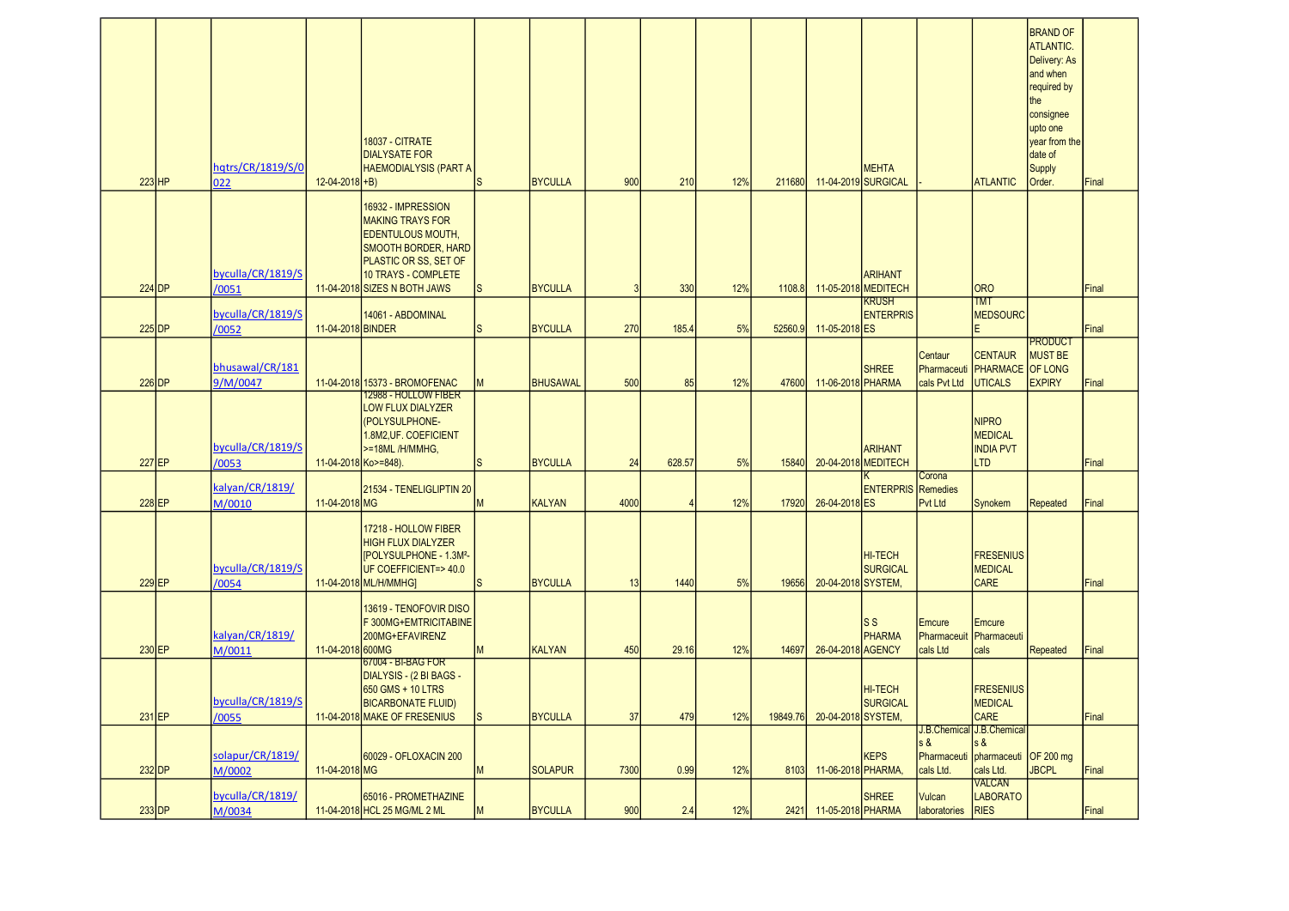| $223$ HP | hqtrs/CR/1819/S/0<br>022    | $12-04-2018 + B$     | <b>18037 - CITRATE</b><br><b>DIALYSATE FOR</b><br><b>HAEMODIALYSIS (PART A</b>                                                                                                                 | ls           | <b>BYCULLA</b>  | 900  | 210    | 12% | 211680   |                    | <b>MEHTA</b><br>11-04-2019 SURGICAL      |                                        | <b>ATLANTIC</b>                                                                    | <b>BRAND OF</b><br><b>ATLANTIC.</b><br>Delivery: As<br>and when<br>required by<br>the<br>consignee<br>upto one<br>year from the<br>date of<br>Supply<br>Order. | Final |
|----------|-----------------------------|----------------------|------------------------------------------------------------------------------------------------------------------------------------------------------------------------------------------------|--------------|-----------------|------|--------|-----|----------|--------------------|------------------------------------------|----------------------------------------|------------------------------------------------------------------------------------|----------------------------------------------------------------------------------------------------------------------------------------------------------------|-------|
| $224$ DP | byculla/CR/1819/S<br>/0051  |                      | 16932 - IMPRESSION<br><b>MAKING TRAYS FOR</b><br><b>EDENTULOUS MOUTH,</b><br><b>SMOOTH BORDER, HARD</b><br><b>PLASTIC OR SS, SET OF</b><br>10 TRAYS - COMPLETE<br>11-04-2018 SIZES N BOTH JAWS | <sub>S</sub> | <b>BYCULLA</b>  | 3    | 330    | 12% | 1108.8   |                    | <b>ARIHANT</b><br>11-05-2018 MEDITECH    |                                        | <b>ORO</b>                                                                         |                                                                                                                                                                | Final |
|          | byculla/CR/1819/S           |                      | 14061 - ABDOMINAL                                                                                                                                                                              |              |                 |      |        |     |          |                    | <b>KRUSH</b><br><b>ENTERPRIS</b>         |                                        | <b>TMT</b><br><b>MEDSOURC</b>                                                      |                                                                                                                                                                |       |
| $225$ DP | /0052                       | 11-04-2018 BINDER    |                                                                                                                                                                                                | S            | <b>BYCULLA</b>  | 270  | 185.4  | 5%  | 52560.9  | 11-05-2018 ES      |                                          |                                        | E.                                                                                 | PRODUCT                                                                                                                                                        | Final |
| $226$ DP | bhusawal/CR/181<br>9/M/0047 |                      | 11-04-2018 15373 - BROMOFENAC                                                                                                                                                                  | M            | <b>BHUSAWAL</b> | 500  | 85     | 12% | 47600    | 11-06-2018 PHARMA  | <b>SHREE</b>                             | Centaur<br>Pharmaceuti<br>cals Pvt Ltd | <b>CENTAUR</b><br><b>PHARMACE</b> OF LONG<br><b>UTICALS</b>                        | <b>MUST BE</b><br><b>EXPIRY</b>                                                                                                                                | Final |
| $227$ EP | byculla/CR/1819/S<br>/0053  | 11-04-2018 Ko>=848). | 12988 - HOLLOW FIBER<br>LOW FLUX DIALYZER<br>(POLYSULPHONE-<br>1.8M2, UF. COEFICIENT<br>>=18ML/H/MMHG,                                                                                         | lS           | <b>BYCULLA</b>  | 24   | 628.57 | 5%  | 15840    |                    | <b>ARIHANT</b><br>20-04-2018 MEDITECH    |                                        | <b>NIPRO</b><br><b>MEDICAL</b><br><b>INDIA PVT</b><br><b>LTD</b>                   |                                                                                                                                                                | Final |
| $228$ EP | kalyan/CR/1819/<br>M/0010   | 11-04-2018 MG        | 21534 - TENELIGLIPTIN 20                                                                                                                                                                       | M            | <b>KALYAN</b>   | 4000 |        | 12% | 17920    | 26-04-2018 ES      | <b>ENTERPRIS</b> Remedies                | Corona<br>Pvt Ltd                      | Synokem                                                                            | Repeated                                                                                                                                                       | Final |
| $229$ EP | byculla/CR/1819/S<br>/0054  |                      | 17218 - HOLLOW FIBER<br><b>HIGH FLUX DIALYZER</b><br>[POLYSULPHONE - 1.3M <sup>2</sup> -<br>UF COEFFICIENT=>40.0<br>11-04-2018 ML/H/MMHG]                                                      | ls.          | <b>BYCULLA</b>  | 13   | 1440   | 5%  | 19656    | 20-04-2018 SYSTEM, | HI-TECH<br><b>SURGICAL</b>               |                                        | <b>FRESENIUS</b><br><b>MEDICAL</b><br><b>CARE</b>                                  |                                                                                                                                                                | Final |
| $230$ EP | kalyan/CR/1819/<br>M/0011   | 11-04-2018 600MG     | 13619 - TENOFOVIR DISO<br>F 300MG+EMTRICITABINE<br>200MG+EFAVIRENZ                                                                                                                             | M            | <b>KALYAN</b>   | 450  | 29.16  | 12% | 14697    | 26-04-2018 AGENCY  | $\mathsf{S} \mathsf{S}$<br><b>PHARMA</b> | Emcure<br>cals Ltd                     | <b>Emcure</b><br>Pharmaceuit Pharmaceuti<br>cals                                   | Repeated                                                                                                                                                       | Final |
| 231 EP   | byculla/CR/1819/S<br>/0055  |                      | 67004 - BI-BAG FOR<br>DIALYSIS - (2 BI BAGS -<br>650 GMS + 10 LTRS<br><b>BICARBONATE FLUID)</b><br>11-04-2018 MAKE OF FRESENIUS                                                                | <b>S</b>     | <b>BYCULLA</b>  | 37   | 479    | 12% | 19849.76 | 20-04-2018 SYSTEM, | <b>HI-TECH</b><br><b>SURGICAL</b>        |                                        | <b>FRESENIUS</b><br><b>MEDICAL</b><br><b>CARE</b>                                  |                                                                                                                                                                | Final |
| $232$ DP | solapur/CR/1819/<br>M/0002  | 11-04-2018 MG        | 60029 - OFLOXACIN 200                                                                                                                                                                          | M            | <b>SOLAPUR</b>  | 7300 | 0.99   | 12% | 8103     | 11-06-2018 PHARMA, | <b>KEPS</b>                              | $s$ &<br>cals Ltd.                     | J.B.Chemical J.B.Chemical<br>s &<br>Pharmaceuti pharmaceuti OF 200 mg<br>cals Ltd. | <b>JBCPL</b>                                                                                                                                                   | Final |
| $233$ DP | byculla/CR/1819/<br>M/0034  |                      | 65016 - PROMETHAZINE<br>11-04-2018 HCL 25 MG/ML 2 ML                                                                                                                                           | M            | <b>BYCULLA</b>  | 900  | 2.4    | 12% | 2421     | 11-05-2018 PHARMA  | <b>SHREE</b>                             | Vulcan<br>laboratories                 | <b>VALCAN</b><br><b>LABORATO</b><br><b>RIES</b>                                    |                                                                                                                                                                | Final |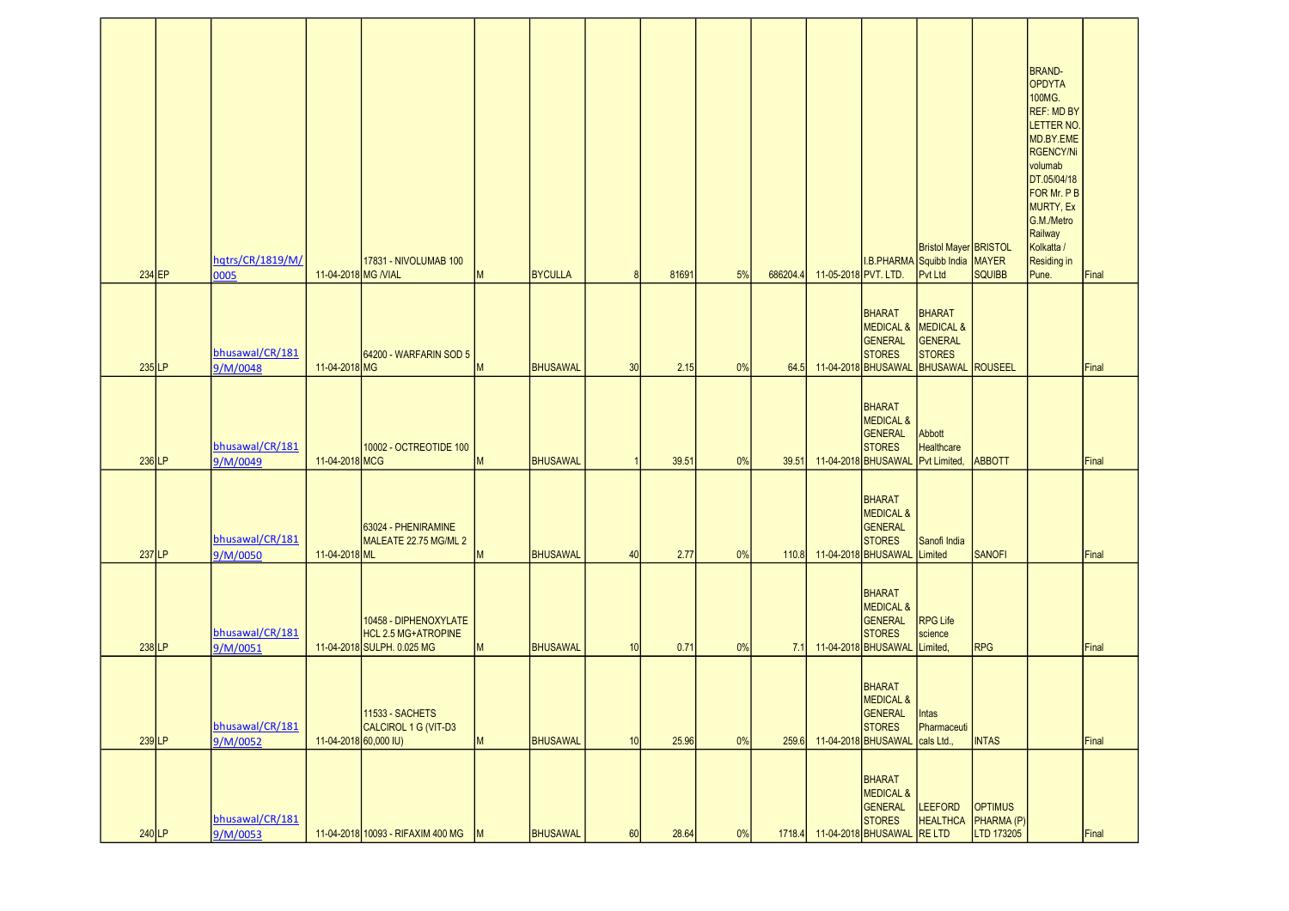| 234 EP   | hqtrs/CR/1819/M/<br>0005    | 11-04-2018 MG / VIAL  | 17831 - NIVOLUMAB 100                                                      | M            | <b>BYCULLA</b>  | 8  | 81691 | 5% | 686204.4 | 11-05-2018 PVT. LTD. | I.B.PHARMA Squibb India MAYER                                                               | Bristol Mayer BRISTOL<br>Pvt Ltd                                            | SQUIBB                                     | <b>BRAND-</b><br>OPDYTA<br>100MG.<br>REF: MD BY<br>LETTER NO.<br>MD.BY.EME<br>RGENCY/Ni<br>volumab<br>DT.05/04/18<br>FOR Mr. P B<br>MURTY, Ex<br>G.M./Metro<br>Railway<br>Kolkatta /<br>Residing in<br>Pune. | Final |
|----------|-----------------------------|-----------------------|----------------------------------------------------------------------------|--------------|-----------------|----|-------|----|----------|----------------------|---------------------------------------------------------------------------------------------|-----------------------------------------------------------------------------|--------------------------------------------|--------------------------------------------------------------------------------------------------------------------------------------------------------------------------------------------------------------|-------|
| 235 LP   | bhusawal/CR/181<br>9/M/0048 | 11-04-2018 MG         | 64200 - WARFARIN SOD 5                                                     | M            | <b>BHUSAWAL</b> | 30 | 2.15  | 0% | 64.5     |                      | BHARAT<br>MEDICAL & MEDICAL &<br>GENERAL<br><b>STORES</b><br>11-04-2018 BHUSAWAL            | <b>BHARAT</b><br><b>GENERAL</b><br><b>STORES</b><br><b>BHUSAWAL ROUSEEL</b> |                                            |                                                                                                                                                                                                              | Final |
| 236 LP   | bhusawal/CR/181<br>9/M/0049 | 11-04-2018 MCG        | 10002 - OCTREOTIDE 100                                                     | M            | <b>BHUSAWAL</b> |    | 39.51 | 0% | 39.51    |                      | BHARAT<br><b>MEDICAL &amp;</b><br>GENERAL<br><b>STORES</b><br>11-04-2018 BHUSAWAL           | Abbott<br>Healthcare<br>Pvt Limited                                         | <b>ABBOTT</b>                              |                                                                                                                                                                                                              | Final |
| $237$ LP | bhusawal/CR/181<br>9/M/0050 | 11-04-2018 ML         | 63024 - PHENIRAMINE<br>MALEATE 22.75 MG/ML 2                               | M            | <b>BHUSAWAL</b> | 40 | 2.77  | 0% | 110.8    |                      | BHARAT<br><b>MEDICAL &amp;</b><br>GENERAL<br><b>STORES</b><br>11-04-2018 BHUSAWAL           | Sanofi India<br>Limited                                                     | <b>SANOFI</b>                              |                                                                                                                                                                                                              | Final |
| $238$ LP | bhusawal/CR/181<br>9/M/0051 |                       | 10458 - DIPHENOXYLATE<br>HCL 2.5 MG+ATROPINE<br>11-04-2018 SULPH. 0.025 MG | M            | BHUSAWAL        | 10 | 0.71  | 0% | 7.1      |                      | BHARAT<br><b>MEDICAL &amp;</b><br>GENERAL<br><b>STORES</b><br>11-04-2018 BHUSAWAL           | <b>RPG Life</b><br>science<br>Limited,                                      | RPG                                        |                                                                                                                                                                                                              | Final |
| $239$ LP | bhusawal/CR/181<br>9/M/0052 | 11-04-2018 60,000 IU) | 11533 - SACHETS<br>CALCIROL 1 G (VIT-D3                                    | M            | BHUSAWAL        | 10 | 25.96 | 0% | 259.6    |                      | BHARAT<br>MEDICAL &<br>GENERAL<br><b>STORES</b><br>11-04-2018 BHUSAWAL                      | Intas<br>Pharmaceuti<br>cals Ltd.,                                          | <b>INTAS</b>                               |                                                                                                                                                                                                              | Final |
| $240$ LP | bhusawal/CR/181<br>9/M/0053 |                       | 11-04-2018 10093 - RIFAXIM 400 MG                                          | $\mathsf{M}$ | BHUSAWAL        | 60 | 28.64 | 0% |          |                      | <b>BHARAT</b><br>MEDICAL &<br>GENERAL<br><b>STORES</b><br>1718.4 11-04-2018 BHUSAWAL RE LTD | LEEFORD<br><b>HEALTHCA</b>                                                  | <b>OPTIMUS</b><br>PHARMA (P)<br>LTD 173205 |                                                                                                                                                                                                              | Final |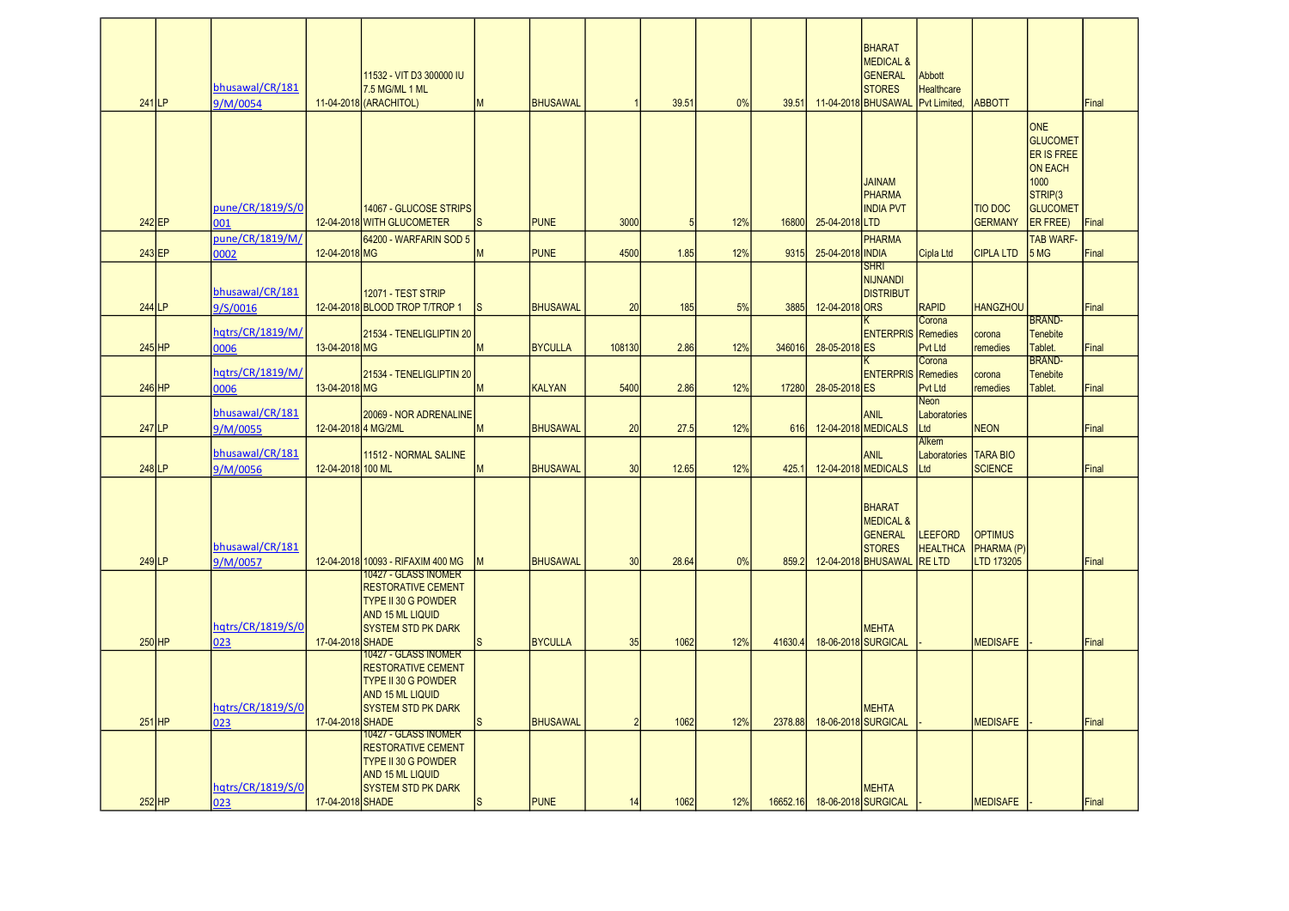| $241$ LP            | bhusawal/CR/181<br>9/M/0054 |                     | 11532 - VIT D3 300000 IU<br>7.5 MG/ML 1 ML<br>11-04-2018 (ARACHITOL)                                                                      | M            | <b>BHUSAWAL</b> |               | 39.51 | 0%  | 39.51   |                              | <b>BHARAT</b><br><b>MEDICAL &amp;</b><br><b>GENERAL</b><br><b>STORES</b><br>11-04-2018 BHUSAWAL Pvt Limited, | Abbott<br><b>Healthcare</b>             | <b>ABBOTT</b>                              |                                                                                                                 | Final |
|---------------------|-----------------------------|---------------------|-------------------------------------------------------------------------------------------------------------------------------------------|--------------|-----------------|---------------|-------|-----|---------|------------------------------|--------------------------------------------------------------------------------------------------------------|-----------------------------------------|--------------------------------------------|-----------------------------------------------------------------------------------------------------------------|-------|
|                     | pune/CR/1819/S/0            |                     | 14067 - GLUCOSE STRIPS                                                                                                                    |              |                 |               |       |     |         |                              | <b>JAINAM</b><br><b>PHARMA</b><br><b>INDIA PVT</b>                                                           |                                         | <b>TIO DOC</b>                             | <b>ONE</b><br><b>GLUCOMET</b><br>ER IS FREE<br><b>ON EACH</b><br>1000<br>STRIP <sub>(3</sub><br><b>GLUCOMET</b> |       |
| 242 EP              | 001<br>pune/CR/1819/M/      |                     | 12-04-2018 WITH GLUCOMETER<br>64200 - WARFARIN SOD 5                                                                                      | <sub>S</sub> | <b>PUNE</b>     | 3000          | 5     | 12% | 16800   | 25-04-2018 LTD               | <b>PHARMA</b>                                                                                                |                                         | <b>GERMANY</b>                             | ER FREE)<br><b>TAB WARF-</b>                                                                                    | Final |
| $243$ EP            | 0002                        | 12-04-2018 MG       |                                                                                                                                           | M            | <b>PUNE</b>     | 4500          | 1.85  | 12% | 9315    | 25-04-2018 INDIA             |                                                                                                              | Cipla Ltd                               | <b>CIPLA LTD</b>                           | 5 MG                                                                                                            | Final |
| 244 LP              | bhusawal/CR/181<br>9/S/0016 |                     | 12071 - TEST STRIP<br>12-04-2018 BLOOD TROP T/TROP 1                                                                                      | Is           | <b>BHUSAWAL</b> | 20            | 185   | 5%  | 3885    | 12-04-2018 ORS               | <b>SHRI</b><br><b>NIJNANDI</b><br><b>DISTRIBUT</b>                                                           | <b>RAPID</b><br>Corona                  | <b>HANGZHOU</b>                            | <b>BRAND-</b>                                                                                                   | Final |
| $245$ HP            | hqtrs/CR/1819/M/<br>0006    | 13-04-2018 MG       | 21534 - TENELIGLIPTIN 20                                                                                                                  | M            | <b>BYCULLA</b>  | 108130        | 2.86  | 12% | 346016  | 28-05-2018 ES                | <b>ENTERPRIS</b> Remedies                                                                                    | Pvt Ltd                                 | corona<br>remedies                         | <b>Tenebite</b><br>Tablet.                                                                                      | Final |
| $246$ HP            | hqtrs/CR/1819/M/<br>0006    | 13-04-2018 MG       | 21534 - TENELIGLIPTIN 20                                                                                                                  | M            | <b>KALYAN</b>   | 5400          | 2.86  | 12% | 17280   | 28-05-2018 ES                | <b>ENTERPRIS</b> Remedies                                                                                    | Corona<br><b>Pvt Ltd</b>                | corona<br>remedies                         | <b>BRAND-</b><br>Tenebite<br>Tablet.                                                                            | Final |
| 247 LP              | bhusawal/CR/181<br>9/M/0055 | 12-04-2018 4 MG/2ML | 20069 - NOR ADRENALINE                                                                                                                    | M            | <b>BHUSAWAL</b> | 20            | 27.5  | 12% | 616     |                              | <b>ANIL</b><br>12-04-2018 MEDICALS                                                                           | <b>Neon</b><br>Laboratories<br>Ltd      | <b>NEON</b>                                |                                                                                                                 | Final |
| 248LP               | bhusawal/CR/181<br>9/M/0056 | 12-04-2018 100 ML   | 11512 - NORMAL SALINE                                                                                                                     | M            | <b>BHUSAWAL</b> | 30            | 12.65 | 12% | 425.    |                              | ANIL<br>12-04-2018 MEDICALS                                                                                  | Alkem<br>Laboratories   TARA BIO<br>Ltd | <b>SCIENCE</b>                             |                                                                                                                 | Final |
| $249$ <sub>LP</sub> | bhusawal/CR/181<br>9/M/0057 |                     | 12-04-2018 10093 - RIFAXIM 400 MG                                                                                                         | <b>IM</b>    | <b>BHUSAWAL</b> | 30            | 28.64 | 0%  | 859.2   |                              | <b>BHARAT</b><br><b>MEDICAL &amp;</b><br><b>GENERAL</b><br><b>STORES</b><br>12-04-2018 BHUSAWAL RE LTD       | <b>LEEFORD</b><br><b>HEALTHCA</b>       | <b>OPTIMUS</b><br>PHARMA (P)<br>LTD 173205 |                                                                                                                 | Final |
| $250$ HP            | hqtrs/CR/1819/S/0<br>023    | 17-04-2018 SHADE    | 10427 - GLASS INOMER<br><b>RESTORATIVE CEMENT</b><br><b>TYPE II 30 G POWDER</b><br>AND 15 ML LIQUID<br><b>SYSTEM STD PK DARK</b>          |              | <b>BYCULLA</b>  | 35            | 1062  | 12% | 41630.4 |                              | <b>MEHTA</b><br>18-06-2018 SURGICAL                                                                          |                                         | <b>MEDISAFE</b>                            |                                                                                                                 | Final |
| $251$ HP            | hgtrs/CR/1819/S/0<br>023    | 17-04-2018 SHADE    | 10427 - GLASS INOMER<br><b>RESTORATIVE CEMENT</b><br><b>TYPE II 30 G POWDER</b><br><b>AND 15 ML LIQUID</b><br><b>ISYSTEM STD PK DARK</b>  | ls           | <b>BHUSAWAL</b> | $\mathcal{P}$ | 1062  | 12% | 2378.88 |                              | <b>MEHTA</b><br>18-06-2018 SURGICAL                                                                          |                                         | <b>MEDISAFE</b>                            |                                                                                                                 | Final |
| $252$ HP            | hqtrs/CR/1819/S/0<br>023    | 17-04-2018 SHADE    | 10427 - GLASS INOMER<br><b>RESTORATIVE CEMENT</b><br><b>ITYPE II 30 G POWDER</b><br><b>JAND 15 ML LIQUID</b><br><b>SYSTEM STD PK DARK</b> | <b>S</b>     | <b>PUNE</b>     | 14            | 1062  | 12% |         | 16652.16 18-06-2018 SURGICAL | <b>MEHTA</b>                                                                                                 |                                         | <b>MEDISAFE</b>                            |                                                                                                                 | Final |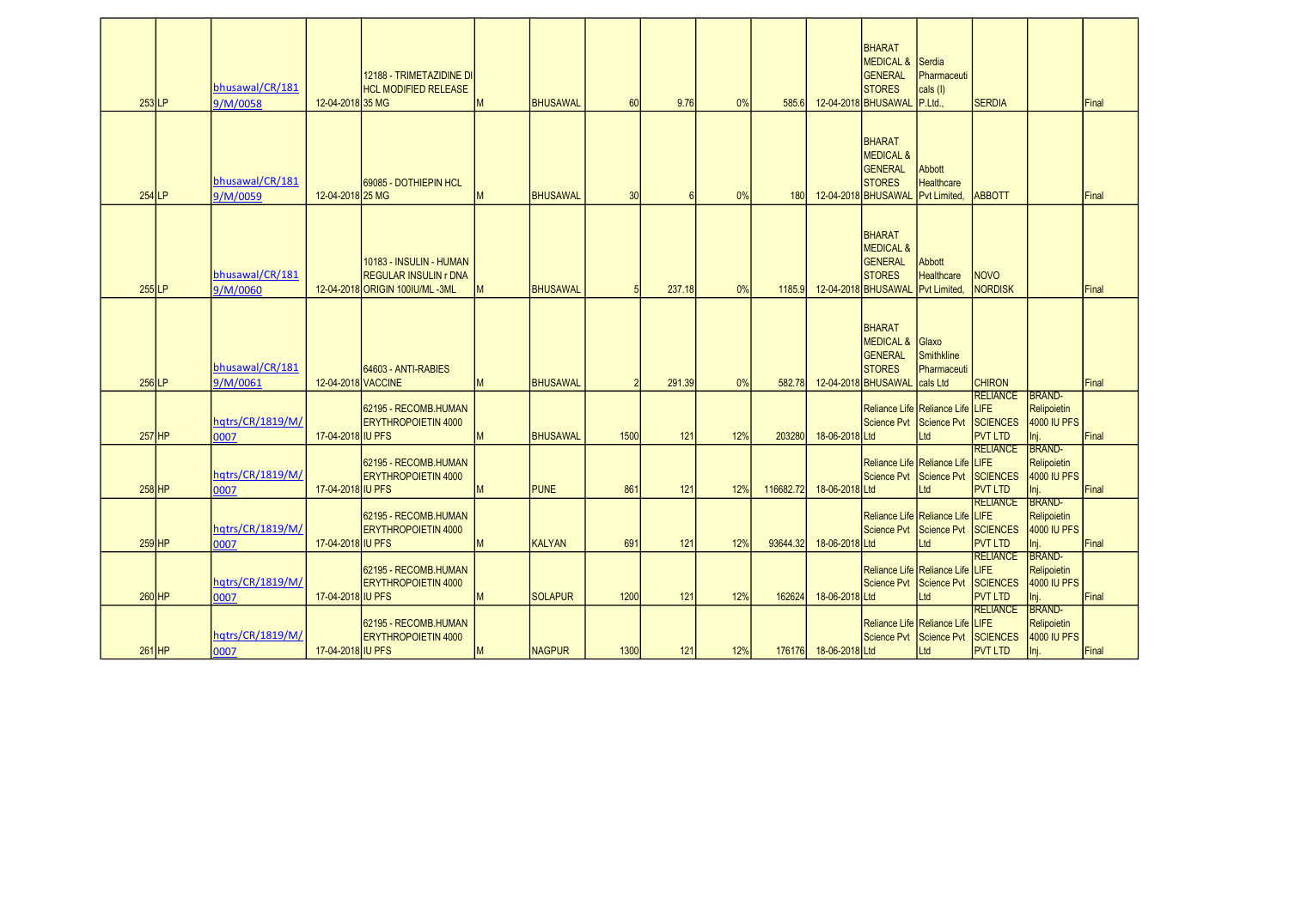|                     | bhusawal/CR/181             |                    | 12188 - TRIMETAZIDINE DI<br><b>HCL MODIFIED RELEASE</b>                                     |   |                 |      |        |     |           |                       | BHARAT<br><b>MEDICAL &amp;</b><br><b>GENERAL</b><br><b>STORES</b>                               | <b>Serdia</b><br>Pharmaceuti<br>cals (I)                 |                                    |                                    |       |
|---------------------|-----------------------------|--------------------|---------------------------------------------------------------------------------------------|---|-----------------|------|--------|-----|-----------|-----------------------|-------------------------------------------------------------------------------------------------|----------------------------------------------------------|------------------------------------|------------------------------------|-------|
| $253$ LP            |                             | 12-04-2018 35 MG   |                                                                                             | M | <b>BHUSAWAL</b> | 60   | 9.76   | 0%  | 585.6     |                       | 12-04-2018 BHUSAWAL                                                                             | P.Ltd                                                    | <b>SERDIA</b>                      |                                    | Final |
|                     | 9/M/0058                    |                    |                                                                                             |   |                 |      |        |     |           |                       |                                                                                                 |                                                          |                                    |                                    |       |
| $254$ <sub>LP</sub> | bhusawal/CR/181<br>9/M/0059 | 12-04-2018 25 MG   | <b>169085 - DOTHIEPIN HCL</b>                                                               | M | <b>BHUSAWAL</b> | 30   | 6      | 0%  | 180       |                       | BHARAT<br><b>MEDICAL &amp;</b><br><b>GENERAL</b><br><b>STORES</b><br>12-04-2018 BHUSAWAL        | <b>Abbott</b><br><b>Healthcare</b><br><b>Pvt Limited</b> | <b>ABBOTT</b>                      |                                    | Final |
| $255$ LP            | bhusawal/CR/181<br>9/M/0060 |                    | 10183 - INSULIN - HUMAN<br><b>REGULAR INSULIN r DNA</b><br>12-04-2018 ORIGIN 100 U/ML - 3ML | M | <b>BHUSAWAL</b> |      | 237.18 | 0%  | 1185.9    |                       | <b>BHARAT</b><br><b>MEDICAL &amp;</b><br><b>GENERAL</b><br><b>STORES</b><br>12-04-2018 BHUSAWAL | Abbott<br><b>Healthcare</b><br><b>Pvt Limited</b>        | <b>NOVO</b><br><b>NORDISK</b>      |                                    | Final |
| $256$ LP            | bhusawal/CR/181<br>9/M/0061 | 12-04-2018 VACCINE | 64603 - ANTI-RABIES                                                                         | M | <b>BHUSAWAL</b> |      | 291.39 | 0%  | 582.78    |                       | BHARAT<br><b>MEDICAL &amp;</b><br><b>GENERAL</b><br><b>STORES</b><br>12-04-2018 BHUSAWAL        | Glaxo<br>Smithkline<br>Pharmaceuti<br>cals Ltd           | <b>CHIRON</b>                      |                                    | Final |
|                     |                             |                    |                                                                                             |   |                 |      |        |     |           |                       |                                                                                                 |                                                          | <b>RELIANCE</b>                    | BRAND-                             |       |
| $257$ HP            | hqtrs/CR/1819/M/<br>0007    | 17-04-2018 IU PFS  | 62195 - RECOMB.HUMAN<br><b>ERYTHROPOIETIN 4000</b>                                          | M | <b>BHUSAWAL</b> | 1500 | 121    | 12% | 203280    | 18-06-2018 Ltd        | Science Pvt Science Pvt                                                                         | Reliance Life Reliance Life LIFE<br>Ltd                  | <b>SCIENCES</b><br><b>PVT LTD</b>  | Relipoietin<br>4000 IU PFS<br>Inj. | Final |
|                     |                             |                    |                                                                                             |   |                 |      |        |     |           |                       |                                                                                                 |                                                          | <b>RELIANCE</b>                    | <b>BRAND-</b>                      |       |
|                     |                             |                    | 62195 - RECOMB.HUMAN                                                                        |   |                 |      |        |     |           |                       |                                                                                                 | Reliance Life Reliance Life LIFE                         |                                    | Relipoietin                        |       |
|                     | hqtrs/CR/1819/M/            |                    | <b>ERYTHROPOIETIN 4000</b>                                                                  |   |                 |      |        |     |           |                       | Science Pvt Science Pvt                                                                         |                                                          | <b>SCIENCES</b>                    | 4000 IU PFS                        |       |
| 258 HP              | 0007                        | 17-04-2018 IU PFS  |                                                                                             | M | <b>PUNE</b>     | 861  | 121    | 12% | 116682.72 | 18-06-2018 Ltd        |                                                                                                 | Ltd                                                      | <b>PVT LTD</b>                     | Inj.<br>BRAND-                     | Final |
|                     | hqtrs/CR/1819/M/            |                    | 62195 - RECOMB.HUMAN<br><b>ERYTHROPOIETIN 4000</b>                                          |   |                 |      |        |     |           |                       | Science Pvt Science Pvt                                                                         | Reliance Life Reliance Life LIFE                         | <b>RELIANCE</b><br><b>SCIENCES</b> | Relipoietin<br>4000 IU PFS         |       |
| $259$ HP            | 0007                        | 17-04-2018 IU PFS  |                                                                                             | M | <b>KALYAN</b>   | 691  | 121    | 12% | 93644.32  | 18-06-2018 Ltd        |                                                                                                 | Ltd                                                      | <b>PVT LTD</b><br><b>RELIANCE</b>  | Inj.<br>BRAND-                     | Final |
| 260 HP              | hqtrs/CR/1819/M/            | 17-04-2018 IU PFS  | 62195 - RECOMB.HUMAN<br><b>ERYTHROPOIETIN 4000</b>                                          | M | <b>SOLAPUR</b>  | 1200 | 121    | 12% |           | 18-06-2018 Ltd        | Science Pvt                                                                                     | Reliance Life Reliance Life LIFE<br>Science Pvt<br>Ltd   | <b>SCIENCES</b><br><b>PVT LTD</b>  | Relipoietin<br>4000 IU PFS         | Final |
|                     | 0007                        |                    |                                                                                             |   |                 |      |        |     | 162624    |                       |                                                                                                 |                                                          | <b>RELIANCE</b>                    | Inj.<br><b>BRAND-</b>              |       |
| $261$ HP            | hqtrs/CR/1819/M/<br>0007    | 17-04-2018 IU PFS  | 62195 - RECOMB.HUMAN<br><b>ERYTHROPOIETIN 4000</b>                                          | M | <b>NAGPUR</b>   | 1300 | 121    | 12% |           | 176176 18-06-2018 Ltd | Science Pvt Science Pvt                                                                         | Reliance Life Reliance Life LIFE<br>Ltd                  | <b>SCIENCES</b><br><b>PVT LTD</b>  | Relipoietin<br>4000 IU PFS<br>Inj. | Final |
|                     |                             |                    |                                                                                             |   |                 |      |        |     |           |                       |                                                                                                 |                                                          |                                    |                                    |       |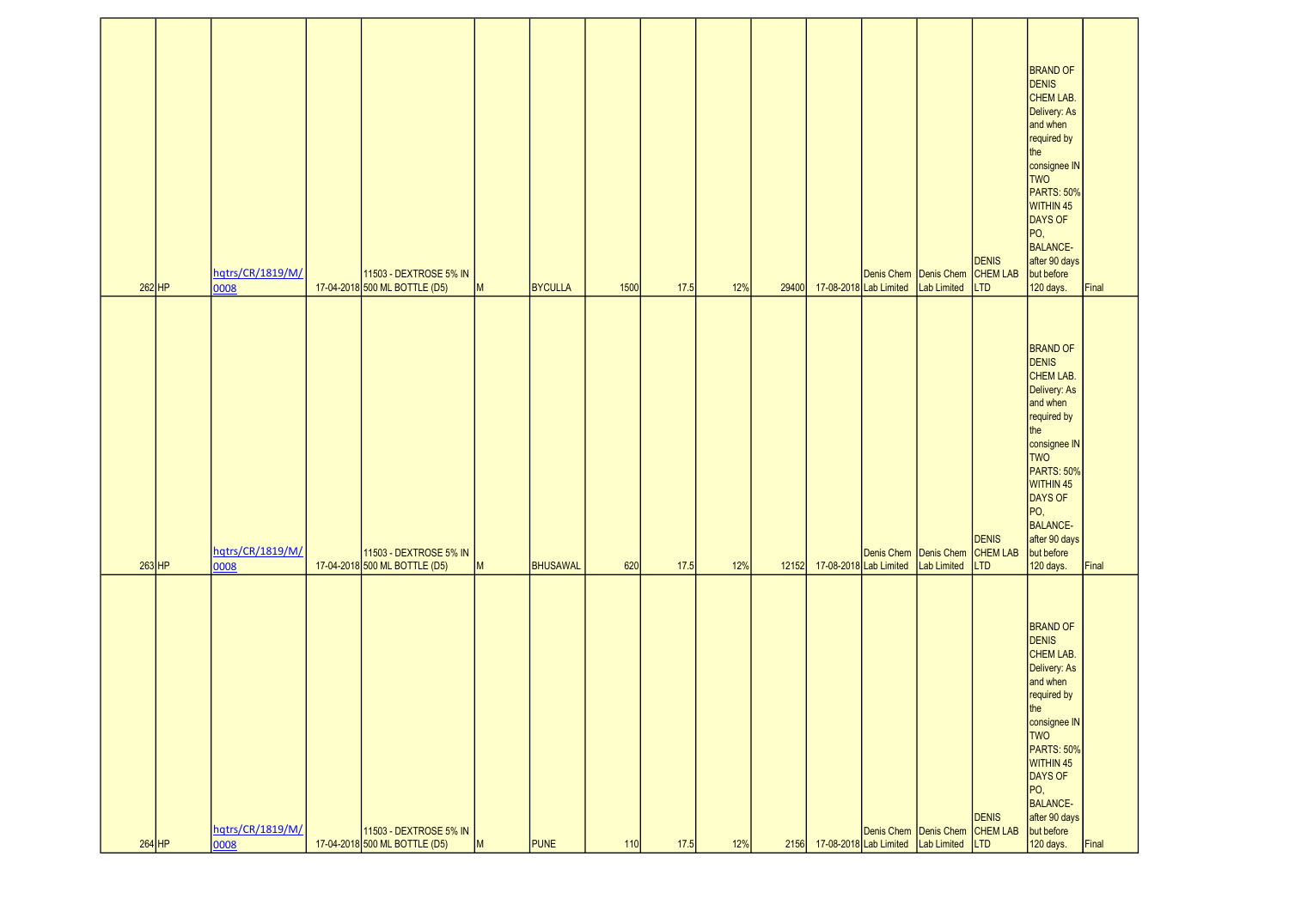| $262$ HP | hqtrs/CR/1819/M/<br>0008 | 11503 - DEXTROSE 5% IN<br>17-04-2018 500 ML BOTTLE (D5) | M | BYCULLA  | 1500 | 17.5 | 12% | 29400 |                              | 17-08-2018 Lab Limited Lab Limited | Denis Chem Denis Chem CHEM LAB | <b>DENIS</b><br><b>LTD</b>             | <b>BRAND OF</b><br>DENIS<br>CHEM LAB.<br>Delivery: As<br>and when<br>required by<br>the<br>consignee IN<br>TWO<br>PARTS: 50%<br>WITHIN 45<br>DAYS OF<br>PO,<br>BALANCE-<br>after 90 days<br>but before<br>120 days.                     | Final |
|----------|--------------------------|---------------------------------------------------------|---|----------|------|------|-----|-------|------------------------------|------------------------------------|--------------------------------|----------------------------------------|-----------------------------------------------------------------------------------------------------------------------------------------------------------------------------------------------------------------------------------------|-------|
| $263$ HP | hqtrs/CR/1819/M/<br>0008 | 11503 - DEXTROSE 5% IN<br>17-04-2018 500 ML BOTTLE (D5) | M | BHUSAWAL | 620  | 17.5 | 12% |       | 12152 17-08-2018 Lab Limited | Denis Chem Denis Chem              | Lab Limited                    | <b>DENIS</b><br>CHEM LAB<br><b>LTD</b> | <b>BRAND OF</b><br><b>DENIS</b><br>CHEM LAB.<br>Delivery: As<br>and when<br>required by<br>the<br>consignee IN<br>TWO <sup>T</sup><br>PARTS: 50%<br>WITHIN 45<br>DAYS OF<br>PO,<br>BALANCE-<br>after 90 days<br>but before<br>120 days. | Final |
| $264$ HP | hqtrs/CR/1819/M/<br>0008 | 11503 - DEXTROSE 5% IN<br>17-04-2018 500 ML BOTTLE (D5) | M | PUNE     | 110  | 17.5 | 12% | 2156  |                              | 17-08-2018 Lab Limited Lab Limited | Denis Chem Denis Chem CHEM LAB | <b>DENIS</b><br><b>LTD</b>             | <b>BRAND OF</b><br>DENIS<br>CHEM LAB.<br>Delivery: As<br>and when<br>required by<br>the<br>consignee IN<br>TWO<br>PARTS: 50%<br>WITHIN 45<br>DAYS OF<br>PO,<br>BALANCE-<br>after 90 days<br>but before<br>120 days.                     | Final |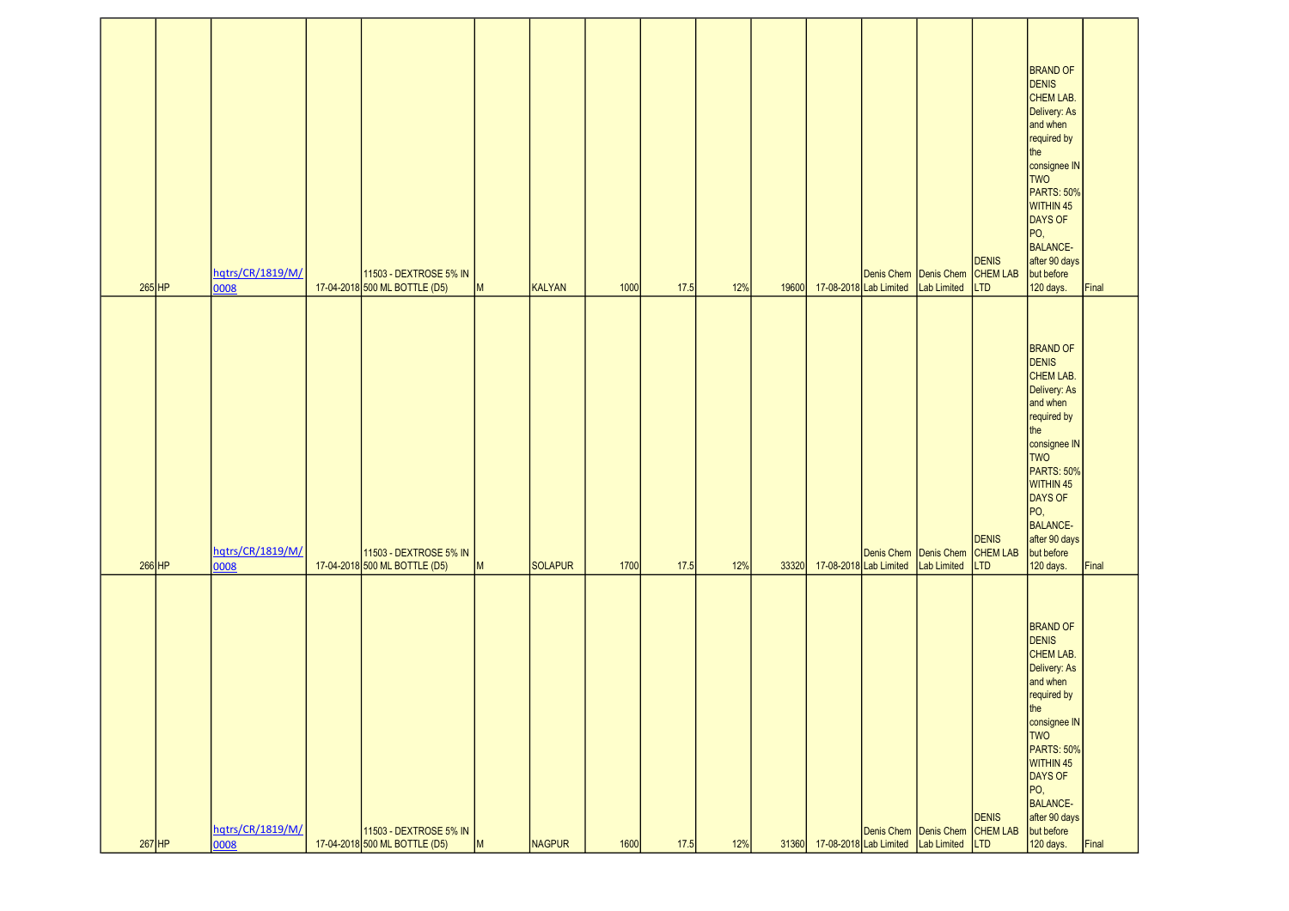| $265$ HP | hqtrs/CR/1819/M/<br>0008 | 11503 - DEXTROSE 5% IN<br>17-04-2018 500 ML BOTTLE (D5) | M | KALYAN  | 1000 | 17.5 | 12% |                              | 19600 17-08-2018 Lab Limited Lab Limited | Denis Chem Denis Chem CHEM LAB | <b>DENIS</b><br><b>LTD</b>             | <b>BRAND OF</b><br><b>DENIS</b><br>CHEM LAB.<br>Delivery: As<br>and when<br>required by<br>the<br>consignee IN<br>TWO <sup>T</sup><br>PARTS: 50%<br>WITHIN 45<br>DAYS OF<br>PO,<br>BALANCE-<br>after 90 days<br>but before<br>120 days. | Final |
|----------|--------------------------|---------------------------------------------------------|---|---------|------|------|-----|------------------------------|------------------------------------------|--------------------------------|----------------------------------------|-----------------------------------------------------------------------------------------------------------------------------------------------------------------------------------------------------------------------------------------|-------|
| $266$ HP | hqtrs/CR/1819/M/<br>0008 | 11503 - DEXTROSE 5% IN<br>17-04-2018 500 ML BOTTLE (D5) | M | SOLAPUR | 1700 | 17.5 | 12% | 33320 17-08-2018 Lab Limited | Denis Chem Denis Chem                    | Lab Limited                    | <b>DENIS</b><br>CHEM LAB<br><b>LTD</b> | <b>BRAND OF</b><br><b>DENIS</b><br>CHEM LAB.<br>Delivery: As<br>and when<br>required by<br>the<br>consignee IN<br>TWO<br>PARTS: 50%<br>WITHIN 45<br>DAYS OF<br>PO,<br>BALANCE-<br>after 90 days<br>but before<br>120 days.              | Final |
| $267$ HP | hqtrs/CR/1819/M/<br>0008 | 11503 - DEXTROSE 5% IN<br>17-04-2018 500 ML BOTTLE (D5) | M | NAGPUR  | 1600 | 17.5 | 12% |                              | 31360 17-08-2018 Lab Limited Lab Limited | Denis Chem Denis Chem CHEM LAB | <b>DENIS</b><br><b>LTD</b>             | <b>BRAND OF</b><br>DENIS<br>CHEM LAB.<br>Delivery: As<br>and when<br>required by<br>the<br>consignee IN<br>TWO<br>PARTS: 50%<br>WITHIN 45<br>DAYS OF<br>PO,<br>BALANCE-<br>after 90 days<br>but before<br>120 days.                     | Final |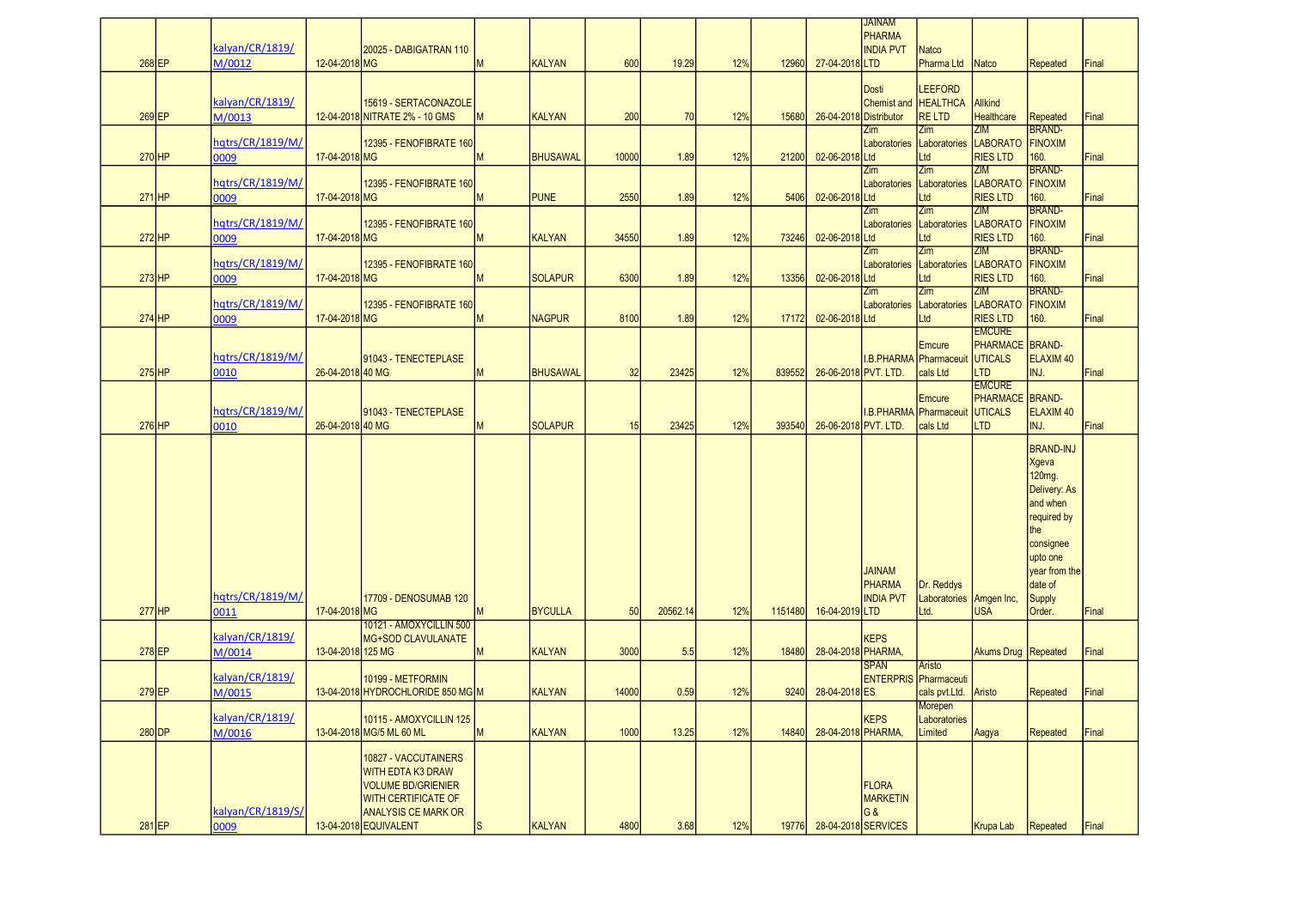|          | kalvan/CR/1819/           |                   | 20025 - DABIGATRAN 110                                                                                                                                             |              |                 |       |          |     |         |                        | <b>JAINAM</b><br><b>PHARMA</b><br><b>INDIA PVT</b>                      | <b>Natco</b>                                        |                                                                         |                                                                                                                                                                |       |
|----------|---------------------------|-------------------|--------------------------------------------------------------------------------------------------------------------------------------------------------------------|--------------|-----------------|-------|----------|-----|---------|------------------------|-------------------------------------------------------------------------|-----------------------------------------------------|-------------------------------------------------------------------------|----------------------------------------------------------------------------------------------------------------------------------------------------------------|-------|
| 268 EP   | M/0012                    | 12-04-2018 MG     |                                                                                                                                                                    | M            | <b>KALYAN</b>   | 600   | 19.29    | 12% | 12960   | 27-04-2018 LTD         |                                                                         | Pharma Ltd                                          | Natco                                                                   | <b>Repeated</b>                                                                                                                                                | Final |
| 269 EP   | kalyan/CR/1819/<br>M/0013 |                   | 15619 - SERTACONAZOLE<br>12-04-2018 NITRATE 2% - 10 GMS                                                                                                            | <b>IM</b>    | <b>KALYAN</b>   | 200   | 70       | 12% | 15680   | 26-04-2018 Distributor | Dosti<br>Chemist and HEALTHCA                                           | <b>LEEFORD</b><br><b>RELTD</b>                      | Allkind<br><b>Healthcare</b>                                            | Repeated                                                                                                                                                       | Final |
| 270 HP   | hqtrs/CR/1819/M/<br>0009  | 17-04-2018 MG     | 12395 - FENOFIBRATE 160                                                                                                                                            | M            | <b>BHUSAWAL</b> | 10000 | 1.89     | 12% | 21200   | 02-06-2018 Ltd         | Zim<br>Laboratories                                                     | Zim<br>Laboratories<br>Ltd                          | <b>ZIM</b><br><b>LABORATO</b><br><b>RIES LTD</b>                        | <b>BRAND-</b><br>FINOXIM<br>160.                                                                                                                               | Final |
| $271$ HP | hqtrs/CR/1819/M/<br>0009  | 17-04-2018 MG     | 12395 - FENOFIBRATE 160                                                                                                                                            | M            | <b>PUNE</b>     | 2550  | 1.89     | 12% | 5406    | 02-06-2018 Ltd         | Zim                                                                     | Zim<br>Laboratories Laboratories LABORATO<br>Ltd    | ZIM<br><b>RIES LTD</b>                                                  | <b>BRAND-</b><br>FINOXIM<br>160.                                                                                                                               | Final |
| 272 HP   | hqtrs/CR/1819/M/<br>0009  | 17-04-2018 MG     | 12395 - FENOFIBRATE 160                                                                                                                                            | M            | <b>KALYAN</b>   | 34550 | 1.89     | 12% | 73246   | 02-06-2018 Ltd         | Zim<br>Laboratories                                                     | Zim<br>Laboratories LABORATO<br>Ltd                 | ZIM<br><b>RIES LTD</b>                                                  | <b>BRAND-</b><br><b>FINOXIM</b><br>160.                                                                                                                        | Final |
| $273$ HP | hqtrs/CR/1819/M/<br>0009  | 17-04-2018 MG     | 12395 - FENOFIBRATE 160                                                                                                                                            | M            | <b>SOLAPUR</b>  | 6300  | 1.89     | 12% | 13356   | 02-06-2018 Ltd         | Zim                                                                     | Zim<br>Laboratories Laboratories LABORATO<br>Ltd    | ZIM<br><b>RIES LTD</b>                                                  | BRAND-<br>FINOXIM<br>160.                                                                                                                                      | Final |
| $274$ HP | hqtrs/CR/1819/M/<br>0009  | 17-04-2018 MG     | 12395 - FENOFIBRATE 160                                                                                                                                            | M            | <b>NAGPUR</b>   | 8100  | 1.89     | 12% | 17172   | 02-06-2018 Ltd         | Zim<br>Laboratories                                                     | Zim<br>Laboratories LABORATO<br>Ltd                 | <b>ZIM</b><br><b>RIES LTD</b>                                           | <b>BRAND-</b><br>FINOXIM<br>160.                                                                                                                               | Final |
| $275$ HP | hqtrs/CR/1819/M/<br>0010  | 26-04-2018 40 MG  | 91043 - TENECTEPLASE                                                                                                                                               | M            | <b>BHUSAWAL</b> | 32    | 23425    | 12% | 839552  | 26-06-2018 PVT. LTD.   | I.B.PHARMA Pharmaceuit                                                  | Emcure<br>cals Ltd                                  | <b>EMCURE</b><br><b>PHARMACE BRAND-</b><br><b>UTICALS</b><br><b>LTD</b> | ELAXIM <sub>40</sub><br>INJ.                                                                                                                                   | Final |
| $276$ HP | hqtrs/CR/1819/M/<br>0010  | 26-04-2018 40 MG  | 91043 - TENECTEPLASE                                                                                                                                               | M            | <b>SOLAPUR</b>  | 15    | 23425    | 12% | 393540  | 26-06-2018 PVT. LTD.   |                                                                         | Emcure<br><b>I.B.PHARMA</b> Pharmaceuit<br>cals Ltd | <b>EMCURE</b><br><b>PHARMACE BRAND-</b><br><b>UTICALS</b><br><b>LTD</b> | ELAXIM <sub>40</sub><br>INJ.                                                                                                                                   | Final |
| 277 HP   | hqtrs/CR/1819/M/<br>0011  | 17-04-2018 MG     | 17709 - DENOSUMAB 120                                                                                                                                              | M            | <b>BYCULLA</b>  | 50    | 20562.14 | 12% | 1151480 | 16-04-2019 LTD         | <b>JAINAM</b><br><b>PHARMA</b><br><b>INDIA PVT</b>                      | Dr. Reddys<br>Laboratories Amgen Inc,<br>Ltd.       | <b>USA</b>                                                              | <b>BRAND-INJ</b><br>Xgeva<br>120mg.<br>Delivery: As<br>and when<br>required by<br>the<br>consignee<br>upto one<br>year from the<br>date of<br>Supply<br>Order. | Final |
| 278 EP   | kalyan/CR/1819/           |                   | 10121 - AMOXYCILLIN 500<br><b>MG+SOD CLAVULANATE</b>                                                                                                               |              |                 | 3000  | 5.5      | 12% |         | 28-04-2018 PHARMA,     | <b>KEPS</b>                                                             |                                                     | Akums Drug Repeated                                                     |                                                                                                                                                                | Final |
|          | M/0014                    | 13-04-2018 125 MG |                                                                                                                                                                    | M            | KALYAN          |       |          |     | 18480   |                        | <b>SPAN</b>                                                             | Aristo                                              |                                                                         |                                                                                                                                                                |       |
| 279 EP   | kalyan/CR/1819/<br>M/0015 |                   | 10199 - METFORMIN<br>13-04-2018 HYDROCHLORIDE 850 MG M                                                                                                             |              | <b>KALYAN</b>   | 14000 | 0.59     | 12% | 9240    | 28-04-2018 ES          | <b>ENTERPRIS</b> Pharmaceuti                                            | cals pvt.Ltd.                                       | Aristo                                                                  | <b>Repeated</b>                                                                                                                                                | Final |
| $280$ DP | kalyan/CR/1819/<br>M/0016 |                   | 10115 - AMOXYCILLIN 125<br>13-04-2018 MG/5 ML 60 ML                                                                                                                | M            | <b>KALYAN</b>   | 1000  | 13.25    | 12% | 14840   | 28-04-2018 PHARMA,     | <b>KEPS</b>                                                             | <u>ivioieperi</u><br>Laboratories<br>Limited        | Aagya                                                                   | <b>Repeated</b>                                                                                                                                                | Final |
| 281 EP   | kalyan/CR/1819/S/<br>0009 |                   | 10827 - VACCUTAINERS<br><b>WITH EDTA K3 DRAW</b><br><b>VOLUME BD/GRIENIER</b><br><b>WITH CERTIFICATE OF</b><br><b>ANALYSIS CE MARK OR</b><br>13-04-2018 EQUIVALENT | $\mathsf{S}$ | KALYAN          | 4800  | 3.68     | 12% | 19776   |                        | <b>FLORA</b><br><b>MARKETIN</b><br><b>G&amp;</b><br>28-04-2018 SERVICES |                                                     | Krupa Lab                                                               | <b>Repeated</b>                                                                                                                                                | Final |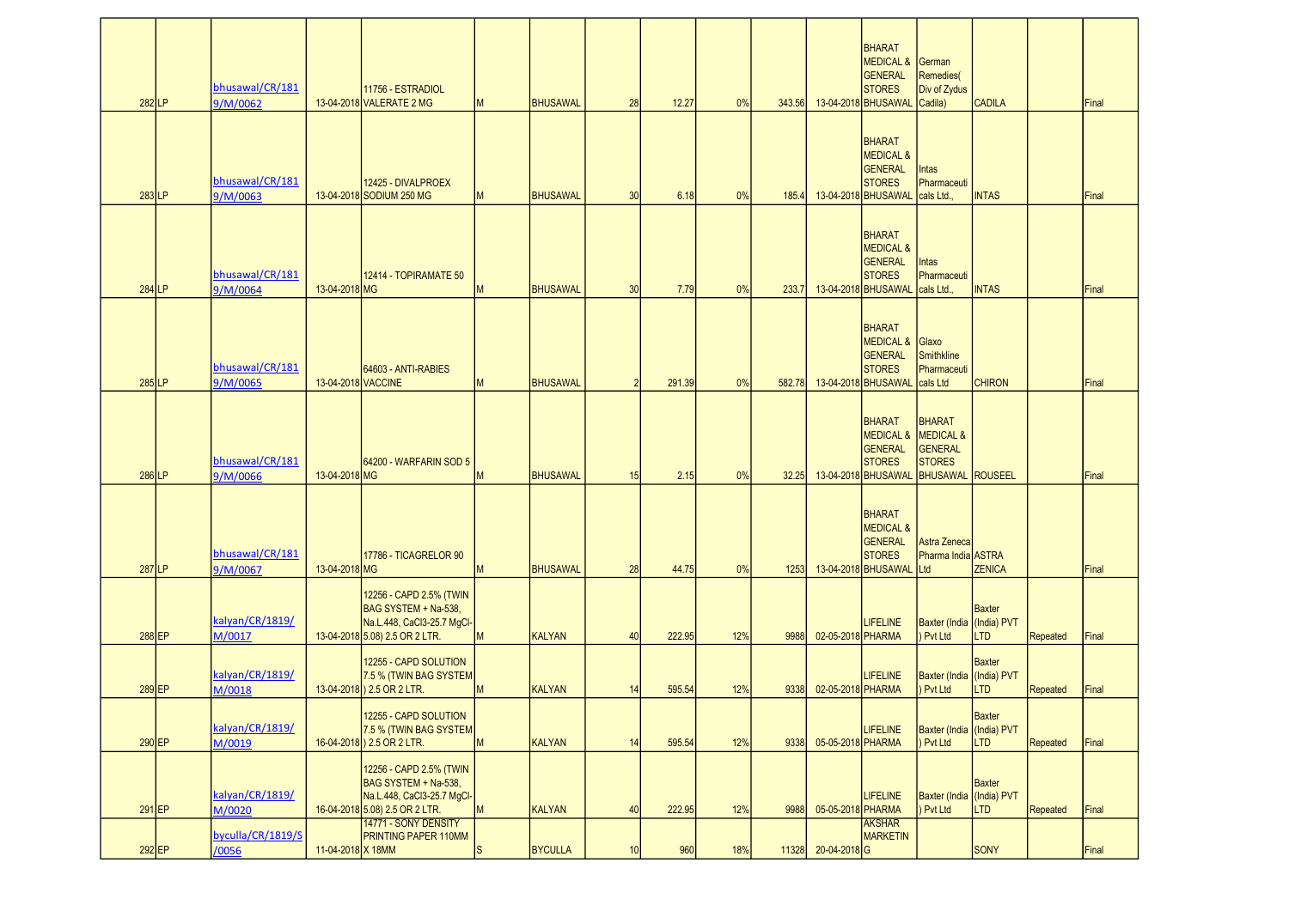| 282LP    | bhusawal/CR/181<br>9/M/0062 |                    | 11756 - ESTRADIOL<br>13-04-2018 VALERATE 2 MG                                                                                           | M            | <b>BHUSAWAL</b> | 28            | 12.27  | 0%  | 343.56 |                    | <b>BHARAT</b><br><b>MEDICAL &amp;</b><br><b>GENERAL</b><br><b>STORES</b><br>13-04-2018 BHUSAWAL | German<br><b>Remedies</b><br>Div of Zydus<br>Cadila)                                                              | <b>CADILA</b>               |                 | Final |
|----------|-----------------------------|--------------------|-----------------------------------------------------------------------------------------------------------------------------------------|--------------|-----------------|---------------|--------|-----|--------|--------------------|-------------------------------------------------------------------------------------------------|-------------------------------------------------------------------------------------------------------------------|-----------------------------|-----------------|-------|
| 283LP    | bhusawal/CR/181<br>9/M/0063 |                    | 12425 - DIVALPROEX<br>13-04-2018 SODIUM 250 MG                                                                                          | M            | <b>BHUSAWAL</b> | 30            | 6.18   | 0%  | 185.4  |                    | <b>BHARAT</b><br><b>MEDICAL &amp;</b><br><b>GENERAL</b><br><b>STORES</b><br>13-04-2018 BHUSAWAL | <b>Intas</b><br>Pharmaceuti<br>cals Ltd                                                                           | <b>INTAS</b>                |                 | Final |
| 284 LP   | bhusawal/CR/181<br>9/M/0064 | 13-04-2018 MG      | 12414 - TOPIRAMATE 50                                                                                                                   | M            | <b>BHUSAWAL</b> | 30            | 7.79   | 0%  | 233.7  |                    | <b>BHARAT</b><br><b>MEDICAL &amp;</b><br><b>GENERAL</b><br><b>STORES</b><br>13-04-2018 BHUSAWAL | <b>Intas</b><br>Pharmaceuti<br>cals Ltd.,                                                                         | <b>INTAS</b>                |                 | Final |
| 285 LP   | bhusawal/CR/181<br>9/M/0065 | 13-04-2018 VACCINE | 64603 - ANTI-RABIES                                                                                                                     | M            | <b>BHUSAWAL</b> | $\mathcal{P}$ | 291.39 | 0%  | 582.78 |                    | <b>BHARAT</b><br><b>MEDICAL &amp;</b><br><b>GENERAL</b><br><b>STORES</b><br>13-04-2018 BHUSAWAL | Glaxo<br><b>Smithkline</b><br>Pharmaceuti<br>cals Ltd                                                             | <b>CHIRON</b>               |                 | Final |
| 286 LP   | bhusawal/CR/181<br>9/M/0066 | 13-04-2018 MG      | 64200 - WARFARIN SOD 5                                                                                                                  | M            | <b>BHUSAWAL</b> | 15            | 2.15   | 0%  | 32.25  |                    | <b>BHARAT</b><br><b>GENERAL</b><br><b>STORES</b><br>13-04-2018 BHUSAWAL                         | <b>BHARAT</b><br><b>MEDICAL &amp; MEDICAL &amp;</b><br><b>GENERAL</b><br><b>STORES</b><br><b>BHUSAWAL ROUSEEL</b> |                             |                 | Final |
| 287 LP   | bhusawal/CR/181<br>9/M/0067 | 13-04-2018 MG      | 17786 - TICAGRELOR 90                                                                                                                   | M            | <b>BHUSAWAL</b> | 28            | 44.75  | 0%  | 1253   |                    | <b>BHARAT</b><br><b>MEDICAL &amp;</b><br><b>GENERAL</b><br><b>STORES</b><br>13-04-2018 BHUSAWAL | Astra Zeneca<br>Pharma India ASTRA<br>Ltd                                                                         | <b>ZENICA</b>               |                 | Final |
| 288 EP   | kalyan/CR/1819/<br>M/0017   |                    | 12256 - CAPD 2.5% (TWIN<br>BAG SYSTEM + Na-538,<br>Na.L.448, CaCl3-25.7 MgCl-<br>13-04-2018 5.08) 2.5 OR 2 LTR.                         | M            | <b>KALYAN</b>   | 40            | 222.95 | 12% | 9988   | 02-05-2018 PHARMA  | <b>LIFELINE</b>                                                                                 | Baxter (India (India) PVT<br>Pvt Ltd                                                                              | <b>Baxter</b><br><b>LTD</b> | <b>Repeated</b> | Final |
| 289 EP   | kalyan/CR/1819/<br>M/0018   |                    | 12255 - CAPD SOLUTION<br>7.5 % (TWIN BAG SYSTEM<br>13-04-2018) 2.5 OR 2 LTR.                                                            | M            | <b>KALYAN</b>   | 14            | 595.54 | 12% | 9338   | 02-05-2018 PHARMA  | <b>LIFELINE</b>                                                                                 | Baxter (India (India) PVT<br>Pvt Ltd                                                                              | <b>Baxter</b><br><b>LTD</b> | <b>Repeated</b> | Final |
| $290$ EP | kalvan/CR/1819/<br>M/0019   |                    | 12255 - CAPD SOLUTION<br>7.5 % (TWIN BAG SYSTEM<br>16-04-2018) 2.5 OR 2 LTR.                                                            | M            | <b>KALYAN</b>   | 14            | 595.54 | 12% | 9338   | 05-05-2018 PHARMA  | <b>LIFELINE</b>                                                                                 | Baxter (India (India) PVT<br>Pvt Ltd                                                                              | Baxter<br><b>LTD</b>        | <b>Repeated</b> | Final |
| $291$ EP | kalyan/CR/1819/<br>M/0020   |                    | 12256 - CAPD 2.5% (TWIN<br>BAG SYSTEM + Na-538,<br>Na.L.448, CaCl3-25.7 MgCl-<br>16-04-2018 5.08) 2.5 OR 2 LTR.<br>14771 - SONY DENSITY | M            | <b>KALYAN</b>   | 40            | 222.95 | 12% | 9988   | 05-05-2018 PHARMA  | <b>LIFELINE</b><br><b>AKSHAR</b>                                                                | Baxter (India (India) PVT<br>Pvt Ltd                                                                              | <b>Baxter</b><br><b>LTD</b> | <b>Repeated</b> | Final |
| 292 EP   | byculla/CR/1819/S<br>/0056  | 11-04-2018 X 18MM  | PRINTING PAPER 110MM                                                                                                                    | <sub>S</sub> | <b>BYCULLA</b>  | 10            | 960    | 18% | 11328  | $20 - 04 - 2018$ G | <b>MARKETIN</b>                                                                                 |                                                                                                                   | SONY                        |                 | Final |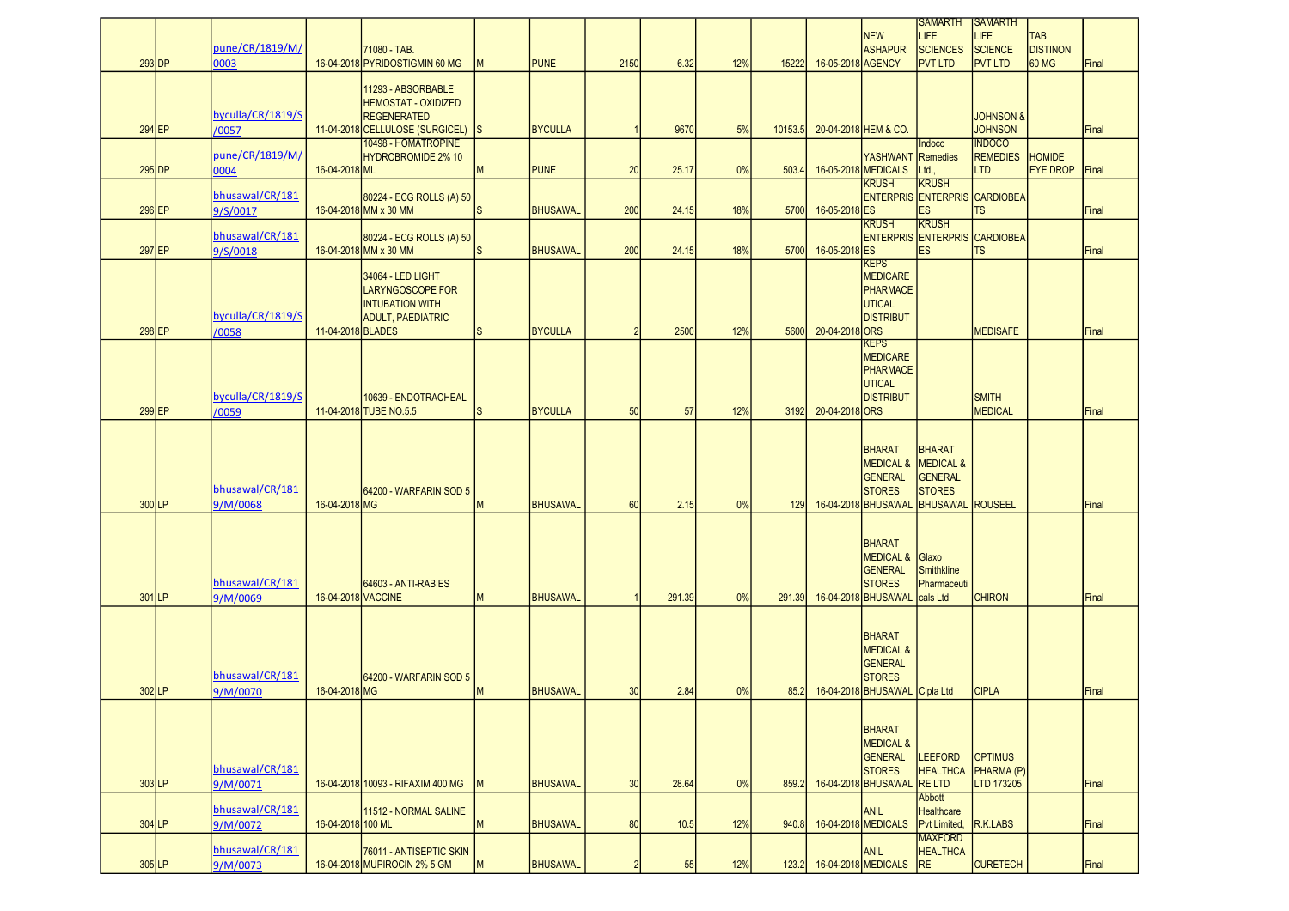|          |                             |                    |                                                         |               |                 |                |        |     |         |                   |                                                     | <b>SAMARTH</b>                                       | <b>ISAMARTH</b>                     |                               |       |
|----------|-----------------------------|--------------------|---------------------------------------------------------|---------------|-----------------|----------------|--------|-----|---------|-------------------|-----------------------------------------------------|------------------------------------------------------|-------------------------------------|-------------------------------|-------|
|          | pune/CR/1819/M/             |                    |                                                         |               |                 |                |        |     |         |                   | NEW<br>ASHAPURI                                     | LIFE<br><b>SCIENCES</b>                              | <b>LIFE</b><br>SCIENCE              | <b>TAB</b><br><b>DISTINON</b> |       |
| $293$ DP | 0003                        |                    | 71080 - TAB.<br>16-04-2018 PYRIDOSTIGMIN 60 MG          | M             | <b>PUNE</b>     | 2150           | 6.32   | 12% | 15222   | 16-05-2018 AGENCY |                                                     | <b>PVT LTD</b>                                       | <b>PVT LTD</b>                      | 60 MG                         | Final |
|          |                             |                    |                                                         |               |                 |                |        |     |         |                   |                                                     |                                                      |                                     |                               |       |
|          |                             |                    | 11293 - ABSORBABLE<br><b>HEMOSTAT - OXIDIZED</b>        |               |                 |                |        |     |         |                   |                                                     |                                                      |                                     |                               |       |
|          | byculla/CR/1819/S           |                    | <b>REGENERATED</b>                                      |               |                 |                |        |     |         |                   |                                                     |                                                      | <b>JOHNSON &amp;</b>                |                               |       |
| 294 EP   | /0057                       |                    | 11-04-2018 CELLULOSE (SURGICEL)                         | <sub>IS</sub> | <b>BYCULLA</b>  |                | 9670   | 5%  | 10153.5 |                   | 20-04-2018 HEM & CO.                                |                                                      | <b>JOHNSON</b>                      |                               | Final |
|          | pune/CR/1819/M/             |                    | 10498 - HOMATROPINE<br>HYDROBROMIDE 2% 10               |               |                 |                |        |     |         |                   | YASHWANT Remedies                                   | Indoco                                               | <b>INDOCO</b><br><b>REMEDIES</b>    | <b>HOMIDE</b>                 |       |
| $295$ DP | 0004                        | 16-04-2018 ML      |                                                         | M             | <b>PUNE</b>     | 20             | 25.17  | 0%  | 503.4   |                   | 16-05-2018 MEDICALS                                 | Ltd.                                                 | <b>LTD</b>                          | <b>EYE DROP</b>               | Final |
|          | bhusawal/CR/181             |                    | 80224 - ECG ROLLS (A) 50                                |               |                 |                |        |     |         |                   | <b>KRUSH</b>                                        | <b>KRUSH</b><br><b>ENTERPRIS ENTERPRIS CARDIOBEA</b> |                                     |                               |       |
| 296 EP   | 9/S/0017                    |                    | 16-04-2018 MM x 30 MM                                   | ls            | <b>BHUSAWAL</b> | 200            | 24.15  | 18% | 5700    | 16-05-2018 ES     |                                                     | ES                                                   | <b>TS</b>                           |                               | Final |
|          | bhusawal/CR/181             |                    |                                                         |               |                 |                |        |     |         |                   | <b>KRUSH</b>                                        | <b>KRUSH</b><br><b>ENTERPRIS ENTERPRIS CARDIOBEA</b> |                                     |                               |       |
| 297 EP   | 9/S/0018                    |                    | 80224 - ECG ROLLS (A) 50<br>16-04-2018 MM x 30 MM       | ls            | <b>BHUSAWAL</b> | 200            | 24.15  | 18% | 5700    | 16-05-2018 ES     |                                                     | ES                                                   | <b>TS</b>                           |                               | Final |
|          |                             |                    |                                                         |               |                 |                |        |     |         |                   | <b>KEPS</b>                                         |                                                      |                                     |                               |       |
|          |                             |                    | 34064 - LED LIGHT<br>LARYNGOSCOPE FOR                   |               |                 |                |        |     |         |                   | MEDICARE<br>PHARMACE                                |                                                      |                                     |                               |       |
|          |                             |                    | <b>INTUBATION WITH</b>                                  |               |                 |                |        |     |         |                   | UTICAL                                              |                                                      |                                     |                               |       |
| 298 EP   | byculla/CR/1819/S<br>/0058  | 11-04-2018 BLADES  | <b>ADULT, PAEDIATRIC</b>                                | ls            | <b>BYCULLA</b>  | $\overline{2}$ | 2500   | 12% | 5600    | 20-04-2018 ORS    | <b>DISTRIBUT</b>                                    |                                                      | <b>MEDISAFE</b>                     |                               | Final |
|          |                             |                    |                                                         |               |                 |                |        |     |         |                   | <b>KEPS</b>                                         |                                                      |                                     |                               |       |
|          |                             |                    |                                                         |               |                 |                |        |     |         |                   | MEDICARE<br>PHARMACE                                |                                                      |                                     |                               |       |
|          |                             |                    |                                                         |               |                 |                |        |     |         |                   | <b>UTICAL</b>                                       |                                                      |                                     |                               |       |
|          | byculla/CR/1819/S           |                    | 10639 - ENDOTRACHEAL                                    |               |                 |                |        |     |         |                   | DISTRIBUT                                           |                                                      | <b>SMITH</b>                        |                               |       |
| 299 EP   | /0059                       |                    | 11-04-2018 TUBE NO.5.5                                  | <sub>S</sub>  | <b>BYCULLA</b>  | 50             | 57     | 12% | 3192    | 20-04-2018 ORS    |                                                     |                                                      | <b>MEDICAL</b>                      |                               | Final |
|          |                             |                    |                                                         |               |                 |                |        |     |         |                   |                                                     |                                                      |                                     |                               |       |
|          |                             |                    |                                                         |               |                 |                |        |     |         |                   | <b>BHARAT</b><br><b>MEDICAL &amp; MEDICAL &amp;</b> | <b>BHARAT</b>                                        |                                     |                               |       |
|          |                             |                    |                                                         |               |                 |                |        |     |         |                   | <b>GENERAL</b>                                      | <b>GENERAL</b>                                       |                                     |                               |       |
| 300LP    | bhusawal/CR/181             | 16-04-2018 MG      | 64200 - WARFARIN SOD 5                                  | M             | <b>BHUSAWAL</b> | 60             | 2.15   | 0%  | 129     |                   | <b>STORES</b><br>16-04-2018 BHUSAWAL                | <b>STORES</b>                                        |                                     |                               | Final |
|          | 9/M/0068                    |                    |                                                         |               |                 |                |        |     |         |                   |                                                     | <b>BHUSAWAL ROUSEEL</b>                              |                                     |                               |       |
|          |                             |                    |                                                         |               |                 |                |        |     |         |                   |                                                     |                                                      |                                     |                               |       |
|          |                             |                    |                                                         |               |                 |                |        |     |         |                   | BHARAT<br>MEDICAL &                                 | Glaxo                                                |                                     |                               |       |
|          |                             |                    |                                                         |               |                 |                |        |     |         |                   | <b>GENERAL</b>                                      | Smithkline                                           |                                     |                               |       |
| 301 LP   | bhusawal/CR/181<br>9/M/0069 | 16-04-2018 VACCINE | 64603 - ANTI-RABIES                                     | M             | <b>BHUSAWAL</b> |                | 291.39 | 0%  | 291.39  |                   | <b>STORES</b><br>16-04-2018 BHUSAWAL                | Pharmaceuti<br>cals Ltd                              | <b>CHIRON</b>                       |                               | Final |
|          |                             |                    |                                                         |               |                 |                |        |     |         |                   |                                                     |                                                      |                                     |                               |       |
|          |                             |                    |                                                         |               |                 |                |        |     |         |                   | <b>BHARAT</b>                                       |                                                      |                                     |                               |       |
|          |                             |                    |                                                         |               |                 |                |        |     |         |                   | <b>MEDICAL &amp;</b>                                |                                                      |                                     |                               |       |
|          | bhusawal/CR/181             |                    |                                                         |               |                 |                |        |     |         |                   | GENERAL<br><b>STORES</b>                            |                                                      |                                     |                               |       |
| 302 LP   | 9/M/0070                    | 16-04-2018 MG      | 64200 - WARFARIN SOD 5                                  | M             | <b>BHUSAWAL</b> | 30             | 2.84   | 0%  | 85.2    |                   | 16-04-2018 BHUSAWAL Cipla Ltd                       |                                                      | <b>CIPLA</b>                        |                               | Final |
|          |                             |                    |                                                         |               |                 |                |        |     |         |                   |                                                     |                                                      |                                     |                               |       |
|          |                             |                    |                                                         |               |                 |                |        |     |         |                   | <b>BHARAT</b>                                       |                                                      |                                     |                               |       |
|          |                             |                    |                                                         |               |                 |                |        |     |         |                   | <b>MEDICAL &amp;</b>                                |                                                      |                                     |                               |       |
|          | bhusawal/CR/181             |                    |                                                         |               |                 |                |        |     |         |                   | GENERAL<br><b>STORES</b>                            | <b>LEEFORD</b><br><b>HEALTHCA</b>                    | <b>OPTIMUS</b><br><b>PHARMA</b> (P) |                               |       |
| 303 LP   | 9/M/0071                    |                    | 16-04-2018 10093 - RIFAXIM 400 MG                       | M             | <b>BHUSAWAL</b> | 30             | 28.64  | 0%  | 859.2   |                   | 16-04-2018 BHUSAWAL                                 | <b>RELTD</b>                                         | LTD 173205                          |                               | Final |
|          | bhusawal/CR/181             |                    | 11512 - NORMAL SALINE                                   |               |                 |                |        |     |         |                   | ANIL                                                | <b>Abbott</b><br><b>Healthcare</b>                   |                                     |                               |       |
| 304 LP   | 9/M/0072                    | 16-04-2018 100 ML  |                                                         | M             | <b>BHUSAWAL</b> | 80             | 10.5   | 12% | 940.8   |                   | 16-04-2018 MEDICALS                                 | Pvt Limited,                                         | R.K.LABS                            |                               | Final |
|          | bhusawal/CR/181             |                    |                                                         |               |                 |                |        |     |         |                   |                                                     | <b>MAXFORD</b>                                       |                                     |                               |       |
| $305$ LP | 9/M/0073                    |                    | 76011 - ANTISEPTIC SKIN<br>16-04-2018 MUPIROCIN 2% 5 GM | M             | <b>BHUSAWAL</b> | 2              | 55     | 12% | 123.2   |                   | ANIL<br>16-04-2018 MEDICALS                         | <b>HEALTHCA</b><br>RE                                | <b>CURETECH</b>                     |                               | Final |
|          |                             |                    |                                                         |               |                 |                |        |     |         |                   |                                                     |                                                      |                                     |                               |       |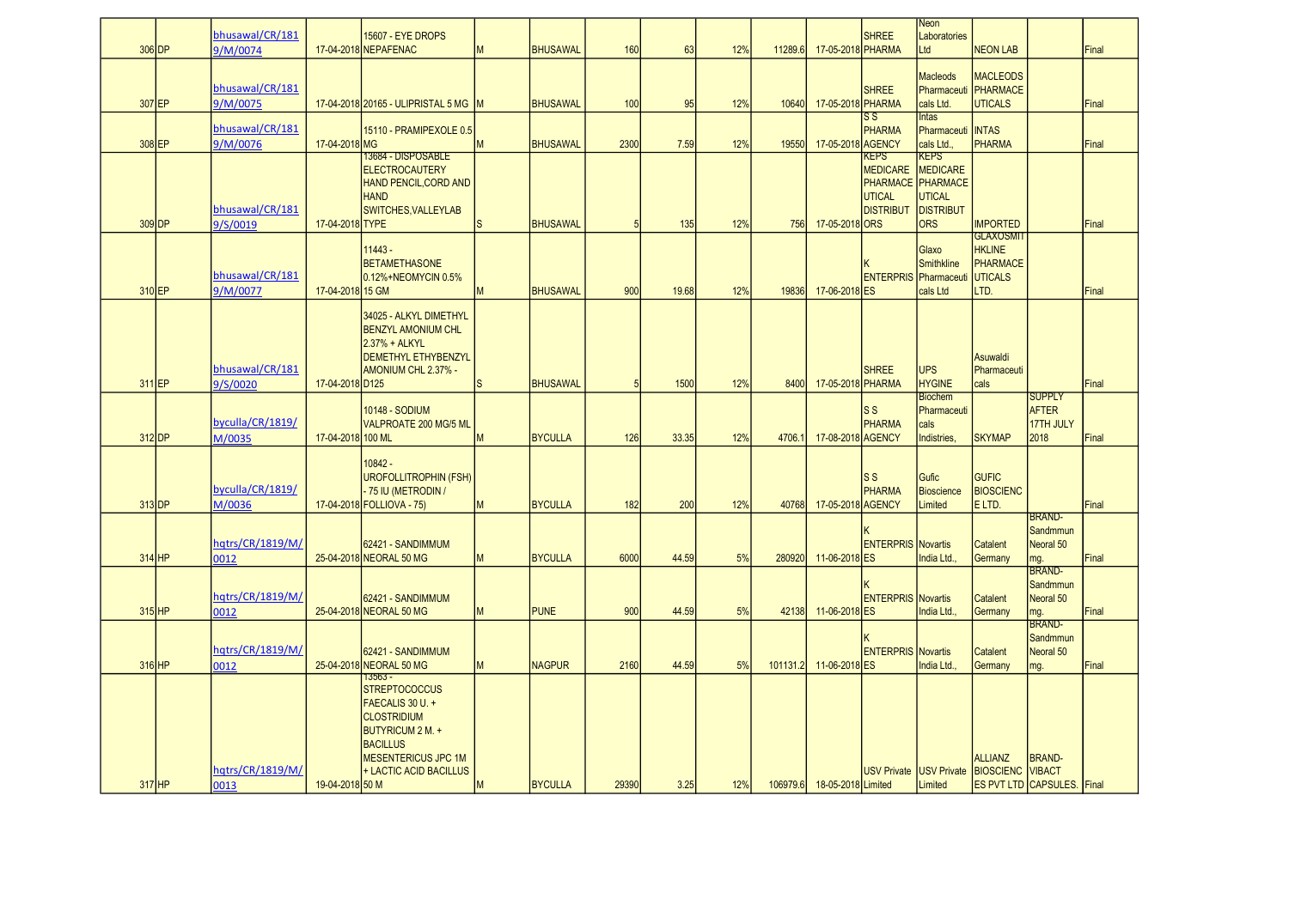| 306 DP              | bhusawal/CR/181<br>9/M/0074 |                   | 15607 - EYE DROPS<br>17-04-2018 NEPAFENAC                                                                                                                                  | M            | <b>BHUSAWAL</b> | 160             | 63    | 12% | 11289.6  | 17-05-2018 PHARMA           | <b>SHREE</b>                                                        | Neon<br>Laboratories<br>Ltd                                                                            | <b>NEON LAB</b>                                                  |                                                    | Final |
|---------------------|-----------------------------|-------------------|----------------------------------------------------------------------------------------------------------------------------------------------------------------------------|--------------|-----------------|-----------------|-------|-----|----------|-----------------------------|---------------------------------------------------------------------|--------------------------------------------------------------------------------------------------------|------------------------------------------------------------------|----------------------------------------------------|-------|
| 307 EP              | bhusawal/CR/181<br>9/M/0075 |                   | 17-04-2018 2016 5 - ULIPRISTAL 5 MG M                                                                                                                                      |              | <b>BHUSAWAL</b> | 10 <sub>C</sub> | 95    | 12% | 10640    | 17-05-2018 PHARMA           | <b>SHREE</b>                                                        | <b>Macleods</b><br>cals Ltd.                                                                           | <b>MACLEODS</b><br>Pharmaceuti PHARMACE<br><b>UTICALS</b>        |                                                    | Final |
| 308 EP              | bhusawal/CR/181<br>9/M/0076 | 17-04-2018 MG     | 15110 - PRAMIPEXOLE 0.5                                                                                                                                                    | M            | <b>BHUSAWAL</b> | 2300            | 7.59  | 12% | 19550    | 17-05-2018 AGENCY           | $\overline{\text{ss}}$<br><b>PHARMA</b>                             | <b>Intas</b><br>Pharmaceuti<br>cals Ltd.,                                                              | <b>INTAS</b><br><b>PHARMA</b>                                    |                                                    | Final |
| 309 DP              | bhusawal/CR/181<br>9/S/0019 | 17-04-2018 TYPE   | 13684 - DISPOSABLE<br><b>ELECTROCAUTERY</b><br>HAND PENCIL, CORD AND<br><b>HAND</b><br>SWITCHES, VALLEYLAB                                                                 | ls.          | <b>BHUSAWAL</b> | 5               | 135   | 12% | 756      | 17-05-2018 ORS              | <b>KEPS</b><br><b>MEDICARE</b><br><b>UTICAL</b><br><b>DISTRIBUT</b> | <b>KEPS</b><br><b>MEDICARE</b><br>PHARMACE PHARMACE<br><b>UTICAL</b><br><b>DISTRIBUT</b><br><b>ORS</b> | <b>IMPORTED</b>                                                  |                                                    | Final |
| 310 EP              | bhusawal/CR/181<br>9/M/0077 | 17-04-2018 15 GM  | $11443 -$<br><b>BETAMETHASONE</b><br>0.12%+NEOMYCIN 0.5%                                                                                                                   | M            | <b>BHUSAWAL</b> | 900             | 19.68 | 12% | 19836    | 17-06-2018 ES               | <b>ENTERPRIS</b> Pharmaceuti                                        | Glaxo<br><b>Smithkline</b><br>cals Ltd                                                                 | <b>GLAXOSMIT</b><br><b>HKLINE</b><br>PHARMACE<br>UTICALS<br>LTD. |                                                    | Final |
| 311 EP              | bhusawal/CR/181<br>9/S/0020 | 17-04-2018 D125   | 34025 - ALKYL DIMETHYL<br><b>BENZYL AMONIUM CHL</b><br>2.37% + ALKYL<br><b>DEMETHYL ETHYBENZYL</b><br>AMONIUM CHL 2.37% -                                                  | <sub>S</sub> | <b>BHUSAWAL</b> | 5               | 1500  | 12% | 8400     | 17-05-2018 PHARMA           | <b>SHREE</b>                                                        | <b>UPS</b><br><b>HYGINE</b>                                                                            | Asuwaldi<br>Pharmaceuti<br>cals                                  |                                                    | Final |
| 312 DP              | byculla/CR/1819/<br>M/0035  | 17-04-2018 100 ML | <b>10148 - SODIUM</b><br><b>VALPROATE 200 MG/5 ML</b>                                                                                                                      | M            | <b>BYCULLA</b>  | 126             | 33.35 | 12% | 4706.    | 17-08-2018 AGENCY           | $\overline{\mathsf{S}}$<br><b>PHARMA</b>                            | <b>Biochem</b><br>Pharmaceuti<br>cals<br>Indistries,                                                   | <b>SKYMAP</b>                                                    | <b>SUPPLY</b><br><b>AFTER</b><br>17TH JULY<br>2018 | Final |
| $313$ <sub>DP</sub> | byculla/CR/1819/<br>M/0036  |                   | $10842 -$<br><b>UROFOLLITROPHIN (FSH)</b><br>75 IU (METRODIN /<br>17-04-2018 FOLLIOVA - 75)                                                                                | M            | <b>BYCULLA</b>  | 182             | 200   | 12% | 40768    | 17-05-2018 AGENCY           | S <sub>S</sub><br><b>PHARMA</b>                                     | <b>Gufic</b><br><b>Bioscience</b><br>Limited                                                           | <b>GUFIC</b><br><b>BIOSCIENC</b><br>E LTD.                       |                                                    | Final |
| $314$ HP            | hqtrs/CR/1819/M/<br>0012    |                   | 62421 - SANDIMMUM<br>25-04-2018 NEORAL 50 MG                                                                                                                               | M            | <b>BYCULLA</b>  | 6000            | 44.59 | 5%  | 280920   | 11-06-2018 ES               | <b>ENTERPRIS Novartis</b>                                           | India Ltd.                                                                                             | <b>Catalent</b><br>Germany                                       | BRAND-<br>Sandmmun<br>Neoral 50<br>mg.             | Final |
| $315$ HP            | hqtrs/CR/1819/M/<br>0012    |                   | 62421 - SANDIMMUM<br>25-04-2018 NEORAL 50 MG                                                                                                                               | M            | <b>PUNE</b>     | 900             | 44.59 | 5%  | 42138    | 11-06-2018 ES               | <b>ENTERPRIS</b> Novartis                                           | India Ltd                                                                                              | Catalent<br>Germany                                              | <b>BRAND-</b><br>Sandmmun<br>Neoral 50<br>mg.      | Final |
| 316 HP              | hqtrs/CR/1819/M/<br>0012    |                   | 62421 - SANDIMMUM<br>25-04-2018 NEORAL 50 MG                                                                                                                               | M            | <b>NAGPUR</b>   | 2160            | 44.59 | 5%  | 101131.2 | 11-06-2018 ES               | <b>ENTERPRIS</b> Novartis                                           | India Ltd                                                                                              | <b>Catalent</b><br>Germany                                       | BRAND-<br>Sandmmun<br>Neoral 50<br>mg.             | Final |
| $317$ HP            | hatrs/CR/1819/M/<br>0013    | 19-04-2018 50 M   | $13563 -$<br><b>STREPTOCOCCUS</b><br>FAECALIS 30 U. +<br><b>CLOSTRIDIUM</b><br>BUTYRICUM 2 M. +<br><b>BACILLUS</b><br><b>MESENTERICUS JPC 1M</b><br>+ LACTIC ACID BACILLUS | M            | <b>BYCULLA</b>  | 29390           | 3.25  | 12% |          | 106979.6 18-05-2018 Limited |                                                                     | Limited                                                                                                | <b>ALLIANZ</b><br>USV Private USV Private BIOSCIENC VIBACT       | <b>BRAND-</b><br><b>ES PVT LTD CAPSULES.</b> Final |       |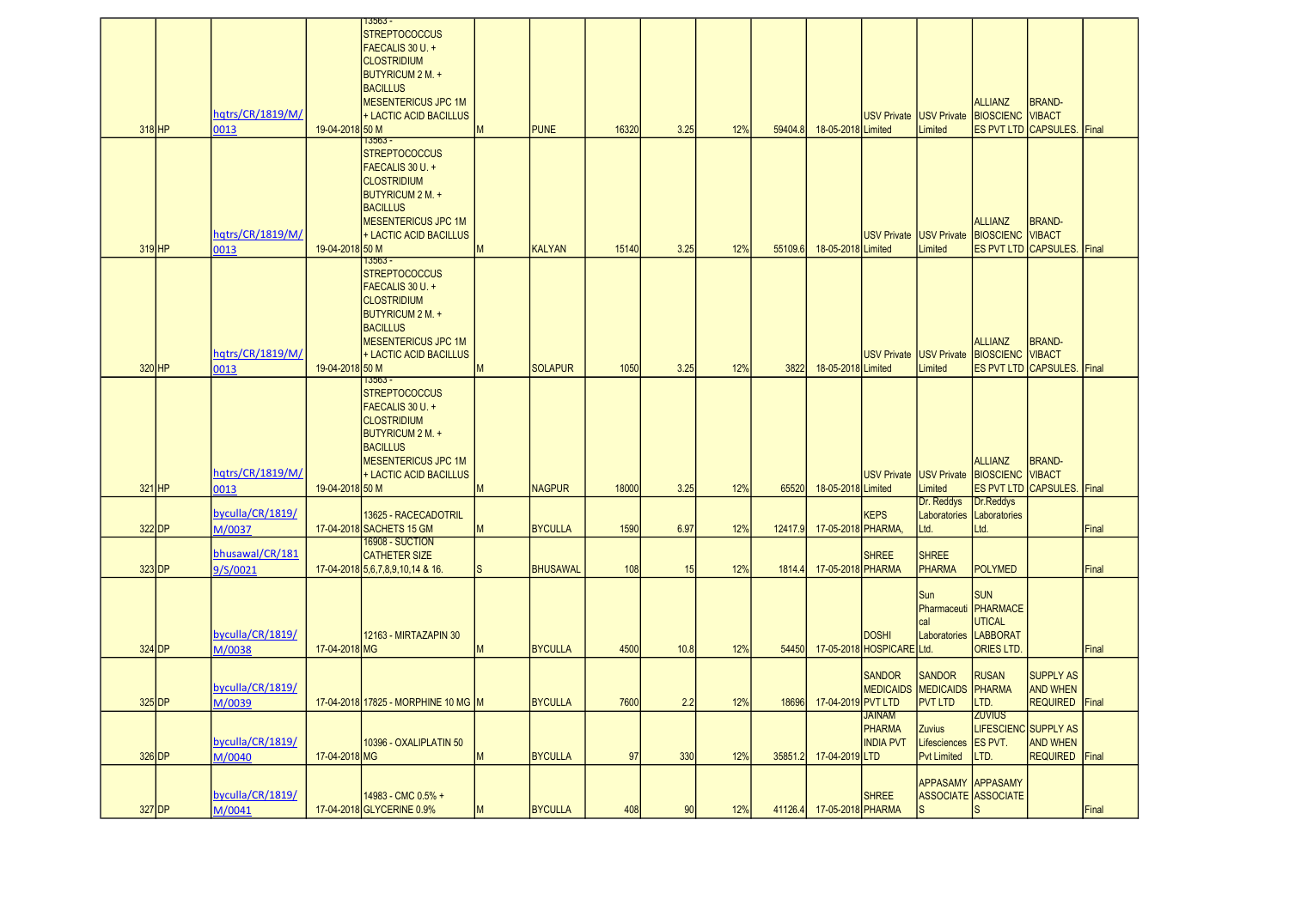|          |                             |                 | 13563 -<br><b>STREPTOCOCCUS</b>                          |   |                 |       |      |     |         |                          |                            |                                       |                                                        |                                   |       |
|----------|-----------------------------|-----------------|----------------------------------------------------------|---|-----------------|-------|------|-----|---------|--------------------------|----------------------------|---------------------------------------|--------------------------------------------------------|-----------------------------------|-------|
|          |                             |                 | FAECALIS 30 U. +                                         |   |                 |       |      |     |         |                          |                            |                                       |                                                        |                                   |       |
|          |                             |                 | <b>CLOSTRIDIUM</b>                                       |   |                 |       |      |     |         |                          |                            |                                       |                                                        |                                   |       |
|          |                             |                 | BUTYRICUM 2 M. +<br><b>BACILLUS</b>                      |   |                 |       |      |     |         |                          |                            |                                       |                                                        |                                   |       |
|          |                             |                 | <b>MESENTERICUS JPC 1M</b>                               |   |                 |       |      |     |         |                          |                            |                                       | <b>ALLIANZ</b>                                         | <b>BRAND-</b>                     |       |
|          | hqtrs/CR/1819/M/            |                 | + LACTIC ACID BACILLUS                                   |   |                 |       |      |     |         |                          |                            |                                       | USV Private USV Private BIOSCIENC VIBACT               |                                   |       |
| $318$ HP | 0013                        | 19-04-2018 50 M |                                                          | M | <b>PUNE</b>     | 16320 | 3.25 | 12% | 59404.8 | 18-05-2018 Limited       |                            | Limited                               |                                                        | <b>ES PVT LTD CAPSULES. Final</b> |       |
|          |                             |                 | $13563 -$<br><b>STREPTOCOCCUS</b>                        |   |                 |       |      |     |         |                          |                            |                                       |                                                        |                                   |       |
|          |                             |                 | FAECALIS 30 U. +                                         |   |                 |       |      |     |         |                          |                            |                                       |                                                        |                                   |       |
|          |                             |                 | <b>CLOSTRIDIUM</b>                                       |   |                 |       |      |     |         |                          |                            |                                       |                                                        |                                   |       |
|          |                             |                 | <b>BUTYRICUM 2 M. +</b>                                  |   |                 |       |      |     |         |                          |                            |                                       |                                                        |                                   |       |
|          |                             |                 | <b>BACILLUS</b><br><b>MESENTERICUS JPC 1M</b>            |   |                 |       |      |     |         |                          |                            |                                       | <b>ALLIANZ</b>                                         | <b>BRAND-</b>                     |       |
|          | hqtrs/CR/1819/M/            |                 | + LACTIC ACID BACILLUS                                   |   |                 |       |      |     |         |                          |                            |                                       | USV Private USV Private BIOSCIENC VIBACT               |                                   |       |
| $319$ HP | 0013                        | 19-04-2018 50 M |                                                          | M | <b>KALYAN</b>   | 15140 | 3.25 | 12% | 55109.6 | 18-05-2018 Limited       |                            | Limited                               |                                                        | ES PVT LTD CAPSULES. Final        |       |
|          |                             |                 | $73563 -$<br><b>STREPTOCOCCUS</b>                        |   |                 |       |      |     |         |                          |                            |                                       |                                                        |                                   |       |
|          |                             |                 | FAECALIS 30 U. +                                         |   |                 |       |      |     |         |                          |                            |                                       |                                                        |                                   |       |
|          |                             |                 | <b>CLOSTRIDIUM</b>                                       |   |                 |       |      |     |         |                          |                            |                                       |                                                        |                                   |       |
|          |                             |                 | <b>BUTYRICUM 2 M. +</b><br><b>BACILLUS</b>               |   |                 |       |      |     |         |                          |                            |                                       |                                                        |                                   |       |
|          |                             |                 | <b>MESENTERICUS JPC 1M</b>                               |   |                 |       |      |     |         |                          |                            |                                       | <b>ALLIANZ</b>                                         | <b>BRAND-</b>                     |       |
|          | hatrs/CR/1819/M/            |                 | + LACTIC ACID BACILLUS                                   |   |                 |       |      |     |         |                          |                            |                                       | USV Private USV Private BIOSCIENC VIBACT               |                                   |       |
| $320$ HP | 0013                        | 19-04-2018 50 M |                                                          | M | <b>SOLAPUR</b>  | 1050  | 3.25 | 12% | 3822    | 18-05-2018 Limited       |                            | Limited                               |                                                        | <b>ES PVT LTD CAPSULES. Final</b> |       |
|          |                             |                 | 13563 -<br><b>STREPTOCOCCUS</b>                          |   |                 |       |      |     |         |                          |                            |                                       |                                                        |                                   |       |
|          |                             |                 | FAECALIS 30 U. +                                         |   |                 |       |      |     |         |                          |                            |                                       |                                                        |                                   |       |
|          |                             |                 | <b>CLOSTRIDIUM</b>                                       |   |                 |       |      |     |         |                          |                            |                                       |                                                        |                                   |       |
|          |                             |                 | <b>BUTYRICUM 2 M. +</b><br><b>BACILLUS</b>               |   |                 |       |      |     |         |                          |                            |                                       |                                                        |                                   |       |
|          |                             |                 | <b>MESENTERICUS JPC 1M</b>                               |   |                 |       |      |     |         |                          |                            |                                       | <b>ALLIANZ</b>                                         | <b>BRAND-</b>                     |       |
|          | hqtrs/CR/1819/M/            |                 | + LACTIC ACID BACILLUS                                   |   |                 |       |      |     |         |                          |                            |                                       | USV Private USV Private BIOSCIENC VIBACT               |                                   |       |
| $321$ HP | 0013                        | 19-04-2018 50 M |                                                          | M | <b>NAGPUR</b>   | 18000 | 3.25 | 12% | 65520   | 18-05-2018 Limited       |                            | Limited                               |                                                        | ES PVT LTD CAPSULES. Final        |       |
|          | byculla/CR/1819/            |                 | 13625 - RACECADOTRIL                                     |   |                 |       |      |     |         |                          | <b>KEPS</b>                | Dr. Reddys                            | Dr.Reddys<br>Laboratories Laboratories                 |                                   |       |
| $322$ DP | M/0037                      |                 | 17-04-2018 SACHETS 15 GM                                 |   | <b>BYCULLA</b>  | 1590  | 6.97 | 12% | 12417.9 | 17-05-2018 PHARMA        |                            | Ltd.                                  | Ltd.                                                   |                                   | Final |
|          |                             |                 | 16908 - SUCTION                                          |   |                 |       |      |     |         |                          |                            |                                       |                                                        |                                   |       |
| $323$ DP | bhusawal/CR/181<br>9/S/0021 |                 | <b>CATHETER SIZE</b><br>17-04-2018 5,6,7,8,9,10,14 & 16. | S | <b>BHUSAWAL</b> | 108   | 15   | 12% | 1814.4  | 17-05-2018 PHARMA        | <b>SHREE</b>               | <b>SHREE</b><br>PHARMA                | <b>POLYMED</b>                                         |                                   | Final |
|          |                             |                 |                                                          |   |                 |       |      |     |         |                          |                            |                                       |                                                        |                                   |       |
|          |                             |                 |                                                          |   |                 |       |      |     |         |                          |                            | Sun                                   | <b>SUN</b>                                             |                                   |       |
|          |                             |                 |                                                          |   |                 |       |      |     |         |                          |                            | cal                                   | Pharmaceuti PHARMACE<br><b>UTICAL</b>                  |                                   |       |
|          | byculla/CR/1819/            |                 | 12163 - MIRTAZAPIN 30                                    |   |                 |       |      |     |         |                          | <b>DOSHI</b>               |                                       | Laboratories LABBORAT                                  |                                   |       |
| $324$ DP | M/0038                      | 17-04-2018 MG   |                                                          | M | <b>BYCULLA</b>  | 4500  | 10.8 | 12% | 54450   |                          | 17-05-2018 HOSPICARE Ltd.  |                                       | <b>ORIES LTD</b>                                       |                                   | Final |
|          |                             |                 |                                                          |   |                 |       |      |     |         |                          |                            | <b>SANDOR</b>                         | <b>RUSAN</b>                                           | <b>SUPPLY AS</b>                  |       |
|          | byculla/CR/1819/            |                 |                                                          |   |                 |       |      |     |         |                          | <b>SANDOR</b>              | <b>MEDICAIDS MEDICAIDS PHARMA</b>     |                                                        | <b>AND WHEN</b>                   |       |
| $325$ DP | M/0039                      |                 | 17-04-2018 17825 - MORPHINE 10 MG M                      |   | <b>BYCULLA</b>  | 7600  | 2.2  | 12% |         | 18696 17-04-2019 PVT LTD |                            | <b>PVT LTD</b>                        | LTD.                                                   | REQUIRED Final                    |       |
|          |                             |                 |                                                          |   |                 |       |      |     |         |                          | <b>JAINAM</b>              |                                       | <b>ZUVIUS</b>                                          |                                   |       |
|          | byculla/CR/1819/            |                 | 10396 - OXALIPLATIN 50                                   |   |                 |       |      |     |         |                          | PHARMA<br><b>INDIA PVT</b> | <b>Zuvius</b><br>Lifesciences ES PVT. | LIFESCIENC SUPPLY AS                                   | <b>AND WHEN</b>                   |       |
| $326$ DP | M/0040                      | 17-04-2018 MG   |                                                          | M | <b>BYCULLA</b>  | 97    | 330  | 12% | 35851.2 | 17-04-2019 LTD           |                            | <b>Pvt Limited</b>                    | LTD.                                                   | REQUIRED Final                    |       |
|          |                             |                 |                                                          |   |                 |       |      |     |         |                          |                            |                                       |                                                        |                                   |       |
|          | byculla/CR/1819/            |                 | 14983 - CMC 0.5% +                                       |   |                 |       |      |     |         |                          | <b>SHREE</b>               |                                       | <b>APPASAMY APPASAMY</b><br><b>ASSOCIATE ASSOCIATE</b> |                                   |       |
| $327$ DP | M/0041                      |                 | 17-04-2018 GLYCERINE 0.9%                                | M | <b>BYCULLA</b>  | 408   | 90   | 12% | 41126.4 | 17-05-2018 PHARMA        |                            | ls                                    | ls.                                                    |                                   | Final |
|          |                             |                 |                                                          |   |                 |       |      |     |         |                          |                            |                                       |                                                        |                                   |       |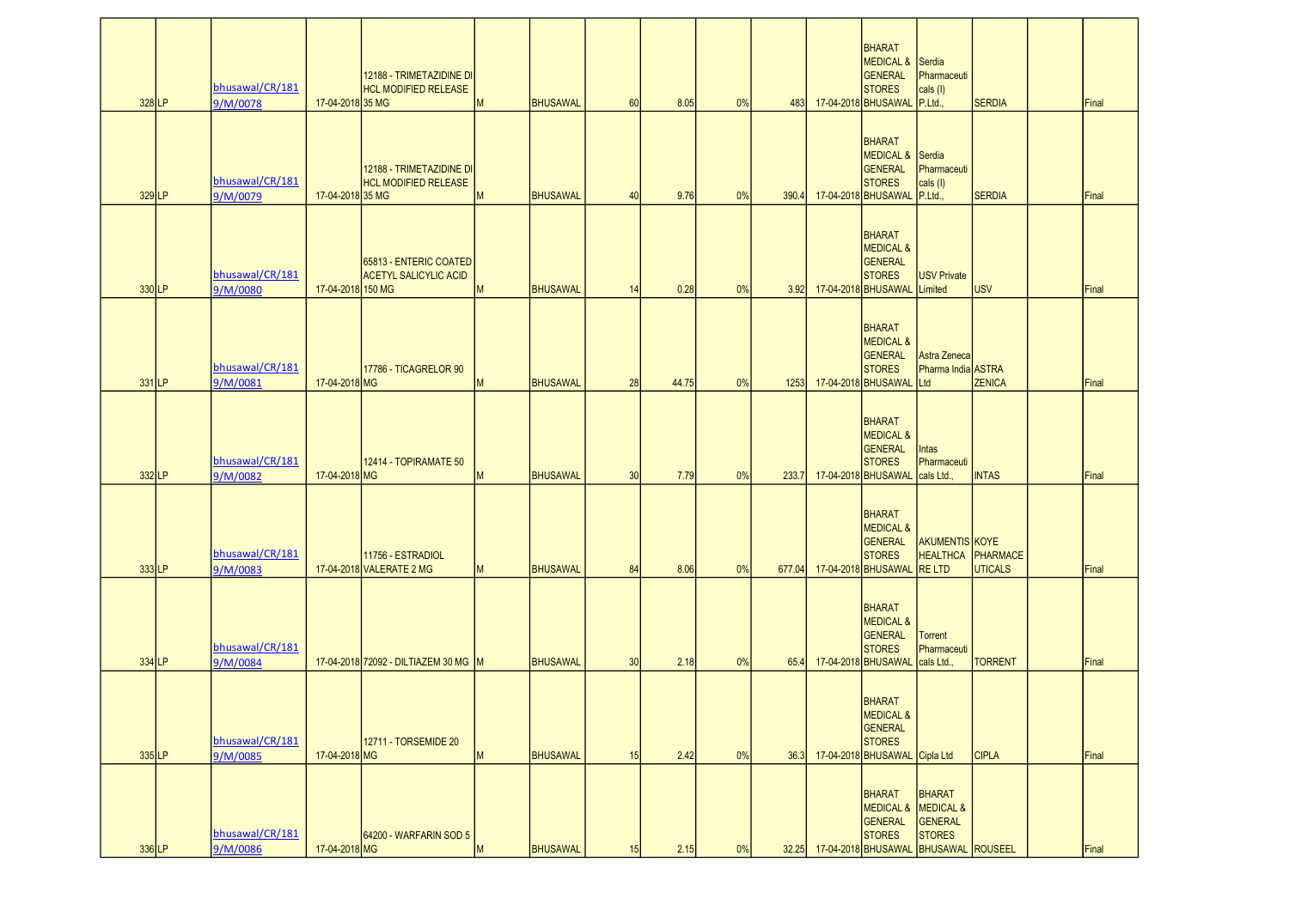| 328 LP   | bhusawal/CR/181<br>9/M/0078             | 17-04-2018 35 MG  | 12188 - TRIMETAZIDINE DI<br><b>HCL MODIFIED RELEASE</b>             | M      | <b>BHUSAWAL</b> | 60       | 8.05  | 0% |               | <b>BHARAT</b><br>MEDICAL & Serdia<br>GENERAL<br><b>STORES</b><br>483 17-04-2018 BHUSAWAL P.Ltd.,      | Pharmaceuti<br>cals (I)                                                                                         | <b>SERDIA</b>                              | Final          |
|----------|-----------------------------------------|-------------------|---------------------------------------------------------------------|--------|-----------------|----------|-------|----|---------------|-------------------------------------------------------------------------------------------------------|-----------------------------------------------------------------------------------------------------------------|--------------------------------------------|----------------|
| 329 LP   | bhusawal/CR/181<br>9/M/0079             | 17-04-2018 35 MG  | 12188 - TRIMETAZIDINE DI<br><b>HCL MODIFIED RELEASE</b>             | M      | <b>BHUSAWAL</b> | 40       | 9.76  | 0% | 390.4         | <b>BHARAT</b><br>MEDICAL & Serdia<br><b>GENERAL</b><br><b>STORES</b><br>17-04-2018 BHUSAWAL P.Ltd.,   | Pharmaceuti<br>$\vert$ cals $\vert$                                                                             | <b>SERDIA</b>                              | Final          |
| 330LP    | bhusawal/CR/181<br>9/M/0080             | 17-04-2018 150 MG | 65813 - ENTERIC COATED<br><b>ACETYL SALICYLIC ACID</b>              | M      | BHUSAWAL        | 14       | 0.28  | 0% |               | <b>BHARAT</b><br><b>MEDICAL &amp;</b><br>GENERAL<br><b>STORES</b><br>3.92 17-04-2018 BHUSAWAL Limited | <b>USV Private</b>                                                                                              | <b>USV</b>                                 | Final          |
| $331$ LP | bhusawal/CR/181<br>9/M/0081             | 17-04-2018 MG     | 17786 - TICAGRELOR 90                                               | M      | <b>BHUSAWAL</b> | 28       | 44.75 | 0% | 1253          | BHARAT<br><b>MEDICAL &amp;</b><br><b>GENERAL</b><br><b>STORES</b><br>17-04-2018 BHUSAWAL Ltd          | Astra Zeneca<br>Pharma India ASTRA                                                                              | <b>ZENICA</b>                              | Final          |
| 332LP    | bhusawal/CR/181<br>9/M/0082             | 17-04-2018 MG     | 12414 - TOPIRAMATE 50                                               | M      | <b>BHUSAWAL</b> | 30       | 7.79  | 0% | 233.7         | BHARAT<br><b>MEDICAL &amp;</b><br><b>GENERAL</b><br><b>STORES</b><br>17-04-2018 BHUSAWAL              | <b>Intas</b><br>Pharmaceuti<br>cals Ltd.,                                                                       | <b>INTAS</b>                               | Final          |
| 333LP    | bhusawal/CR/181                         |                   | 11756 - ESTRADIOL<br>17-04-2018 VALERATE 2 MG                       | M      | <b>BHUSAWAL</b> | 84       | 8.06  | 0% | 677.04        | <b>BHARAT</b><br><b>MEDICAL &amp;</b><br>GENERAL<br><b>STORES</b><br>17-04-2018 BHUSAWAL              | AKUMENTIS KOYE<br><b>RELTD</b>                                                                                  | <b>HEALTHCA PHARMACE</b><br><b>UTICALS</b> | Final          |
| 334 LP   | 9/M/0083<br>bhusawal/CR/181             |                   |                                                                     |        | <b>BHUSAWAL</b> | 30       | 2.18  | 0% |               | BHARAT<br><b>MEDICAL &amp;</b><br><b>GENERAL</b><br><b>STORES</b><br>17-04-2018 BHUSAWAL cals Ltd.,   | <b>Torrent</b><br>Pharmaceuti                                                                                   | <b>TORRENT</b>                             | Final          |
| $335$ LP | 9/M/0084<br>bhusawal/CR/181             | 17-04-2018 MG     | 17-04-2018 72092 - DILTIAZEM 30 MG M<br><b>12711 - TORSEMIDE 20</b> |        | <b>BHUSAWAL</b> |          | 2.42  | 0% | 65.4          | BHARAT<br><b>MEDICAL &amp;</b><br>GENERAL<br><b>STORES</b><br>17-04-2018 BHUSAWAL Cipla Ltd           |                                                                                                                 | <b>CIPLA</b>                               |                |
| 336 LP   | 9/M/0085<br>bhusawal/CR/181<br>9/M/0086 | 17-04-2018 MG     | 64200 - WARFARIN SOD 5                                              | M<br>M | BHUSAWAL        | 15<br>15 | 2.15  | 0% | 36.3<br>32.25 | <b>BHARAT</b><br>GENERAL<br><b>STORES</b>                                                             | <b>BHARAT</b><br>MEDICAL & MEDICAL &<br><b>GENERAL</b><br><b>STORES</b><br>17-04-2018 BHUSAWAL BHUSAWAL ROUSEEL |                                            | Final<br>Final |
|          |                                         |                   |                                                                     |        |                 |          |       |    |               |                                                                                                       |                                                                                                                 |                                            |                |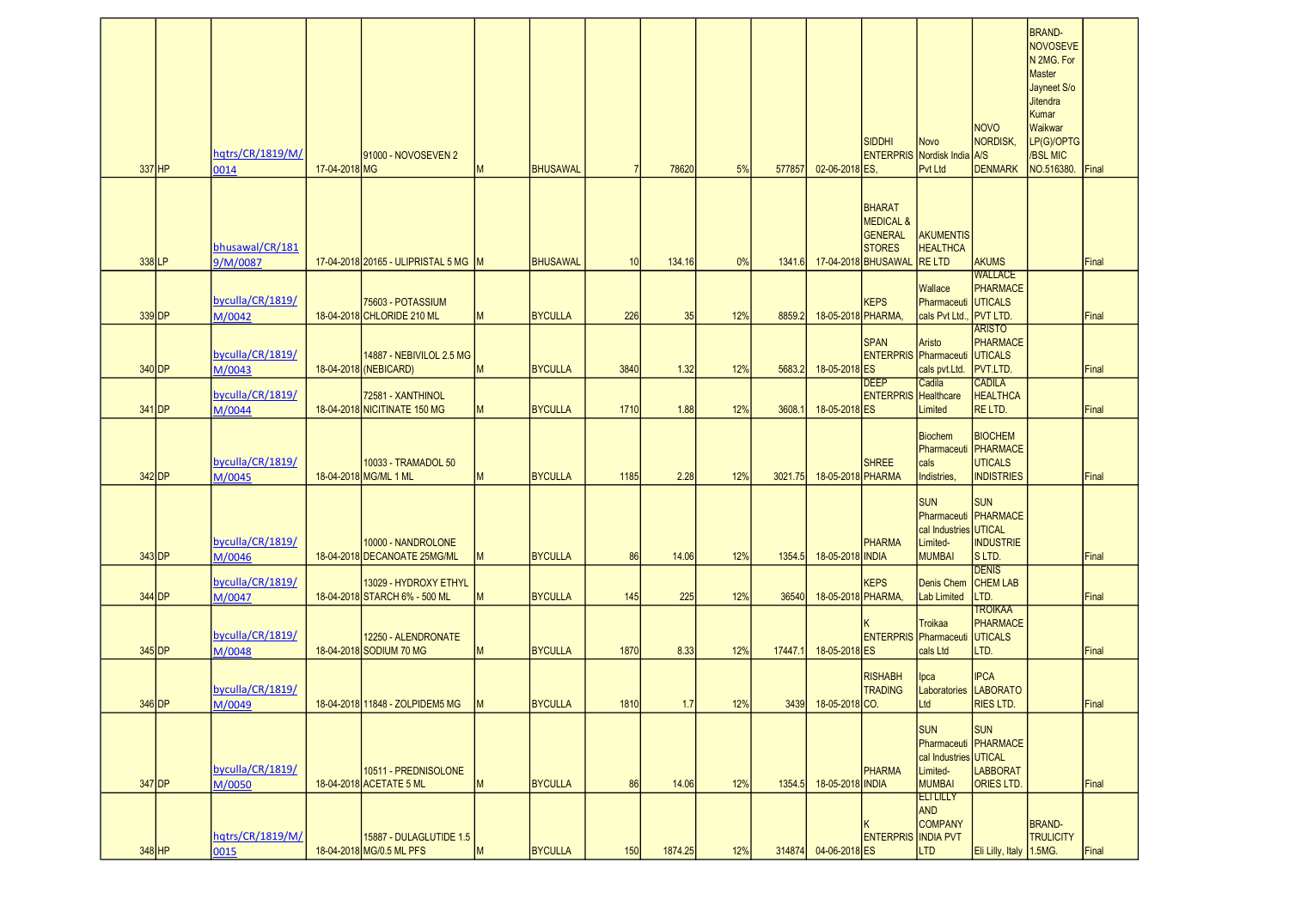|        |          |                             |               |                                                        |   |                 |      |         |     |         |                      | <b>SIDDHI</b>                                                                                   | <b>Novo</b>                                                                              | <b>NOVO</b><br>NORDISK,                                                       | <b>BRAND-</b><br>NOVOSEVE<br>N 2MG. For<br><b>Master</b><br>Jayneet S/o<br><b>Jitendra</b><br>Kumar<br>Waikwar<br>LP(G)/OPTG |       |
|--------|----------|-----------------------------|---------------|--------------------------------------------------------|---|-----------------|------|---------|-----|---------|----------------------|-------------------------------------------------------------------------------------------------|------------------------------------------------------------------------------------------|-------------------------------------------------------------------------------|------------------------------------------------------------------------------------------------------------------------------|-------|
| 337 HP |          | hqtrs/CR/1819/M/<br>0014    | 17-04-2018 MG | 91000 - NOVOSEVEN 2                                    | M | <b>BHUSAWAL</b> |      | 78620   | 5%  | 577857  | 02-06-2018 ES,       |                                                                                                 | <b>ENTERPRIS Nordisk India A/S</b><br><b>Pvt Ltd</b>                                     | <b>DENMARK</b>                                                                | /BSL MIC<br>NO.516380.                                                                                                       | Final |
|        |          |                             |               |                                                        |   |                 |      |         |     |         |                      |                                                                                                 |                                                                                          |                                                                               |                                                                                                                              |       |
| 338 LP |          | bhusawal/CR/181<br>9/M/0087 |               | 17-04-2018 20165 - ULIPRISTAL 5 MG M                   |   | <b>BHUSAWAL</b> | 10   | 134.16  | 0%  | 1341.6  |                      | <b>BHARAT</b><br><b>MEDICAL &amp;</b><br><b>GENERAL</b><br><b>STORES</b><br>17-04-2018 BHUSAWAL | <b>AKUMENTIS</b><br><b>HEALTHCA</b><br><b>RELTD</b>                                      | <b>AKUMS</b>                                                                  |                                                                                                                              | Final |
|        | 339 DP   | byculla/CR/1819/<br>M/0042  |               | 75603 - POTASSIUM<br>18-04-2018 CHLORIDE 210 ML        | M | <b>BYCULLA</b>  | 226  | 35      | 12% | 8859.2  | 18-05-2018 PHARMA,   | <b>KEPS</b>                                                                                     | Wallace<br>Pharmaceuti UTICALS<br>cals Pvt Ltd.                                          | <b>WALLACE</b><br>PHARMACE<br><b>PVT LTD.</b>                                 |                                                                                                                              | Final |
|        | 340 DP   | byculla/CR/1819/<br>M/0043  |               | 14887 - NEBIVILOL 2.5 MG<br>18-04-2018 (NEBICARD)      | M | <b>BYCULLA</b>  | 3840 | 1.32    | 12% | 5683.2  | 18-05-2018 ES        | <b>SPAN</b>                                                                                     | Aristo<br><b>ENTERPRIS Pharmaceuti UTICALS</b><br>cals pvt.Ltd.                          | <b>ARISTO</b><br>PHARMACE<br>PVT.LTD.                                         |                                                                                                                              | Final |
|        | 341 DP   | byculla/CR/1819/<br>M/0044  |               | 72581 - XANTHINOL<br>18-04-2018 NICITINATE 150 MG      | М | <b>BYCULLA</b>  | 1710 | 1.88    | 12% | 3608.   | 18-05-2018 ES        | <b>DEEP</b><br><b>ENTERPRIS</b> Healthcare                                                      | Cadila<br>Limited                                                                        | <b>CADILA</b><br><b>HEALTHCA</b><br>RE LTD.                                   |                                                                                                                              | Final |
| 342 DP |          | byculla/CR/1819/<br>M/0045  |               | 10033 - TRAMADOL 50<br>18-04-2018 MG/ML 1 ML           |   | <b>BYCULLA</b>  | 1185 | 2.28    | 12% | 3021.75 | 18-05-2018 PHARMA    | <b>SHREE</b>                                                                                    | <b>Biochem</b><br>cals<br>Indistries,                                                    | <b>BIOCHEM</b><br>Pharmaceuti PHARMACE<br><b>UTICALS</b><br><b>INDISTRIES</b> |                                                                                                                              | Final |
|        | 343 DP   | byculla/CR/1819/<br>M/0046  |               | 10000 - NANDROLONE<br>18-04-2018 DECANOATE 25MG/ML     | M | <b>BYCULLA</b>  | 86   | 14.06   | 12% | 1354.5  | 18-05-2018 INDIA     | <b>PHARMA</b>                                                                                   | <b>SUN</b><br>cal Industries UTICAL<br>Limited-<br><b>MUMBAI</b>                         | <b>SUN</b><br>Pharmaceuti PHARMACE<br><b>INDUSTRIE</b><br>S LTD.              |                                                                                                                              | Final |
|        | 344 DP   | byculla/CR/1819/<br>M/0047  |               | 13029 - HYDROXY ETHYL<br>18-04-2018 STARCH 6% - 500 ML | м | <b>BYCULLA</b>  | 145  | 225     | 12% | 36540   | 18-05-2018 PHARMA,   | <b>KEPS</b>                                                                                     | <b>Denis Chem</b><br>Lab Limited                                                         | <b>DENIS</b><br><b>CHEM LAB</b><br>LTD.                                       |                                                                                                                              | Final |
|        | 345 DP   | byculla/CR/1819/<br>M/0048  |               | 12250 - ALENDRONATE<br>18-04-2018 SODIUM 70 MG         | M | <b>BYCULLA</b>  | 1870 | 8.33    | 12% | 17447.1 | 18-05-2018 ES        | <b>ENTERPRIS</b> Pharmaceuti                                                                    | <b>Troikaa</b><br>cals Ltd                                                               | <b>TROIKAA</b><br>PHARMACE<br>UTICALS<br>LTD.                                 |                                                                                                                              | Final |
| 346 DP |          | byculla/CR/1819/<br>M/0049  |               | 18-04-2018 11848 - ZOLPIDEM5 MG                        |   | <b>BYCULLA</b>  | 1810 | 1.7     | 12% |         | 3439 18-05-2018 CO.  | <b>RISHABH</b><br><b>TRADING</b>                                                                | Ipca<br>Laboratories LABORATO<br>Ltd                                                     | <b>IPCA</b><br><b>RIES LTD.</b>                                               |                                                                                                                              | Final |
|        | $347$ DP | byculla/CR/1819/<br>M/0050  |               | 10511 - PREDNISOLONE<br>18-04-2018 ACETATE 5 ML        | M | <b>BYCULLA</b>  | 86   | 14.06   | 12% | 1354.5  | 18-05-2018 INDIA     | <b>PHARMA</b>                                                                                   | <b>SUN</b><br>Pharmaceuti PHARMACE<br>cal Industries UTICAL<br>Limited-<br><b>MUMBAI</b> | <b>SUN</b><br><b>LABBORAT</b><br><b>ORIES LTD.</b>                            |                                                                                                                              | Final |
| 348 HP |          | hqtrs/CR/1819/M/<br>0015    |               | 15887 - DULAGLUTIDE 1.5<br>18-04-2018 MG/0.5 ML PFS    | M | <b>BYCULLA</b>  | 150  | 1874.25 | 12% |         | 314874 04-06-2018 ES | <b>ENTERPRIS INDIA PVT</b>                                                                      | <b>ELILILLY</b><br><b>AND</b><br><b>COMPANY</b><br>LTD                                   | Eli Lilly, Italy 1.5MG.                                                       | <b>BRAND-</b><br><b>TRULICITY</b>                                                                                            | Final |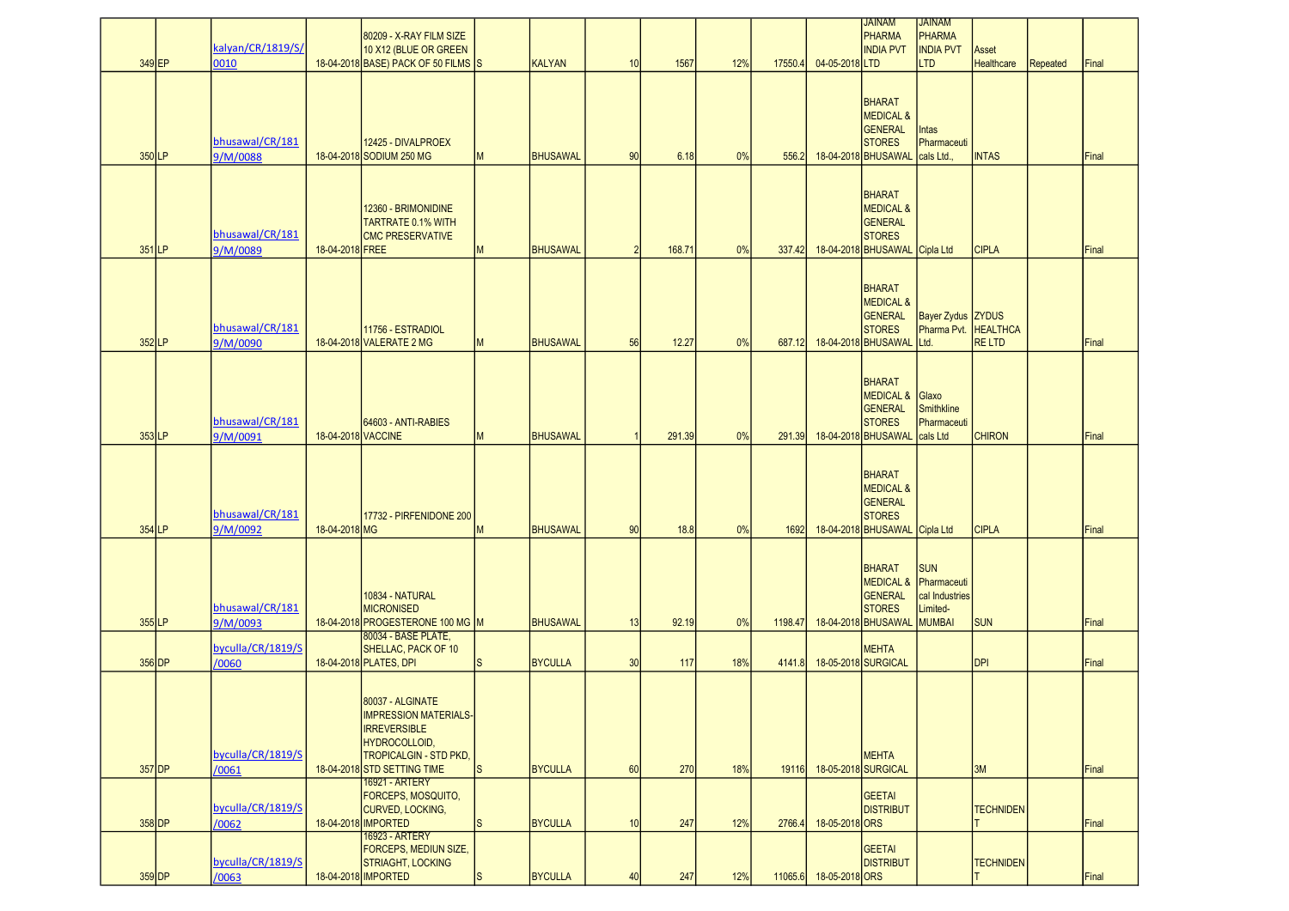|          |          |                             |                    | 80209 - X-RAY FILM SIZE                                 |                |                 |                |        |     |         |                        | <b>JAINAM</b><br>PHARMA                | <b>JAINAM</b><br>PHARMA             |                   |          |       |
|----------|----------|-----------------------------|--------------------|---------------------------------------------------------|----------------|-----------------|----------------|--------|-----|---------|------------------------|----------------------------------------|-------------------------------------|-------------------|----------|-------|
|          |          | kalyan/CR/1819/S/           |                    | 10 X12 (BLUE OR GREEN                                   |                |                 |                |        |     |         |                        | <b>INDIA PVT</b>                       | <b>INDIA PVT</b>                    | Asset             |          |       |
| 349 EP   |          | 0010                        |                    | 18-04-2018 BASE) PACK OF 50 FILMS S                     |                | <b>KALYAN</b>   | 10             | 1567   | 12% | 17550.4 | 04-05-2018LTD          |                                        | <b>LTD</b>                          | <b>Healthcare</b> | Repeated | Final |
|          |          |                             |                    |                                                         |                |                 |                |        |     |         |                        |                                        |                                     |                   |          |       |
|          |          |                             |                    |                                                         |                |                 |                |        |     |         |                        | <b>BHARAT</b>                          |                                     |                   |          |       |
|          |          |                             |                    |                                                         |                |                 |                |        |     |         |                        | <b>MEDICAL &amp;</b>                   |                                     |                   |          |       |
|          |          |                             |                    |                                                         |                |                 |                |        |     |         |                        | GENERAL                                | Intas                               |                   |          |       |
| 350LP    |          | bhusawal/CR/181<br>9/M/0088 |                    | 12425 - DIVALPROEX<br>18-04-2018 SODIUM 250 MG          | M              | <b>BHUSAWAL</b> | 90             | 6.18   | 0%  | 556.2   |                        | <b>STORES</b><br>18-04-2018 BHUSAWAL   | Pharmaceuti<br>cals Ltd.,           | <b>INTAS</b>      |          | Final |
|          |          |                             |                    |                                                         |                |                 |                |        |     |         |                        |                                        |                                     |                   |          |       |
|          |          |                             |                    |                                                         |                |                 |                |        |     |         |                        |                                        |                                     |                   |          |       |
|          |          |                             |                    | 12360 - BRIMONIDINE                                     |                |                 |                |        |     |         |                        | <b>BHARAT</b><br><b>MEDICAL &amp;</b>  |                                     |                   |          |       |
|          |          |                             |                    | <b>TARTRATE 0.1% WITH</b>                               |                |                 |                |        |     |         |                        | GENERAL                                |                                     |                   |          |       |
|          |          | bhusawal/CR/181             |                    | <b>CMC PRESERVATIVE</b>                                 |                |                 |                |        |     |         |                        | <b>STORES</b>                          |                                     |                   |          |       |
| 351LP    |          | 9/M/0089                    | 18-04-2018 FREE    |                                                         | M              | <b>BHUSAWAL</b> | $\overline{2}$ | 168.71 | 0%  | 337.42  |                        | 18-04-2018 BHUSAWAL                    | Cipla Ltd                           | <b>CIPLA</b>      |          | Final |
|          |          |                             |                    |                                                         |                |                 |                |        |     |         |                        |                                        |                                     |                   |          |       |
|          |          |                             |                    |                                                         |                |                 |                |        |     |         |                        | <b>BHARAT</b>                          |                                     |                   |          |       |
|          |          |                             |                    |                                                         |                |                 |                |        |     |         |                        | <b>MEDICAL &amp;</b><br><b>GENERAL</b> | <b>Bayer Zydus ZYDUS</b>            |                   |          |       |
|          |          | bhusawal/CR/181             |                    | 11756 - ESTRADIOL                                       |                |                 |                |        |     |         |                        | <b>STORES</b>                          | Pharma Pvt.                         | <b>HEALTHCA</b>   |          |       |
| 352LP    |          | 9/M/0090                    |                    | 18-04-2018 VALERATE 2 MG                                | M              | <b>BHUSAWAL</b> | 56             | 12.27  | 0%  | 687.12  |                        | 18-04-2018 BHUSAWAL                    | Ltd.                                | <b>RELTD</b>      |          | Final |
|          |          |                             |                    |                                                         |                |                 |                |        |     |         |                        |                                        |                                     |                   |          |       |
|          |          |                             |                    |                                                         |                |                 |                |        |     |         |                        | <b>BHARAT</b>                          |                                     |                   |          |       |
|          |          |                             |                    |                                                         |                |                 |                |        |     |         |                        | <b>MEDICAL &amp;</b>                   | Glaxo                               |                   |          |       |
|          |          | bhusawal/CR/181             |                    | 64603 - ANTI-RABIES                                     |                |                 |                |        |     |         |                        | GENERAL<br><b>STORES</b>               | Smithkline<br>Pharmaceuti           |                   |          |       |
| $353$ LP |          | 9/M/0091                    | 18-04-2018 VACCINE |                                                         | M              | <b>BHUSAWAL</b> |                | 291.39 | 0%  | 291.39  |                        | 18-04-2018 BHUSAWAL                    | cals Ltd                            | <b>CHIRON</b>     |          | Final |
|          |          |                             |                    |                                                         |                |                 |                |        |     |         |                        |                                        |                                     |                   |          |       |
|          |          |                             |                    |                                                         |                |                 |                |        |     |         |                        | <b>BHARAT</b>                          |                                     |                   |          |       |
|          |          |                             |                    |                                                         |                |                 |                |        |     |         |                        | <b>MEDICAL &amp;</b>                   |                                     |                   |          |       |
|          |          |                             |                    |                                                         |                |                 |                |        |     |         |                        | GENERAL                                |                                     |                   |          |       |
| 354 LP   |          | bhusawal/CR/181<br>9/M/0092 | 18-04-2018 MG      | 17732 - PIRFENIDONE 200                                 | M              | <b>BHUSAWAL</b> | 90             | 18.8   | 0%  | 1692    |                        | <b>STORES</b><br>18-04-2018 BHUSAWAL   | Cipla Ltd                           | <b>CIPLA</b>      |          | Final |
|          |          |                             |                    |                                                         |                |                 |                |        |     |         |                        |                                        |                                     |                   |          |       |
|          |          |                             |                    |                                                         |                |                 |                |        |     |         |                        |                                        |                                     |                   |          |       |
|          |          |                             |                    |                                                         |                |                 |                |        |     |         |                        | <b>BHARAT</b>                          | <b>SUN</b><br>MEDICAL & Pharmaceuti |                   |          |       |
|          |          |                             |                    | 10834 - NATURAL                                         |                |                 |                |        |     |         |                        | <b>GENERAL</b>                         | cal Industries                      |                   |          |       |
|          |          | bhusawal/CR/181             |                    | <b>MICRONISED</b>                                       |                |                 |                |        |     |         |                        | <b>STORES</b>                          | Limited-                            |                   |          |       |
| 355LP    |          | 9/M/0093                    |                    | 18-04-2018 PROGESTERONE 100 MG M<br>80034 - BASE PLATE, |                | <b>BHUSAWAL</b> | 13             | 92.19  | 0%  | 1198.47 |                        | 18-04-2018 BHUSAWAL                    | MUMBAI                              | <b>SUN</b>        |          | Final |
|          |          | byculla/CR/1819/S           |                    | SHELLAC, PACK OF 10                                     |                |                 |                |        |     |         |                        | <b>MEHTA</b>                           |                                     |                   |          |       |
|          | $356$ DP | /0060                       |                    | 18-04-2018 PLATES, DPI                                  | <sub>S</sub>   | <b>BYCULLA</b>  | 30             | 117    | 18% | 4141.8  |                        | 18-05-2018 SURGICAL                    |                                     | <b>DPI</b>        |          | Final |
|          |          |                             |                    |                                                         |                |                 |                |        |     |         |                        |                                        |                                     |                   |          |       |
|          |          |                             |                    | 80037 - ALGINATE                                        |                |                 |                |        |     |         |                        |                                        |                                     |                   |          |       |
|          |          |                             |                    | <b>IMPRESSION MATERIALS-</b>                            |                |                 |                |        |     |         |                        |                                        |                                     |                   |          |       |
|          |          |                             |                    | <b>IRREVERSIBLE</b><br>HYDROCOLLOID,                    |                |                 |                |        |     |         |                        |                                        |                                     |                   |          |       |
|          |          | byculla/CR/1819/S           |                    | <b>TROPICALGIN - STD PKD,</b>                           |                |                 |                |        |     |         |                        | <b>MEHTA</b>                           |                                     |                   |          |       |
|          | $357$ DP | /0061                       |                    | 18-04-2018 STD SETTING TIME                             | ls.            | <b>BYCULLA</b>  | 60             | 270    | 18% | 19116   | 18-05-2018 SURGICAL    |                                        |                                     | 3M                |          | Final |
|          |          |                             |                    | 16921 - ARTERY<br>FORCEPS, MOSQUITO,                    |                |                 |                |        |     |         |                        | <b>GEETAI</b>                          |                                     |                   |          |       |
|          |          | byculla/CR/1819/S           |                    | CURVED, LOCKING,                                        |                |                 |                |        |     |         |                        | <b>DISTRIBUT</b>                       |                                     | <b>TECHNIDEN</b>  |          |       |
| $358$ DP |          | /0062                       |                    | 18-04-2018 IMPORTED                                     | <sub>S</sub>   | <b>BYCULLA</b>  | 10             | 247    | 12% | 2766.4  | 18-05-2018 ORS         |                                        |                                     |                   |          | Final |
|          |          |                             |                    | 16923 - ARTERY<br><b>FORCEPS, MEDIUN SIZE,</b>          |                |                 |                |        |     |         |                        | GEETAI                                 |                                     |                   |          |       |
|          |          | byculla/CR/1819/S           |                    | <b>STRIAGHT, LOCKING</b>                                |                |                 |                |        |     |         |                        | <b>DISTRIBUT</b>                       |                                     | <b>TECHNIDEN</b>  |          |       |
| $359$ DP |          | /0063                       |                    | 18-04-2018 IMPORTED                                     | I <sub>S</sub> | <b>BYCULLA</b>  | 40             | 247    | 12% |         | 11065.6 18-05-2018 ORS |                                        |                                     |                   |          | Final |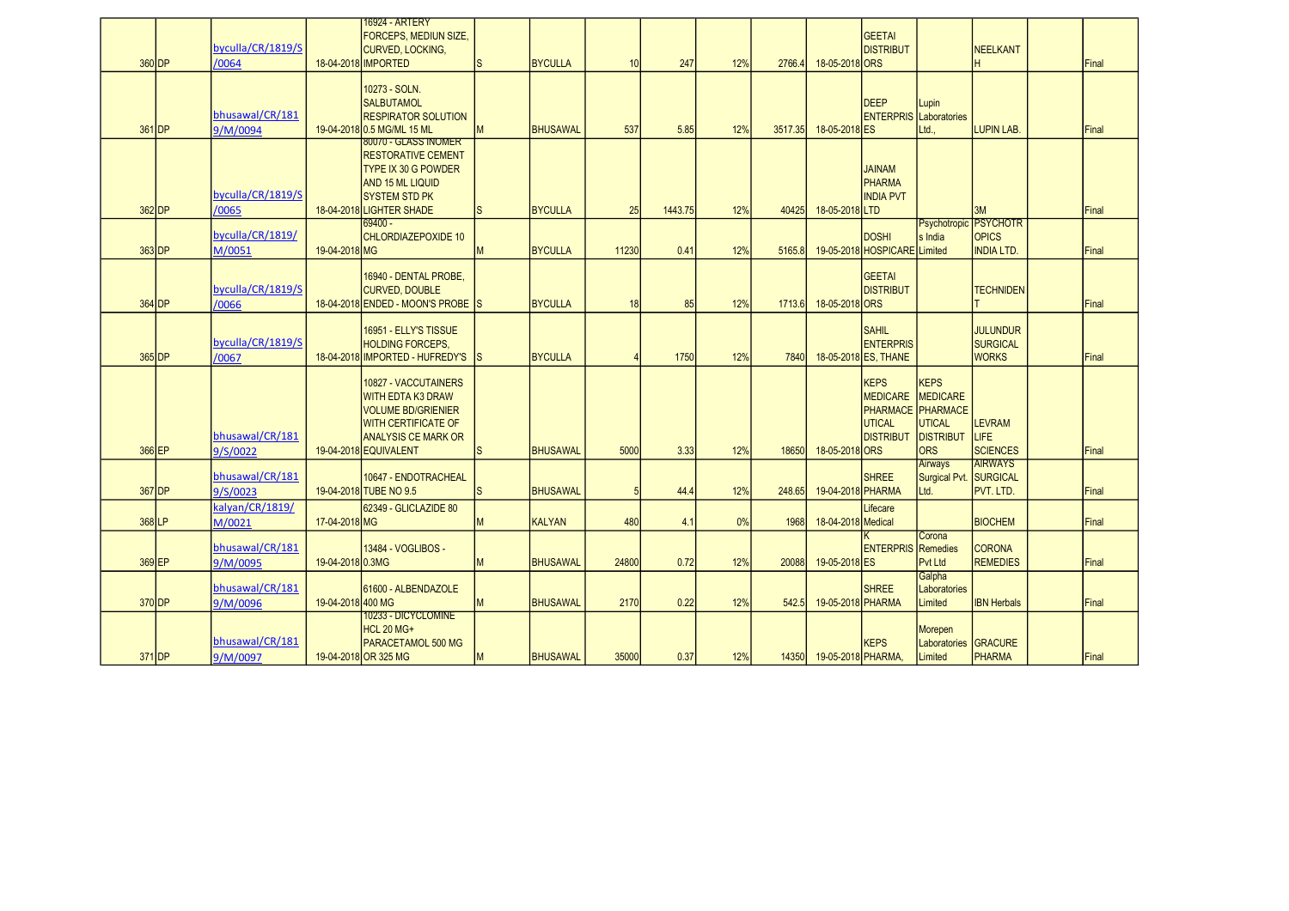|                     |                           |                   | 16924 - ARTERY<br><b>FORCEPS. MEDIUN SIZE.</b>          |              |                 |       |         |     |         |                          | <b>GEETAI</b>                                 |                                 |                                   |       |
|---------------------|---------------------------|-------------------|---------------------------------------------------------|--------------|-----------------|-------|---------|-----|---------|--------------------------|-----------------------------------------------|---------------------------------|-----------------------------------|-------|
|                     | byculla/CR/1819/S         |                   | CURVED, LOCKING,                                        |              |                 |       |         |     |         |                          | <b>DISTRIBUT</b>                              |                                 | <b>NEELKANT</b>                   |       |
| 360 DP              | /0064                     |                   | 18-04-2018 IMPORTED                                     | ls.          | <b>BYCULLA</b>  | 10    | 247     | 12% | 2766.4  | 18-05-2018 ORS           |                                               |                                 |                                   | Final |
|                     |                           |                   | 10273 - SOLN.                                           |              |                 |       |         |     |         |                          |                                               |                                 |                                   |       |
|                     | bhusawal/CR/181           |                   | <b>SALBUTAMOL</b><br><b>RESPIRATOR SOLUTION</b>         |              |                 |       |         |     |         |                          | <b>DEEP</b><br><b>ENTERPRIS</b> Laboratories  | Lupin                           |                                   |       |
| 361 DP              | 9/M/0094                  |                   | 19-04-2018 0.5 MG/ML 15 ML                              | M            | <b>BHUSAWAL</b> | 537   | 5.85    | 12% | 3517.35 | 18-05-2018 ES            |                                               | Ltd                             | <b>LUPIN LAB.</b>                 | Final |
|                     |                           |                   | 80070 - GLASS INOMER                                    |              |                 |       |         |     |         |                          |                                               |                                 |                                   |       |
|                     |                           |                   | <b>RESTORATIVE CEMENT</b><br><b>TYPE IX 30 G POWDER</b> |              |                 |       |         |     |         |                          | <b>JAINAM</b>                                 |                                 |                                   |       |
|                     |                           |                   | <b>AND 15 ML LIQUID</b>                                 |              |                 |       |         |     |         |                          | <b>PHARMA</b>                                 |                                 |                                   |       |
|                     | byculla/CR/1819/S         |                   | <b>SYSTEM STD PK</b>                                    |              |                 |       |         |     |         |                          | <b>INDIA PVT</b>                              |                                 |                                   |       |
| 362 DP              | /0065                     |                   | 18-04-2018 LIGHTER SHADE<br>69400 -                     | <sub>S</sub> | <b>BYCULLA</b>  | 25    | 1443.75 | 12% | 40425   | 18-05-2018LTD            |                                               |                                 | 3M<br>Psychotropic PSYCHOTR       | Final |
|                     | byculla/CR/1819/          |                   | CHLORDIAZEPOXIDE 10                                     |              |                 |       |         |     |         |                          | <b>DOSHI</b>                                  | s India                         | <b>OPICS</b>                      |       |
| 363 DP              | M/0051                    | 19-04-2018 MG     |                                                         | M            | <b>BYCULLA</b>  | 11230 | 0.41    | 12% | 5165.8  |                          | 19-05-2018 HOSPICARE Limited                  |                                 | <b>INDIA LTD.</b>                 | Final |
|                     |                           |                   | 16940 - DENTAL PROBE,                                   |              |                 |       |         |     |         |                          | <b>GEETAI</b>                                 |                                 |                                   |       |
|                     | byculla/CR/1819/S         |                   | <b>CURVED, DOUBLE</b>                                   |              |                 |       |         |     |         |                          | <b>DISTRIBUT</b>                              |                                 | <b>TECHNIDEN</b>                  |       |
| 364 DP              | /0066                     |                   | 18-04-2018 ENDED - MOON'S PROBE S                       |              | <b>BYCULLA</b>  | 18    | 85      | 12% | 1713.6  | 18-05-2018 ORS           |                                               |                                 |                                   | Final |
|                     |                           |                   | 16951 - ELLY'S TISSUE                                   |              |                 |       |         |     |         |                          | SAHIL                                         |                                 | <b>JULUNDUR</b>                   |       |
|                     | byculla/CR/1819/S         |                   | <b>HOLDING FORCEPS,</b>                                 |              |                 |       |         |     |         |                          | <b>ENTERPRIS</b>                              |                                 | <b>SURGICAL</b>                   |       |
| $365$ <sub>DP</sub> | /0067                     |                   | 18-04-2018 IMPORTED - HUFREDY'S IS                      |              | <b>BYCULLA</b>  |       | 1750    | 12% | 7840    |                          | 18-05-2018 ES, THANE                          |                                 | <b>WORKS</b>                      | Final |
|                     |                           |                   | 10827 - VACCUTAINERS                                    |              |                 |       |         |     |         |                          | <b>KEPS</b>                                   | <b>KEPS</b>                     |                                   |       |
|                     |                           |                   | <b>WITH EDTA K3 DRAW</b><br><b>VOLUME BD/GRIENIER</b>   |              |                 |       |         |     |         |                          | MEDICARE MEDICARE<br><b>PHARMACE PHARMACE</b> |                                 |                                   |       |
|                     |                           |                   | <b>WITH CERTIFICATE OF</b>                              |              |                 |       |         |     |         |                          | <b>UTICAL</b>                                 | <b>UTICAL</b>                   | <b>LEVRAM</b>                     |       |
|                     | bhusawal/CR/181           |                   | <b>ANALYSIS CE MARK OR</b>                              |              |                 |       |         |     |         |                          | <b>DISTRIBUT</b>                              | <b>DISTRIBUT</b>                | LIFE                              |       |
| 366 EP              | 9/S/0022                  |                   | 19-04-2018 EQUIVALENT                                   | <sub>S</sub> | <b>BHUSAWAL</b> | 5000  | 3.33    | 12% | 18650   | 18-05-2018 ORS           |                                               | <b>ORS</b><br>Airways           | <b>SCIENCES</b><br><b>AIRWAYS</b> | Final |
|                     | bhusawal/CR/181           |                   | 10647 - ENDOTRACHEAL                                    |              |                 |       |         |     |         |                          | <b>SHREE</b>                                  | Surgical Pvt. SURGICAL          |                                   |       |
| 367 DP              | 9/S/0023                  |                   | 19-04-2018 TUBE NO 9.5                                  | <sub>S</sub> | <b>BHUSAWAL</b> | 5     | 44.4    | 12% | 248.65  | 19-04-2018 PHARMA        |                                               | Ltd.                            | PVT. LTD.                         | Final |
| 368 LP              | kalvan/CR/1819/<br>M/0021 | 17-04-2018 MG     | 62349 - GLICLAZIDE 80                                   | M            | <b>KALYAN</b>   | 480   | 4.1     | 0%  | 1968    | 18-04-2018 Medical       | Lifecare                                      |                                 | <b>BIOCHEM</b>                    | Final |
|                     |                           |                   |                                                         |              |                 |       |         |     |         |                          |                                               | Corona                          |                                   |       |
| 369 EP              | bhusawal/CR/181           | 19-04-2018 0.3MG  | 13484 - VOGLIBOS -                                      | M            | <b>BHUSAWAL</b> | 24800 | 0.72    | 12% | 20088   | 19-05-2018 ES            | <b>ENTERPRIS Remedies</b>                     | Pvt Ltd                         | <b>CORONA</b><br><b>REMEDIES</b>  | Final |
|                     | 9/M/0095                  |                   |                                                         |              |                 |       |         |     |         |                          |                                               | Galpha                          |                                   |       |
|                     | bhusawal/CR/181           |                   | 61600 - ALBENDAZOLE                                     |              |                 |       |         |     |         |                          | <b>SHREE</b>                                  | Laboratories                    |                                   |       |
| 370 DP              | 9/M/0096                  | 19-04-2018 400 MG | 10233 - DICYCLOMINE                                     | M            | <b>BHUSAWAL</b> | 2170  | 0.22    | 12% | 542.5   | 19-05-2018 PHARMA        |                                               | Limited                         | <b>IBN Herbals</b>                | Final |
|                     |                           |                   | <b>HCL 20 MG+</b>                                       |              |                 |       |         |     |         |                          |                                               | Morepen                         |                                   |       |
|                     | bhusawal/CR/181           |                   | PARACETAMOL 500 MG                                      | M            |                 | 35000 |         | 12% |         |                          | <b>KEPS</b>                                   | Laboratories GRACURE<br>Limited | PHARMA                            | Final |
| 371 DP              | 9/M/0097                  |                   | 19-04-2018 OR 325 MG                                    |              | <b>BHUSAWAL</b> |       | 0.37    |     |         | 14350 19-05-2018 PHARMA, |                                               |                                 |                                   |       |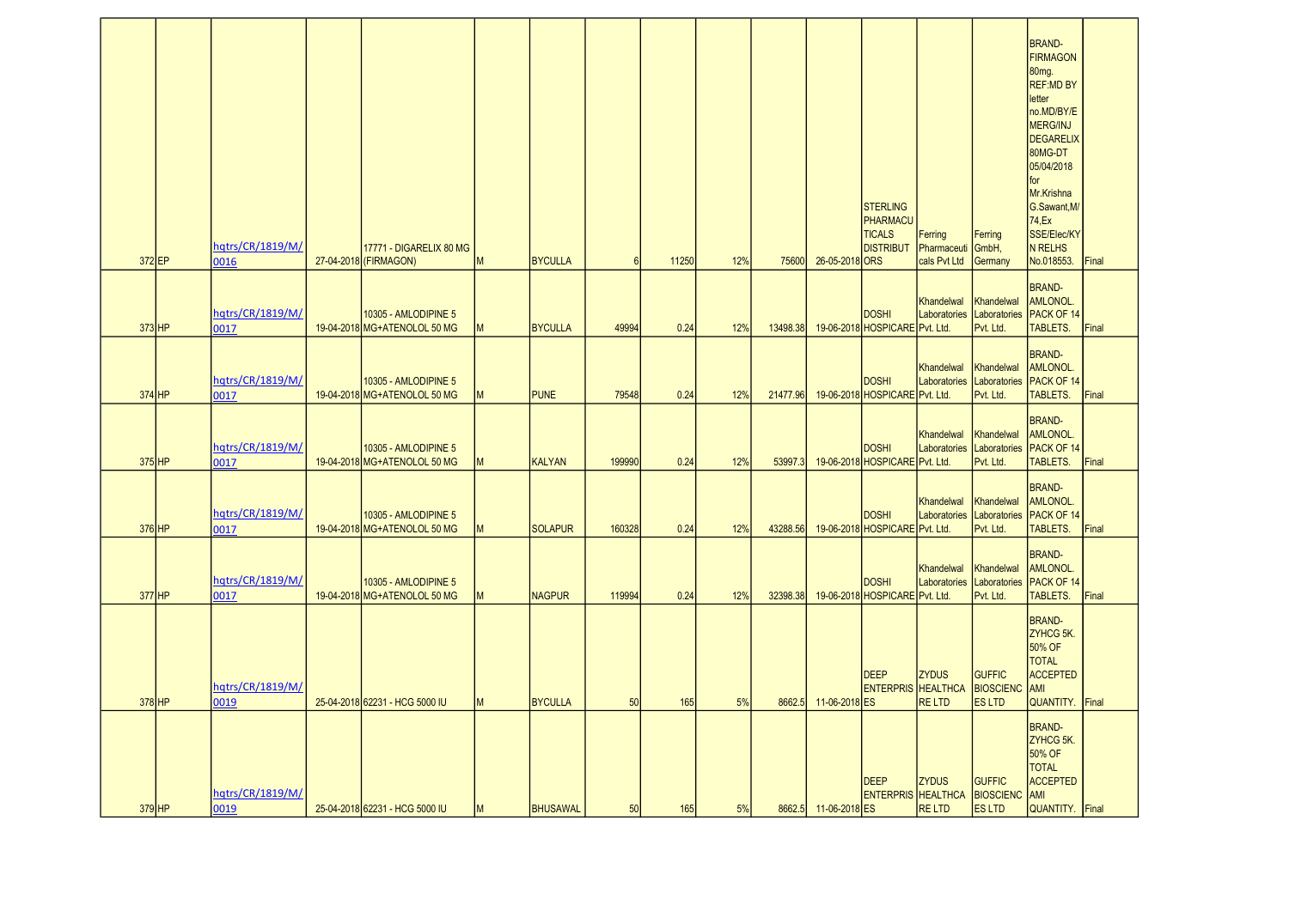| 372 EP   | hqtrs/CR/1819/M/<br>0016 | 17771 - DIGARELIX 80 MG<br>27-04-2018 (FIRMAGON)     | M | <b>BYCULLA</b>  | 6      | 11250 | 12% | 75600    | 26-05-2018 ORS       | <b>STERLING</b><br>PHARMACU<br><b>TICALS</b><br><b>DISTRIBUT</b> | Ferring<br>Pharmaceuti<br>cals Pvt Ltd | Ferring<br>GmbH,<br>Germany                       | <b>BRAND-</b><br><b>FIRMAGON</b><br>80mg.<br><b>REF:MD BY</b><br>letter<br>no.MD/BY/E<br><b>MERG/INJ</b><br><b>DEGARELIX</b><br>80MG-DT<br>05/04/2018<br>for<br>Mr.Krishna<br>G.Sawant, M/<br>74, Ex<br>SSE/Elec/KY<br><b>N RELHS</b><br>No.018553. | Final         |
|----------|--------------------------|------------------------------------------------------|---|-----------------|--------|-------|-----|----------|----------------------|------------------------------------------------------------------|----------------------------------------|---------------------------------------------------|-----------------------------------------------------------------------------------------------------------------------------------------------------------------------------------------------------------------------------------------------------|---------------|
|          |                          |                                                      |   |                 |        |       |     |          |                      |                                                                  |                                        |                                                   | <b>BRAND-</b><br>AMLONOL.                                                                                                                                                                                                                           |               |
| $373$ HP | hqtrs/CR/1819/M/<br>0017 | 10305 - AMLODIPINE 5<br>19-04-2018 MG+ATENOLOL 50 MG | M | <b>BYCULLA</b>  | 49994  | 0.24  | 12% | 13498.38 |                      | <b>DOSHI</b><br>19-06-2018 HOSPICARE Pvt. Ltd.                   | Khandelwal<br>Laboratories             | Khandelwal<br>Laboratories<br>Pvt. Ltd.           | PACK OF 14<br>TABLETS.                                                                                                                                                                                                                              | Final         |
| $374$ HP | hqtrs/CR/1819/M/<br>0017 | 10305 - AMLODIPINE 5<br>19-04-2018 MG+ATENOLOL 50 MG | M | <b>PUNE</b>     | 79548  | 0.24  | 12% | 21477.96 |                      | <b>DOSHI</b><br>19-06-2018 HOSPICARE Pvt. Ltd.                   | Khandelwal<br>Laboratories             | Khandelwal<br>Laboratories<br>Pvt. Ltd.           | <b>BRAND-</b><br><b>AMLONOL.</b><br>PACK OF 14<br>TABLETS.                                                                                                                                                                                          | Final         |
| $375$ HP | hqtrs/CR/1819/M/<br>0017 | 10305 - AMLODIPINE 5<br>19-04-2018 MG+ATENOLOL 50 MG | M | <b>KALYAN</b>   | 199990 | 0.24  | 12% | 53997.3  |                      | <b>DOSHI</b><br>19-06-2018 HOSPICARE Pvt. Ltd.                   | Khandelwal<br>Laboratories             | Khandelwal<br>Laboratories<br>Pvt. Ltd.           | <b>BRAND-</b><br><b>AMLONOL.</b><br>PACK OF 14<br>TABLETS.                                                                                                                                                                                          | Final         |
| $376$ HP | hqtrs/CR/1819/M/<br>0017 | 10305 - AMLODIPINE 5<br>19-04-2018 MG+ATENOLOL 50 MG | M | <b>SOLAPUR</b>  | 160328 | 0.24  | 12% | 43288.56 |                      | <b>DOSHI</b><br>19-06-2018 HOSPICARE Pvt. Ltd.                   | Khandelwal<br>Laboratories             | Khandelwal<br>Laboratories<br>Pvt. Ltd.           | <b>BRAND-</b><br><b>AMLONOL.</b><br>PACK OF 14<br><b>TABLETS.</b>                                                                                                                                                                                   | Final         |
| $377$ HP | hqtrs/CR/1819/M/<br>0017 | 10305 - AMLODIPINE 5<br>19-04-2018 MG+ATENOLOL 50 MG | M | <b>NAGPUR</b>   | 119994 | 0.24  | 12% | 32398.38 |                      | <b>DOSHI</b><br>19-06-2018 HOSPICARE Pvt. Ltd.                   | Khandelwal<br>Laboratories             | Khandelwal<br>Laboratories<br>Pvt. Ltd.           | <b>BRAND-</b><br><b>AMLONOL.</b><br>PACK OF 14<br>TABLETS.                                                                                                                                                                                          | Final         |
| $378$ HP | hqtrs/CR/1819/M/<br>0019 | 25-04-2018 62231 - HCG 5000 IU                       | M | <b>BYCULLA</b>  | 50     | 165   | 5%  | 8662.5   | 11-06-2018 ES        | <b>IDEEP</b><br><b>ENTERPRIS HEALTHCA</b>                        | <b>ZYDUS</b><br><b>RELTD</b>           | <b>GUFFIC</b><br><b>BIOSCIENC</b><br><b>ESLTD</b> | <b>BRAND-</b><br>ZYHCG 5K.<br>50% OF<br><b>TOTAL</b><br><b>ACCEPTED</b><br>AMI<br><b>QUANTITY.</b>                                                                                                                                                  | <b>IFinal</b> |
| $379$ HP | hqtrs/CR/1819/M/<br>0019 | 25-04-2018 62231 - HCG 5000 IU                       | M | <b>BHUSAWAL</b> | 50     | 165   | 5%  |          | 8662.5 11-06-2018 ES | DEEP<br><b>ENTERPRIS HEALTHCA</b>                                | <b>ZYDUS</b><br><b>RELTD</b>           | <b>GUFFIC</b><br><b>BIOSCIENC</b><br><b>ESLTD</b> | <b>BRAND-</b><br>ZYHCG 5K.<br>50% OF<br><b>TOTAL</b><br><b>ACCEPTED</b><br><b>AMI</b><br>QUANTITY. Final                                                                                                                                            |               |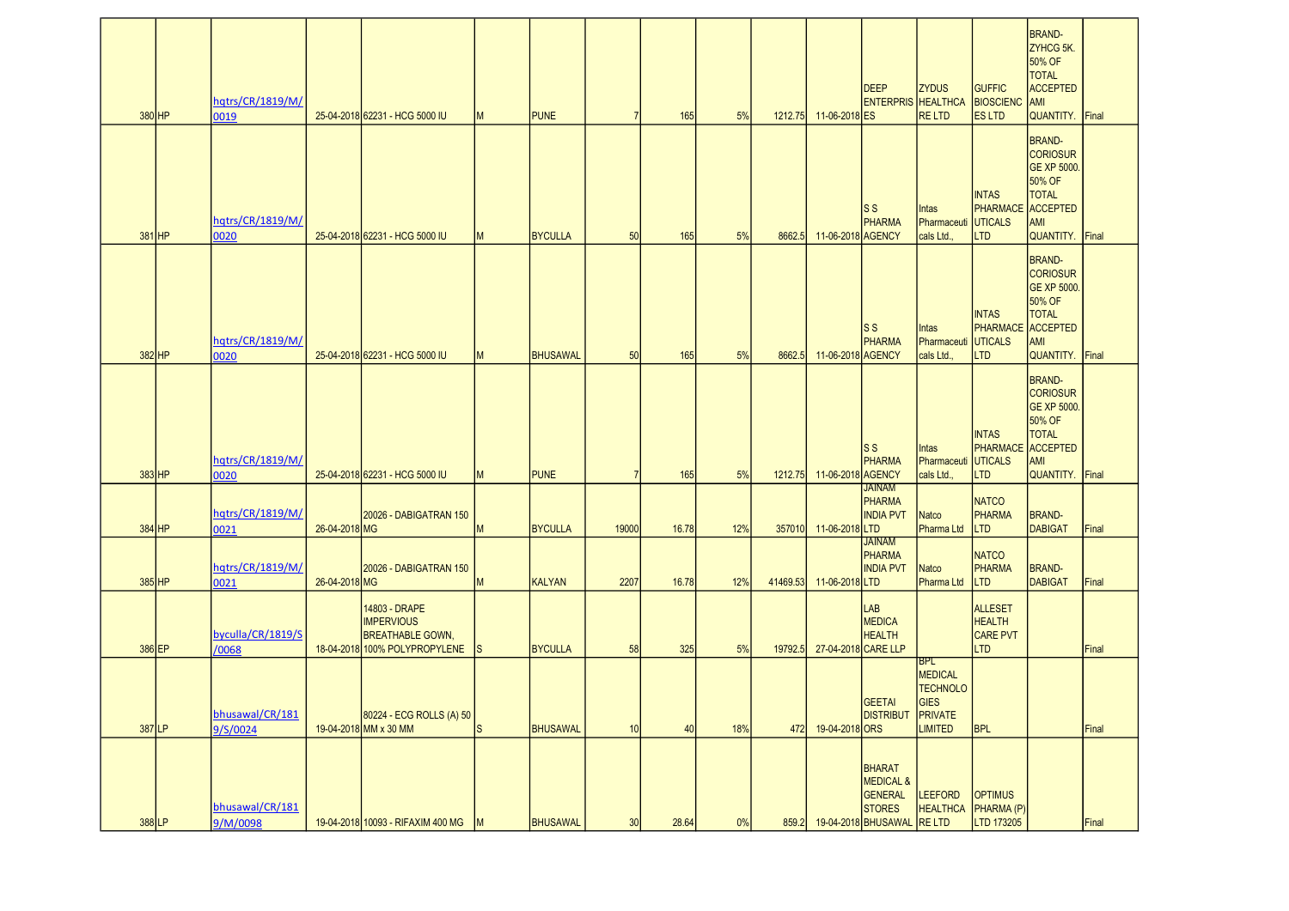| 380 HP   | hqtrs/CR/1819/M/<br>0019    |               | 25-04-2018 62231 - HCG 5000 IU                                                                 | M        | <b>PUNE</b>     | 7              | 165   | 5%  | 1212.75  | 11-06-2018 ES       | DEEP<br><b>ENTERPRIS HEALTHCA</b>                                                 | <b>ZYDUS</b><br><b>RELTD</b>                                                         | <b>GUFFIC</b><br><b>BIOSCIENC</b><br><b>ESLTD</b>                        | <b>BRAND-</b><br>ZYHCG 5K.<br>50% OF<br><b>TOTAL</b><br><b>ACCEPTED</b><br><b>AMI</b><br>QUANTITY. Final                      |       |
|----------|-----------------------------|---------------|------------------------------------------------------------------------------------------------|----------|-----------------|----------------|-------|-----|----------|---------------------|-----------------------------------------------------------------------------------|--------------------------------------------------------------------------------------|--------------------------------------------------------------------------|-------------------------------------------------------------------------------------------------------------------------------|-------|
| $381$ HP | hqtrs/CR/1819/M/<br>0020    |               | 25-04-2018 62231 - HCG 5000 IU                                                                 | M        | <b>BYCULLA</b>  | 50             | 165   | 5%  | 8662.5   | 11-06-2018 AGENCY   | ls s<br><b>PHARMA</b>                                                             | Intas<br>Pharmaceuti<br>cals Ltd.,                                                   | <b>INTAS</b><br><b>PHARMACE</b><br><b>UTICALS</b><br><b>LTD</b>          | <b>BRAND-</b><br><b>CORIOSUR</b><br>GE XP 5000.<br>50% OF<br><b>TOTAL</b><br><b>ACCEPTED</b><br>AMI<br><b>QUANTITY.</b> Final |       |
| 382 HP   | hqtrs/CR/1819/M/<br>0020    |               | 25-04-2018 62231 - HCG 5000 IU                                                                 | M        | <b>BHUSAWAL</b> | 50             | 165   | 5%  | 8662.5   | 11-06-2018 AGENCY   | S S<br>PHARMA                                                                     | Intas<br>Pharmaceuti<br>cals Ltd.,                                                   | <b>INTAS</b><br>PHARMACE ACCEPTED<br><b>UTICALS</b><br><b>LTD</b>        | <b>BRAND-</b><br><b>CORIOSUR</b><br><b>GE XP 5000.</b><br>50% OF<br><b>TOTAL</b><br>AMI<br><b>QUANTITY.</b> Final             |       |
| 383 HP   | hqtrs/CR/1819/M/<br>0020    |               | 25-04-2018 62231 - HCG 5000 IU                                                                 | M        | <b>PUNE</b>     | $\overline{7}$ | 165   | 5%  | 1212.75  | 11-06-2018 AGENCY   | ls s<br>PHARMA                                                                    | Intas<br>Pharmaceuti<br>cals Ltd.,                                                   | <b>INTAS</b><br><b>PHARMACE</b> ACCEPTED<br><b>UTICALS</b><br><b>LTD</b> | <b>BRAND-</b><br><b>CORIOSUR</b><br>GE XP 5000.<br>50% OF<br><b>TOTAL</b><br>AMI<br><b>QUANTITY.</b> Final                    |       |
| 384 HP   | hqtrs/CR/1819/M/<br>0021    | 26-04-2018 MG | 20026 - DABIGATRAN 150                                                                         | M        | <b>BYCULLA</b>  | 19000          | 16.78 | 12% | 357010   | 11-06-2018 LTD      | <b>JAINAM</b><br>PHARMA<br><b>INDIA PVT</b>                                       | <b>Natco</b><br>Pharma Ltd                                                           | <b>NATCO</b><br><b>PHARMA</b><br>LTD                                     | <b>BRAND-</b><br><b>DABIGAT</b>                                                                                               | Final |
| $385$ HP | hqtrs/CR/1819/M/<br>0021    | 26-04-2018 MG | 20026 - DABIGATRAN 150                                                                         | M        | KALYAN          | 2207           | 16.78 | 12% | 41469.53 | 11-06-2018LTD       | <b>JAINAM</b><br>PHARMA<br><b>INDIA PVT</b>                                       | <b>Natco</b><br>Pharma Ltd                                                           | <b>NATCO</b><br><b>PHARMA</b><br>LTD                                     | <b>BRAND-</b><br><b>DABIGAT</b>                                                                                               | Final |
| 386 EP   | byculla/CR/1819/S<br>/0068  |               | 14803 - DRAPE<br><b>IMPERVIOUS</b><br><b>BREATHABLE GOWN,</b><br>18-04-2018 100% POLYPROPYLENE | <b>S</b> | <b>BYCULLA</b>  | 58             | 325   | 5%  | 19792.5  | 27-04-2018 CARE LLP | LAB<br><b>MEDICA</b><br><b>HEALTH</b>                                             |                                                                                      | <b>ALLESET</b><br><b>HEALTH</b><br><b>CARE PVT</b><br><b>LTD</b>         |                                                                                                                               | Final |
| 387 LP   | bhusawal/CR/181<br>9/S/0024 |               | 80224 - ECG ROLLS (A) 50<br>19-04-2018 MM x 30 MM                                              | ls.      | <b>BHUSAWAL</b> | 10             | 40    | 18% | 472      | 19-04-2018 ORS      | GEETAI<br><b>DISTRIBUT</b>                                                        | <b>BPL</b><br><b>MEDICAL</b><br><b>TECHNOLO</b><br>GIES<br>PRIVATE<br><b>LIMITED</b> | <b>BPL</b>                                                               |                                                                                                                               | Final |
| 388 LP   | bhusawal/CR/181<br>9/M/0098 |               | 19-04-2018 10093 - RIFAXIM 400 MG M                                                            |          | <b>BHUSAWAL</b> | 30             | 28.64 | 0%  | 859.2    |                     | BHARAT<br><b>MEDICAL &amp;</b><br>GENERAL<br><b>STORES</b><br>19-04-2018 BHUSAWAL | LEEFORD<br><b>HEALTHCA</b><br>RE LTD                                                 | <b>OPTIMUS</b><br>PHARMA (P)<br>LTD 173205                               |                                                                                                                               | Final |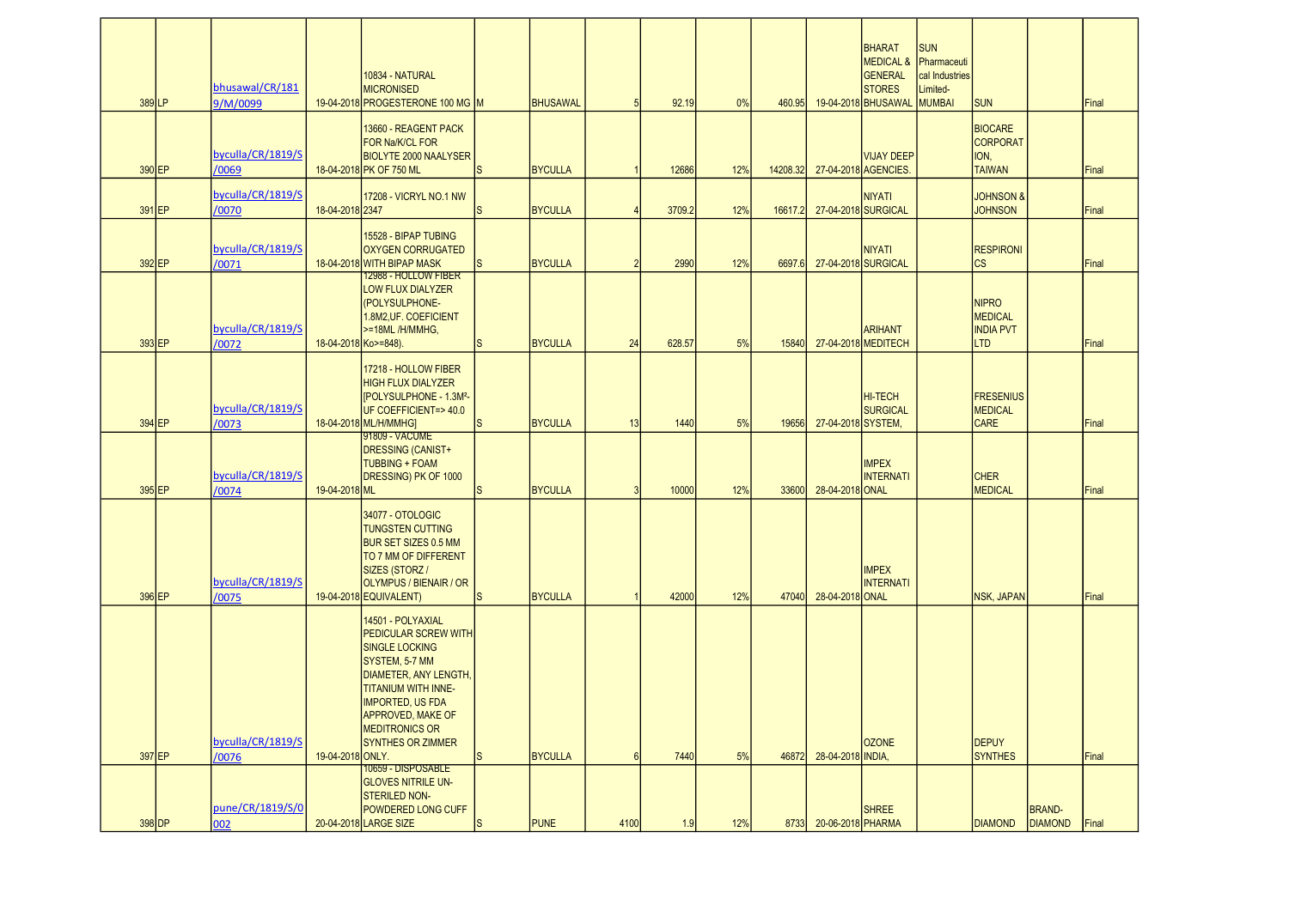| 389LP    | bhusawal/CR/181<br>9/M/0099 |                      | 10834 - NATURAL<br><b>MICRONISED</b><br>19-04-2018 PROGESTERONE 100 MG M                                                                                                                                                                                |              | <b>BHUSAWAL</b> | 5               | 92.19  | 0%  | 460.95   |                    | <b>BHARAT</b><br><b>MEDICAL &amp;</b><br>GENERAL<br><b>STORES</b><br>19-04-2018 BHUSAWAL | <b>SUN</b><br>Pharmaceuti<br>cal Industries<br>Limited-<br><b>MUMBAI</b> | <b>SUN</b>                                                       |                                 | Final |
|----------|-----------------------------|----------------------|---------------------------------------------------------------------------------------------------------------------------------------------------------------------------------------------------------------------------------------------------------|--------------|-----------------|-----------------|--------|-----|----------|--------------------|------------------------------------------------------------------------------------------|--------------------------------------------------------------------------|------------------------------------------------------------------|---------------------------------|-------|
| 390 EP   | byculla/CR/1819/S<br>/0069  |                      | 13660 - REAGENT PACK<br>FOR Na/K/CL FOR<br><b>BIOLYTE 2000 NAALYSER</b><br>18-04-2018 PK OF 750 ML                                                                                                                                                      | <sub>S</sub> | <b>BYCULLA</b>  |                 | 12686  | 12% | 14208.32 |                    | <b>VIJAY DEEP</b><br>27-04-2018 AGENCIES.                                                |                                                                          | <b>BIOCARE</b><br><b>CORPORAT</b><br>ION.<br><b>TAIWAN</b>       |                                 | Final |
| 391 EP   | byculla/CR/1819/S<br>/0070  | 18-04-2018 2347      | 17208 - VICRYL NO.1 NW                                                                                                                                                                                                                                  | S            | <b>BYCULLA</b>  |                 | 3709.2 | 12% | 16617.2  |                    | <b>NIYATI</b><br>27-04-2018 SURGICAL                                                     |                                                                          | <b>JOHNSON &amp;</b><br><b>JOHNSON</b>                           |                                 | Final |
| 392 EP   | byculla/CR/1819/S<br>/0071  |                      | 15528 - BIPAP TUBING<br><b>OXYGEN CORRUGATED</b><br>18-04-2018 WITH BIPAP MASK                                                                                                                                                                          | <sub>S</sub> | <b>BYCULLA</b>  | $\overline{2}$  | 2990   | 12% | 6697.6   |                    | <b>NIYATI</b><br>27-04-2018 SURGICAL                                                     |                                                                          | <b>RESPIRONI</b><br><b>CS</b>                                    |                                 | Final |
| 393 EP   | byculla/CR/1819/S<br>/0072  | 18-04-2018 Ko>=848). | <b>12988 - HOLLOW FIBER</b><br><b>LOW FLUX DIALYZER</b><br>POLYSULPHONE-<br>1.8M2, UF. COEFICIENT<br>>=18ML/H/MMHG,                                                                                                                                     | <sub>S</sub> | <b>BYCULLA</b>  | 24              | 628.57 | 5%  | 15840    |                    | <b>ARIHANT</b><br>27-04-2018 MEDITECH                                                    |                                                                          | <b>NIPRO</b><br><b>MEDICAL</b><br><b>INDIA PVT</b><br><b>LTD</b> |                                 | Final |
| 394 EP   | byculla/CR/1819/S<br>/0073  |                      | 17218 - HOLLOW FIBER<br><b>HIGH FLUX DIALYZER</b><br>[POLYSULPHONE - 1.3M <sup>2</sup> -<br>UF COEFFICIENT=>40.0<br>18-04-2018 ML/H/MMHG                                                                                                                | <sub>S</sub> | <b>BYCULLA</b>  | 13              | 1440   | 5%  | 19656    | 27-04-2018 SYSTEM, | HI-TECH<br><b>SURGICAL</b>                                                               |                                                                          | <b>FRESENIUS</b><br><b>MEDICAL</b><br><b>CARE</b>                |                                 | Final |
| 395 EP   | byculla/CR/1819/S<br>/0074  | 19-04-2018 ML        | 91809 - VACUME<br>DRESSING (CANIST+<br><b>TUBBING + FOAM</b><br>DRESSING) PK OF 1000                                                                                                                                                                    | <sub>S</sub> | <b>BYCULLA</b>  | $\overline{3}$  | 10000  | 12% | 33600    | 28-04-2018 ONAL    | <b>IMPEX</b><br><b>INTERNATI</b>                                                         |                                                                          | <b>CHER</b><br><b>MEDICAL</b>                                    |                                 | Final |
| 396 EP   | byculla/CR/1819/S<br>/0075  |                      | 34077 - OTOLOGIC<br><b>TUNGSTEN CUTTING</b><br><b>BUR SET SIZES 0.5 MM</b><br>TO 7 MM OF DIFFERENT<br>SIZES (STORZ /<br>OLYMPUS / BIENAIR / OR<br>19-04-2018 EQUIVALENT)                                                                                | <sub>S</sub> | <b>BYCULLA</b>  |                 | 42000  | 12% | 47040    | 28-04-2018 ONAL    | <b>IMPEX</b><br><b>INTERNATI</b>                                                         |                                                                          | <b>NSK, JAPAN</b>                                                |                                 | Final |
|          | byculla/CR/1819/S           |                      | 14501 - POLYAXIAL<br>PEDICULAR SCREW WITH<br><b>SINGLE LOCKING</b><br>SYSTEM, 5-7 MM<br><b>DIAMETER, ANY LENGTH,</b><br><b>TITANIUM WITH INNE-</b><br><b>IMPORTED, US FDA</b><br>APPROVED, MAKE OF<br><b>MEDITRONICS OR</b><br><b>SYNTHES OR ZIMMER</b> |              |                 |                 |        |     |          |                    | <b>OZONE</b>                                                                             |                                                                          | <b>DEPUY</b>                                                     |                                 |       |
| $397$ EP | /0076                       | 19-04-2018 ONLY.     | <u> 10659 - DISPOSABLEI</u><br><b>GLOVES NITRILE UN-</b>                                                                                                                                                                                                | <sub>S</sub> | <b>BYCULLA</b>  | $6\overline{6}$ | 7440   | 5%  | 46872    | 28-04-2018 INDIA,  |                                                                                          |                                                                          | <b>SYNTHES</b>                                                   |                                 | Final |
| 398 DP   | pune/CR/1819/S/0<br>002     |                      | <b>STERILED NON-</b><br>POWDERED LONG CUFF<br>20-04-2018 LARGE SIZE                                                                                                                                                                                     | <sub>S</sub> | <b>PUNE</b>     | 4100            | 1.9    | 12% | 8733     | 20-06-2018 PHARMA  | <b>SHREE</b>                                                                             |                                                                          | <b>DIAMOND</b>                                                   | <b>BRAND-</b><br><b>DIAMOND</b> | Final |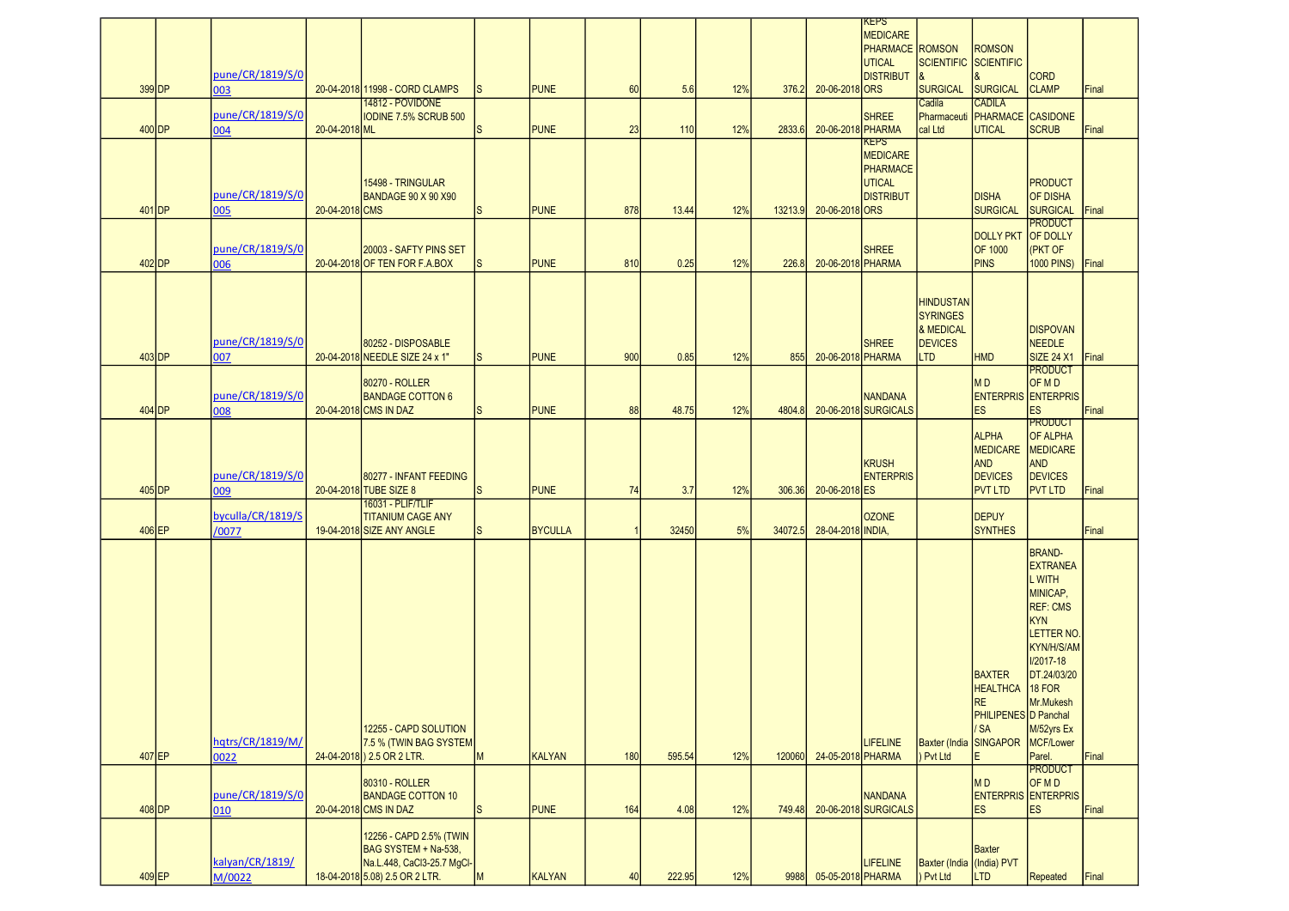| 399 DP   | pune/CR/1819/S/0<br>003    |                | 20-04-2018 11998 - CORD CLAMPS                                                                                  | S            | <b>PUNE</b>    | 60  | 5.6    | 12% | 376.2   | 20-06-2018 ORS    | KEPS<br><b>MEDICARE</b><br><b>PHARMACE ROMSON</b><br><b>UTICAL</b><br><b>DISTRIBUT</b> | SCIENTIFIC SCIENTIFIC<br><b>SURGICAL</b>                                         | <b>ROMSON</b><br><b>SURGICAL</b>                                                                             | <b>CORD</b><br><b>CLAMP</b>                                                                                                                                                                                                                | Final         |
|----------|----------------------------|----------------|-----------------------------------------------------------------------------------------------------------------|--------------|----------------|-----|--------|-----|---------|-------------------|----------------------------------------------------------------------------------------|----------------------------------------------------------------------------------|--------------------------------------------------------------------------------------------------------------|--------------------------------------------------------------------------------------------------------------------------------------------------------------------------------------------------------------------------------------------|---------------|
| 400 DP   | pune/CR/1819/S/0<br>004    | 20-04-2018 ML  | 14812 - POVIDONE<br><b>IODINE 7.5% SCRUB 500</b>                                                                | ls.          | <b>PUNE</b>    | 23  | 110    | 12% | 2833.6  | 20-06-2018 PHARMA | <b>SHREE</b>                                                                           | Cadila<br>cal Ltd                                                                | <b>CADILA</b><br>Pharmaceuti PHARMACE CASIDONE<br><b>UTICAL</b>                                              | <b>SCRUB</b>                                                                                                                                                                                                                               | Final         |
| $401$ DP | pune/CR/1819/S/0<br>005    | 20-04-2018 CMS | 15498 - TRINGULAR<br>BANDAGE 90 X 90 X 90                                                                       | ls.          | <b>PUNE</b>    | 878 | 13.44  | 12% | 13213.9 | 20-06-2018 ORS    | <b>KEPS</b><br><b>MEDICARE</b><br><b>PHARMACE</b><br><b>UTICAL</b><br><b>DISTRIBUT</b> |                                                                                  | <b>DISHA</b><br><b>SURGICAL</b>                                                                              | <b>PRODUCT</b><br><b>OF DISHA</b><br>SURGICAL                                                                                                                                                                                              | Final         |
| 402 DP   | pune/CR/1819/S/0<br>006    |                | 20003 - SAFTY PINS SET<br>20-04-2018 OF TEN FOR F.A.BOX                                                         | <sub>S</sub> | <b>PUNE</b>    | 810 | 0.25   | 12% | 226.8   | 20-06-2018 PHARMA | <b>SHREE</b>                                                                           |                                                                                  | <b>DOLLY PKT</b><br><b>OF 1000</b><br><b>PINS</b>                                                            | <b>PRODUCT</b><br><b>OF DOLLY</b><br>(PKT OF<br><b>1000 PINS)</b>                                                                                                                                                                          | <b>IFinal</b> |
| $403$ DP | pune/CR/1819/S/0<br>007    |                | 80252 - DISPOSABLE<br>20-04-2018 NEEDLE SIZE 24 x 1"                                                            | ls.          | <b>PUNE</b>    | 900 | 0.85   | 12% | 855     | 20-06-2018 PHARMA | <b>SHREE</b>                                                                           | <b>HINDUSTAN</b><br><b>SYRINGES</b><br>& MEDICAL<br><b>DEVICES</b><br><b>LTD</b> | <b>HMD</b>                                                                                                   | <b>DISPOVAN</b><br><b>NEEDLE</b><br><b>SIZE 24 X1</b>                                                                                                                                                                                      | <b>Final</b>  |
| 404 DP   | pune/CR/1819/S/0<br>008    |                | 80270 - ROLLER<br><b>BANDAGE COTTON 6</b><br>20-04-2018 CMS IN DAZ                                              | S            | <b>PUNE</b>    | 88  | 48.75  | 12% | 4804.8  |                   | <b>NANDANA</b><br>20-06-2018 SURGICALS                                                 |                                                                                  | MD<br><b>ENTERPRIS ENTERPRIS</b><br><b>ES</b>                                                                | <b>PRODUCT</b><br>OF MD<br>ES <sub>.</sub>                                                                                                                                                                                                 | Final         |
| 405 DP   | pune/CR/1819/S/0<br>009    |                | 80277 - INFANT FEEDING<br>20-04-2018 TUBE SIZE 8                                                                | ls.          | <b>PUNE</b>    | 74  | 3.7    | 12% | 306.36  | 20-06-2018 ES     | <b>KRUSH</b><br><b>ENTERPRIS</b>                                                       |                                                                                  | <b>ALPHA</b><br><b>MEDICARE</b><br><b>AND</b><br><b>DEVICES</b><br><b>PVT LTD</b>                            | <b>PRODUCT</b><br><b>OF ALPHA</b><br><b>MEDICARE</b><br>AND<br><b>DEVICES</b><br><b>PVT LTD</b>                                                                                                                                            | Final         |
| 406 EP   | byculla/CR/1819/S<br>/0077 |                | 16031 - PLIF/TLIF<br><b>TITANIUM CAGE ANY</b><br>19-04-2018 SIZE ANY ANGLE                                      | S            | <b>BYCULLA</b> |     | 32450  | 5%  | 34072.5 | 28-04-2018 INDIA, | <b>OZONE</b>                                                                           |                                                                                  | <b>DEPUY</b><br><b>SYNTHES</b>                                                                               |                                                                                                                                                                                                                                            | Final         |
| 407 EP   | hqtrs/CR/1819/M/<br>0022   |                | 12255 - CAPD SOLUTION<br>7.5 % (TWIN BAG SYSTEM<br>24-04-2018) 2.5 OR 2 LTR.                                    | M            | <b>KALYAN</b>  | 180 | 595.54 | 12% | 120060  | 24-05-2018 PHARMA | <b>LIFELINE</b>                                                                        | <b>Baxter</b> (India<br>) Pvt Ltd                                                | <b>BAXTER</b><br><b>HEALTHCA</b><br><b>RE</b><br>PHILIPENES D Panchal<br><b>SA</b><br><b>SINGAPOR</b><br>IE. | <b>BRAND-</b><br><b>EXTRANEA</b><br>L WITH<br>MINICAP,<br><b>REF: CMS</b><br><b>KYN</b><br><b>LETTER NO</b><br>KYN/H/S/AM<br>I/2017-18<br>DT.24/03/20<br><b>18 FOR</b><br>Mr.Mukesh<br>M/52yrs Ex<br>MCF/Lower<br>Parel.<br><b>PRODUCT</b> | Final         |
| $408$ DP | pune/CR/1819/S/0<br>010    |                | 80310 - ROLLER<br><b>BANDAGE COTTON 10</b><br>20-04-2018 CMS IN DAZ                                             | ls.          | <b>PUNE</b>    | 164 | 4.08   | 12% | 749.48  |                   | <b>NANDANA</b><br>20-06-2018 SURGICALS                                                 |                                                                                  | M <sub>D</sub><br><b>ENTERPRIS ENTERPRIS</b><br><b>ES</b>                                                    | OF MD<br>ES <sub>.</sub>                                                                                                                                                                                                                   | Final         |
| $409$ EP | kalyan/CR/1819/<br>M/0022  |                | 12256 - CAPD 2.5% (TWIN<br>BAG SYSTEM + Na-538,<br>Na.L.448, CaCl3-25.7 MgCl-<br>18-04-2018 5.08) 2.5 OR 2 LTR. | M            | <b>KALYAN</b>  | 40  | 222.95 | 12% | 9988    | 05-05-2018 PHARMA | <b>LIFELINE</b>                                                                        | Baxter (India (India) PVT<br>) Pvt Ltd                                           | <b>Baxter</b><br><b>LTD</b>                                                                                  | <b>Repeated</b>                                                                                                                                                                                                                            | Final         |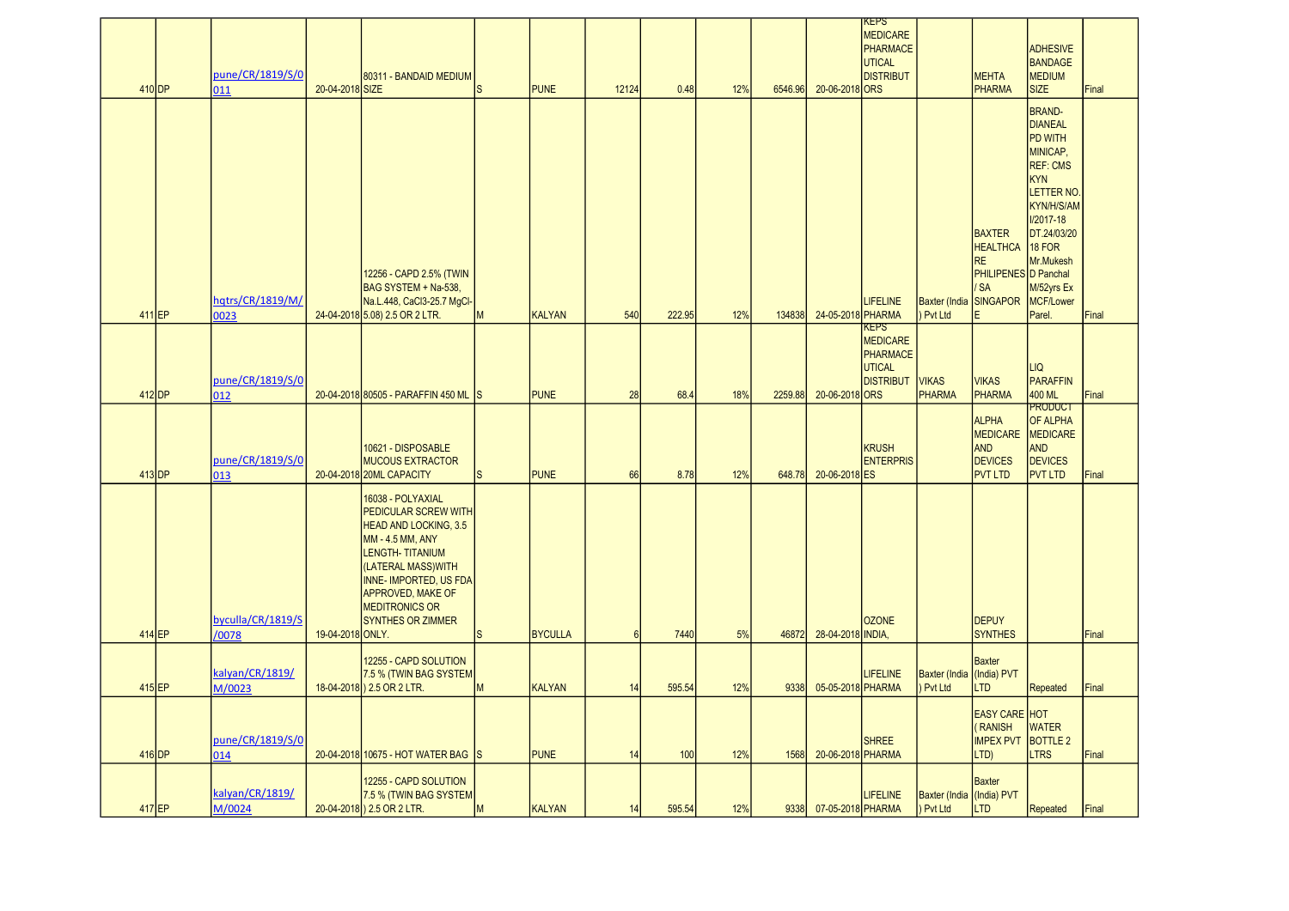|          | pune/CR/1819/S/0           |                  | 80311 - BANDAID MEDIUM                                                                                                                                                                                                                                               |    |                |                 |        |     |         |                   | KEPS<br><b>MEDICARE</b><br>PHARMACE<br>UTICAL<br><b>DISTRIBUT</b> |                                        | <b>MEHTA</b>                                                                                    | <b>ADHESIVE</b><br><b>BANDAGE</b><br><b>MEDIUM</b>                                                                                                                                                                    |       |
|----------|----------------------------|------------------|----------------------------------------------------------------------------------------------------------------------------------------------------------------------------------------------------------------------------------------------------------------------|----|----------------|-----------------|--------|-----|---------|-------------------|-------------------------------------------------------------------|----------------------------------------|-------------------------------------------------------------------------------------------------|-----------------------------------------------------------------------------------------------------------------------------------------------------------------------------------------------------------------------|-------|
| 410 DP   | 011                        | 20-04-2018 SIZE  |                                                                                                                                                                                                                                                                      | S  | <b>PUNE</b>    | 12124           | 0.48   | 12% | 6546.96 | 20-06-2018 ORS    |                                                                   |                                        | <b>PHARMA</b>                                                                                   | <b>SIZE</b>                                                                                                                                                                                                           | Final |
|          | hqtrs/CR/1819/M/           |                  | 12256 - CAPD 2.5% (TWIN<br>BAG SYSTEM + Na-538,<br>Na.L.448, CaCl3-25.7 MgCl-                                                                                                                                                                                        |    |                |                 |        |     |         |                   | <b>LIFELINE</b>                                                   | <b>Baxter</b> (India                   | <b>BAXTER</b><br><b>HEALTHCA</b><br><b>RE</b><br>PHILIPENES D Panchal<br>'SA<br><b>SINGAPOR</b> | <b>BRAND-</b><br><b>DIANEAL</b><br><b>PD WITH</b><br>MINICAP,<br><b>REF: CMS</b><br><b>KYN</b><br><b>LETTER NO</b><br>KYN/H/S/AM<br><b>I/2017-18</b><br>DT.24/03/20<br>18 FOR<br>Mr.Mukesh<br>M/52yrs Ex<br>MCF/Lower |       |
| 411 EP   | 0023                       |                  | 24-04-2018 5.08) 2.5 OR 2 LTR.                                                                                                                                                                                                                                       | M  | <b>KALYAN</b>  | 540             | 222.95 | 12% | 134838  | 24-05-2018 PHARMA | KEPS                                                              | Pvt Ltd                                |                                                                                                 | Parel.                                                                                                                                                                                                                | Final |
| 412 DP   | pune/CR/1819/S/0<br>012    |                  | 20-04-2018 80505 - PARAFFIN 450 ML S                                                                                                                                                                                                                                 |    | <b>PUNE</b>    | 28              | 68.4   | 18% | 2259.88 | 20-06-2018 ORS    | <b>MEDICARE</b><br>PHARMACE<br><b>UTICAL</b><br><b>DISTRIBUT</b>  | <b>VIKAS</b><br><b>PHARMA</b>          | <b>VIKAS</b><br><b>PHARMA</b>                                                                   | <b>LIQ</b><br><b>PARAFFIN</b><br>400 ML                                                                                                                                                                               | Final |
|          | pune/CR/1819/S/0           |                  | 10621 - DISPOSABLE<br><b>MUCOUS EXTRACTOR</b>                                                                                                                                                                                                                        |    |                |                 |        |     |         |                   | <b>KRUSH</b><br><b>ENTERPRIS</b>                                  |                                        | <b>ALPHA</b><br><b>MEDICARE</b><br><b>AND</b><br><b>DEVICES</b>                                 | <b>PRODUCT</b><br>OF ALPHA<br>MEDICARE<br><b>AND</b><br><b>DEVICES</b>                                                                                                                                                |       |
| $413$ DP | 013                        |                  | 20-04-2018 20ML CAPACITY                                                                                                                                                                                                                                             | S. | <b>PUNE</b>    | 66              | 8.78   | 12% | 648.78  | 20-06-2018 ES     |                                                                   |                                        | <b>PVT LTD</b>                                                                                  | <b>PVT LTD</b>                                                                                                                                                                                                        | Final |
| 414 EP   | byculla/CR/1819/S<br>/0078 | 19-04-2018 ONLY. | 16038 - POLYAXIAL<br><b>PEDICULAR SCREW WITH</b><br><b>HEAD AND LOCKING, 3.5</b><br><b>MM-4.5 MM, ANY</b><br><b>LENGTH-TITANIUM</b><br>(LATERAL MASS)WITH<br><b>INNE- IMPORTED, US FDA</b><br>APPROVED, MAKE OF<br><b>MEDITRONICS OR</b><br><b>SYNTHES OR ZIMMER</b> | S. | <b>BYCULLA</b> | $6\overline{6}$ | 7440   | 5%  | 46872   | 28-04-2018 INDIA  | <b>OZONE</b>                                                      |                                        | <b>DEPUY</b><br><b>SYNTHES</b>                                                                  |                                                                                                                                                                                                                       | Final |
|          |                            |                  | 12255 - CAPD SOLUTION                                                                                                                                                                                                                                                |    |                |                 |        |     |         |                   |                                                                   |                                        | <b>Baxter</b>                                                                                   |                                                                                                                                                                                                                       |       |
| 415 EP   | kalyan/CR/1819/<br>M/0023  |                  | 7.5 % (TWIN BAG SYSTEM<br>18-04-2018) 2.5 OR 2 LTR.                                                                                                                                                                                                                  | M  | <b>KALYAN</b>  | 14              | 595.54 | 12% | 9338    | 05-05-2018 PHARMA | <b>LIFELINE</b>                                                   | <b>Baxter</b> (India<br>Pvt Ltd        | (India) PVT<br>LTD                                                                              | Repeated                                                                                                                                                                                                              | Final |
| $416$ DP | pune/CR/1819/S/0<br>014    |                  | 20-04-2018 10675 - HOT WATER BAG S                                                                                                                                                                                                                                   |    | <b>PUNE</b>    | 14              | 100    | 12% | 1568    | 20-06-2018 PHARMA | <b>SHREE</b>                                                      |                                        | <b>EASY CARE HOT</b><br><b>RANISH</b><br><b>IMPEX PVT</b><br>LTD)                               | <b>WATER</b><br><b>BOTTLE 2</b><br><b>LTRS</b>                                                                                                                                                                        | Final |
| 417 EP   | kalyan/CR/1819/<br>M/0024  |                  | 12255 - CAPD SOLUTION<br>7.5 % (TWIN BAG SYSTEM<br>20-04-2018) 2.5 OR 2 LTR.                                                                                                                                                                                         | M  | <b>KALYAN</b>  | 14              | 595.54 | 12% | 9338    | 07-05-2018 PHARMA | LIFELINE                                                          | Baxter (India (India) PVT<br>) Pvt Ltd | <b>Baxter</b><br><b>LTD</b>                                                                     | Repeated                                                                                                                                                                                                              | Final |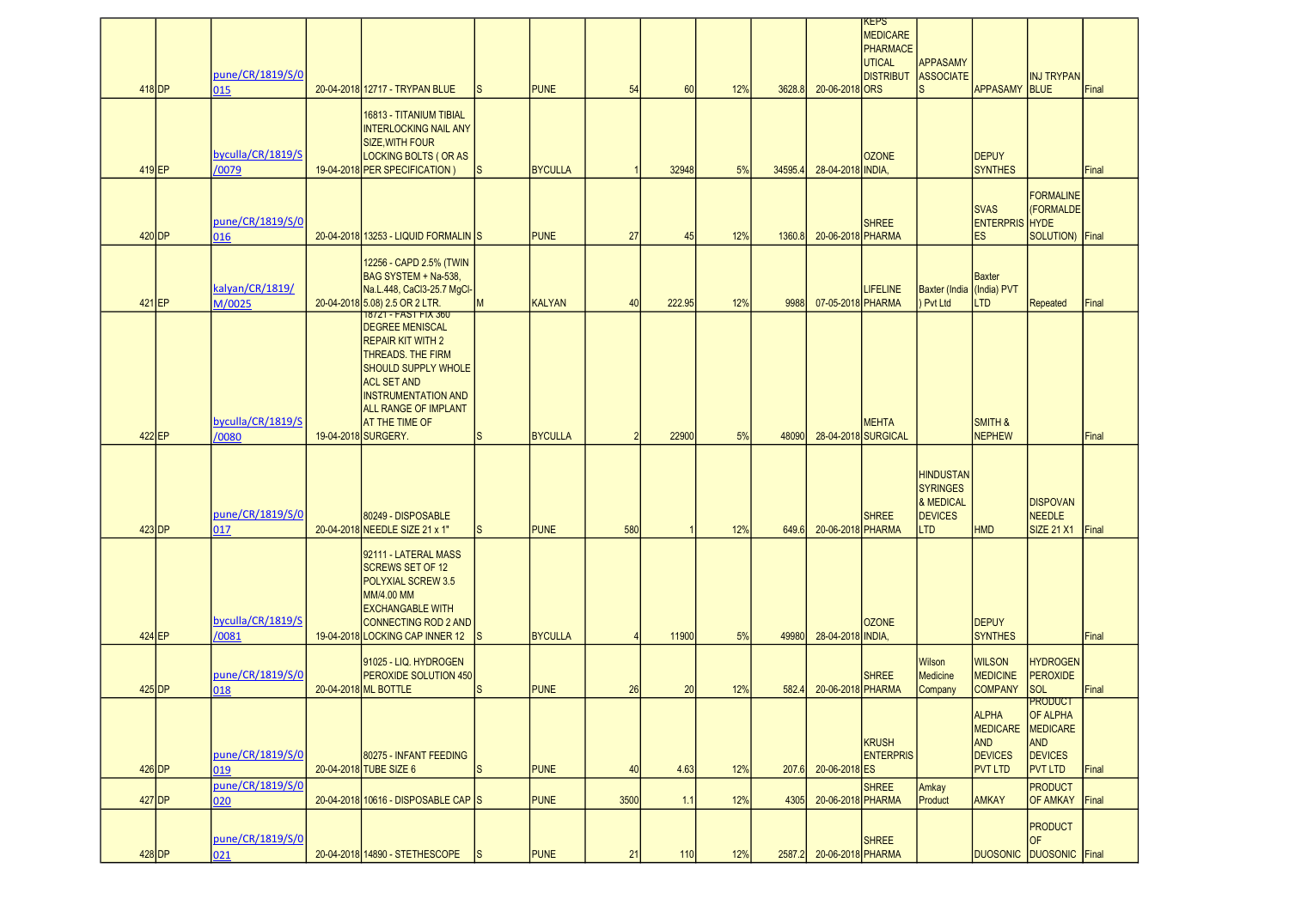|          | pune/CR/1819/S/0           |                                                                                                                                                                                                                                                                |              |                |                |        |     |         |                   | KEPS<br><b>MEDICARE</b><br>PHARMACE<br>UTICAL<br><b>DISTRIBUT</b> | APPASAMY<br><b>ASSOCIATE</b>           |                                                                                   | <b>INJ TRYPAN</b>                                                                        |       |
|----------|----------------------------|----------------------------------------------------------------------------------------------------------------------------------------------------------------------------------------------------------------------------------------------------------------|--------------|----------------|----------------|--------|-----|---------|-------------------|-------------------------------------------------------------------|----------------------------------------|-----------------------------------------------------------------------------------|------------------------------------------------------------------------------------------|-------|
| 418 DP   | 015                        | 20-04-2018 12717 - TRYPAN BLUE<br>16813 - TITANIUM TIBIAL<br><b>INTERLOCKING NAIL ANY</b><br><b>SIZE, WITH FOUR</b>                                                                                                                                            |              | <b>PUNE</b>    | 54             | 60     | 12% | 3628.8  | 20-06-2018 ORS    |                                                                   |                                        | <b>APPASAMY</b>                                                                   | <b>BLUE</b>                                                                              | Final |
| 419 EP   | byculla/CR/1819/S<br>/0079 | <b>LOCKING BOLTS (OR AS</b><br>19-04-2018 PER SPECIFICATION)                                                                                                                                                                                                   | ls           | <b>BYCULLA</b> |                | 32948  | 5%  | 34595.4 | 28-04-2018 INDIA, | <b>OZONE</b>                                                      |                                        | <b>DEPUY</b><br><b>SYNTHES</b>                                                    |                                                                                          | Final |
|          | pune/CR/1819/S/0           |                                                                                                                                                                                                                                                                |              |                |                |        |     |         |                   | <b>SHREE</b>                                                      |                                        | <b>SVAS</b><br><b>ENTERPRIS HYDE</b>                                              | <b>FORMALINE</b><br>(FORMALDE                                                            |       |
| 420 DP   | 016                        | 20-04-2018 13253 - LIQUID FORMALIN S<br>12256 - CAPD 2.5% (TWIN                                                                                                                                                                                                |              | <b>PUNE</b>    | 27             | 45     | 12% | 1360.8  | 20-06-2018 PHARMA |                                                                   |                                        | <b>ES</b>                                                                         | SOLUTION) Final                                                                          |       |
| 421 EP   | kalyan/CR/1819/<br>M/0025  | BAG SYSTEM + Na-538,<br>Na.L.448, CaCl3-25.7 MgCl-<br>20-04-2018 5.08) 2.5 OR 2 LTR.                                                                                                                                                                           | M            | <b>KALYAN</b>  | 40             | 222.95 | 12% | 9988    | 07-05-2018 PHARMA | <b>LIFELINE</b>                                                   | Baxter (India (India) PVT<br>) Pvt Ltd | <b>Baxter</b><br>TD <sub>-</sub>                                                  | Repeated                                                                                 | Final |
| 422 EP   | byculla/CR/1819/S<br>/0080 | 1872T-FAST FIX 360<br><b>DEGREE MENISCAL</b><br><b>REPAIR KIT WITH 2</b><br>THREADS. THE FIRM<br><b>SHOULD SUPPLY WHOLE</b><br><b>ACL SET AND</b><br><b>INSTRUMENTATION AND</b><br><b>ALL RANGE OF IMPLANT</b><br><b>AT THE TIME OF</b><br>19-04-2018 SURGERY. | lS           | <b>BYCULLA</b> | $\overline{2}$ | 22900  | 5%  | 48090   |                   | <b>MEHTA</b><br>28-04-2018 SURGICAL                               |                                        | <b>SMITH &amp;</b><br><b>NEPHEW</b>                                               |                                                                                          | Final |
|          |                            |                                                                                                                                                                                                                                                                |              |                |                |        |     |         |                   |                                                                   | <b>HINDUSTAN</b><br><b>SYRINGES</b>    |                                                                                   |                                                                                          |       |
| 423 DP   | pune/CR/1819/S/0<br>017    | 80249 - DISPOSABLE<br>20-04-2018 NEEDLE SIZE 21 x 1"                                                                                                                                                                                                           | <sub>S</sub> | <b>PUNE</b>    | 580            |        | 12% | 649.6   | 20-06-2018 PHARMA | <b>SHREE</b>                                                      | & MEDICAL<br><b>DEVICES</b><br>LTD     | <b>HMD</b>                                                                        | <b>DISPOVAN</b><br><b>NEEDLE</b><br><b>SIZE 21 X1</b>                                    | Final |
| 424 EP   | byculla/CR/1819/S<br>/0081 | 92111 - LATERAL MASS<br><b>SCREWS SET OF 12</b><br>POLYXIAL SCREW 3.5<br>MM/4.00 MM<br><b>EXCHANGABLE WITH</b><br><b>CONNECTING ROD 2 AND</b><br>19-04-2018 LOCKING CAP INNER 12                                                                               | Is           | <b>BYCULLA</b> | $\overline{4}$ | 11900  | 5%  | 49980   | 28-04-2018 INDIA, | <b>OZONE</b>                                                      |                                        | <b>DEPUY</b><br><b>SYNTHES</b>                                                    |                                                                                          | Final |
| $425$ DP | pune/CR/1819/S/0<br>018    | 91025 - LIQ. HYDROGEN<br>PEROXIDE SOLUTION 450<br>20-04-2018 ML BOTTLE                                                                                                                                                                                         | <sub>S</sub> | <b>PUNE</b>    | 26             | 20     | 12% | 582.4   | 20-06-2018 PHARMA | <b>SHREE</b>                                                      | Wilson<br>Medicine<br>Company          | <b>WILSON</b><br><b>MEDICINE</b><br><b>COMPANY</b>                                | <b>HYDROGEN</b><br><b>PEROXIDE</b><br>SOL                                                | Final |
| $426$ DP | pune/CR/1819/S/0<br>019    | 80275 - INFANT FEEDING<br>20-04-2018 TUBE SIZE 6                                                                                                                                                                                                               | <sub>S</sub> | <b>PUNE</b>    | 40             | 4.63   | 12% | 207.6   | 20-06-2018 ES     | KRUSH<br><b>ENTERPRIS</b>                                         |                                        | <b>ALPHA</b><br><b>MEDICARE</b><br><b>AND</b><br><b>DEVICES</b><br><b>PVT LTD</b> | <b>PRODUCT</b><br><b>OF ALPHA</b><br>MEDICARE<br>AND<br><b>DEVICES</b><br><b>PVT LTD</b> | Final |
| 427 DP   | pune/CR/1819/S/0<br>020    | 20-04-2018 10616 - DISPOSABLE CAP S                                                                                                                                                                                                                            |              | <b>PUNE</b>    | 3500           | 1.1    | 12% | 4305    | 20-06-2018 PHARMA | <b>SHREE</b>                                                      | Amkay<br>Product                       | <b>AMKAY</b>                                                                      | <b>PRODUCT</b><br><b>OF AMKAY</b>                                                        | Final |
| 428 DP   | pune/CR/1819/S/0<br>021    | 20-04-2018 14890 - STETHESCOPE                                                                                                                                                                                                                                 | ls           | <b>PUNE</b>    | 21             | 110    | 12% | 2587.2  | 20-06-2018 PHARMA | <b>SHREE</b>                                                      |                                        | <b>DUOSONIC</b>                                                                   | <b>PRODUCT</b><br><b>OF</b><br>DUOSONIC Final                                            |       |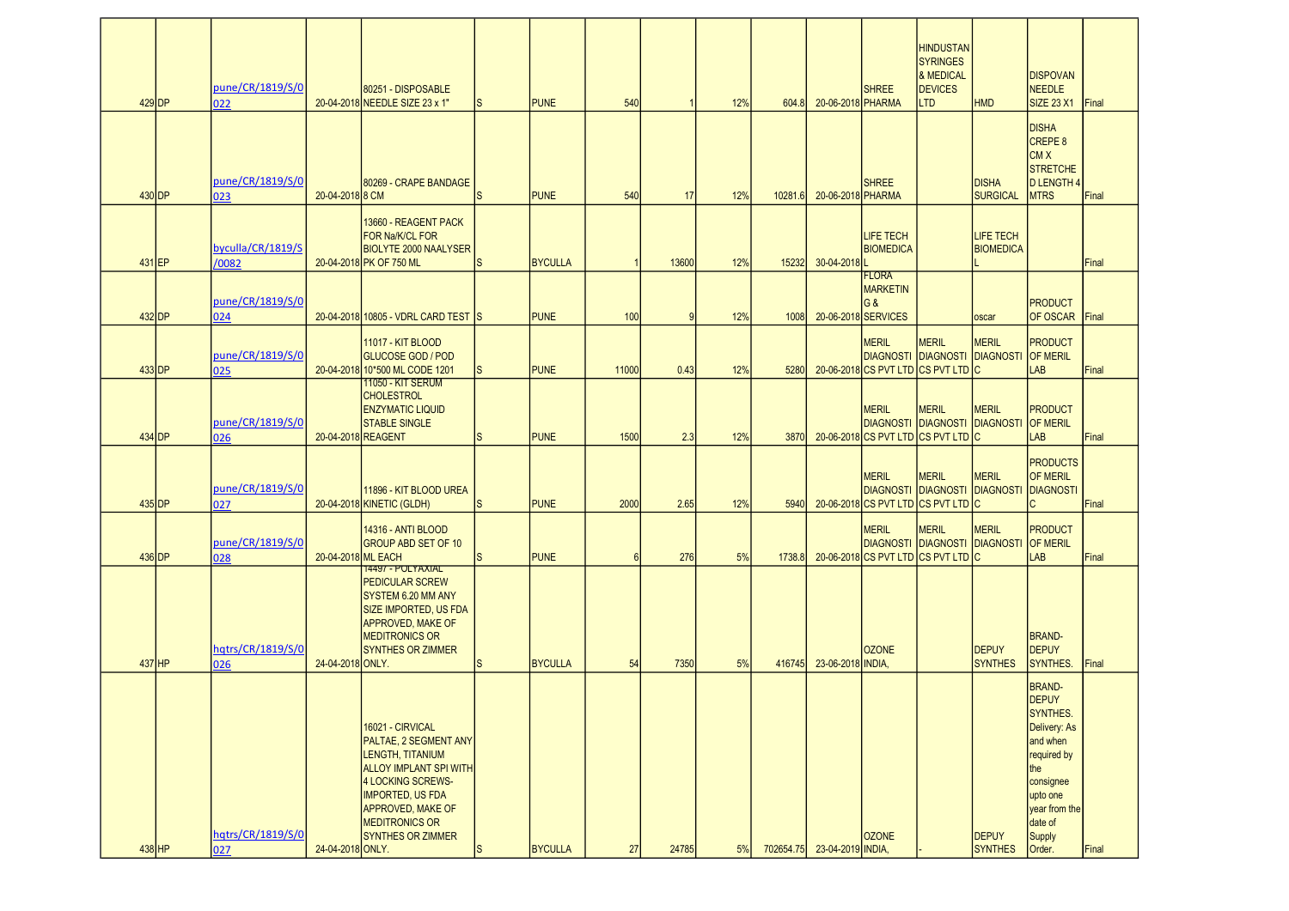| $429$ DP      | pune/CR/1819/S/0<br>022    |                    | 80251 - DISPOSABLE<br>20-04-2018 NEEDLE SIZE 23 x 1"                                                                                                                                                                            | <sub>S</sub> | <b>PUNE</b>    | 540   |           | 12% | 604.8     | 20-06-2018 PHARMA | <b>SHREE</b>                                                            | <b>HINDUSTAN</b><br><b>SYRINGES</b><br>& MEDICAL<br><b>DEVICES</b><br><b>LTD</b> | <b>HMD</b>                           | <b>DISPOVAN</b><br>NEEDLE<br><b>SIZE 23 X1</b>                                                                                                             | Final        |
|---------------|----------------------------|--------------------|---------------------------------------------------------------------------------------------------------------------------------------------------------------------------------------------------------------------------------|--------------|----------------|-------|-----------|-----|-----------|-------------------|-------------------------------------------------------------------------|----------------------------------------------------------------------------------|--------------------------------------|------------------------------------------------------------------------------------------------------------------------------------------------------------|--------------|
| 430 <b>DP</b> | pune/CR/1819/S/0<br>023    | 20-04-2018 8 CM    | 80269 - CRAPE BANDAGE                                                                                                                                                                                                           | <sub>S</sub> | <b>PUNE</b>    | 540   | 17        | 12% | 10281.6   | 20-06-2018 PHARMA | <b>SHREE</b>                                                            |                                                                                  | <b>DISHA</b><br><b>SURGICAL</b>      | <b>DISHA</b><br><b>CREPE 8</b><br><b>CMX</b><br><b>STRETCHE</b><br>D LENGTH 4<br><b>MTRS</b>                                                               | Final        |
| 431 EP        | byculla/CR/1819/S<br>/0082 |                    | 13660 - REAGENT PACK<br>FOR Na/K/CL FOR<br><b>BIOLYTE 2000 NAALYSER</b><br>20-04-2018 PK OF 750 ML                                                                                                                              | <sub>S</sub> | <b>BYCULLA</b> |       | 13600     | 12% | 15232     | 30-04-2018        | <b>LIFE TECH</b><br><b>BIOMEDICA</b>                                    |                                                                                  | <b>LIFE TECH</b><br><b>BIOMEDICA</b> |                                                                                                                                                            | Final        |
| 432 DP        | pune/CR/1819/S/0<br>024    |                    | 20-04-2018 10805 - VDRL CARD TEST IS                                                                                                                                                                                            |              | <b>PUNE</b>    | 100   | $\vert$ 9 | 12% | 1008      |                   | <b>FLORA</b><br><b>MARKETIN</b><br><b>G&amp;</b><br>20-06-2018 SERVICES |                                                                                  | oscar                                | <b>PRODUCT</b><br><b>OF OSCAR</b>                                                                                                                          | <b>Final</b> |
| 433 DP        | pune/CR/1819/S/0<br>025    |                    | 11017 - KIT BLOOD<br><b>GLUCOSE GOD / POD</b><br>20-04-2018 10*500 ML CODE 1201                                                                                                                                                 | <sub>S</sub> | <b>PUNE</b>    | 11000 | 0.43      | 12% | 5280      |                   | <b>MERIL</b><br>20-06-2018 CS PVT LTD CS PVT LTD C                      | <b>MERIL</b><br>DIAGNOSTI IDIAGNOSTI IDIAGNOSTI IOF MERIL                        | <b>MERIL</b>                         | PRODUCT<br>LAB                                                                                                                                             | Final        |
| 434 DP        | pune/CR/1819/S/0<br>026    |                    | <u> 11050 - KIT SERUM</u><br><b>CHOLESTROL</b><br><b>ENZYMATIC LIQUID</b><br><b>STABLE SINGLE</b><br>20-04-2018 REAGENT                                                                                                         | lS.          | <b>PUNE</b>    | 1500  | 2.3       | 12% | 3870      |                   | MERIL<br>20-06-2018 CS PVT LTD CS PVT LTD C                             | <b>MERIL</b><br><b>DIAGNOSTI DIAGNOSTI DIAGNOSTI</b>                             | <b>MERIL</b>                         | PRODUCT<br><b>OF MERIL</b><br>LAB                                                                                                                          | Final        |
| 435 DP        | pune/CR/1819/S/0<br>027    |                    | 11896 - KIT BLOOD UREA<br>20-04-2018 KINETIC (GLDH)                                                                                                                                                                             | <sub>S</sub> | <b>PUNE</b>    | 2000  | 2.65      | 12% | 5940      |                   | <b>MERIL</b><br>20-06-2018 CS PVT LTD CS PVT LTD C                      | <b>MERIL</b><br><b>DIAGNOSTI DIAGNOSTI DIAGNOSTI</b>                             | <b>MERIL</b>                         | <b>PRODUCTS</b><br><b>OF MERIL</b><br>DIAGNOSTI<br>IC                                                                                                      | Final        |
| 436 DP        | pune/CR/1819/S/0<br>028    | 20-04-2018 ML EACH | <b>14316 - ANTI BLOOD</b><br><b>GROUP ABD SET OF 10</b>                                                                                                                                                                         | <sub>S</sub> | <b>PUNE</b>    | 6     | 276       | 5%  | 1738.8    |                   | <b>MERIL</b><br>20-06-2018 CS PVT LTD CS PVT LTD C                      | <b>MERIL</b><br>DIAGNOSTI DIAGNOSTI DIAGNOSTI OF MERIL                           | <b>MERIL</b>                         | PRODUCT<br>LAB                                                                                                                                             | Final        |
| 437 HP        | hqtrs/CR/1819/S/0<br>026   | 24-04-2018 ONLY.   | <b>14497 - POLYAXIAL</b><br><b>PEDICULAR SCREW</b><br>SYSTEM 6.20 MM ANY<br><b>SIZE IMPORTED, US FDA</b><br><b>APPROVED, MAKE OF</b><br><b>MEDITRONICS OR</b><br><b>SYNTHES OR ZIMMER</b>                                       | <sub>S</sub> | <b>BYCULLA</b> | 54    | 7350      | 5%  | 416745    | 23-06-2018 INDIA, | <b>OZONE</b>                                                            |                                                                                  | <b>DEPUY</b><br><b>SYNTHES</b>       | <b>BRAND-</b><br><b>DEPUY</b><br>SYNTHES.                                                                                                                  | Final        |
|               | hqtrs/CR/1819/S/0          |                    | 16021 - CIRVICAL<br>PALTAE, 2 SEGMENT ANY<br>LENGTH, TITANIUM<br><b>ALLOY IMPLANT SPI WITH</b><br>4 LOCKING SCREWS-<br><b>IMPORTED, US FDA</b><br><b>APPROVED, MAKE OF</b><br><b>MEDITRONICS OR</b><br><b>SYNTHES OR ZIMMER</b> |              |                |       |           |     |           |                   | <b>OZONE</b>                                                            |                                                                                  | <b>DEPUY</b>                         | <b>BRAND-</b><br><b>DEPUY</b><br>SYNTHES.<br>Delivery: As<br>and when<br>required by<br>the<br>consignee<br>upto one<br>year from the<br>date of<br>Supply |              |
| 438 HP        | 027                        | 24-04-2018 ONLY.   |                                                                                                                                                                                                                                 | ls.          | <b>BYCULLA</b> | 27    | 24785     | 5%  | 702654.75 | 23-04-2019 INDIA, |                                                                         |                                                                                  | <b>SYNTHES</b>                       | Order.                                                                                                                                                     | Final        |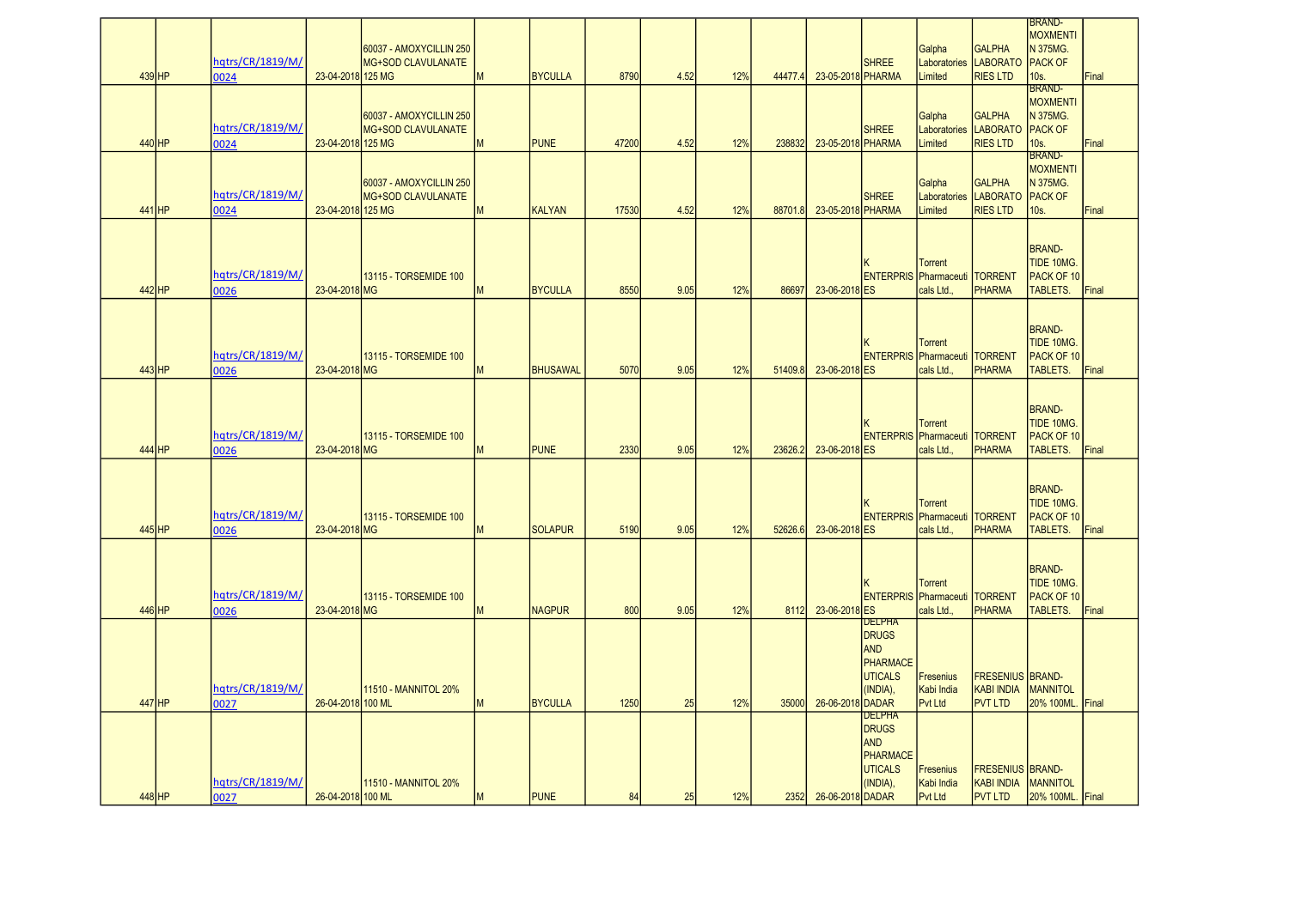|          |          |                  |                   |                             |   |                 |       |      |     |         |                   |                              |                                        |                         | <b>IBRAND-</b>   |       |
|----------|----------|------------------|-------------------|-----------------------------|---|-----------------|-------|------|-----|---------|-------------------|------------------------------|----------------------------------------|-------------------------|------------------|-------|
|          |          |                  |                   |                             |   |                 |       |      |     |         |                   |                              |                                        |                         | <b>MOXMENTI</b>  |       |
|          |          |                  |                   | 60037 - AMOXYCILLIN 250     |   |                 |       |      |     |         |                   |                              | Galpha                                 | <b>GALPHA</b>           | <b>N</b> 375MG.  |       |
|          |          | hqtrs/CR/1819/M/ |                   | MG+SOD CLAVULANATE          |   |                 |       |      |     |         |                   | <b>SHREE</b>                 |                                        | Laboratories LABORATO   | <b>PACK OF</b>   |       |
|          | $439$ HP | 0024             | 23-04-2018 125 MG |                             | M | <b>BYCULLA</b>  | 8790  | 4.52 | 12% | 44477.4 | 23-05-2018 PHARMA |                              | Limited                                | <b>RIES LTD</b>         | 10s.             | Final |
|          |          |                  |                   |                             |   |                 |       |      |     |         |                   |                              |                                        |                         | <b>BRAND-</b>    |       |
|          |          |                  |                   |                             |   |                 |       |      |     |         |                   |                              |                                        |                         | MOXMENTI         |       |
|          |          |                  |                   | 60037 - AMOXYCILLIN 250     |   |                 |       |      |     |         |                   |                              | Galpha                                 | <b>GALPHA</b>           | <b>IN 375MG.</b> |       |
|          |          | hqtrs/CR/1819/M/ |                   | <b>MG+SOD CLAVULANATE</b>   |   |                 |       |      |     |         |                   | <b>SHREE</b>                 | Laboratories LABORATO                  |                         | <b>PACK OF</b>   |       |
| $440$ HP |          | 0024             | 23-04-2018 125 MG |                             | M | <b>PUNE</b>     | 47200 | 4.52 | 12% | 238832  | 23-05-2018 PHARMA |                              | Limited                                | <b>RIES LTD</b>         | 10s.             | Final |
|          |          |                  |                   |                             |   |                 |       |      |     |         |                   |                              |                                        |                         | <b>BRAND-</b>    |       |
|          |          |                  |                   |                             |   |                 |       |      |     |         |                   |                              |                                        |                         | MOXMENTI         |       |
|          |          |                  |                   |                             |   |                 |       |      |     |         |                   |                              |                                        |                         |                  |       |
|          |          | hqtrs/CR/1819/M/ |                   | 60037 - AMOXYCILLIN 250     |   |                 |       |      |     |         |                   |                              | Galpha                                 | <b>GALPHA</b>           | <b>N</b> 375MG.  |       |
|          |          |                  |                   | MG+SOD CLAVULANATE          |   |                 |       |      |     |         |                   | <b>SHREE</b>                 | Laboratories                           | <b>LABORATO</b>         | <b>PACK OF</b>   |       |
| $441$ HP |          | 0024             | 23-04-2018 125 MG |                             | M | <b>KALYAN</b>   | 17530 | 4.52 | 12% | 88701.8 | 23-05-2018 PHARMA |                              | Limited                                | <b>RIES LTD</b>         | 10s.             | Final |
|          |          |                  |                   |                             |   |                 |       |      |     |         |                   |                              |                                        |                         |                  |       |
|          |          |                  |                   |                             |   |                 |       |      |     |         |                   |                              |                                        |                         |                  |       |
|          |          |                  |                   |                             |   |                 |       |      |     |         |                   |                              |                                        |                         | <b>BRAND-</b>    |       |
|          |          |                  |                   |                             |   |                 |       |      |     |         |                   |                              | <b>Torrent</b>                         |                         | TIDE 10MG.       |       |
|          |          | hatrs/CR/1819/M/ |                   | 13115 - TORSEMIDE 100       |   |                 |       |      |     |         |                   | <b>ENTERPRIS</b> Pharmaceuti |                                        | <b>TORRENT</b>          | PACK OF 10       |       |
| 442 HP   |          | 0026             | 23-04-2018 MG     |                             | M | <b>BYCULLA</b>  | 8550  | 9.05 | 12% | 86697   | 23-06-2018 ES     |                              | cals Ltd                               | <b>PHARMA</b>           | <b>TABLETS.</b>  | Final |
|          |          |                  |                   |                             |   |                 |       |      |     |         |                   |                              |                                        |                         |                  |       |
|          |          |                  |                   |                             |   |                 |       |      |     |         |                   |                              |                                        |                         |                  |       |
|          |          |                  |                   |                             |   |                 |       |      |     |         |                   |                              |                                        |                         | <b>BRAND-</b>    |       |
|          |          |                  |                   |                             |   |                 |       |      |     |         |                   |                              | <b>Torrent</b>                         |                         | TIDE 10MG.       |       |
|          |          | hqtrs/CR/1819/M/ |                   | 13115 - TORSEMIDE 100       |   |                 |       |      |     |         |                   |                              | <b>ENTERPRIS Pharmaceuti TORRENT</b>   |                         | PACK OF 10       |       |
|          | $443$ HP | 0026             | 23-04-2018 MG     |                             | M | <b>BHUSAWAL</b> | 5070  | 9.05 | 12% | 51409.8 | 23-06-2018 ES     |                              | cals Ltd.,                             | <b>PHARMA</b>           | TABLETS.         | Final |
|          |          |                  |                   |                             |   |                 |       |      |     |         |                   |                              |                                        |                         |                  |       |
|          |          |                  |                   |                             |   |                 |       |      |     |         |                   |                              |                                        |                         |                  |       |
|          |          |                  |                   |                             |   |                 |       |      |     |         |                   |                              |                                        |                         | <b>BRAND-</b>    |       |
|          |          |                  |                   |                             |   |                 |       |      |     |         |                   |                              | <b>Torrent</b>                         |                         | TIDE 10MG.       |       |
|          |          | hqtrs/CR/1819/M/ |                   | 13115 - TORSEMIDE 100       |   |                 |       |      |     |         |                   |                              | <b>ENTERPRIS Pharmaceuti TORRENT</b>   |                         | PACK OF 10       |       |
| 444 HP   |          | 0026             | 23-04-2018 MG     |                             | M | <b>PUNE</b>     | 2330  | 9.05 | 12% | 23626.2 | 23-06-2018 ES     |                              | cals Ltd.,                             | <b>PHARMA</b>           | TABLETS.         | Final |
|          |          |                  |                   |                             |   |                 |       |      |     |         |                   |                              |                                        |                         |                  |       |
|          |          |                  |                   |                             |   |                 |       |      |     |         |                   |                              |                                        |                         |                  |       |
|          |          |                  |                   |                             |   |                 |       |      |     |         |                   |                              |                                        |                         | <b>BRAND-</b>    |       |
|          |          |                  |                   |                             |   |                 |       |      |     |         |                   |                              | <b>Torrent</b>                         |                         | TIDE 10MG.       |       |
|          |          | hqtrs/CR/1819/M/ |                   | 13115 - TORSEMIDE 100       |   |                 |       |      |     |         |                   |                              | <b>ENTERPRIS Pharmaceuti   TORRENT</b> |                         | PACK OF 10       |       |
|          | 445 HP   | 0026             | 23-04-2018 MG     |                             | M | <b>SOLAPUR</b>  | 5190  | 9.05 | 12% | 52626.6 | 23-06-2018 ES     |                              | cals Ltd.,                             | <b>PHARMA</b>           | TABLETS.         | Final |
|          |          |                  |                   |                             |   |                 |       |      |     |         |                   |                              |                                        |                         |                  |       |
|          |          |                  |                   |                             |   |                 |       |      |     |         |                   |                              |                                        |                         |                  |       |
|          |          |                  |                   |                             |   |                 |       |      |     |         |                   |                              |                                        |                         | <b>BRAND-</b>    |       |
|          |          |                  |                   |                             |   |                 |       |      |     |         |                   |                              | <b>Torrent</b>                         |                         | TIDE 10MG.       |       |
|          |          | hqtrs/CR/1819/M/ |                   |                             |   |                 |       |      |     |         |                   | <b>ENTERPRIS</b> Pharmaceuti |                                        | <b>TORRENT</b>          | PACK OF 10       |       |
|          |          |                  |                   | 13115 - TORSEMIDE 100       |   |                 |       |      |     |         |                   |                              |                                        |                         |                  |       |
| $446$ HP |          | 0026             | 23-04-2018 MG     |                             | M | <b>NAGPUR</b>   | 800   | 9.05 | 12% | 8112    | 23-06-2018 ES     | <b>DELPHA</b>                | cals Ltd                               | <b>PHARMA</b>           | TABLETS.         | Final |
|          |          |                  |                   |                             |   |                 |       |      |     |         |                   | <b>DRUGS</b>                 |                                        |                         |                  |       |
|          |          |                  |                   |                             |   |                 |       |      |     |         |                   | <b>AND</b>                   |                                        |                         |                  |       |
|          |          |                  |                   |                             |   |                 |       |      |     |         |                   |                              |                                        |                         |                  |       |
|          |          |                  |                   |                             |   |                 |       |      |     |         |                   | PHARMACE                     |                                        |                         |                  |       |
|          |          |                  |                   |                             |   |                 |       |      |     |         |                   | <b>UTICALS</b>               | Fresenius                              | <b>FRESENIUS BRAND-</b> |                  |       |
|          |          | hqtrs/CR/1819/M/ |                   | 11510 - MANNITOL 20%        |   |                 |       |      |     |         |                   | (INDIA),                     | Kabi India                             | <b>KABI INDIA</b>       | <b>IMANNITOL</b> |       |
| 447 HP   |          | 0027             | 26-04-2018 100 ML |                             | M | <b>BYCULLA</b>  | 1250  | 25   | 12% | 35000   | 26-06-2018 DADAR  |                              | Pvt Ltd                                | <b>PVT LTD</b>          | 20% 100ML.       | Final |
|          |          |                  |                   |                             |   |                 |       |      |     |         |                   | <b>DELPHA</b>                |                                        |                         |                  |       |
|          |          |                  |                   |                             |   |                 |       |      |     |         |                   | <b>DRUGS</b>                 |                                        |                         |                  |       |
|          |          |                  |                   |                             |   |                 |       |      |     |         |                   | <b>AND</b>                   |                                        |                         |                  |       |
|          |          |                  |                   |                             |   |                 |       |      |     |         |                   | PHARMACE                     |                                        |                         |                  |       |
|          |          |                  |                   |                             |   |                 |       |      |     |         |                   | <b>UTICALS</b>               | <b>Fresenius</b>                       | <b>FRESENIUS BRAND-</b> |                  |       |
|          |          | hqtrs/CR/1819/M/ |                   | <b>11510 - MANNITOL 20%</b> |   |                 |       |      |     |         |                   | (INDIA),                     | Kabi India                             | <b>KABI INDIA</b>       | MANNITOL         |       |
|          | 448 HP   | 0027             | 26-04-2018 100 ML |                             | M | <b>PUNE</b>     | 84    | 25   | 12% | 2352    | 26-06-2018 DADAR  |                              | Pvt Ltd                                | <b>PVT LTD</b>          | 20% 100ML. Final |       |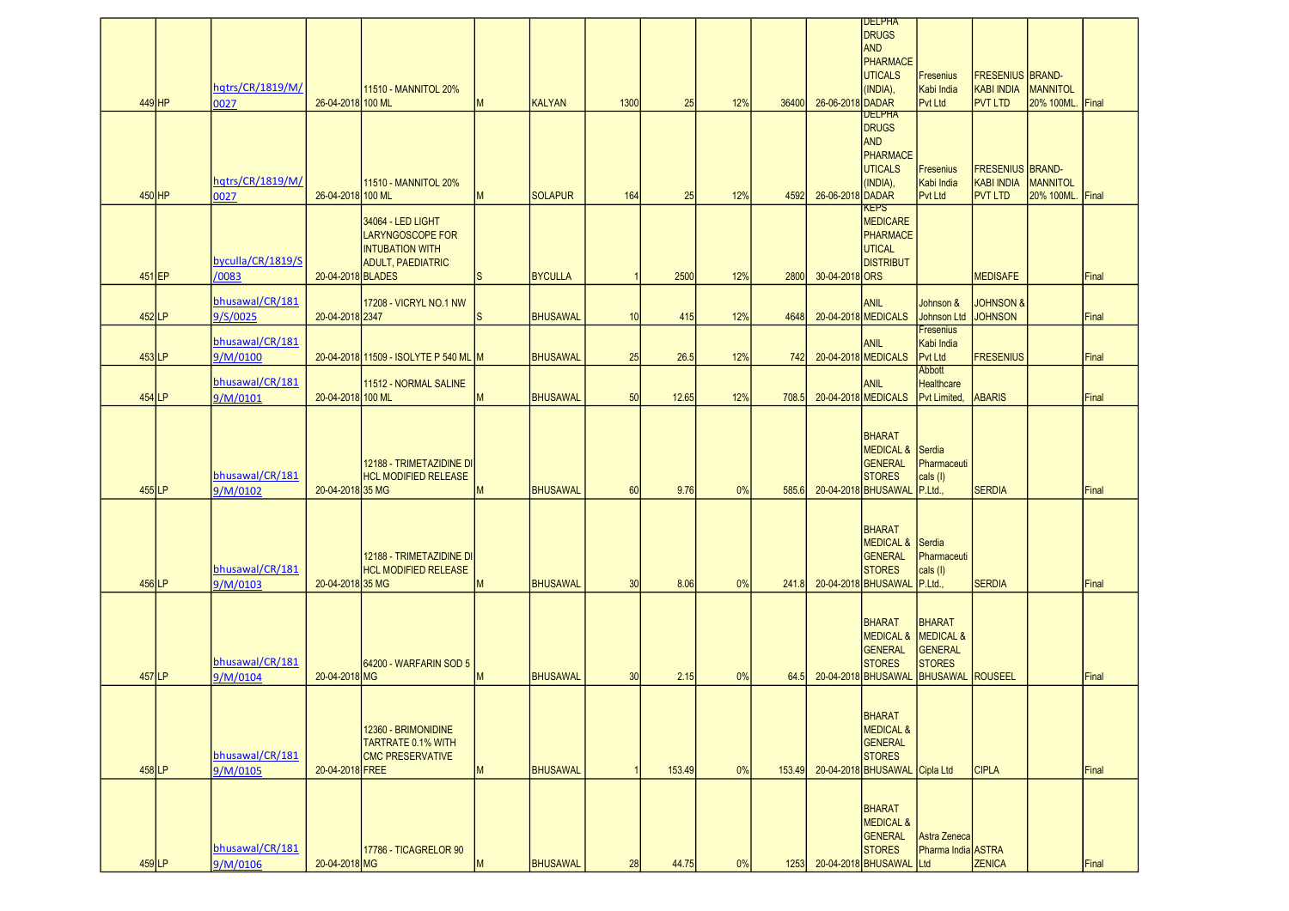| 449 HP   | hqtrs/CR/1819/M/<br>0027    | 26-04-2018 100 ML | 11510 - MANNITOL 20%                                                                               | M  | <b>KALYAN</b>   | 1300        | 25     | 12% | 36400  | 26-06-2018 DADAR | <b>DELPHA</b><br><b>DRUGS</b><br><b>AND</b><br><b>PHARMACE</b><br><b>UTICALS</b><br>(INDIA),                  | Fresenius<br>Kabi India<br>Pvt Ltd                    | <b>FRESENIUS BRAND-</b><br><b>KABI INDIA</b><br><b>PVT LTD</b> | MANNITOL<br>20% 100ML. | Final |
|----------|-----------------------------|-------------------|----------------------------------------------------------------------------------------------------|----|-----------------|-------------|--------|-----|--------|------------------|---------------------------------------------------------------------------------------------------------------|-------------------------------------------------------|----------------------------------------------------------------|------------------------|-------|
| 450 HP   | hqtrs/CR/1819/M/<br>0027    | 26-04-2018 100 ML | 11510 - MANNITOL 20%                                                                               | M  | <b>SOLAPUR</b>  | 164         | 25     | 12% | 4592   | 26-06-2018 DADAR | <b>DELPHA</b><br><b>DRUGS</b><br><b>AND</b><br>PHARMACE<br><b>UTICALS</b><br>(INDIA),                         | Fresenius<br>Kabi India<br>Pvt Ltd                    | <b>FRESENIUS BRAND-</b><br><b>KABI INDIA</b><br><b>PVT LTD</b> | MANNITOL<br>20% 100ML. | Final |
| 451 EP   | byculla/CR/1819/S<br>/0083  | 20-04-2018 BLADES | 34064 - LED LIGHT<br><b>LARYNGOSCOPE FOR</b><br><b>INTUBATION WITH</b><br><b>ADULT, PAEDIATRIC</b> | ls | <b>BYCULLA</b>  | $\mathbf 1$ | 2500   | 12% | 2800   | 30-04-2018 ORS   | <b>KEPS</b><br><b>MEDICARE</b><br>PHARMACE<br><b>UTICAL</b><br><b>DISTRIBUT</b>                               |                                                       | <b>MEDISAFE</b>                                                |                        | Final |
| $452$ LP | bhusawal/CR/181<br>9/S/0025 | 20-04-2018 2347   | 17208 - VICRYL NO.1 NW                                                                             | S  | <b>BHUSAWAL</b> | 10          | 415    | 12% | 4648   |                  | ANIL<br>20-04-2018 MEDICALS                                                                                   | Johnson &<br><b>Johnson Ltd</b>                       | <b>JOHNSON &amp;</b><br><b>JOHNSON</b>                         |                        | Final |
| 453 LP   | bhusawal/CR/181<br>9/M/0100 |                   | 20-04-2018 11509 - ISOLYTE P 540 ML M                                                              |    | <b>BHUSAWAL</b> | 25          | 26.5   | 12% | 742    |                  | <b>ANIL</b><br>20-04-2018 MEDICALS                                                                            | <b>Fresenius</b><br>Kabi India<br><b>Pvt Ltd</b>      | <b>FRESENIUS</b>                                               |                        | Final |
| 454 LP   | bhusawal/CR/181<br>9/M/0101 | 20-04-2018 100 ML | 11512 - NORMAL SALINE                                                                              | M  | <b>BHUSAWAL</b> | 50          | 12.65  | 12% | 708.5  |                  | <b>ANIL</b><br>20-04-2018 MEDICALS                                                                            | Abbott<br>Healthcare<br>Pvt Limited,                  | <b>ABARIS</b>                                                  |                        | Final |
| 455 LP   | bhusawal/CR/181<br>9/M/0102 | 20-04-2018 35 MG  | 12188 - TRIMETAZIDINE DI<br><b>HCL MODIFIED RELEASE</b>                                            | м  | <b>BHUSAWAL</b> | 60          | 9.76   | 0%  | 585.6  |                  | <b>BHARAT</b><br>MEDICAL & Serdia<br><b>GENERAL</b><br><b>STORES</b><br>20-04-2018 BHUSAWAL                   | Pharmaceuti<br>$\vert$ cals $\vert$<br>P.Ltd.         | <b>SERDIA</b>                                                  |                        | Final |
| 456 LP   | bhusawal/CR/181<br>9/M/0103 | 20-04-2018 35 MG  | 12188 - TRIMETAZIDINE DI<br><b>HCL MODIFIED RELEASE</b>                                            | M  | <b>BHUSAWAL</b> | 30          | 8.06   | 0%  | 241.8  |                  | <b>BHARAT</b><br>MEDICAL & Serdia<br><b>GENERAL</b><br><b>STORES</b><br>20-04-2018 BHUSAWAL P.Ltd.,           | Pharmaceuti<br>$\vert$ cals $\vert$                   | <b>SERDIA</b>                                                  |                        | Final |
| 457 LP   | bhusawal/CR/181<br>9/M/0104 | 20-04-2018 MG     | 64200 - WARFARIN SOD 5                                                                             | M  | <b>BHUSAWAL</b> | 30          | 2.15   | 0%  | 64.5   |                  | <b>BHARAT</b><br><b>MEDICAL &amp; MEDICAL &amp;</b><br><b>GENERAL</b><br><b>STORES</b><br>20-04-2018 BHUSAWAL | <b>BHARAT</b><br>GENERAL<br><b>STORES</b><br>BHUSAWAL | <b>ROUSEEL</b>                                                 |                        | Final |
| 458 LP   | bhusawal/CR/181<br>9/M/0105 | 20-04-2018 FREE   | 12360 - BRIMONIDINE<br><b>TARTRATE 0.1% WITH</b><br><b>CMC PRESERVATIVE</b>                        | M  | <b>BHUSAWAL</b> |             | 153.49 | 0%  | 153.49 |                  | <b>BHARAT</b><br><b>MEDICAL &amp;</b><br>GENERAL<br><b>STORES</b><br>20-04-2018 BHUSAWAL Cipla Ltd            |                                                       | <b>CIPLA</b>                                                   |                        | Final |
| 459 LP   | bhusawal/CR/181<br>9/M/0106 | 20-04-2018 MG     | 17786 - TICAGRELOR 90                                                                              | M  | <b>BHUSAWAL</b> | 28          | 44.75  | 0%  | 1253   |                  | <b>BHARAT</b><br><b>MEDICAL &amp;</b><br>GENERAL<br><b>STORES</b><br>20-04-2018 BHUSAWAL Ltd                  | Astra Zeneca<br>Pharma India ASTRA                    | <b>ZENICA</b>                                                  |                        | Final |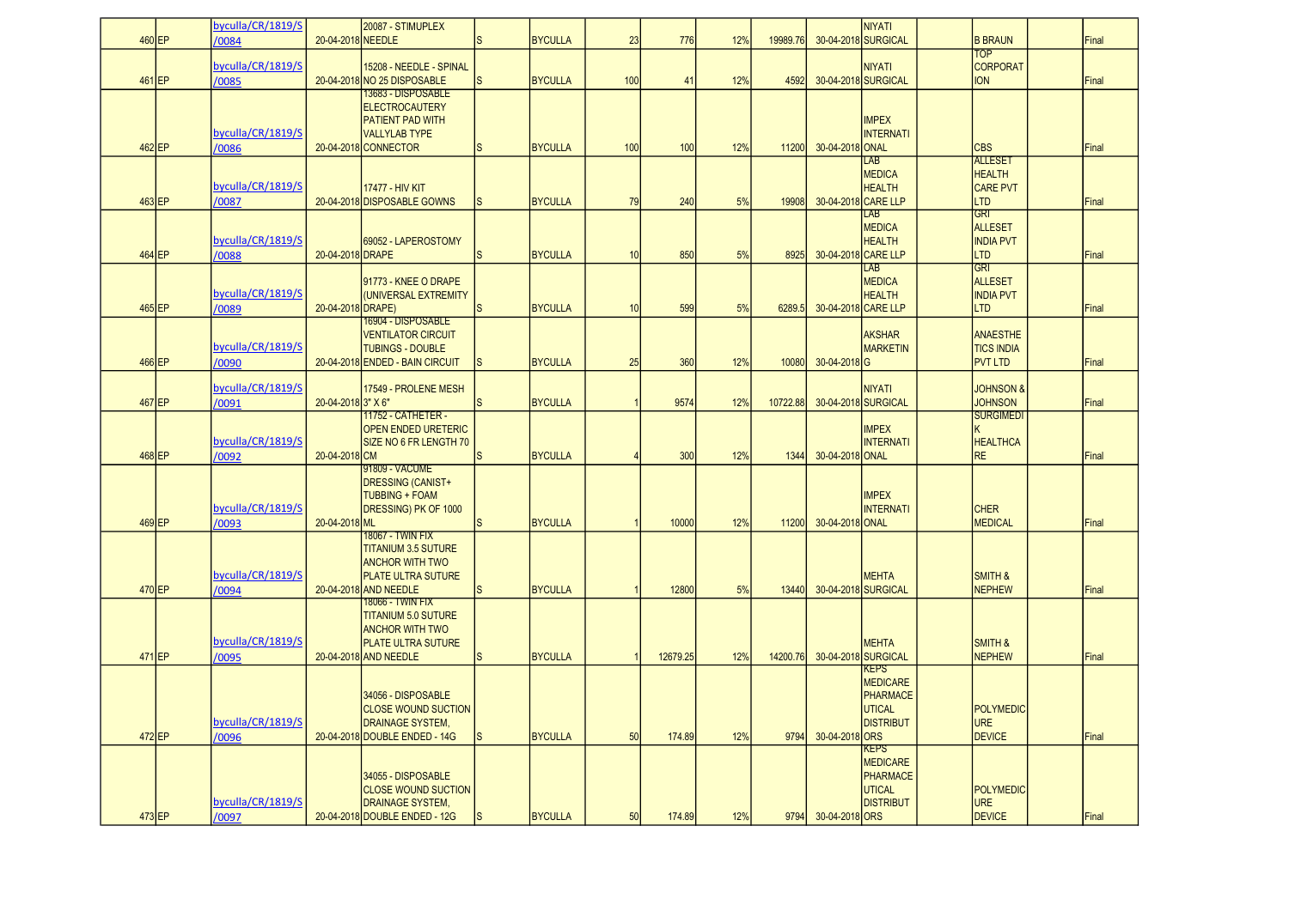|          | byculla/CR/1819/S          |                    | 20087 - STIMUPLEX                                         |                |                |     |          |     |          |                     | NIYATI                               |                                        |       |
|----------|----------------------------|--------------------|-----------------------------------------------------------|----------------|----------------|-----|----------|-----|----------|---------------------|--------------------------------------|----------------------------------------|-------|
| 460 EP   | /0084                      | 20-04-2018 NEEDLE  |                                                           | ls.            | <b>BYCULLA</b> | 23  | 776      | 12% | 19989.76 |                     | 30-04-2018 SURGICAL                  | <b>B BRAUN</b><br><b>TOP</b>           | Final |
|          | byculla/CR/1819/S          |                    | 15208 - NEEDLE - SPINAL                                   |                |                |     |          |     |          |                     | <b>NIYATI</b>                        | <b>CORPORAT</b>                        |       |
| 461 EP   | /0085                      |                    | 20-04-2018 NO 25 DISPOSABLE<br><u> 13683 - DISPOSABLE</u> | ls.            | <b>BYCULLA</b> | 100 | 41       | 12% | 4592     |                     | 30-04-2018 SURGICAL                  | <b>ION</b>                             | Final |
|          |                            |                    | <b>ELECTROCAUTERY</b>                                     |                |                |     |          |     |          |                     |                                      |                                        |       |
|          |                            |                    | <b>PATIENT PAD WITH</b>                                   |                |                |     |          |     |          |                     | <b>IMPEX</b>                         |                                        |       |
|          | byculla/CR/1819/S          |                    | <b>VALLYLAB TYPE</b>                                      | S              | <b>BYCULLA</b> |     |          |     |          | 30-04-2018 ONAL     | INTERNATI                            | <b>CBS</b>                             | Final |
| 462 EP   | /0086                      |                    | 20-04-2018 CONNECTOR                                      |                |                | 100 | 100      | 12% | 11200    |                     | <b>LAB</b>                           | <b>ALLESET</b>                         |       |
|          |                            |                    |                                                           |                |                |     |          |     |          |                     | <b>MEDICA</b>                        | <b>HEALTH</b>                          |       |
|          | byculla/CR/1819/S          |                    | <b>17477 - HIV KIT</b>                                    |                |                |     |          |     |          |                     | <b>HEALTH</b>                        | <b>CARE PVT</b>                        |       |
| 463 EP   | /0087                      |                    | 20-04-2018 DISPOSABLE GOWNS                               | Is             | <b>BYCULLA</b> | 79  | 240      | 5%  | 19908    |                     | 30-04-2018 CARE LLP<br>LAB           | <b>LTD</b><br><b>GRI</b>               | Final |
|          |                            |                    |                                                           |                |                |     |          |     |          |                     | <b>MEDICA</b>                        | <b>ALLESET</b>                         |       |
|          | byculla/CR/1819/S          |                    | 69052 - LAPEROSTOMY                                       |                |                |     |          |     |          |                     | <b>HEALTH</b>                        | <b>INDIA PVT</b>                       |       |
| 464 EP   | /0088                      | 20-04-2018 DRAPE   |                                                           | ls.            | <b>BYCULLA</b> | 10  | 850      | 5%  | 8925     | 30-04-2018 CARE LLP |                                      | LTD                                    | Final |
|          |                            |                    | 91773 - KNEE O DRAPE                                      |                |                |     |          |     |          |                     | LAB<br><b>MEDICA</b>                 | GRI<br><b>ALLESET</b>                  |       |
|          | byculla/CR/1819/S          |                    | (UNIVERSAL EXTREMITY                                      |                |                |     |          |     |          |                     | <b>HEALTH</b>                        | <b>INDIA PVT</b>                       |       |
| 465 EP   | /0089                      | 20-04-2018 DRAPE)  |                                                           | <sub>S</sub>   | <b>BYCULLA</b> | 10  | 599      | 5%  | 6289.5   |                     | 30-04-2018 CARE LLP                  | <b>LTD</b>                             | Final |
|          |                            |                    | 16904 - DISPOSABLE                                        |                |                |     |          |     |          |                     |                                      |                                        |       |
|          | byculla/CR/1819/S          |                    | <b>VENTILATOR CIRCUIT</b><br><b>TUBINGS - DOUBLE</b>      |                |                |     |          |     |          |                     | <b>AKSHAR</b><br><b>MARKETIN</b>     | <b>ANAESTHE</b><br><b>TICS INDIA</b>   |       |
| 466 EP   | /0090                      |                    | 20-04-2018 ENDED - BAIN CIRCUIT                           | ls             | <b>BYCULLA</b> | 25  | 360      | 12% | 10080    | 30-04-2018G         |                                      | <b>PVT LTD</b>                         | Final |
|          |                            |                    |                                                           |                |                |     |          |     |          |                     |                                      |                                        |       |
| 467 EP   | byculla/CR/1819/S<br>/0091 | 20-04-2018 3" X 6" | 17549 - PROLENE MESH                                      | ls.            | <b>BYCULLA</b> |     | 9574     | 12% | 10722.88 |                     | <b>NIYATI</b><br>30-04-2018 SURGICAL | <b>JOHNSON &amp;</b><br><b>JOHNSON</b> | Final |
|          |                            |                    | 11752 - CATHETER -                                        |                |                |     |          |     |          |                     |                                      | <b>SURGIMEDI</b>                       |       |
|          |                            |                    | OPEN ENDED URETERIC                                       |                |                |     |          |     |          |                     | <b>IMPEX</b>                         |                                        |       |
|          | byculla/CR/1819/S          |                    | SIZE NO 6 FR LENGTH 70                                    |                |                |     |          |     |          |                     | <b>INTERNATI</b>                     | <b>HEALTHCA</b>                        |       |
| 468 EP   | /0092                      | 20-04-2018 CM      | 91809 - VACUME                                            | <sub>S</sub>   | <b>BYCULLA</b> |     | 300      | 12% | 1344     | 30-04-2018 ONAL     |                                      | <b>RE</b>                              | Final |
|          |                            |                    | DRESSING (CANIST+                                         |                |                |     |          |     |          |                     |                                      |                                        |       |
|          |                            |                    | <b>TUBBING + FOAM</b>                                     |                |                |     |          |     |          |                     | <b>IMPEX</b>                         |                                        |       |
| 469 EP   | byculla/CR/1819/S<br>/0093 | 20-04-2018 ML      | DRESSING) PK OF 1000                                      |                | <b>BYCULLA</b> |     | 10000    | 12% | 11200    | 30-04-2018 ONAL     | <b>INTERNATI</b>                     | <b>CHER</b><br><b>MEDICAL</b>          | Final |
|          |                            |                    | 18067 - TWIN FIX                                          |                |                |     |          |     |          |                     |                                      |                                        |       |
|          |                            |                    | <b>TITANIUM 3.5 SUTURE</b>                                |                |                |     |          |     |          |                     |                                      |                                        |       |
|          | byculla/CR/1819/S          |                    | <b>ANCHOR WITH TWO</b><br><b>IPLATE ULTRA SUTURE</b>      |                |                |     |          |     |          |                     | <b>MEHTA</b>                         | SMITH &                                |       |
| 470 EP   | /0094                      |                    | 20-04-2018 AND NEEDLE                                     | S              | <b>BYCULLA</b> |     | 12800    | 5%  | 13440    |                     | 30-04-2018 SURGICAL                  | <b>NEPHEW</b>                          | Final |
|          |                            |                    | 18066 - TWIN FIX                                          |                |                |     |          |     |          |                     |                                      |                                        |       |
|          |                            |                    | <b>TITANIUM 5.0 SUTURE</b><br><b>ANCHOR WITH TWO</b>      |                |                |     |          |     |          |                     |                                      |                                        |       |
|          | byculla/CR/1819/S          |                    | <b>PLATE ULTRA SUTURE</b>                                 |                |                |     |          |     |          |                     | <b>MEHTA</b>                         | SMITH &                                |       |
| 471 EP   | /0095                      |                    | 20-04-2018 AND NEEDLE                                     | lS.            | <b>BYCULLA</b> |     | 12679.25 | 12% | 14200.76 |                     | 30-04-2018 SURGICAL                  | <b>NEPHEW</b>                          | Final |
|          |                            |                    |                                                           |                |                |     |          |     |          |                     | KEPS                                 |                                        |       |
|          |                            |                    | 34056 - DISPOSABLE                                        |                |                |     |          |     |          |                     | <b>MEDICARE</b><br>PHARMACE          |                                        |       |
|          |                            |                    | <b>CLOSE WOUND SUCTION</b>                                |                |                |     |          |     |          |                     | <b>UTICAL</b>                        | POLYMEDIC                              |       |
|          | byculla/CR/1819/S          |                    | DRAINAGE SYSTEM,                                          |                |                |     |          |     |          |                     | <b>DISTRIBUT</b>                     | <b>URE</b>                             |       |
| $472$ EP | /0096                      |                    | 20-04-2018 DOUBLE ENDED - 14G                             | ls.            | <b>BYCULLA</b> | 50  | 174.89   | 12% | 9794     | 30-04-2018 ORS      | <b>KEPS</b>                          | <b>DEVICE</b>                          | Final |
|          |                            |                    |                                                           |                |                |     |          |     |          |                     | <b>MEDICARE</b>                      |                                        |       |
|          |                            |                    | 34055 - DISPOSABLE                                        |                |                |     |          |     |          |                     | PHARMACE                             |                                        |       |
|          | byculla/CR/1819/S          |                    | <b>CLOSE WOUND SUCTION</b>                                |                |                |     |          |     |          |                     | UTICAL<br><b>DISTRIBUT</b>           | <b>POLYMEDIC</b>                       |       |
| 473 EP   | /0097                      |                    | DRAINAGE SYSTEM,<br>20-04-2018 DOUBLE ENDED - 12G         | I <sub>S</sub> | <b>BYCULLA</b> | 50  | 174.89   | 12% | 9794     | 30-04-2018 ORS      |                                      | <b>URE</b><br>DEVICE                   | Final |
|          |                            |                    |                                                           |                |                |     |          |     |          |                     |                                      |                                        |       |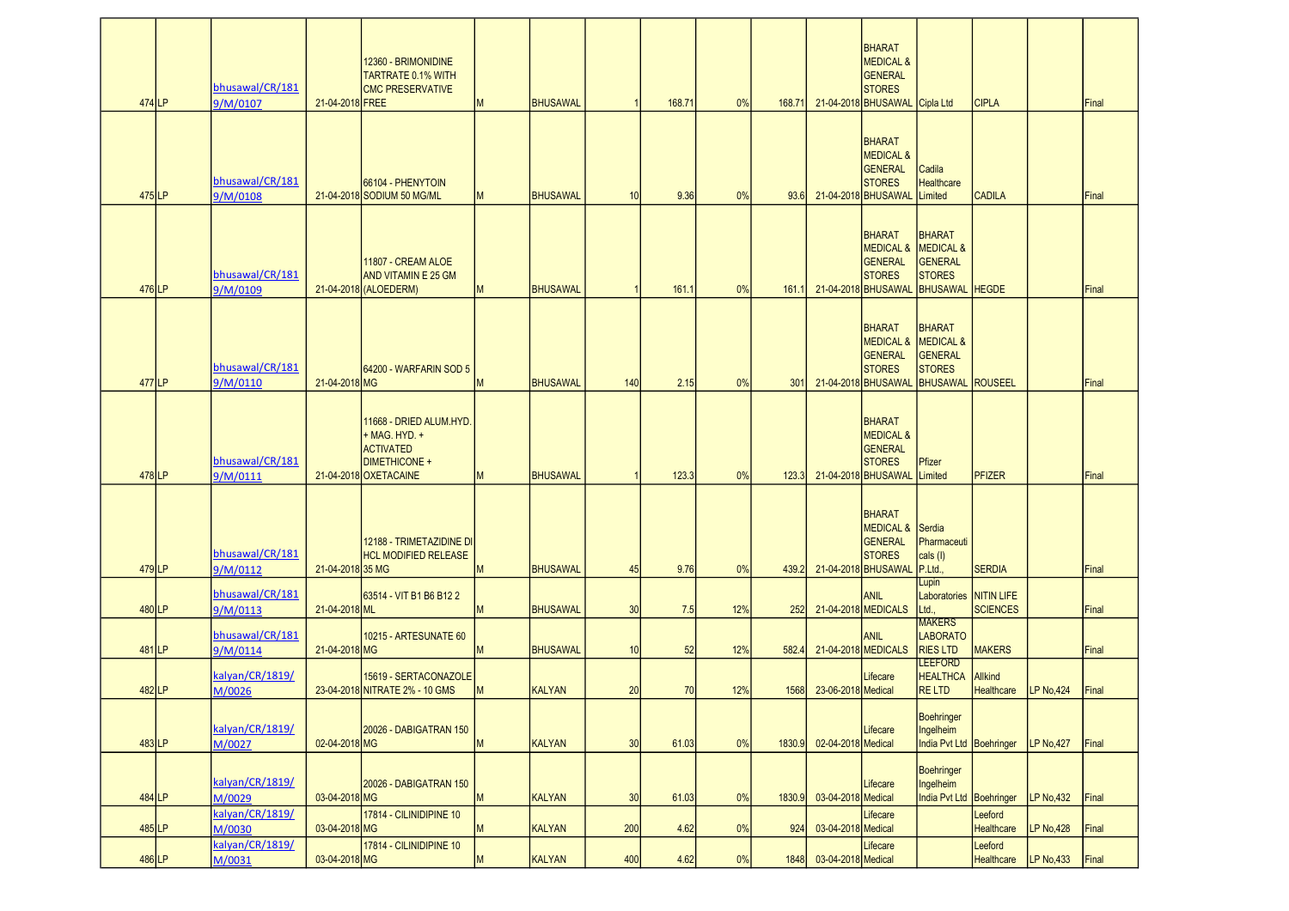| 474 LP   | bhusawal/CR/181<br>9/M/0107 | 21-04-2018 FREE  | 12360 - BRIMONIDINE<br><b>TARTRATE 0.1% WITH</b><br><b>CMC PRESERVATIVE</b>                                   | M | <b>BHUSAWAL</b> | $\overline{1}$ | 168.71 | 0%  | 168.71 |                    | BHARAT<br><b>MEDICAL &amp;</b><br>GENERAL<br><b>STORES</b><br>21-04-2018 BHUSAWAL        | Cipla Ltd                                                                                   | <b>CIPLA</b>                 |                   | Final |
|----------|-----------------------------|------------------|---------------------------------------------------------------------------------------------------------------|---|-----------------|----------------|--------|-----|--------|--------------------|------------------------------------------------------------------------------------------|---------------------------------------------------------------------------------------------|------------------------------|-------------------|-------|
| 475 LP   | bhusawal/CR/181<br>9/M/0108 |                  | 66104 - PHENYTOIN<br>21-04-2018 SODIUM 50 MG/ML                                                               | M | <b>BHUSAWAL</b> | 10             | 9.36   | 0%  | 93.6   |                    | <b>BHARAT</b><br><b>MEDICAL &amp;</b><br>GENERAL<br><b>STORES</b><br>21-04-2018 BHUSAWAL | Cadila<br><b>Healthcare</b><br>Limited                                                      | <b>CADILA</b>                |                   | Final |
| 476 LP   | bhusawal/CR/181<br>9/M/0109 |                  | 11807 - CREAM ALOE<br><b>AND VITAMIN E 25 GM</b><br>21-04-2018 (ALOEDERM)                                     | M | <b>BHUSAWAL</b> |                | 161.1  | 0%  | 161.1  |                    | <b>BHARAT</b><br><b>MEDICAL &amp;</b><br>GENERAL<br><b>STORES</b><br>21-04-2018 BHUSAWAL | <b>BHARAT</b><br><b>MEDICAL &amp;</b><br>GENERAL<br><b>STORES</b><br>BHUSAWAL               | <b>HEGDE</b>                 |                   | Final |
| 477 LP   | bhusawal/CR/181<br>9/M/0110 | 21-04-2018 MG    | 64200 - WARFARIN SOD 5                                                                                        | M | <b>BHUSAWAL</b> | 140            | 2.15   | 0%  | 301    |                    | <b>BHARAT</b><br><b>MEDICAL &amp;</b><br>GENERAL<br><b>STORES</b><br>21-04-2018 BHUSAWAL | <b>BHARAT</b><br><b>MEDICAL &amp;</b><br><b>GENERAL</b><br><b>STORES</b><br><b>BHUSAWAL</b> | <b>ROUSEEL</b>               |                   | Final |
| 478LP    | bhusawal/CR/181<br>9/M/0111 |                  | 11668 - DRIED ALUM.HYD.<br>+ MAG, HYD, +<br><b>ACTIVATED</b><br><b>DIMETHICONE +</b><br>21-04-2018 OXETACAINE | M | <b>BHUSAWAL</b> | $\mathbf{1}$   | 123.3  | 0%  | 123.3  |                    | <b>BHARAT</b><br><b>MEDICAL &amp;</b><br>GENERAL<br><b>STORES</b><br>21-04-2018 BHUSAWAL | Pfizer<br>Limited                                                                           | <b>PFIZER</b>                |                   | Final |
| 479LP    | bhusawal/CR/181<br>9/M/0112 | 21-04-2018 35 MG | 12188 - TRIMETAZIDINE DI<br><b>HCL MODIFIED RELEASE</b>                                                       | М | <b>BHUSAWAL</b> | 45             | 9.76   | 0%  | 439.2  |                    | <b>BHARAT</b><br><b>MEDICAL &amp;</b><br>GENERAL<br><b>STORES</b><br>21-04-2018 BHUSAWAL | Serdia<br>Pharmaceuti<br>cals (I)<br>P.Ltd.,                                                | <b>SERDIA</b>                |                   | Final |
| 480LP    | bhusawal/CR/181<br>9/M/0113 | 21-04-2018 ML    | 63514 - VIT B1 B6 B12 2                                                                                       | м | <b>BHUSAWAL</b> | 30             | 7.5    | 12% | 252    |                    | <b>ANIL</b><br>21-04-2018 MEDICALS                                                       | Lupin<br>Laboratories NITIN LIFE<br>Ltd.                                                    | <b>SCIENCES</b>              |                   | Final |
| 481 LP   | bhusawal/CR/181<br>9/M/0114 | 21-04-2018 MG    | 10215 - ARTESUNATE 60                                                                                         | М | <b>BHUSAWAL</b> | 10             | 52     | 12% | 582.4  |                    | <b>ANIL</b><br>21-04-2018 MEDICALS                                                       | <b>MAKERS</b><br><b>LABORATO</b><br><b>RIES LTD</b>                                         | <b>MAKERS</b>                |                   | Final |
| 482LP    | kalyan/CR/1819/<br>M/0026   |                  | 15619 - SERTACONAZOLE<br>23-04-2018 NITRATE 2% - 10 GMS                                                       | M | <b>KALYAN</b>   | 20             | 70     | 12% | 1568   | 23-06-2018 Medical | Lifecare                                                                                 | <b>LEEFORD</b><br><b>HEALTHCA</b><br><b>RELTD</b>                                           | <b>Allkind</b><br>Healthcare | LP No.424         | Final |
| $483$ LP | kalyan/CR/1819/<br>M/0027   | 02-04-2018 MG    | 20026 - DABIGATRAN 150                                                                                        | М | <b>KALYAN</b>   | 30             | 61.03  | 0%  | 1830.9 | 02-04-2018 Medical | Lifecare                                                                                 | Boehringer<br>Ingelheim<br>India Pvt Ltd Boehringer                                         |                              | <b>LP No, 427</b> | Final |
| 484 LP   | kalyan/CR/1819/<br>M/0029   | 03-04-2018 MG    | 20026 - DABIGATRAN 150                                                                                        | M | <b>KALYAN</b>   | 30             | 61.03  | 0%  | 1830.9 | 03-04-2018 Medical | Lifecare                                                                                 | Boehringer<br>Ingelheim<br><b>India Pvt Ltd</b>                                             | Boehringer                   | <b>LP No,432</b>  | Final |
| 485 LP   | kalyan/CR/1819/<br>M/0030   | 03-04-2018 MG    | 17814 - CILINIDIPINE 10                                                                                       | M | <b>KALYAN</b>   | 200            | 4.62   | 0%  | 924    | 03-04-2018 Medical | Lifecare                                                                                 |                                                                                             | Leeford<br><b>Healthcare</b> | <b>LP No,428</b>  | Final |
| 486 LP   | kalyan/CR/1819/<br>M/0031   | 03-04-2018 MG    | 17814 - CILINIDIPINE 10                                                                                       | M | <b>KALYAN</b>   | 400            | 4.62   | 0%  | 1848   | 03-04-2018 Medical | Lifecare                                                                                 |                                                                                             | Leeford<br>Healthcare        | LP No, 433        | Final |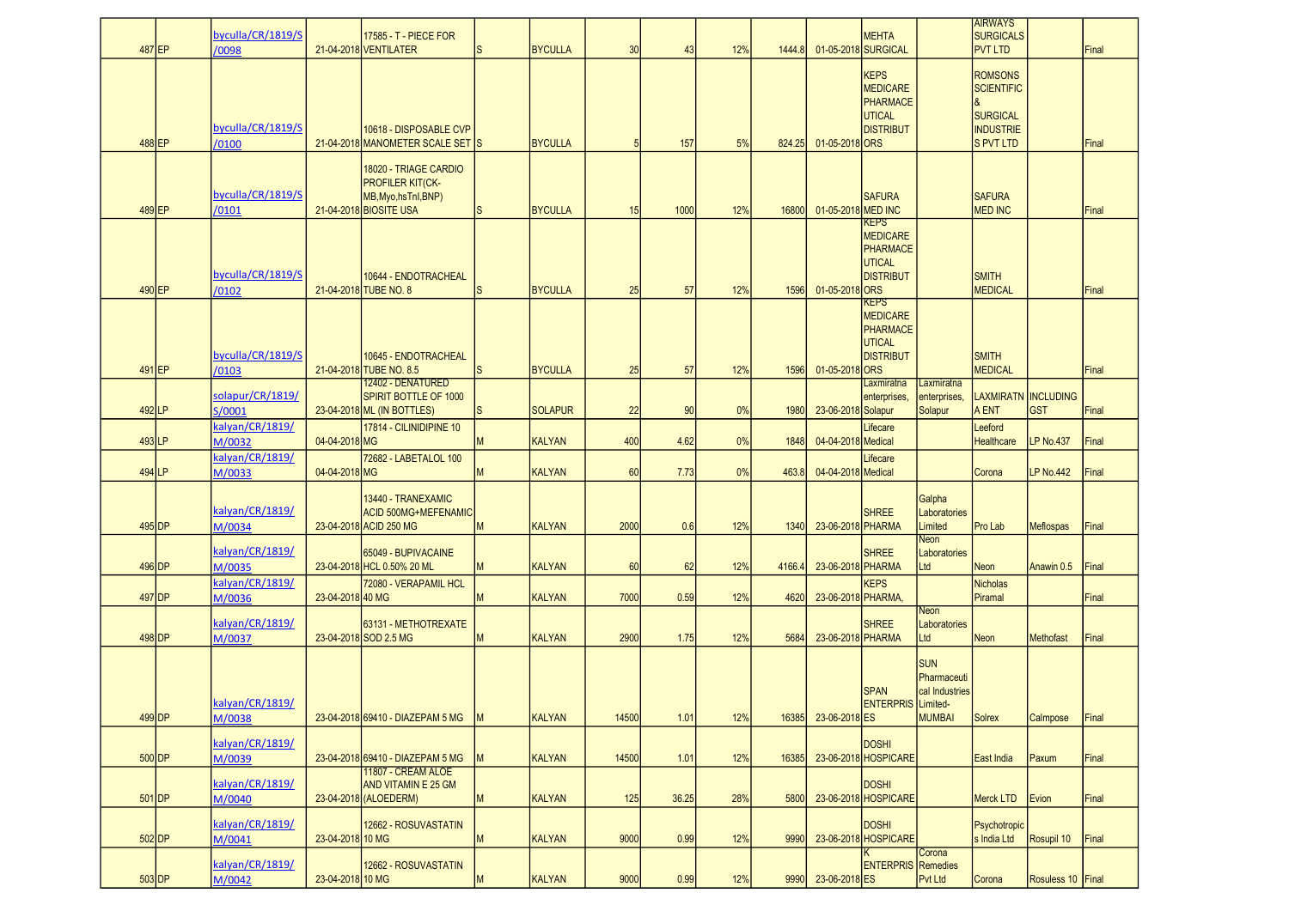| 487 EP   | byculla/CR/1819/S<br>/0098 |                  | 17585 - T - PIECE FOR<br>21-04-2018 VENTILATER                                                     | <sub>S</sub> | <b>BYCULLA</b> | 30    | 43    | 12% | 1444.8 |                    | <b>MEHTA</b><br>01-05-2018 SURGICAL                                             |                                                              | <b>AIRWAYS</b><br><b>SURGICALS</b><br><b>PVT LTD</b>                                           |                                   | Final |
|----------|----------------------------|------------------|----------------------------------------------------------------------------------------------------|--------------|----------------|-------|-------|-----|--------|--------------------|---------------------------------------------------------------------------------|--------------------------------------------------------------|------------------------------------------------------------------------------------------------|-----------------------------------|-------|
| 488 EP   | byculla/CR/1819/S<br>/0100 |                  | 10618 - DISPOSABLE CVP<br>21-04-2018 MANOMETER SCALE SET IS                                        |              | <b>BYCULLA</b> | 5     | 157   | 5%  | 824.25 | 01-05-2018 ORS     | <b>KEPS</b><br><b>MEDICARE</b><br>PHARMACE<br>UTICAL<br><b>DISTRIBUT</b>        |                                                              | <b>ROMSONS</b><br><b>SCIENTIFIC</b><br><b>SURGICAL</b><br><b>INDUSTRIE</b><br><b>S PVT LTD</b> |                                   | Final |
| 489 EP   | byculla/CR/1819/S<br>/0101 |                  | 18020 - TRIAGE CARDIO<br><b>PROFILER KIT(CK-</b><br>MB, Myo, hsTnl, BNP)<br>21-04-2018 BIOSITE USA | S            | <b>BYCULLA</b> | 15    | 1000  | 12% | 16800  | 01-05-2018 MED INC | <b>SAFURA</b>                                                                   |                                                              | <b>SAFURA</b><br><b>MED INC</b>                                                                |                                   | Final |
| 490 EP   | byculla/CR/1819/S<br>/0102 |                  | 10644 - ENDOTRACHEAL<br>21-04-2018 TUBE NO. 8                                                      | ls           | <b>BYCULLA</b> | 25    | 57    | 12% | 1596   | 01-05-2018 ORS     | <b>KEPS</b><br><b>MEDICARE</b><br><b>PHARMACE</b><br>UTICAL<br><b>DISTRIBUT</b> |                                                              | <b>SMITH</b><br><b>MEDICAL</b>                                                                 |                                   | Final |
|          | byculla/CR/1819/S          |                  | 10645 - ENDOTRACHEAL                                                                               |              |                |       |       |     |        |                    | KEPS<br><b>MEDICARE</b><br>PHARMACE<br>UTICAL<br><b>DISTRIBUT</b>               |                                                              | <b>SMITH</b>                                                                                   |                                   |       |
| 491 EP   | /0103                      |                  | 21-04-2018 TUBE NO. 8.5<br>12402 - DENATURED                                                       | <sub>S</sub> | <b>BYCULLA</b> | 25    | 57    | 12% | 1596   | 01-05-2018 ORS     | Laxmiratna                                                                      | Laxmiratna                                                   | <b>MEDICAL</b>                                                                                 |                                   | Final |
| 492 LP   | solapur/CR/1819/<br>S/0001 |                  | <b>SPIRIT BOTTLE OF 1000</b><br>23-04-2018 ML (IN BOTTLES)                                         | <sub>S</sub> | <b>SOLAPUR</b> | 22    | 90    | 0%  | 1980   | 23-06-2018 Solapur | enterprises,                                                                    | enterprises,<br>Solapur                                      | A ENT                                                                                          | LAXMIRATN INCLUDING<br><b>GST</b> | Final |
| 493 LP   | kalyan/CR/1819/<br>M/0032  | 04-04-2018 MG    | 17814 - CILINIDIPINE 10                                                                            | M            | <b>KALYAN</b>  | 400   | 4.62  | 0%  | 1848   | 04-04-2018 Medical | Lifecare                                                                        |                                                              | Leeford<br><b>Healthcare</b>                                                                   | <b>LP No.437</b>                  | Final |
|          | kalyan/CR/1819/            |                  | 72682 - LABETALOL 100                                                                              |              |                |       |       |     |        |                    | Lifecare                                                                        |                                                              |                                                                                                |                                   |       |
| 494 LP   | M/0033                     | 04-04-2018 MG    |                                                                                                    | M            | <b>KALYAN</b>  | 60    | 7.73  | 0%  | 463.8  | 04-04-2018 Medical |                                                                                 |                                                              | Corona                                                                                         | <b>LP No.442</b>                  | Final |
| 495 DP   | kalyan/CR/1819/<br>M/0034  |                  | 13440 - TRANEXAMIC<br><b>ACID 500MG+MEFENAMIC</b><br>23-04-2018 ACID 250 MG                        | M            | <b>KALYAN</b>  | 2000  | 0.6   | 12% | 1340   | 23-06-2018 PHARMA  | <b>SHREE</b>                                                                    | Galpha<br>Laboratories<br>Limited                            | Pro Lab                                                                                        | <b>Meflospas</b>                  | Final |
| 496 DP   | kalyan/CR/1819/<br>M/0035  |                  | 65049 - BUPIVACAINE<br>23-04-2018 HCL 0.50% 20 ML                                                  | M            | <b>KALYAN</b>  | 60    | 62    | 12% | 4166.4 | 23-06-2018 PHARMA  | <b>SHREE</b>                                                                    | Neon<br>Laboratories<br>Ltd                                  | <b>Neon</b>                                                                                    | Anawin 0.5                        | Final |
| 497 DP   | kalyan/CR/1819/<br>M/0036  | 23-04-2018 40 MG | 72080 - VERAPAMIL HCL                                                                              | М            | <b>KALYAN</b>  | 7000  | 0.59  | 12% | 4620   | 23-06-2018 PHARMA, | <b>KEPS</b>                                                                     |                                                              | <b>Nicholas</b><br>Piramal                                                                     |                                   | Final |
| 498 DP   | kalyan/CR/1819/<br>M/0037  |                  | 63131 - METHOTREXATE<br>23-04-2018 SOD 2.5 MG                                                      | M            | <b>KALYAN</b>  | 2900  | 1.75  | 12% | 5684   | 23-06-2018 PHARMA  | <b>SHREE</b>                                                                    | Neon<br>Laboratories<br>Ltd                                  | <b>Neon</b>                                                                                    | Methofast                         | Final |
| $499$ DP | kalyan/CR/1819/<br>M/0038  |                  | 23-04-2018 69410 - DIAZEPAM 5 MG                                                                   | <b>IM</b>    | <b>KALYAN</b>  | 14500 | 1.01  | 12% | 16385  | 23-06-2018 ES      | <b>SPAN</b><br><b>ENTERPRIS</b> Limited-                                        | <b>SUN</b><br>Pharmaceuti<br>cal Industries<br><b>MUMBAI</b> | <b>Solrex</b>                                                                                  | Calmpose                          | Final |
|          | kalyan/CR/1819/            |                  |                                                                                                    |              |                |       |       |     |        |                    | <b>DOSHI</b>                                                                    |                                                              |                                                                                                |                                   |       |
| $500$ DP | M/0039                     |                  | 23-04-2018 69410 - DIAZEPAM 5 MG                                                                   | М            | <b>KALYAN</b>  | 14500 | 1.01  | 12% | 16385  |                    | 23-06-2018 HOSPICARE                                                            |                                                              | East India                                                                                     | Paxum                             | Final |
| $501$ DP | kalyan/CR/1819/<br>M/0040  |                  | 11807 - CREAM ALOE<br>AND VITAMIN E 25 GM<br>23-04-2018 (ALOEDERM)                                 | M            | <b>KALYAN</b>  | 125   | 36.25 | 28% | 5800   |                    | <b>DOSHI</b><br>23-06-2018 HOSPICARE                                            |                                                              | <b>Merck LTD</b>                                                                               | Evion                             | Final |
| $502$ DP | kalyan/CR/1819/<br>M/0041  | 23-04-2018 10 MG | 12662 - ROSUVASTATIN                                                                               | M            | <b>KALYAN</b>  | 9000  | 0.99  | 12% | 9990   |                    | <b>DOSHI</b><br>23-06-2018 HOSPICARE                                            |                                                              | Psychotropic<br>s India Ltd                                                                    | Rosupil 10                        | Final |
|          | kalyan/CR/1819/            |                  | 12662 - ROSUVASTATIN                                                                               |              |                |       |       |     |        |                    | <b>ENTERPRIS</b> Remedies                                                       | Corona                                                       |                                                                                                |                                   |       |
| $503$ DP | M/0042                     | 23-04-2018 10 MG |                                                                                                    | M            | <b>KALYAN</b>  | 9000  | 0.99  | 12% | 9990   | 23-06-2018 ES      |                                                                                 | Pvt Ltd                                                      | Corona                                                                                         | Rosuless 10   Final               |       |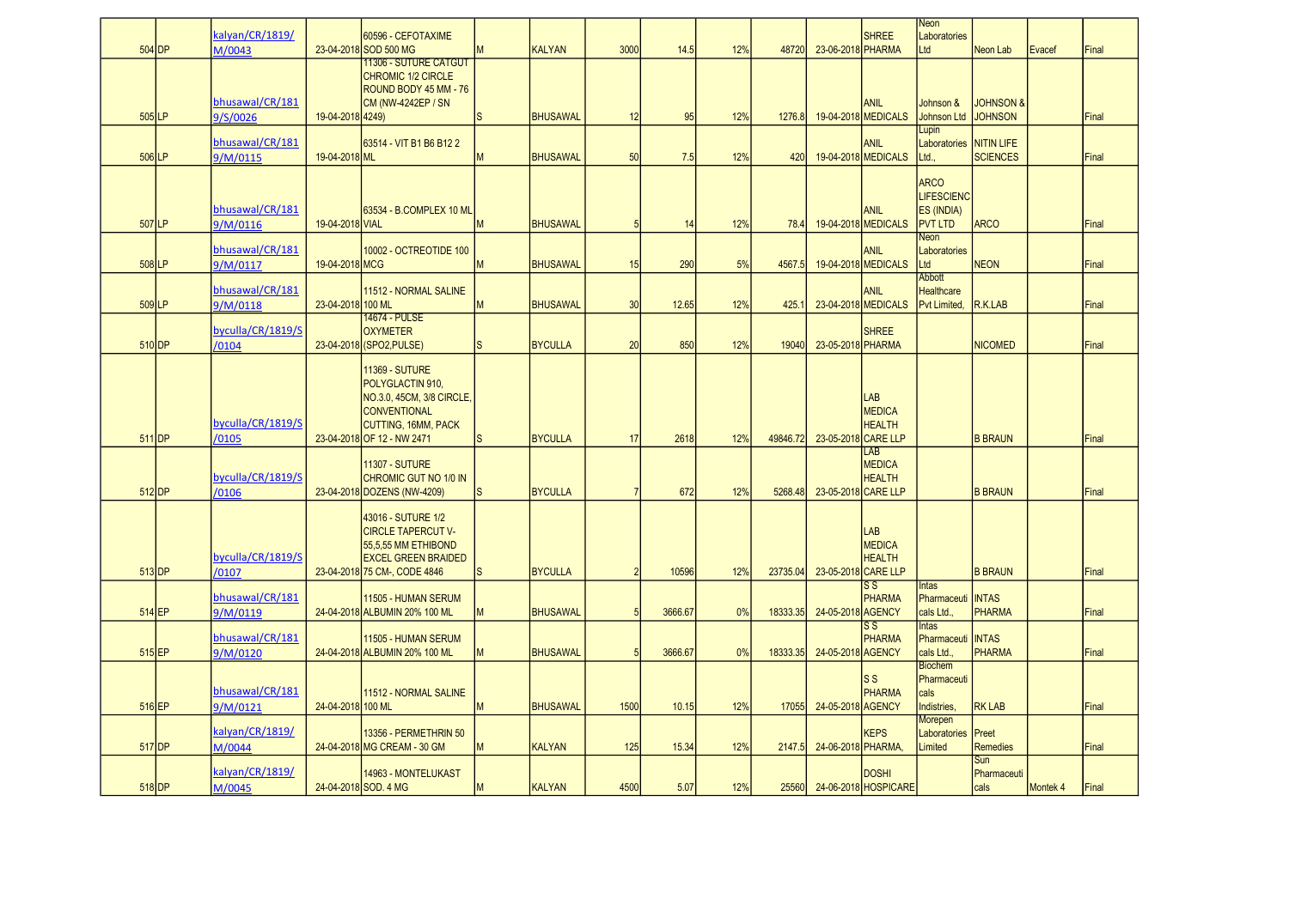| $504$ DP            | kalyan/CR/1819/<br>M/0043   |                   | 60596 - CEFOTAXIME<br>23-04-2018 SOD 500 MG                                                                                                               |              | <b>KALYAN</b>   | 3000            | 14.5    | 12% | 48720    | 23-06-2018 PHARMA   | <b>SHREE</b>                            | Neon<br>Laboratories<br>Ltd                                      | Neon Lab                               | Evacef   | Final |
|---------------------|-----------------------------|-------------------|-----------------------------------------------------------------------------------------------------------------------------------------------------------|--------------|-----------------|-----------------|---------|-----|----------|---------------------|-----------------------------------------|------------------------------------------------------------------|----------------------------------------|----------|-------|
| $505$ LP            | bhusawal/CR/181<br>9/S/0026 | 19-04-2018 4249)  | <u> 11306 - SUTURE CATGUT</u><br><b>CHROMIC 1/2 CIRCLE</b><br>ROUND BODY 45 MM - 76<br><b>CM (NW-4242EP / SN</b>                                          | <sub>S</sub> | <b>BHUSAWAL</b> | 12              | 95      | 12% | 1276.8   |                     | <b>ANIL</b><br>19-04-2018 MEDICALS      | Johnson &<br>Johnson Ltd                                         | <b>JOHNSON &amp;</b><br><b>JOHNSON</b> |          | Final |
| $506$ LP            | bhusawal/CR/181<br>9/M/0115 | 19-04-2018 ML     | 63514 - VIT B1 B6 B12 2                                                                                                                                   | M            | <b>BHUSAWAL</b> | 50              | 7.5     | 12% | 420      |                     | ANIL<br>19-04-2018 MEDICALS             | Lupin<br>Laboratories<br>Ltd.                                    | <b>NITIN LIFE</b><br><b>SCIENCES</b>   |          | Final |
| 507 LP              | bhusawal/CR/181<br>9/M/0116 | 19-04-2018 VIAL   | 63534 - B.COMPLEX 10 ML                                                                                                                                   | м            | <b>BHUSAWAL</b> | 5               | 14      | 12% | 78.4     |                     | <b>ANIL</b><br>19-04-2018 MEDICALS      | <b>ARCO</b><br><b>LIFESCIENC</b><br>ES (INDIA)<br><b>PVT LTD</b> | <b>ARCO</b>                            |          | Final |
| 508 LP              | bhusawal/CR/181<br>9/M/0117 | 19-04-2018 MCG    | 10002 - OCTREOTIDE 100                                                                                                                                    | М            | <b>BHUSAWAL</b> | 15              | 290     | 5%  | 4567.5   |                     | <b>ANIL</b><br>19-04-2018 MEDICALS      | Neon<br>Laboratories<br>Ltd                                      | <b>NEON</b>                            |          | Final |
| $509$ <sub>LP</sub> | bhusawal/CR/181<br>9/M/0118 | 23-04-2018 100 ML | 11512 - NORMAL SALINE                                                                                                                                     | м            | <b>BHUSAWAL</b> | 30              | 12.65   | 12% | 425.     |                     | <b>ANIL</b><br>23-04-2018 MEDICALS      | <b>Abbott</b><br><b>Healthcare</b><br>Pyt Limited.               | R.K.LAB                                |          | Final |
| $510$ DP            | byculla/CR/1819/S<br>/0104  |                   | <b>14674 - PULSE</b><br><b>OXYMETER</b><br>23-04-2018 (SPO2, PULSE)                                                                                       | S            | <b>BYCULLA</b>  | 20              | 850     | 12% | 19040    | 23-05-2018 PHARMA   | <b>SHREE</b>                            |                                                                  | <b>NICOMED</b>                         |          | Final |
| 511 <b>IDP</b>      | byculla/CR/1819/S<br>/0105  |                   | <b>11369 - SUTURE</b><br>POLYGLACTIN 910,<br>NO.3.0, 45CM, 3/8 CIRCLE,<br><b>CONVENTIONAL</b><br><b>CUTTING, 16MM, PACK</b><br>23-04-2018 OF 12 - NW 2471 | <sub>S</sub> | <b>BYCULLA</b>  | 17              | 2618    | 12% | 49846.72 | 23-05-2018 CARE LLP | LAB<br><b>MEDICA</b><br><b>HEALTH</b>   |                                                                  | <b>B BRAUN</b>                         |          | Final |
| $512$ DP            | byculla/CR/1819/S<br>/0106  |                   | <b>11307 - SUTURE</b><br><b>CHROMIC GUT NO 1/0 IN</b><br>23-04-2018 DOZENS (NW-4209)                                                                      | lS.          | <b>BYCULLA</b>  | $\overline{7}$  | 672     | 12% | 5268.48  | 23-05-2018 CARE LLP | LAB<br><b>MEDICA</b><br><b>HEALTH</b>   |                                                                  | <b>B BRAUN</b>                         |          | Final |
| $513$ DP            | byculla/CR/1819/S<br>/0107  |                   | 43016 - SUTURE 1/2<br><b>CIRCLE TAPERCUT V-</b><br>55,5,55 MM ETHIBOND<br><b>EXCEL GREEN BRAIDED</b><br>23-04-2018 75 CM-, CODE 4846                      | <sub>S</sub> | <b>BYCULLA</b>  | $\overline{2}$  | 10596   | 12% | 23735.04 | 23-05-2018 CARE LLP | LAB<br><b>MEDICA</b><br><b>HEALTH</b>   |                                                                  | <b>B BRAUN</b>                         |          | Final |
| 514 EP              | bhusawal/CR/181<br>9/M/0119 |                   | 11505 - HUMAN SERUM<br>24-04-2018 ALBUMIN 20% 100 ML                                                                                                      | М            | <b>BHUSAWAL</b> | $5\overline{5}$ | 3666.67 | 0%  | 18333.35 | 24-05-2018 AGENCY   | $\overline{\text{ss}}$<br>PHARMA        | Intas<br>Pharmaceuti<br>cals Ltd.,                               | <b>INTAS</b><br><b>PHARMA</b>          |          | Final |
| $515$ EP            | bhusawal/CR/181<br>9/M/0120 |                   | 11505 - HUMAN SERUM<br>24-04-2018 ALBUMIN 20% 100 ML                                                                                                      | M            | <b>BHUSAWAL</b> | 5               | 3666.67 | 0%  | 18333.35 | 24-05-2018 AGENCY   | $\overline{\text{ss}}$<br><b>PHARMA</b> | <b>Intas</b><br>Pharmaceuti<br>cals Ltd.,                        | <b>INTAS</b><br><b>PHARMA</b>          |          | Final |
| $516$ EP            | bhusawal/CR/181<br>9/M/0121 | 24-04-2018 100 ML | 11512 - NORMAL SALINE                                                                                                                                     | M            | <b>BHUSAWAL</b> | 1500            | 10.15   | 12% | 17055    | 24-05-2018 AGENCY   | ls s<br>PHARMA                          | <b>Biochem</b><br>Pharmaceuti<br>cals<br>Indistries,             | <b>RK LAB</b>                          |          | Final |
| 517 DP              | kalyan/CR/1819/<br>M/0044   |                   | 13356 - PERMETHRIN 50<br>24-04-2018 MG CREAM - 30 GM                                                                                                      | М            | <b>KALYAN</b>   | 125             | 15.34   | 12% | 2147.5   | 24-06-2018 PHARMA   | <b>KEPS</b>                             | Morepen<br>Laboratories<br>Limited                               | Preet<br><b>Remedies</b>               |          | Final |
| $518$ DP            | kalyan/CR/1819/<br>M/0045   |                   | 14963 - MONTELUKAST<br>24-04-2018 SOD. 4 MG                                                                                                               | M            | <b>KALYAN</b>   | 4500            | 5.07    | 12% | 25560    |                     | <b>DOSHI</b><br>24-06-2018 HOSPICARE    |                                                                  | Sun<br>Pharmaceuti<br>cals             | Montek 4 | Final |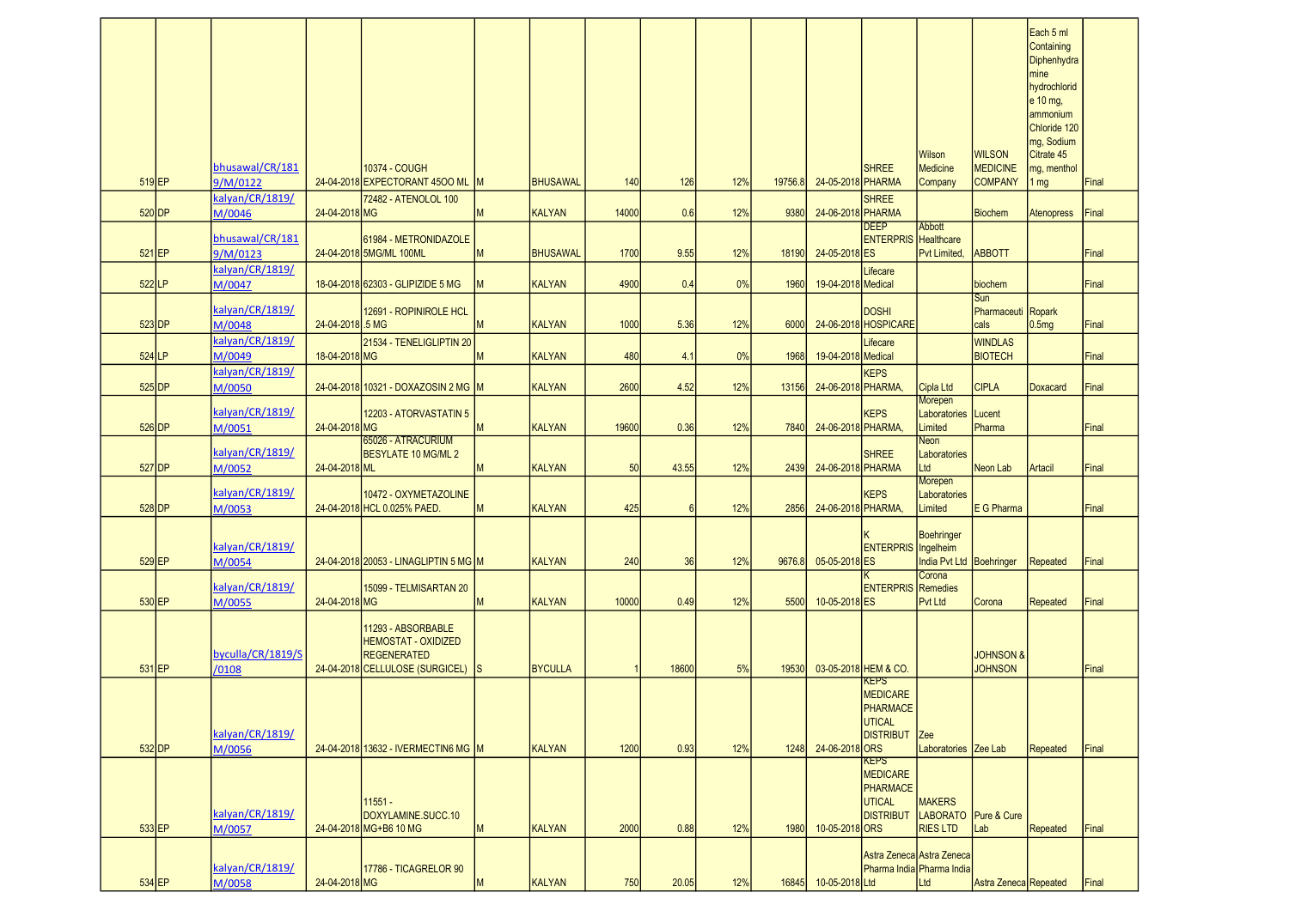|          |          | bhusawal/CR/181             |                  | 10374 - COUGH                                                                                               |              |                |       |            |     |         |                    | <b>SHREE</b>                                                                           | <b>Wilson</b><br>Medicine                                | <b>WILSON</b><br><b>MEDICINE</b>       | Each 5 ml<br>Containing<br>Diphenhydra<br>mine<br>hydrochlorid<br>$e$ 10 mg,<br>ammonium<br>Chloride 120<br>mg, Sodium<br>Citrate 45<br>mg, menthol |       |
|----------|----------|-----------------------------|------------------|-------------------------------------------------------------------------------------------------------------|--------------|----------------|-------|------------|-----|---------|--------------------|----------------------------------------------------------------------------------------|----------------------------------------------------------|----------------------------------------|-----------------------------------------------------------------------------------------------------------------------------------------------------|-------|
| $519$ EP |          | 9/M/0122<br>kalyan/CR/1819/ |                  | 24-04-2018 EXPECTORANT 4500 ML M<br>72482 - ATENOLOL 100                                                    |              | BHUSAWAL       | 140   | <b>126</b> | 12% | 19756.8 | 24-05-2018 PHARMA  | <b>SHREE</b>                                                                           | Company                                                  | <b>COMPANY</b>                         | 1 <sub>mg</sub>                                                                                                                                     | Final |
| 520 DP   |          | M/0046                      | 24-04-2018 MG    |                                                                                                             | M            | KALYAN         | 14000 | 0.6        | 12% | 9380    | 24-06-2018 PHARMA  | <b>DEEP</b>                                                                            | Abbott                                                   | <b>Biochem</b>                         | <b>Atenopress</b>                                                                                                                                   | Final |
| $521$ EP |          | bhusawal/CR/181<br>9/M/0123 |                  | 61984 - METRONIDAZOLE<br>24-04-2018 5MG/ML 100ML                                                            | M            | BHUSAWAL       | 1700  | 9.55       | 12% | 18190   | 24-05-2018 ES      | <b>ENTERPRIS</b> Healthcare                                                            | Pvt Limited                                              | <b>ABBOTT</b>                          |                                                                                                                                                     | Final |
| $522$ LP |          | kalyan/CR/1819/<br>M/0047   |                  | 18-04-2018 62303 - GLIPIZIDE 5 MG                                                                           | $\mathsf{M}$ | KALYAN         | 4900  | 0.4        | 0%  | 1960    | 19-04-2018 Medical | Lifecare                                                                               |                                                          | biochem                                |                                                                                                                                                     | Final |
| $523$ DP |          | kalyan/CR/1819/<br>M/0048   | 24-04-2018 .5 MG | 12691 - ROPINIROLE HCL                                                                                      | <b>IM</b>    | KALYAN         | 1000  | 5.36       | 12% | 6000    |                    | <b>DOSHI</b><br>24-06-2018 HOSPICARE                                                   |                                                          | Sun<br>Pharmaceuti Ropark<br>cals      | 0.5mg                                                                                                                                               | Final |
| 524 LP   |          | kalyan/CR/1819/<br>M/0049   | 18-04-2018 MG    | 21534 - TENELIGLIPTIN 20                                                                                    |              | KALYAN         | 480   | 4.1        | 0%  | 1968    | 19-04-2018 Medical | Lifecare                                                                               |                                                          | <b>WINDLAS</b><br><b>BIOTECH</b>       |                                                                                                                                                     | Final |
| $525$ DP |          | kalyan/CR/1819/             |                  | 24-04-2018 10321 - DOXAZOSIN 2 MG M                                                                         |              | KALYAN         | 2600  | 4.52       | 12% | 13156   | 24-06-2018 PHARMA, | <b>KEPS</b>                                                                            | Cipla Ltd                                                | <b>CIPLA</b>                           | Doxacard                                                                                                                                            | Final |
|          |          | M/0050<br>kalyan/CR/1819/   | 24-04-2018 MG    | 12203 - ATORVASTATIN 5                                                                                      |              | KALYAN         | 19600 | 0.36       | 12% |         | 24-06-2018 PHARMA, | <b>KEPS</b>                                                                            | Morepen<br>Laboratories<br>Limited                       | Lucent<br>Pharma                       |                                                                                                                                                     |       |
| $526$ DP |          | M/0051                      |                  | 65026 - ATRACURIUM                                                                                          | IМ           |                |       |            |     | 7840    |                    |                                                                                        | Neon                                                     |                                        |                                                                                                                                                     | Final |
| 527 DP   |          | kalyan/CR/1819/<br>M/0052   | 24-04-2018 ML    | <b>BESYLATE 10 MG/ML 2</b>                                                                                  | ΙM           | KALYAN         | 50    | 43.55      | 12% | 2439    | 24-06-2018 PHARMA  | <b>SHREE</b>                                                                           | Laboratories<br>Ltd                                      | Neon Lab                               | Artacil                                                                                                                                             | Final |
| $528$ DP |          | kalyan/CR/1819/<br>M/0053   |                  | 10472 - OXYMETAZOLINE<br>24-04-2018 HCL 0.025% PAED.                                                        | M            | KALYAN         | 425   | 6          | 12% | 2856    | 24-06-2018 PHARMA, | <b>KEPS</b>                                                                            | Morepen<br>Laboratories<br>Limited                       | E G Pharma                             |                                                                                                                                                     | Final |
| $529$ EP |          | kalyan/CR/1819/<br>M/0054   |                  | 24-04-2018 20053 - LINAGLIPTIN 5 MG M                                                                       |              | KALYAN         | 240   | 36         | 12% | 9676.8  | 05-05-2018 ES      | <b>ENTERPRIS</b> Ingelheim                                                             | Boehringer<br>India Pvt Ltd Boehringer                   |                                        | Repeated                                                                                                                                            | Final |
| $530$ EP |          | kalyan/CR/1819/<br>M/0055   | 24-04-2018 MG    | 15099 - TELMISARTAN 20                                                                                      | <b>M</b>     | KALYAN         | 10000 | 0.49       | 12% | 5500    | 10-05-2018 ES      | <b>ENTERPRIS</b> Remedies                                                              | Corona<br><b>Pvt Ltd</b>                                 | Corona                                 | Repeated                                                                                                                                            | Final |
| 531 EP   |          | byculla/CR/1819/S<br>/0108  |                  | 11293 - ABSORBABLE<br><b>HEMOSTAT - OXIDIZED</b><br><b>REGENERATED</b><br>24-04-2018 CELLULOSE (SURGICEL) S |              | <b>BYCULLA</b> |       | 18600      | 5%  | 19530   |                    | 03-05-2018 HEM & CO.                                                                   |                                                          | <b>JOHNSON &amp;</b><br><b>JOHNSON</b> |                                                                                                                                                     | Final |
|          | $532$ DP | kalyan/CR/1819/<br>M/0056   |                  | 24-04-2018 13632 - IVERMECTING MG M                                                                         |              | KALYAN         | 1200  | 0.93       | 12% | 1248    | 24-06-2018 ORS     | <b>KEPS</b><br><b>MEDICARE</b><br><b>PHARMACE</b><br><b>UTICAL</b><br><b>DISTRIBUT</b> | <b>Zee</b><br>Laboratories Zee Lab                       |                                        | Repeated                                                                                                                                            | Final |
| $533$ EP |          | kalyan/CR/1819/<br>M/0057   |                  | 11551 -<br>DOXYLAMINE.SUCC.10<br>24-04-2018 MG+B6 10 MG                                                     | <b>M</b>     | KALYAN         | 2000  | 0.88       | 12% | 1980    | 10-05-2018 ORS     | <b>KEPS</b><br><b>MEDICARE</b><br>PHARMACE<br>UTICAL<br><b>DISTRIBUT</b>               | <b>MAKERS</b><br>LABORATO Pure & Cure<br><b>RIES LTD</b> | Lab                                    | Repeated                                                                                                                                            | Final |
| 534 EP   |          | kalyan/CR/1819/<br>M/0058   | 24-04-2018 MG    | 17786 - TICAGRELOR 90                                                                                       | <b>IM</b>    | KALYAN         | 750   | 20.05      | 12% | 16845   | 10-05-2018 Ltd     | Pharma India Pharma India                                                              | Astra Zeneca Astra Zeneca<br>Ltd                         | Astra Zeneca Repeated                  |                                                                                                                                                     | Final |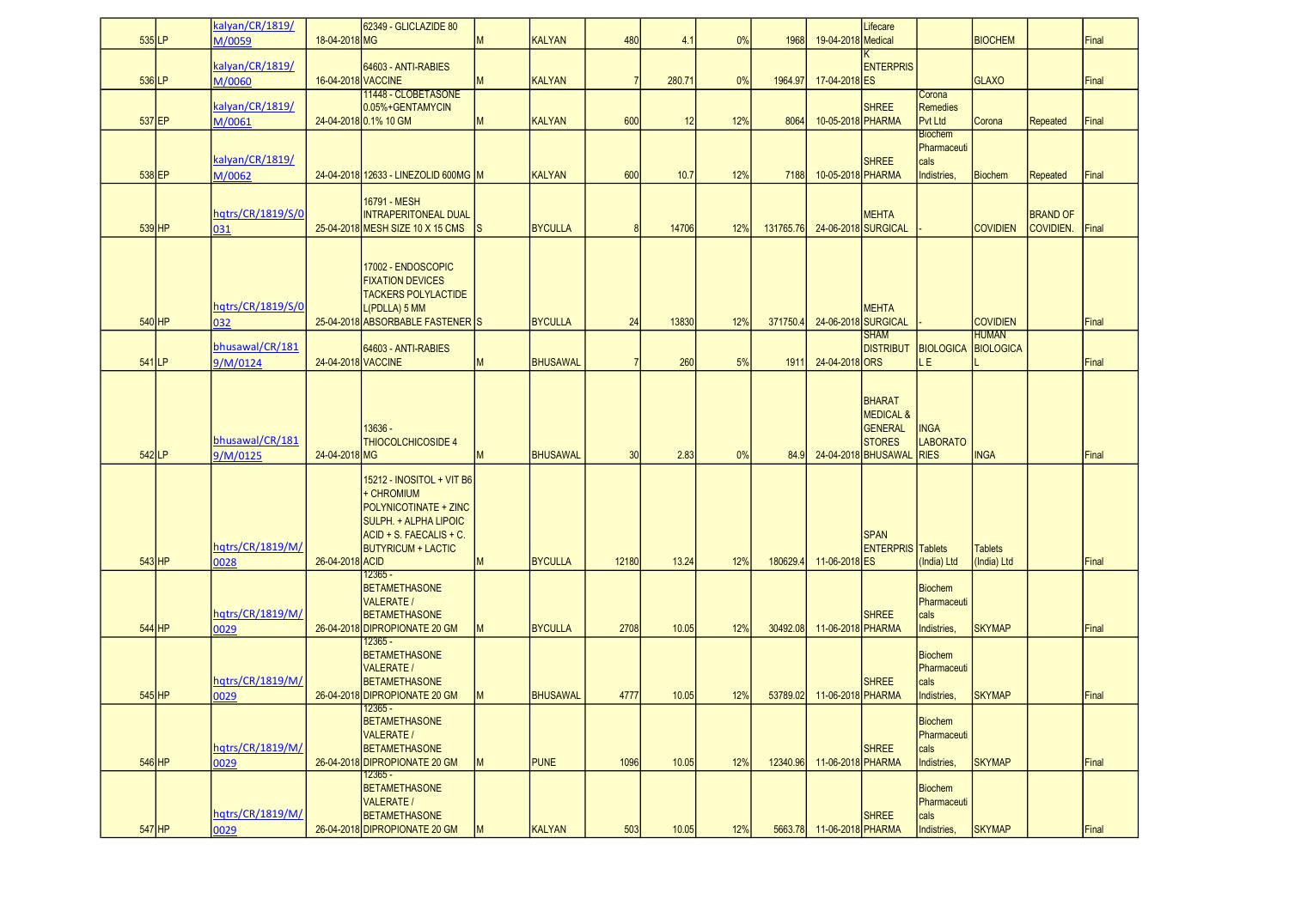| $535$ LP | kalyan/CR/1819/             | 18-04-2018 MG      | 62349 - GLICLAZIDE 80                                                                                                                             | M         | <b>KALYAN</b>   | 480            | 4.1    | 0%  | 1968      | 19-04-2018 Medical | Lifecare                                                                                      |                                                      | <b>BIOCHEM</b>                |                              | Final |
|----------|-----------------------------|--------------------|---------------------------------------------------------------------------------------------------------------------------------------------------|-----------|-----------------|----------------|--------|-----|-----------|--------------------|-----------------------------------------------------------------------------------------------|------------------------------------------------------|-------------------------------|------------------------------|-------|
|          | M/0059                      |                    |                                                                                                                                                   |           |                 |                |        |     |           |                    |                                                                                               |                                                      |                               |                              |       |
| $536$ LP | kalyan/CR/1819/<br>M/0060   | 16-04-2018 VACCINE | 64603 - ANTI-RABIES                                                                                                                               | M         | <b>KALYAN</b>   | $\overline{7}$ | 280.71 | 0%  | 1964.97   | 17-04-2018 ES      | <b>ENTERPRIS</b>                                                                              |                                                      | <b>GLAXO</b>                  |                              | Final |
|          | kalyan/CR/1819/             |                    | 11448 - CLOBETASONE<br>0.05%+GENTAMYCIN                                                                                                           |           |                 |                |        |     |           |                    | <b>SHREE</b>                                                                                  | Corona<br><b>Remedies</b>                            |                               |                              |       |
| 537 EP   | M/0061                      |                    | 24-04-2018 0.1% 10 GM                                                                                                                             | M         | <b>KALYAN</b>   | 600            | 12     | 12% | 8064      | 10-05-2018 PHARMA  |                                                                                               | Pvt Ltd<br><b>Biochem</b>                            | Corona                        | <b>Repeated</b>              | Final |
| 538 EP   | kalyan/CR/1819/<br>M/0062   |                    | 24-04-2018 12633 - LINEZOLID 600MG M                                                                                                              |           | KALYAN          | 600            | 10.7   | 12% | 7188      | 10-05-2018 PHARMA  | <b>SHREE</b>                                                                                  | Pharmaceuti<br>cals<br>Indistries,                   | <b>Biochem</b>                | <b>Repeated</b>              | Final |
|          |                             |                    |                                                                                                                                                   |           |                 |                |        |     |           |                    |                                                                                               |                                                      |                               |                              |       |
| $539$ HP | hqtrs/CR/1819/S/0<br>031    |                    | 16791 - MESH<br><b>INTRAPERITONEAL DUAL</b><br>25-04-2018 MESH SIZE 10 X 15 CMS                                                                   | <b>IS</b> | <b>BYCULLA</b>  | 8              | 14706  | 12% | 131765.76 |                    | <b>MEHTA</b><br>24-06-2018 SURGICAL                                                           |                                                      | <b>COVIDIEN</b>               | <b>BRAND OF</b><br>COVIDIEN. | Final |
| $540$ HP | hqtrs/CR/1819/S/0<br>032    |                    | 17002 - ENDOSCOPIC<br><b>FIXATION DEVICES</b><br><b>TACKERS POLYLACTIDE</b><br>L(PDLLA) 5 MM<br>25-04-2018 ABSORBABLE FASTENER S                  |           | <b>BYCULLA</b>  | 24             | 13830  | 12% | 371750.4  |                    | <b>MEHTA</b><br>24-06-2018 SURGICAL                                                           |                                                      | <b>COVIDIEN</b>               |                              | Final |
|          | bhusawal/CR/181             |                    | 64603 - ANTI-RABIES                                                                                                                               |           |                 |                |        |     |           |                    | <b>SHAM</b><br><b>DISTRIBUT</b>                                                               | <b>BIOLOGICA BIOLOGICA</b>                           | <b>HUMAN</b>                  |                              |       |
| $541$ LP | 9/M/0124                    | 24-04-2018 VACCINE |                                                                                                                                                   | M         | <b>BHUSAWAL</b> | 7              | 260    | 5%  | 1911      | 24-04-2018 ORS     |                                                                                               | LE.                                                  |                               |                              | Final |
| $542$ LP | bhusawal/CR/181<br>9/M/0125 | 24-04-2018 MG      | 13636 -<br><b>THIOCOLCHICOSIDE 4</b>                                                                                                              | M         | <b>BHUSAWAL</b> | 30             | 2.83   | 0%  | 84.9      |                    | BHARAT<br><b>MEDICAL &amp;</b><br><b>GENERAL</b><br><b>STORES</b><br>24-04-2018 BHUSAWAL RIES | <b>INGA</b><br><b>LABORATO</b>                       | <b>INGA</b>                   |                              | Final |
| $543$ HP | hqtrs/CR/1819/M/<br>0028    | 26-04-2018 ACID    | 15212 - INOSITOL + VIT B6<br>+ CHROMIUM<br>POLYNICOTINATE + ZINC<br>SULPH. + ALPHA LIPOIC<br>ACID + S. FAECALIS + C.<br><b>BUTYRICUM + LACTIC</b> | M         | <b>BYCULLA</b>  | 12180          | 13.24  | 12% | 180629.4  | 11-06-2018 ES      | <b>SPAN</b><br><b>ENTERPRIS</b> Tablets                                                       | India) Ltd                                           | <b>Tablets</b><br>(India) Ltd |                              | Final |
| $544$ HP | hqtrs/CR/1819/M/<br>0029    |                    | 12365 -<br><b>BETAMETHASONE</b><br><b>VALERATE /</b><br><b>BETAMETHASONE</b><br>26-04-2018 DIPROPIONATE 20 GM                                     | M         | <b>BYCULLA</b>  | 2708           | 10.05  | 12% | 30492.08  | 11-06-2018 PHARMA  | <b>SHREE</b>                                                                                  | <b>Biochem</b><br>Pharmaceuti<br>cals<br>Indistries, | <b>SKYMAP</b>                 |                              | Final |
|          |                             |                    | 12365 -                                                                                                                                           |           |                 |                |        |     |           |                    |                                                                                               |                                                      |                               |                              |       |
| $545$ HP | hqtrs/CR/1819/M/<br>0029    |                    | <b>BETAMETHASONE</b><br><b>VALERATE /</b><br><b>BETAMETHASONE</b><br>26-04-2018 DIPROPIONATE 20 GM                                                | M         | <b>BHUSAWAL</b> | 4777           | 10.05  | 12% | 53789.02  | 11-06-2018 PHARMA  | <b>SHREE</b>                                                                                  | <b>Biochem</b><br>Pharmaceuti<br>cals<br>Indistries, | <b>SKYMAP</b>                 |                              | Final |
|          | hqtrs/CR/1819/M/            |                    | - כסטאו<br><b>BETAMETHASONE</b><br><b>VALERATE /</b><br><b>BETAMETHASONE</b>                                                                      |           |                 |                |        |     |           |                    | <b>SHREE</b>                                                                                  | <b>Biochem</b><br>Pharmaceuti<br>cals                |                               |                              |       |
| $546$ HP | 0029                        |                    | 26-04-2018 DIPROPIONATE 20 GM<br>12365 -                                                                                                          | M         | <b>PUNE</b>     | 1096           | 10.05  | 12% | 12340.96  | 11-06-2018 PHARMA  |                                                                                               | Indistries,                                          | <b>SKYMAP</b>                 |                              | Final |
|          | hqtrs/CR/1819/M/            |                    | <b>BETAMETHASONE</b><br><b>VALERATE /</b><br><b>BETAMETHASONE</b>                                                                                 |           |                 |                |        |     |           |                    | <b>SHREE</b>                                                                                  | <b>Biochem</b><br>Pharmaceuti<br>cals                |                               |                              |       |
| $547$ HP | 0029                        |                    | 26-04-2018 DIPROPIONATE 20 GM                                                                                                                     | <b>IM</b> | <b>KALYAN</b>   | 503            | 10.05  | 12% | 5663.78   | 11-06-2018 PHARMA  |                                                                                               | Indistries,                                          | <b>SKYMAP</b>                 |                              | Final |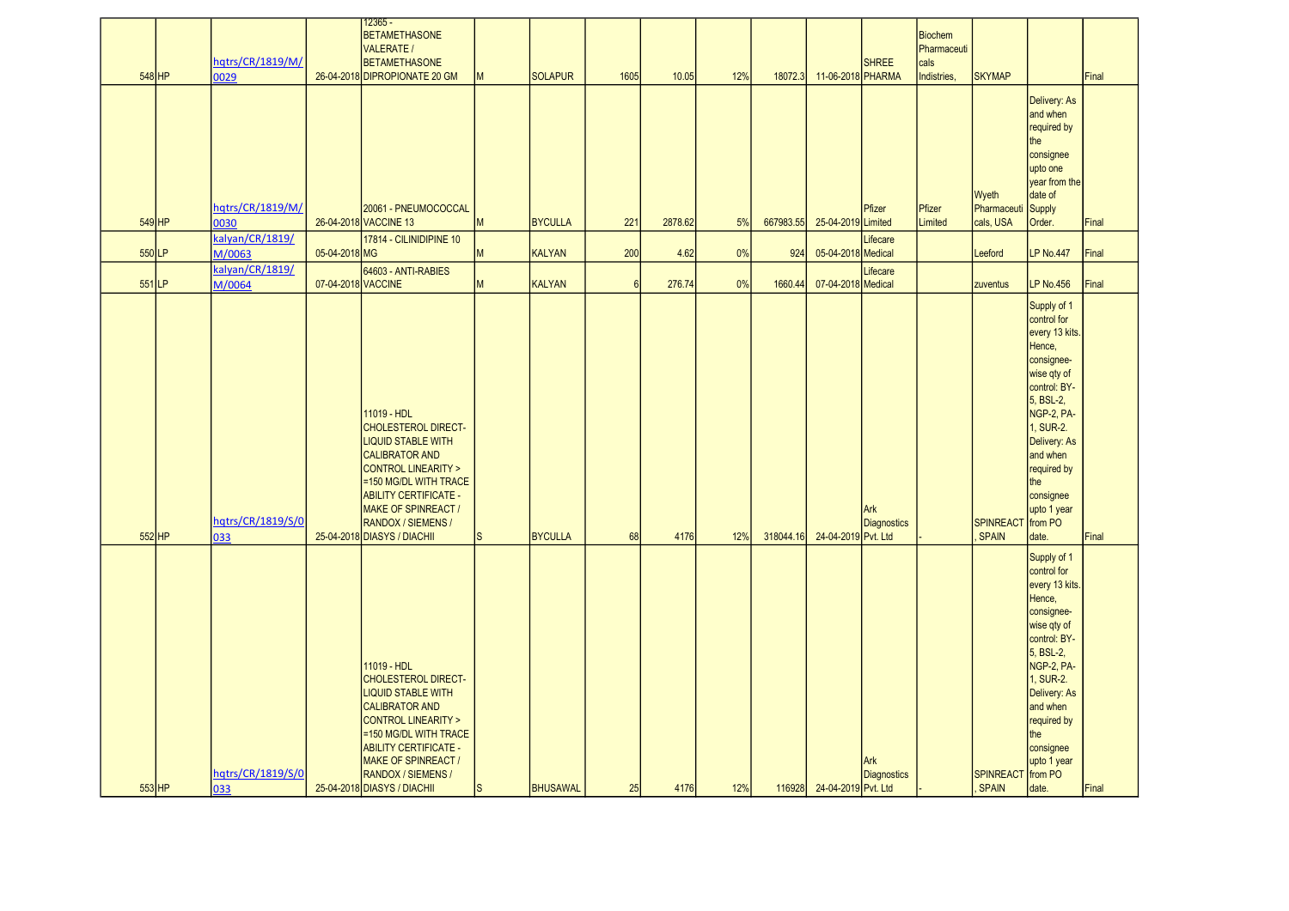| $548$ HP | hqtrs/CR/1819/M/<br>0029  |                    | <u> 12365 - </u><br><b>BETAMETHASONE</b><br><b>VALERATE /</b><br><b>BETAMETHASONE</b><br>26-04-2018 DIPROPIONATE 20 GM                                                                                                                                                    | <b>M</b>  | <b>SOLAPUR</b> | 1605            | 10.05   | 12% | 18072.3   | 11-06-2018 PHARMA   | <b>SHREE</b>              | <b>Biochem</b><br>Pharmaceuti<br>cals<br>Indistries, | <b>SKYMAP</b>                     |                                                                                                                                                                                                                                              | Final |
|----------|---------------------------|--------------------|---------------------------------------------------------------------------------------------------------------------------------------------------------------------------------------------------------------------------------------------------------------------------|-----------|----------------|-----------------|---------|-----|-----------|---------------------|---------------------------|------------------------------------------------------|-----------------------------------|----------------------------------------------------------------------------------------------------------------------------------------------------------------------------------------------------------------------------------------------|-------|
| 549 HP   | hqtrs/CR/1819/M/<br>0030  |                    | 20061 - PNEUMOCOCCAL<br>26-04-2018 VACCINE 13                                                                                                                                                                                                                             | M         | <b>BYCULLA</b> | 221             | 2878.62 | 5%  | 667983.55 | 25-04-2019 Limited  | Pfizer                    | Pfizer<br>Limited                                    | Wyeth<br>Pharmaceuti<br>cals, USA | Delivery: As<br>and when<br>required by<br>the<br>consignee<br>upto one<br>year from the<br>date of<br>Supply<br>Order.                                                                                                                      | Final |
|          | kalyan/CR/1819/           |                    | 17814 - CILINIDIPINE 10                                                                                                                                                                                                                                                   |           |                |                 |         |     |           |                     | Lifecare                  |                                                      |                                   |                                                                                                                                                                                                                                              |       |
| 550LP    | M/0063                    | 05-04-2018 MG      |                                                                                                                                                                                                                                                                           | <b>IM</b> | KALYAN         | 200             | 4.62    | 0%  | 924       | 05-04-2018 Medical  |                           |                                                      | Leeford                           | <b>LP No.447</b>                                                                                                                                                                                                                             | Final |
| $551$ LP | kalyan/CR/1819/<br>M/0064 | 07-04-2018 VACCINE | 64603 - ANTI-RABIES                                                                                                                                                                                                                                                       | M         | <b>KALYAN</b>  | $6\overline{6}$ | 276.74  | 0%  | 1660.44   | 07-04-2018 Medical  | Lifecare                  |                                                      | zuventus                          | <b>LP No.456</b>                                                                                                                                                                                                                             | Final |
| 552 HP   | hqtrs/CR/1819/S/0<br>033  |                    | 11019 - HDL<br><b>CHOLESTEROL DIRECT-</b><br><b>LIQUID STABLE WITH</b><br><b>CALIBRATOR AND</b><br>CONTROL LINEARITY ><br>=150 MG/DL WITH TRACE<br><b>ABILITY CERTIFICATE -</b><br><b>MAKE OF SPINREACT /</b><br><b>RANDOX / SIEMENS /</b><br>25-04-2018 DIASYS / DIACHII |           | BYCULLA        | 68              | 4176    | 12% | 318044.16 | 24-04-2019 Pvt. Ltd | Ark<br><b>Diagnostics</b> |                                                      | <b>SPINREACT</b><br>SPAIN         | Supply of 1<br>control for<br>every 13 kits<br>Hence,<br>consignee-<br>wise qty of<br>control: BY-<br>5, BSL-2,<br>NGP-2, PA-<br>1, SUR-2.<br>Delivery: As<br>and when<br>required by<br>the<br>consignee<br>upto 1 year<br>from PO<br>date. | Final |
| 553 HP   | hqtrs/CR/1819/S/0<br>033  |                    | 11019 - HDL<br><b>CHOLESTEROL DIRECT-</b><br><b>LIQUID STABLE WITH</b><br><b>CALIBRATOR AND</b><br>CONTROL LINEARITY ><br>=150 MG/DL WITH TRACE<br><b>ABILITY CERTIFICATE -</b><br><b>MAKE OF SPINREACT /</b><br><b>RANDOX / SIEMENS /</b><br>25-04-2018 DIASYS / DIACHII |           | BHUSAWAL       | 25              | 4176    | 12% | 116928    | 24-04-2019 Pvt. Ltd | Ark<br><b>Diagnostics</b> |                                                      | <b>SPINREACT</b><br>SPAIN         | Supply of 1<br>control for<br>every 13 kits<br>Hence,<br>consignee-<br>wise qty of<br>control: BY-<br>5, BSL-2,<br>NGP-2, PA-<br>1, SUR-2.<br>Delivery: As<br>and when<br>required by<br>the<br>consignee<br>upto 1 year<br>from PO<br>date. | Final |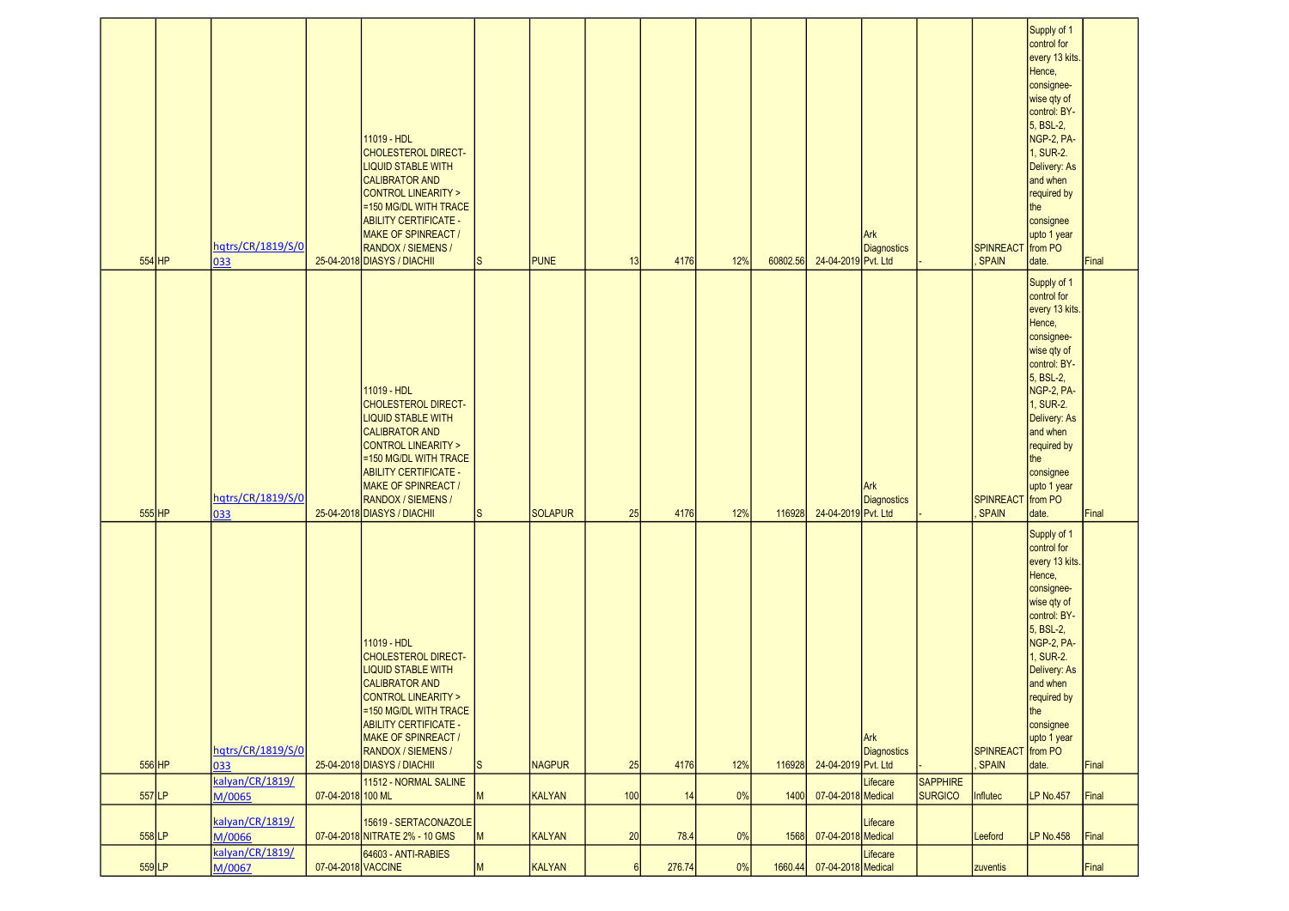| 554 HP   | hqtrs/CR/1819/S/0<br>033  |                    | 11019 - HDL<br><b>CHOLESTEROL DIRECT-</b><br><b>LIQUID STABLE WITH</b><br><b>CALIBRATOR AND</b><br><b>CONTROL LINEARITY &gt;</b><br>=150 MG/DL WITH TRACE<br><b>ABILITY CERTIFICATE -</b><br>MAKE OF SPINREACT /<br>RANDOX / SIEMENS /<br>25-04-2018 DIASYS / DIACHII        | I <sub>S</sub> | <b>PUNE</b>    | 13  | 4176   | 12% | 60802.56 | 24-04-2019 Pvt. Ltd | Ark<br><b>Diagnostics</b> |                 | <b>SPINREACT</b><br><b>SPAIN</b> | Supply of 1<br>control for<br>every 13 kits.<br>Hence,<br>consignee-<br>wise qty of<br>control: BY-<br>5, BSL-2,<br>NGP-2, PA-<br>1, SUR-2.<br>Delivery: As<br>and when<br>required by<br>the<br>consignee<br>upto 1 year<br>from PO<br>date. | Final |
|----------|---------------------------|--------------------|------------------------------------------------------------------------------------------------------------------------------------------------------------------------------------------------------------------------------------------------------------------------------|----------------|----------------|-----|--------|-----|----------|---------------------|---------------------------|-----------------|----------------------------------|-----------------------------------------------------------------------------------------------------------------------------------------------------------------------------------------------------------------------------------------------|-------|
| $555$ HP | hqtrs/CR/1819/S/0<br>033  |                    | 11019 - HDL<br><b>CHOLESTEROL DIRECT-</b><br><b>LIQUID STABLE WITH</b><br><b>CALIBRATOR AND</b><br><b>CONTROL LINEARITY &gt;</b><br>=150 MG/DL WITH TRACE<br><b>ABILITY CERTIFICATE -</b><br><b>MAKE OF SPINREACT /</b><br>RANDOX / SIEMENS /<br>25-04-2018 DIASYS / DIACHII | lS.            | <b>SOLAPUR</b> | 25  | 4176   | 12% | 116928   | 24-04-2019 Pvt. Ltd | Ark<br>Diagnostics        |                 | <b>SPINREACT</b><br><b>SPAIN</b> | Supply of 1<br>control for<br>every 13 kits.<br>Hence,<br>consignee-<br>wise qty of<br>control: BY-<br>5, BSL-2,<br>NGP-2, PA-<br>1, SUR-2.<br>Delivery: As<br>and when<br>required by<br>the<br>consignee<br>upto 1 year<br>from PO<br>date. | Final |
| 556 HP   | hqtrs/CR/1819/S/0<br>033  |                    | 11019 - HDL<br><b>CHOLESTEROL DIRECT-</b><br><b>LIQUID STABLE WITH</b><br><b>CALIBRATOR AND</b><br><b>CONTROL LINEARITY &gt;</b><br>=150 MG/DL WITH TRACE<br><b>ABILITY CERTIFICATE -</b><br><b>MAKE OF SPINREACT /</b><br>RANDOX / SIEMENS /<br>25-04-2018 DIASYS / DIACHII | ls.            | <b>NAGPUR</b>  | 25  | 4176   | 12% | 116928   | 24-04-2019 Pvt. Ltd | Ark<br><b>Diagnostics</b> |                 | <b>SPINREACT</b><br>SPAIN        | Supply of 1<br>control for<br>every 13 kits.<br>Hence,<br>consignee-<br>wise qty of<br>control: BY-<br>5, BSL-2,<br>NGP-2, PA-<br>1, SUR-2.<br>Delivery: As<br>and when<br>required by<br>the<br>consignee<br>upto 1 year<br>from PO<br>date. | Final |
|          | kalyan/CR/1819/           |                    | 11512 - NORMAL SALINE                                                                                                                                                                                                                                                        |                |                |     |        |     |          |                     | Lifecare                  | <b>SAPPHIRE</b> |                                  |                                                                                                                                                                                                                                               |       |
| $557$ LP | M/0065                    | 07-04-2018 100 ML  |                                                                                                                                                                                                                                                                              | M              | KALYAN         | 100 | 14     | 0%  | 1400     | 07-04-2018 Medical  |                           | <b>SURGICO</b>  | <b>Influtec</b>                  | <b>LP No.457</b>                                                                                                                                                                                                                              | Final |
| 558 LP   | kalyan/CR/1819/<br>M/0066 |                    | 15619 - SERTACONAZOLE<br>07-04-2018 NITRATE 2% - 10 GMS                                                                                                                                                                                                                      | M              | KALYAN         | 20  | 78.4   | 0%  | 1568     | 07-04-2018 Medical  | Lifecare                  |                 | Leeford                          | <b>LP No.458</b>                                                                                                                                                                                                                              | Final |
| 559LP    | kalyan/CR/1819/<br>M/0067 | 07-04-2018 VACCINE | 64603 - ANTI-RABIES                                                                                                                                                                                                                                                          | M              | KALYAN         | 6   | 276.74 | 0%  | 1660.44  | 07-04-2018 Medical  | Lifecare                  |                 | zuventis                         |                                                                                                                                                                                                                                               | Final |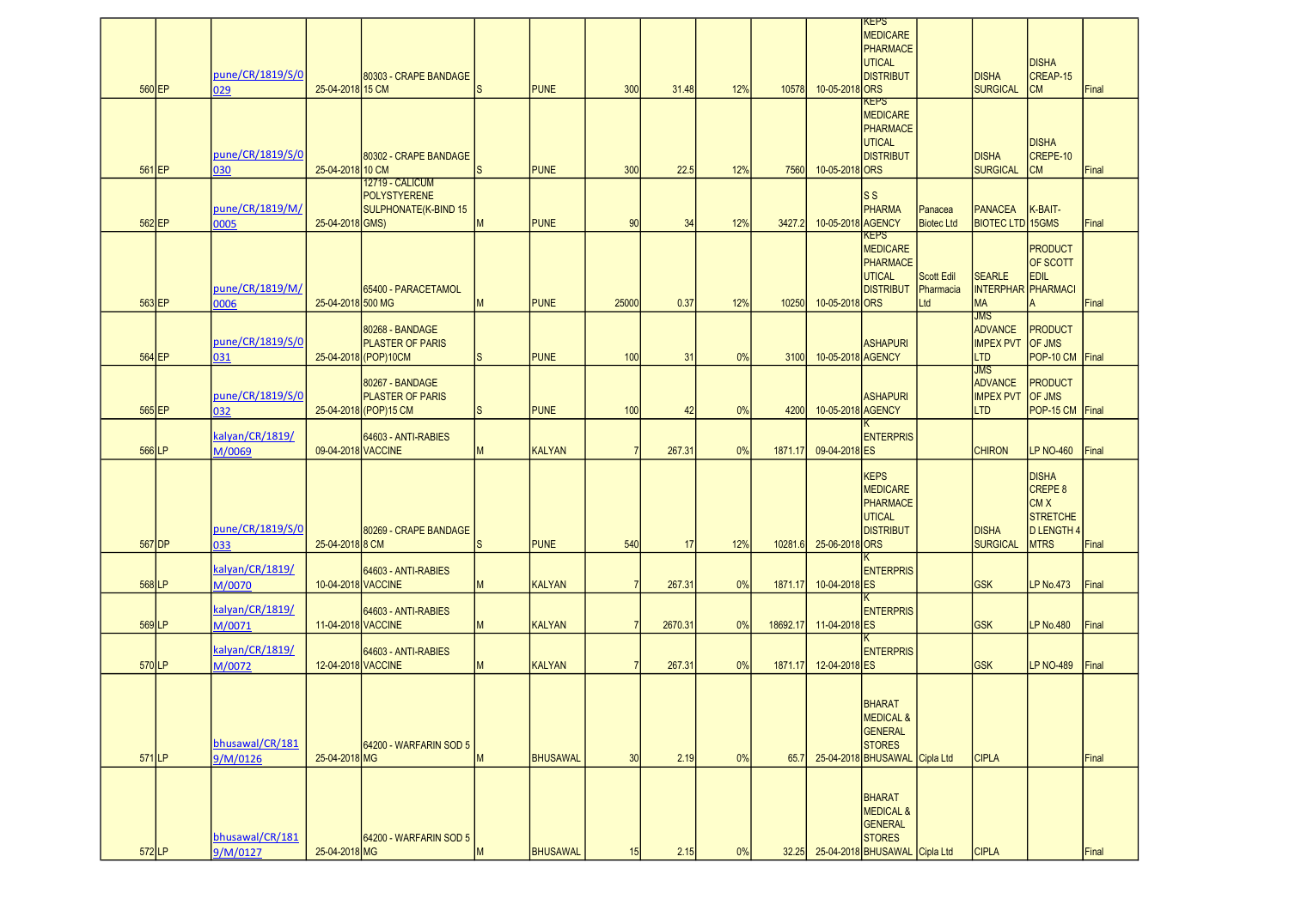| 560 EP   | pune/CR/1819/S/0<br>029     | 25-04-2018 15 CM   | 80303 - CRAPE BANDAGE                                                | ls.      | <b>PUNE</b>     | 300            | 31.48   | 12% | 10578    | 10-05-2018 ORS    | <b>KEPS</b><br><b>MEDICARE</b><br>PHARMACE<br><b>UTICAL</b><br><b>DISTRIBUT</b>                                 |                                | <b>DISHA</b><br><b>SURGICAL</b>                                       | <b>DISHA</b><br>CREAP-15<br><b>CM</b>                                                        | Final |
|----------|-----------------------------|--------------------|----------------------------------------------------------------------|----------|-----------------|----------------|---------|-----|----------|-------------------|-----------------------------------------------------------------------------------------------------------------|--------------------------------|-----------------------------------------------------------------------|----------------------------------------------------------------------------------------------|-------|
| $561$ EP | pune/CR/1819/S/0<br>030     | 25-04-2018 10 CM   | 80302 - CRAPE BANDAGE                                                | ls       | <b>PUNE</b>     | 300            | 22.5    | 12% | 7560     | 10-05-2018 ORS    | <b>KEPS</b><br><b>MEDICARE</b><br><b>PHARMACE</b><br><b>UTICAL</b><br><b>DISTRIBUT</b>                          |                                | <b>DISHA</b><br><b>SURGICAL</b>                                       | <b>DISHA</b><br>CREPE-10<br><b>CM</b>                                                        | Final |
| 562 EP   | pune/CR/1819/M/<br>0005     | 25-04-2018 GMS)    | <b>12719 - CALICUM</b><br>POLYSTYERENE<br>SULPHONATE(K-BIND 15       | M        | <b>PUNE</b>     | 90             | 34      | 12% | 3427.2   | 10-05-2018 AGENCY | ls s<br><b>PHARMA</b>                                                                                           | Panacea<br><b>Biotec Ltd</b>   | <b>PANACEA</b><br><b>BIOTEC LTD 15GMS</b>                             | K-BAIT-                                                                                      | Final |
| 563 EP   | pune/CR/1819/M/<br>0006     | 25-04-2018 500 MG  | 65400 - PARACETAMOL                                                  | M        | <b>PUNE</b>     | 25000          | 0.37    | 12% | 10250    | 10-05-2018 ORS    | KEPS<br><b>MEDICARE</b><br><b>PHARMACE</b><br><b>UTICAL</b><br><b>DISTRIBUT</b>                                 | Scott Edil<br>Pharmacia<br>Ltd | <b>SEARLE</b><br><b>INTERPHAR PHARMACI</b><br><b>MA</b>               | <b>PRODUCT</b><br><b>OF SCOTT</b><br><b>EDIL</b><br>lA.                                      | Final |
| 564 EP   | pune/CR/1819/S/0<br>031     |                    | 80268 - BANDAGE<br><b>PLASTER OF PARIS</b><br>25-04-2018 (POP) 10CM  | ls.      | <b>PUNE</b>     | 100            | 31      | 0%  | 3100     | 10-05-2018 AGENCY | <b>ASHAPURI</b>                                                                                                 |                                | <b>JMS</b><br><b>ADVANCE</b><br><b>IMPEX PVT OF JMS</b><br><b>LTD</b> | <b>PRODUCT</b><br>POP-10 CM                                                                  | Final |
| 565 EP   | pune/CR/1819/S/0<br>032     |                    | 80267 - BANDAGE<br><b>PLASTER OF PARIS</b><br>25-04-2018 (POP) 15 CM | ls.      | <b>PUNE</b>     | 100            | 42      | 0%  | 4200     | 10-05-2018 AGENCY | <b>ASHAPURI</b>                                                                                                 |                                | JMS<br><b>ADVANCE</b><br>IMPEX PVT OF JMS<br><b>LTD</b>               | <b>PRODUCT</b><br>POP-15 CM                                                                  | Final |
| 566LP    | kalyan/CR/1819/<br>M/0069   | 09-04-2018 VACCINE | 64603 - ANTI-RABIES                                                  | <b>M</b> | <b>KALYAN</b>   | $\overline{7}$ | 267.31  | 0%  | 1871.17  | 09-04-2018 ES     | <b>ENTERPRIS</b>                                                                                                |                                | <b>CHIRON</b>                                                         | <b>LP NO-460</b>                                                                             | Final |
| $567$ DP | pune/CR/1819/S/0<br>033     | 25-04-2018 8 CM    | 80269 - CRAPE BANDAGE                                                | ls.      | <b>PUNE</b>     | 540            | 17      | 12% | 10281.6  | 25-06-2018 ORS    | <b>KEPS</b><br><b>MEDICARE</b><br><b>PHARMACE</b><br><b>UTICAL</b><br><b>DISTRIBUT</b>                          |                                | <b>DISHA</b><br><b>SURGICAL</b>                                       | <b>DISHA</b><br>CREPE 8<br><b>CMX</b><br><b>STRETCHE</b><br><b>D LENGTH 4</b><br><b>MTRS</b> | Final |
| 568LP    | kalyan/CR/1819/<br>M/0070   | 10-04-2018 VACCINE | 64603 - ANTI-RABIES                                                  | <b>M</b> | <b>KALYAN</b>   | $\overline{7}$ | 267.31  | 0%  | 1871.17  | 10-04-2018 ES     | <b>ENTERPRIS</b>                                                                                                |                                | <b>GSK</b>                                                            | <b>LP No.473</b>                                                                             | Final |
| 569LP    | kalyan/CR/1819/<br>M/0071   | 11-04-2018 VACCINE | 64603 - ANTI-RABIES                                                  | M        | <b>KALYAN</b>   | $\overline{7}$ | 2670.31 | 0%  | 18692.17 | 11-04-2018 ES     | <b>ENTERPRIS</b>                                                                                                |                                | <b>GSK</b>                                                            | <b>LP No.480</b>                                                                             | Final |
| 570LP    | kalyan/CR/1819/<br>M/0072   | 12-04-2018 VACCINE | 64603 - ANTI-RABIES                                                  | M        | <b>KALYAN</b>   |                | 267.31  | 0%  | 1871.17  | 12-04-2018 ES     | <b>ENTERPRIS</b>                                                                                                |                                | <b>GSK</b>                                                            | <b>LP NO-489</b>                                                                             | Final |
| $571$ LP | bhusawal/CR/181<br>9/M/0126 | 25-04-2018 MG      | 64200 - WARFARIN SOD 5                                               | M        | <b>BHUSAWAL</b> | 30             | 2.19    | 0%  | 65.7     |                   | BHARAT<br><b>MEDICAL &amp;</b><br><b>GENERAL</b><br><b>STORES</b><br>25-04-2018 BHUSAWAL Cipla Ltd              |                                | <b>CIPLA</b>                                                          |                                                                                              | Final |
| $572$ LP | bhusawal/CR/181<br>9/M/0127 | 25-04-2018 MG      | 64200 - WARFARIN SOD 5                                               | M        | BHUSAWAL        | 15             | 2.15    | 0%  |          |                   | <b>BHARAT</b><br><b>MEDICAL &amp;</b><br><b>GENERAL</b><br><b>STORES</b><br>32.25 25-04-2018 BHUSAWAL Cipla Ltd |                                | <b>CIPLA</b>                                                          |                                                                                              | Final |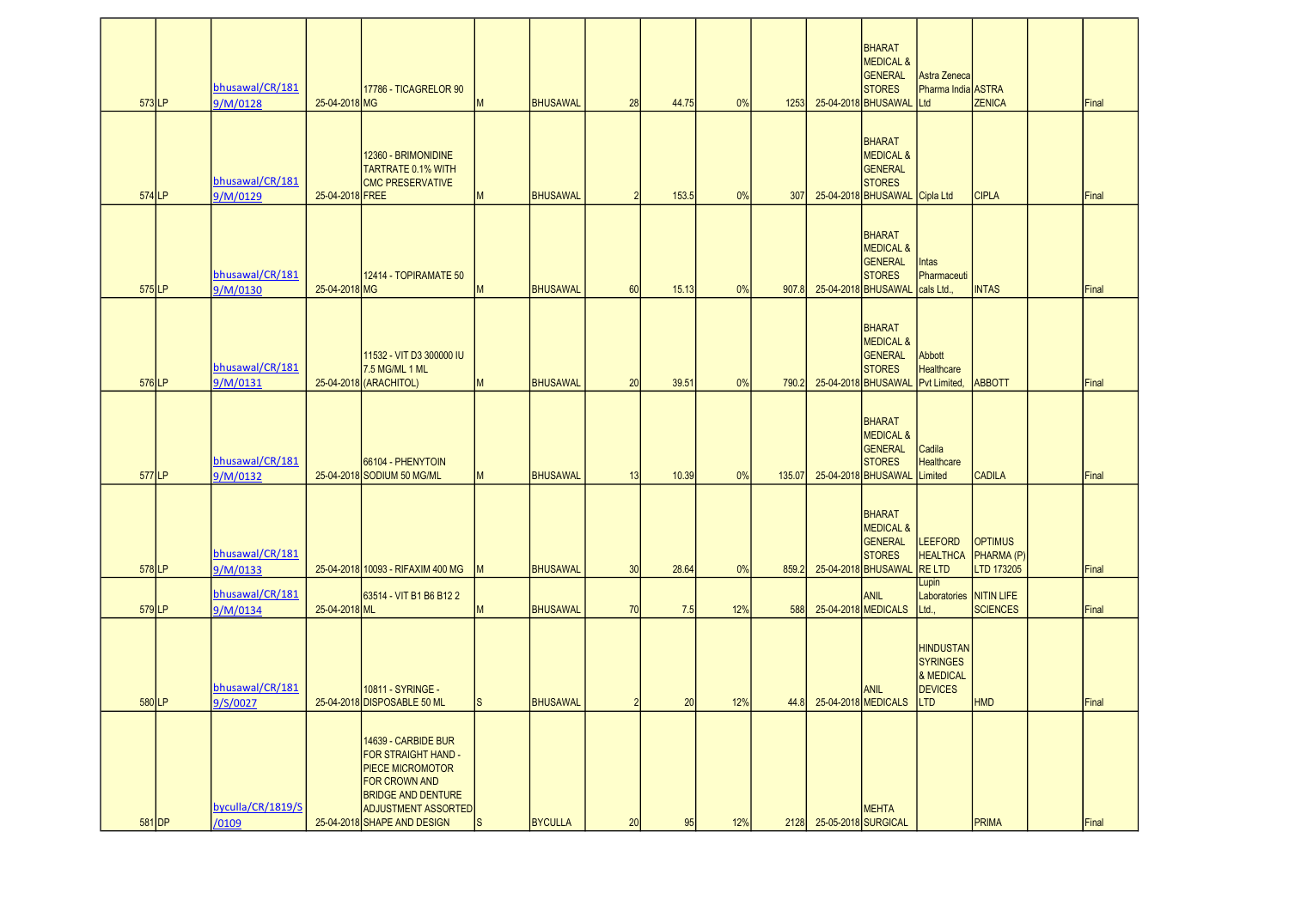| $573$ LP | bhusawal/CR/181<br>9/M/0128 | 25-04-2018 MG   | 17786 - TICAGRELOR 90                                                                                                                             | M   | <b>BHUSAWAL</b> | 28             | 44.75 | 0%  | 1253   |                          | <b>BHARAT</b><br><b>MEDICAL &amp;</b><br><b>GENERAL</b><br><b>STORES</b><br>25-04-2018 BHUSAWAL    | Astra Zeneca<br>Pharma India ASTRA<br>Ltd                          | <b>ZENICA</b>                              | Final |
|----------|-----------------------------|-----------------|---------------------------------------------------------------------------------------------------------------------------------------------------|-----|-----------------|----------------|-------|-----|--------|--------------------------|----------------------------------------------------------------------------------------------------|--------------------------------------------------------------------|--------------------------------------------|-------|
| $574$ LP | bhusawal/CR/181<br>9/M/0129 | 25-04-2018 FREE | 12360 - BRIMONIDINE<br><b>TARTRATE 0.1% WITH</b><br><b>CMC PRESERVATIVE</b>                                                                       | M   | <b>BHUSAWAL</b> | $\mathcal{P}$  | 153.5 | 0%  | 307    |                          | <b>BHARAT</b><br><b>MEDICAL &amp;</b><br>GENERAL<br><b>STORES</b><br>25-04-2018 BHUSAWAL Cipla Ltd |                                                                    | <b>CIPLA</b>                               | Final |
| 575LP    | bhusawal/CR/181<br>9/M/0130 | 25-04-2018 MG   | 12414 - TOPIRAMATE 50                                                                                                                             | M   | <b>BHUSAWAL</b> | 60             | 15.13 | 0%  | 907.8  |                          | <b>BHARAT</b><br><b>MEDICAL &amp;</b><br><b>GENERAL</b><br><b>STORES</b><br>25-04-2018 BHUSAWAL    | Intas<br>Pharmaceuti<br>cals Ltd.,                                 | <b>INTAS</b>                               | Final |
| 576LP    | bhusawal/CR/181<br>9/M/0131 |                 | 11532 - VIT D3 300000 IU<br>7.5 MG/ML 1 ML<br>25-04-2018 (ARACHITOL)                                                                              | M   | <b>BHUSAWAL</b> | 20             | 39.51 | 0%  | 790.2  |                          | <b>BHARAT</b><br><b>MEDICAL &amp;</b><br><b>GENERAL</b><br><b>STORES</b><br>25-04-2018 BHUSAWAL    | Abbott<br><b>Healthcare</b><br>Pvt Limited                         | <b>ABBOTT</b>                              | Final |
| 577LP    | bhusawal/CR/181<br>9/M/0132 |                 | 66104 - PHENYTOIN<br>25-04-2018 SODIUM 50 MG/ML                                                                                                   | M   | <b>BHUSAWAL</b> | 13             | 10.39 | 0%  | 135.07 |                          | <b>BHARAT</b><br><b>MEDICAL &amp;</b><br>GENERAL<br><b>STORES</b><br>25-04-2018 BHUSAWAL           | Cadila<br><b>Healthcare</b><br>Limited                             | <b>CADILA</b>                              | Final |
| 578LP    | bhusawal/CR/181<br>9/M/0133 |                 | 25-04-2018 10093 - RIFAXIM 400 MG                                                                                                                 | M   | <b>BHUSAWAL</b> | 30             | 28.64 | 0%  | 859.2  |                          | <b>BHARAT</b><br><b>MEDICAL &amp;</b><br><b>GENERAL</b><br><b>STORES</b><br>25-04-2018 BHUSAWAL    | <b>LEEFORD</b><br><b>HEALTHCA</b><br><b>RELTD</b>                  | <b>OPTIMUS</b><br>PHARMA (P)<br>LTD 173205 | Final |
| 579LP    | bhusawal/CR/181<br>9/M/0134 | 25-04-2018 ML   | 63514 - VIT B1 B6 B12 2                                                                                                                           | M   | <b>BHUSAWAL</b> | 70             | 7.5   | 12% | 588    |                          | <b>ANIL</b><br>25-04-2018 MEDICALS                                                                 | Lupin<br>Laboratories NITIN LIFE<br>Ltd.,                          | <b>SCIENCES</b>                            | Final |
| $580$ LP | bhusawal/CR/181<br>9/S/0027 |                 | 10811 - SYRINGE -<br>25-04-2018 DISPOSABLE 50 ML                                                                                                  | Is. | BHUSAWAL        | $\overline{2}$ | 20    | 12% |        |                          | <b>ANIL</b><br>44.8 25-04-2018 MEDICALS LTD                                                        | <b>HINDUSTAN</b><br><b>SYRINGES</b><br>& MEDICAL<br><b>DEVICES</b> | <b>HMD</b>                                 | Final |
|          | byculla/CR/1819/S           |                 | 14639 - CARBIDE BUR<br>FOR STRAIGHT HAND -<br>PIECE MICROMOTOR<br><b>FOR CROWN AND</b><br><b>BRIDGE AND DENTURE</b><br><b>ADJUSTMENT ASSORTED</b> |     |                 |                |       |     |        |                          | <b>MEHTA</b>                                                                                       |                                                                    |                                            |       |
| 581 DP   | /0109                       |                 | 25-04-2018 SHAPE AND DESIGN                                                                                                                       | ls. | <b>BYCULLA</b>  | 20             | 95    | 12% |        | 2128 25-05-2018 SURGICAL |                                                                                                    |                                                                    | PRIMA                                      | Final |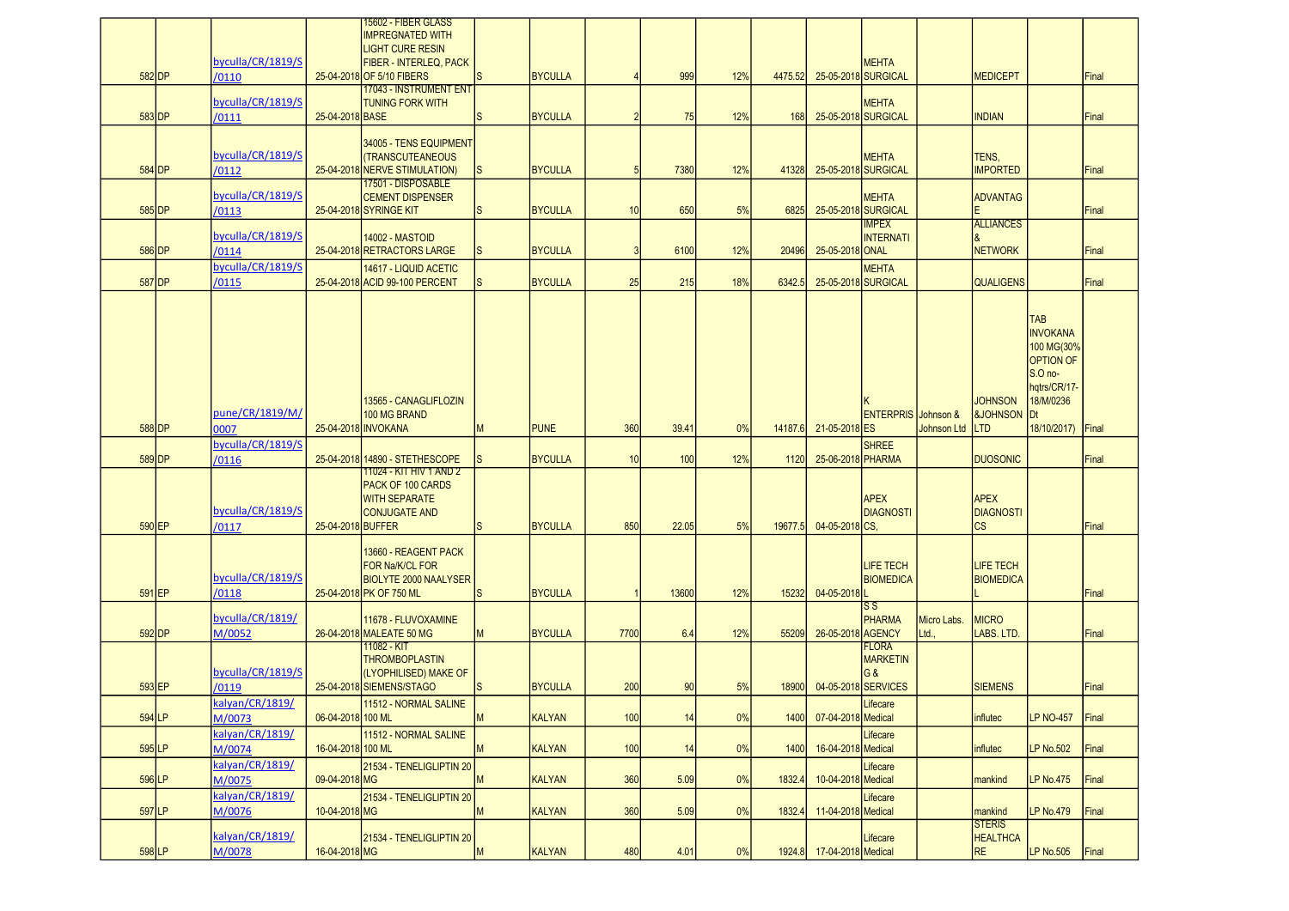|           |                            |                   | 15602 - FIBER GLASS                                       |              |                |               |       |     |         |                           |                                                                 |                    |                                       |                               |       |
|-----------|----------------------------|-------------------|-----------------------------------------------------------|--------------|----------------|---------------|-------|-----|---------|---------------------------|-----------------------------------------------------------------|--------------------|---------------------------------------|-------------------------------|-------|
|           |                            |                   | <b>IMPREGNATED WITH</b><br><b>LIGHT CURE RESIN</b>        |              |                |               |       |     |         |                           |                                                                 |                    |                                       |                               |       |
|           | byculla/CR/1819/S          |                   | FIBER - INTERLEQ, PACK                                    |              |                |               |       |     |         |                           | <b>MEHTA</b>                                                    |                    |                                       |                               |       |
| $582$ DP  | /0110                      |                   | 25-04-2018 OF 5/10 FIBERS                                 | S            | <b>BYCULLA</b> |               | 999   | 12% | 4475.52 |                           | 25-05-2018 SURGICAL                                             |                    | <b>MEDICEPT</b>                       |                               | Final |
|           |                            |                   | <b>17043 - INSTRUMENT ENT</b>                             |              |                |               |       |     |         |                           |                                                                 |                    |                                       |                               |       |
| $583$ DP  | byculla/CR/1819/S<br>/0111 | 25-04-2018 BASE   | <b>TUNING FORK WITH</b>                                   | S            | <b>BYCULLA</b> | $\mathcal{P}$ | 75    | 12% | 168     |                           | <b>MEHTA</b><br>25-05-2018 SURGICAL                             |                    | <b>INDIAN</b>                         |                               | Final |
|           |                            |                   |                                                           |              |                |               |       |     |         |                           |                                                                 |                    |                                       |                               |       |
|           |                            |                   | 34005 - TENS EQUIPMENT                                    |              |                |               |       |     |         |                           |                                                                 |                    |                                       |                               |       |
|           | byculla/CR/1819/S          |                   | <b>(TRANSCUTEANEOUS</b>                                   |              |                |               |       |     |         |                           | <b>MEHTA</b>                                                    |                    | TENS,                                 |                               |       |
| 584 DP    | /0112                      |                   | 25-04-2018 NERVE STIMULATION)<br>17501 - DISPOSABLE       | <b>S</b>     | <b>BYCULLA</b> | 5             | 7380  | 12% | 41328   |                           | 25-05-2018 SURGICAL                                             |                    | <b>IMPORTED</b>                       |                               | Final |
|           | byculla/CR/1819/S          |                   | <b>CEMENT DISPENSER</b>                                   |              |                |               |       |     |         |                           | <b>MEHTA</b>                                                    |                    | <b>ADVANTAG</b>                       |                               |       |
| $585$ DP  | /0113                      |                   | 25-04-2018 SYRINGE KIT                                    | <sub>S</sub> | <b>BYCULLA</b> | 10            | 650   | 5%  | 6825    |                           | 25-05-2018 SURGICAL                                             |                    |                                       |                               | Final |
|           |                            |                   |                                                           |              |                |               |       |     |         |                           | <b>IMPEX</b>                                                    |                    | <b>ALLIANCES</b>                      |                               |       |
| 586 DP    | byculla/CR/1819/S<br>/0114 |                   | <b>14002 - MASTOID</b><br>25-04-2018 RETRACTORS LARGE     | lS.          | <b>BYCULLA</b> | 3             | 6100  | 12% | 20496   | 25-05-2018 ONAL           | <b>INTERNATI</b>                                                |                    | l&<br><b>NETWORK</b>                  |                               | Final |
|           | byculla/CR/1819/S          |                   | 14617 - LIQUID ACETIC                                     |              |                |               |       |     |         |                           | <b>MEHTA</b>                                                    |                    |                                       |                               |       |
| 587 DP    | /0115                      |                   | 25-04-2018 ACID 99-100 PERCENT                            | S            | <b>BYCULLA</b> | 25            | 215   | 18% | 6342.5  |                           | 25-05-2018 SURGICAL                                             |                    | <b>QUALIGENS</b>                      |                               | Final |
|           |                            |                   |                                                           |              |                |               |       |     |         |                           |                                                                 |                    |                                       |                               |       |
|           |                            |                   |                                                           |              |                |               |       |     |         |                           |                                                                 |                    |                                       |                               |       |
|           |                            |                   |                                                           |              |                |               |       |     |         |                           |                                                                 |                    |                                       | <b>TAB</b><br><b>INVOKANA</b> |       |
|           |                            |                   |                                                           |              |                |               |       |     |         |                           |                                                                 |                    |                                       | 100 MG(30%                    |       |
|           |                            |                   |                                                           |              |                |               |       |     |         |                           |                                                                 |                    |                                       | <b>OPTION OF</b>              |       |
|           |                            |                   |                                                           |              |                |               |       |     |         |                           |                                                                 |                    |                                       | $S.O$ no-                     |       |
|           |                            |                   |                                                           |              |                |               |       |     |         |                           |                                                                 |                    |                                       | hqtrs/CR/17-                  |       |
|           | pune/CR/1819/M/            |                   | 13565 - CANAGLIFLOZIN<br>100 MG BRAND                     |              |                |               |       |     |         |                           | <b>ENTERPRIS</b> Johnson &                                      |                    | <b>JOHNSON</b><br><b>&amp;JOHNSON</b> | 18/M/0236<br><b>Dt</b>        |       |
| 588 DP    | 0007                       |                   | 25-04-2018 INVOKANA                                       | М            | <b>PUNE</b>    | 360           | 39.41 | 0%  | 14187.6 | 21-05-2018 ES             |                                                                 | <b>Johnson Ltd</b> | <b>ILTD</b>                           | 18/10/2017)                   | Final |
|           |                            |                   |                                                           |              |                |               |       |     |         |                           |                                                                 |                    |                                       |                               |       |
|           |                            |                   |                                                           |              |                |               |       |     |         |                           |                                                                 |                    |                                       |                               |       |
|           | byculla/CR/1819/S          |                   |                                                           |              |                |               |       |     |         |                           | <b>SHREE</b>                                                    |                    |                                       |                               |       |
| 589 DP    | /0116                      |                   | 25-04-2018 14890 - STETHESCOPE<br>11024 - KIT HIV 1 AND 2 | <b>S</b>     | <b>BYCULLA</b> | 10            | 100   | 12% | 1120    | 25-06-2018 PHARMA         |                                                                 |                    | <b>DUOSONIC</b>                       |                               | Final |
|           |                            |                   | PACK OF 100 CARDS                                         |              |                |               |       |     |         |                           |                                                                 |                    |                                       |                               |       |
|           |                            |                   | <b>WITH SEPARATE</b>                                      |              |                |               |       |     |         |                           | <b>APEX</b>                                                     |                    | <b>APEX</b>                           |                               |       |
|           | byculla/CR/1819/S          |                   | <b>CONJUGATE AND</b>                                      |              |                |               |       |     |         |                           | <b>DIAGNOSTI</b>                                                |                    | <b>DIAGNOSTI</b>                      |                               |       |
| 590 EP    | /0117                      | 25-04-2018 BUFFER |                                                           | lS.          | <b>BYCULLA</b> | 850           | 22.05 | 5%  | 19677.5 | 04-05-2018 CS.            |                                                                 |                    | <b>CS</b>                             |                               | Final |
|           |                            |                   | 13660 - REAGENT PACK                                      |              |                |               |       |     |         |                           |                                                                 |                    |                                       |                               |       |
|           |                            |                   | FOR Na/K/CL FOR                                           |              |                |               |       |     |         |                           | <b>LIFE TECH</b>                                                |                    | <b>LIFE TECH</b>                      |                               |       |
|           | byculla/CR/1819/S          |                   | <b>BIOLYTE 2000 NAALYSER</b>                              |              |                |               |       |     |         |                           | <b>BIOMEDICA</b>                                                |                    | <b>BIOMEDICA</b>                      |                               |       |
| 591 EP    | /0118                      |                   | 25-04-2018 PK OF 750 ML                                   | S            | <b>BYCULLA</b> |               | 13600 | 12% | 15232   | 04-05-2018                |                                                                 |                    |                                       |                               | Final |
|           | byculla/CR/1819/           |                   | 11678 - FLUVOXAMINE                                       |              |                |               |       |     |         |                           | $\overline{\mathsf{s}}\,\overline{\mathsf{s}}$<br><b>PHARMA</b> | Micro Labs         | <b>MICRO</b>                          |                               |       |
| $592$ DP  | M/0052                     |                   | 26-04-2018 MALEATE 50 MG                                  | M            | <b>BYCULLA</b> | 7700          | 6.4   | 12% | 55209   | 26-05-2018 AGENCY         |                                                                 | Ltd.,              | LABS. LTD.                            |                               | Final |
|           |                            |                   | 11082 - KIT                                               |              |                |               |       |     |         |                           | <b>FLORA</b>                                                    |                    |                                       |                               |       |
|           |                            |                   | <b>THROMBOPLASTIN</b>                                     |              |                |               |       |     |         |                           | <b>MARKETIN</b>                                                 |                    |                                       |                               |       |
| $593$ EP  | byculla/CR/1819/S<br>/0119 |                   | (LYOPHILISED) MAKE OF<br>25-04-2018 SIEMENS/STAGO         | lS.          | <b>BYCULLA</b> | 200           | 90    | 5%  | 18900   |                           | G&<br>04-05-2018 SERVICES                                       |                    | <b>SIEMENS</b>                        |                               | Final |
|           |                            |                   |                                                           |              |                |               |       |     |         |                           |                                                                 |                    |                                       |                               |       |
| $594$ LP  | kalyan/CR/1819/<br>M/0073  | 06-04-2018 100 ML | 11512 - NORMAL SALINE                                     | M            | KALYAN         | 100           | 14    | 0%  | 1400    | 07-04-2018 Medical        | Lifecare                                                        |                    | influtec                              | <b>LP NO-457</b>              | Final |
|           | kalyan/CR/1819/            |                   | 11512 - NORMAL SALINE                                     |              |                |               |       |     |         |                           | Lifecare                                                        |                    |                                       |                               |       |
| $595$  LP | M/0074                     | 16-04-2018 100 ML |                                                           | M            | <b>KALYAN</b>  | 100           | 14    | 0%  | 1400    | 16-04-2018 Medical        |                                                                 |                    | influtec                              | LP No.502                     | Final |
|           | kalyan/CR/1819/            |                   | 21534 - TENELIGLIPTIN 20                                  |              |                |               |       |     |         |                           | Lifecare                                                        |                    |                                       |                               |       |
| 596 LP    | M/0075                     | 09-04-2018 MG     |                                                           | M            | KALYAN         | 360           | 5.09  | 0%  | 1832.4  | 10-04-2018 Medical        |                                                                 |                    | mankind                               | LP No.475                     | Final |
|           | kalyan/CR/1819/            |                   | 21534 - TENELIGLIPTIN 20                                  |              |                |               |       |     |         |                           | Lifecare                                                        |                    |                                       |                               |       |
| 597 LP    | M/0076                     | 10-04-2018 MG     |                                                           | M            | <b>KALYAN</b>  | 360           | 5.09  | 0%  | 1832.4  | 11-04-2018 Medical        |                                                                 |                    | mankind                               | LP No.479                     | Final |
|           |                            |                   |                                                           |              |                |               |       |     |         |                           |                                                                 |                    | <b>STERIS</b>                         |                               |       |
| $598$ LP  | kalyan/CR/1819/<br>M/0078  | 16-04-2018 MG     | 21534 - TENELIGLIPTIN 20                                  | M            | KALYAN         | 480           | 4.01  | 0%  |         | 1924.8 17-04-2018 Medical | Lifecare                                                        |                    | <b>HEALTHCA</b><br><b>RE</b>          | <b>LP No.505</b>              | Final |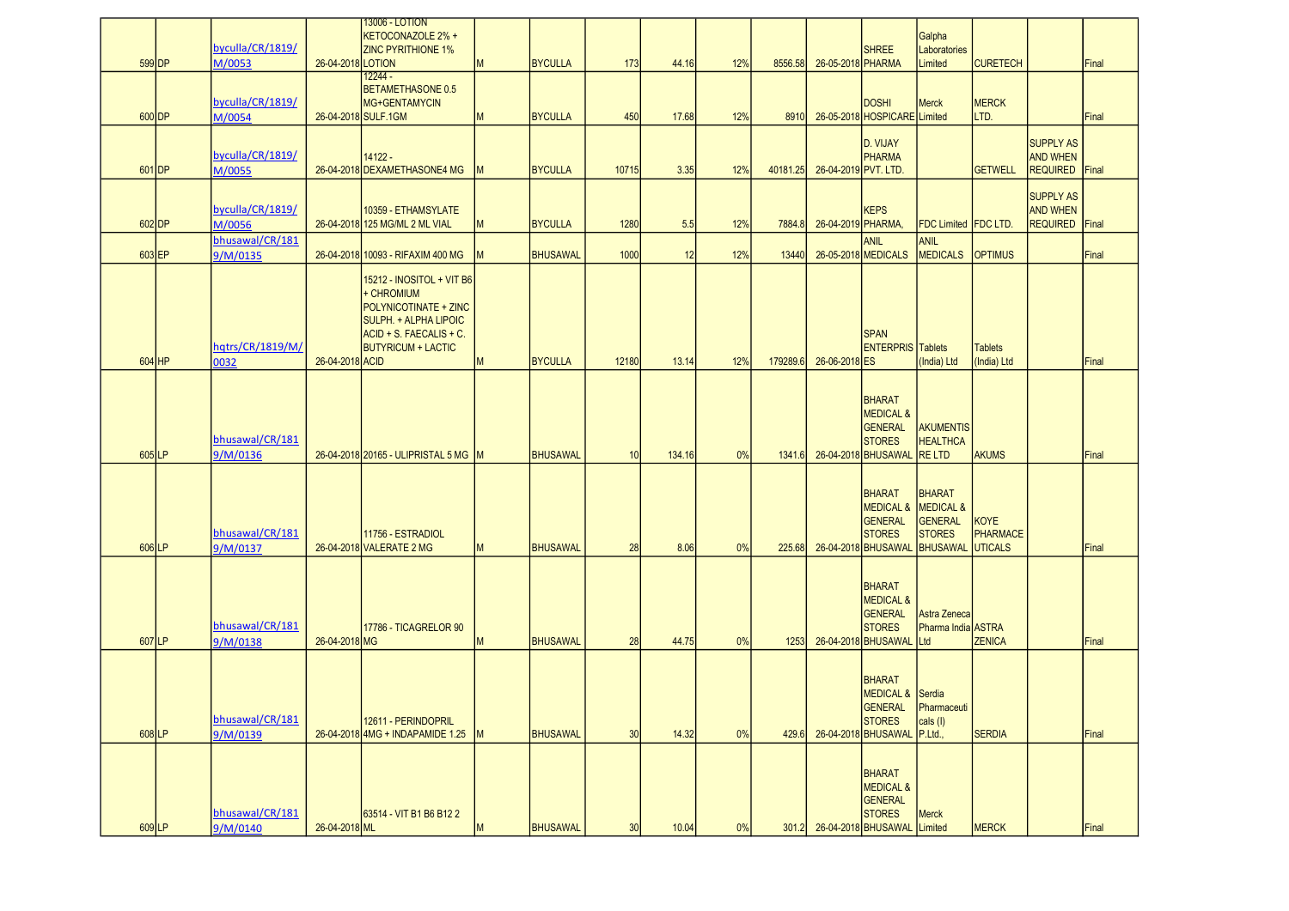|          | byculla/CR/1819/            |                   | <b>13006 - LOTION</b><br>KETOCONAZOLE 2% +<br><b>ZINC PYRITHIONE 1%</b>                                                                                  |           |                 |       |        |     |          |                      | <b>SHREE</b>                                                                                        | Galpha<br>Laboratories                                                           |                                           |                                                        |       |
|----------|-----------------------------|-------------------|----------------------------------------------------------------------------------------------------------------------------------------------------------|-----------|-----------------|-------|--------|-----|----------|----------------------|-----------------------------------------------------------------------------------------------------|----------------------------------------------------------------------------------|-------------------------------------------|--------------------------------------------------------|-------|
| 599 DP   | M/0053                      | 26-04-2018 LOTION | 12244 -                                                                                                                                                  | M         | <b>BYCULLA</b>  | 173   | 44.16  | 12% | 8556.58  | 26-05-2018 PHARMA    |                                                                                                     | Limited                                                                          | <b>CURETECH</b>                           |                                                        | Final |
| 600 DP   | byculla/CR/1819/<br>M/0054  |                   | <b>BETAMETHASONE 0.5</b><br>MG+GENTAMYCIN<br>26-04-2018 SULF.1GM                                                                                         | M         | <b>BYCULLA</b>  | 450   | 17.68  | 12% | 8910     |                      | <b>DOSHI</b><br>26-05-2018 HOSPICARE Limited                                                        | <b>Merck</b>                                                                     | <b>MERCK</b><br>LTD.                      |                                                        | Final |
| 601 DP   | byculla/CR/1819/<br>M/0055  |                   | 14122 -<br>26-04-2018 DEXAMETHASONE4 MG                                                                                                                  | <b>IM</b> | <b>BYCULLA</b>  | 10715 | 3.35   | 12% | 40181.25 | 26-04-2019 PVT. LTD. | D. VIJAY<br>PHARMA                                                                                  |                                                                                  | <b>GETWELL</b>                            | <b>SUPPLY AS</b><br><b>AND WHEN</b><br><b>REQUIRED</b> | Final |
| $602$ DP | byculla/CR/1819/<br>M/0056  |                   | 10359 - ETHAMSYLATE<br>26-04-2018 125 MG/ML 2 ML VIAL                                                                                                    | M         | <b>BYCULLA</b>  | 1280  | 5.5    | 12% | 7884.8   | 26-04-2019 PHARMA,   | <b>KEPS</b>                                                                                         | FDC Limited FDC LTD.                                                             |                                           | <b>SUPPLY AS</b><br><b>AND WHEN</b><br><b>REQUIRED</b> | Final |
| 603 EP   | bhusawal/CR/181<br>9/M/0135 |                   | 26-04-2018 10093 - RIFAXIM 400 MG                                                                                                                        | M         | <b>BHUSAWAL</b> | 1000  | 12     | 12% | 13440    |                      | <b>ANIL</b><br>26-05-2018 MEDICALS                                                                  | <b>ANIL</b><br><b>MEDICALS</b>                                                   | <b>OPTIMUS</b>                            |                                                        | Final |
| $604$ HP | hqtrs/CR/1819/M/<br>0032    | 26-04-2018 ACID   | 15212 - INOSITOL + VIT B6<br>+ CHROMIUM<br>POLYNICOTINATE + ZINC<br><b>SULPH. + ALPHA LIPOIC</b><br>ACID + S. FAECALIS + C.<br><b>BUTYRICUM + LACTIC</b> | M         | <b>BYCULLA</b>  | 12180 | 13.14  | 12% | 179289.6 | 26-06-2018 ES        | <b>SPAN</b><br><b>ENTERPRIS</b> Tablets                                                             | (India) Ltd                                                                      | <b>Tablets</b><br>(India) Ltd             |                                                        | Final |
| 605LP    | bhusawal/CR/181<br>9/M/0136 |                   | 26-04-2018 20165 - ULIPRISTAL 5 MG M                                                                                                                     |           | <b>BHUSAWAL</b> | 10    | 134.16 | 0%  | 1341.6   |                      | BHARAT<br><b>MEDICAL &amp;</b><br><b>GENERAL</b><br><b>STORES</b><br>26-04-2018 BHUSAWAL            | <b>AKUMENTIS</b><br><b>HEALTHCA</b><br><b>RELTD</b>                              | <b>AKUMS</b>                              |                                                        | Final |
| 606LP    | bhusawal/CR/181<br>9/M/0137 |                   | 11756 - ESTRADIOL<br>26-04-2018 VALERATE 2 MG                                                                                                            | M         | <b>BHUSAWAL</b> | 28    | 8.06   | 0%  | 225.68   |                      | <b>BHARAT</b><br><b>MEDICAL &amp;</b><br><b>GENERAL</b><br><b>STORES</b><br>26-04-2018 BHUSAWAL     | <b>BHARAT</b><br>MEDICAL &<br><b>GENERAL</b><br><b>STORES</b><br><b>BHUSAWAL</b> | <b>KOYE</b><br>PHARMACE<br><b>UTICALS</b> |                                                        | Final |
| 607LP    | bhusawal/CR/181<br>9/M/0138 | 26-04-2018 MG     | 17786 - TICAGRELOR 90                                                                                                                                    | M         | <b>BHUSAWAL</b> | 28    | 44.75  | 0%  | 1253     |                      | <b>BHARAT</b><br><b>MEDICAL &amp;</b><br><b>GENERAL</b><br><b>STORES</b><br>26-04-2018 BHUSAWAL     | Astra Zeneca<br>Pharma India ASTRA<br>Ltd                                        | <b>ZENICA</b>                             |                                                        | Final |
| 608LP    | bhusawal/CR/181<br>9/M/0139 |                   | 12611 - PERINDOPRIL<br>26-04-2018 4MG + INDAPAMIDE 1.25                                                                                                  | M         | <b>BHUSAWAL</b> | 30    | 14.32  | 0%  | 429.6    |                      | <b>BHARAT</b><br>MEDICAL & Serdia<br><b>GENERAL</b><br><b>STORES</b><br>26-04-2018 BHUSAWAL P.Ltd., | <b>Pharmaceuti</b><br>cals (I)                                                   | <b>SERDIA</b>                             |                                                        | Final |
| 609LP    | bhusawal/CR/181<br>9/M/0140 | 26-04-2018 ML     | 63514 - VIT B1 B6 B12 2                                                                                                                                  | M         | <b>BHUSAWAL</b> | 30    | 10.04  | 0%  | 301.2    |                      | BHARAT<br><b>MEDICAL &amp;</b><br>GENERAL<br><b>STORES</b><br>26-04-2018 BHUSAWAL Limited           | <b>Merck</b>                                                                     | <b>MERCK</b>                              |                                                        | Final |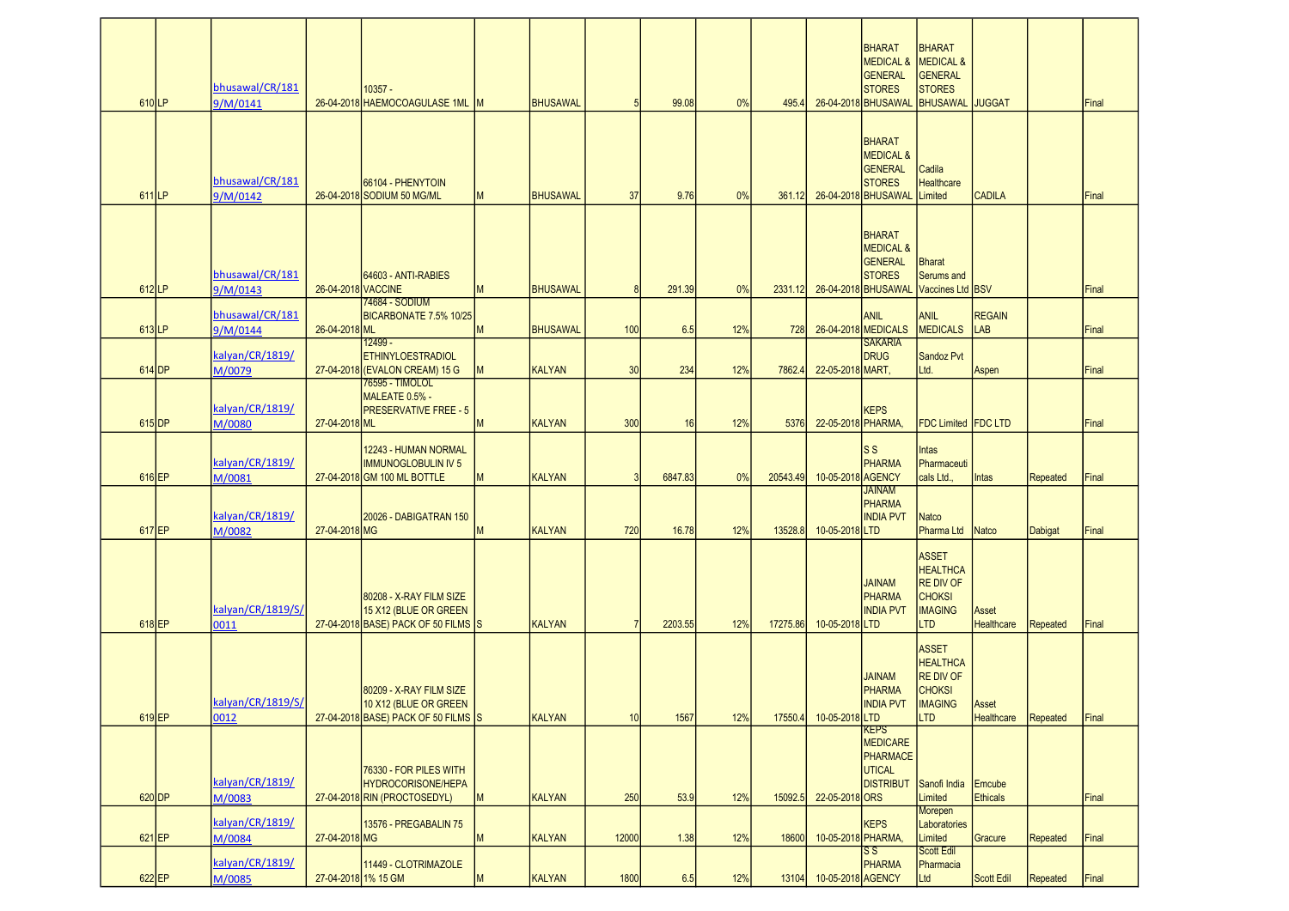| 610LP             | bhusawal/CR/181<br>9/M/0141 |                    | $10357 -$<br>26-04-2018 HAEMOCOAGULASE 1ML                                              |   | <b>BHUSAWAL</b> | 5              | 99.08   | 0%  | 495.4    |                    | <b>BHARAT</b><br><b>MEDICAL &amp;</b><br><b>GENERAL</b><br><b>STORES</b><br>26-04-2018 BHUSAWAL | <b>BHARAT</b><br>MEDICAL &<br><b>GENERAL</b><br><b>STORES</b><br><b>BHUSAWAL</b> JUGGAT              |                            |                 | Final |
|-------------------|-----------------------------|--------------------|-----------------------------------------------------------------------------------------|---|-----------------|----------------|---------|-----|----------|--------------------|-------------------------------------------------------------------------------------------------|------------------------------------------------------------------------------------------------------|----------------------------|-----------------|-------|
| 611 <sub>LP</sub> | bhusawal/CR/181<br>9/M/0142 |                    | 66104 - PHENYTOIN<br>26-04-2018 SODIUM 50 MG/ML                                         | M | BHUSAWAL        | 37             | 9.76    | 0%  | 361.12   |                    | <b>BHARAT</b><br><b>MEDICAL &amp;</b><br><b>GENERAL</b><br><b>STORES</b><br>26-04-2018 BHUSAWAL | Cadila<br><b>Healthcare</b><br>Limited                                                               | <b>CADILA</b>              |                 | Final |
| $612$ LP          | bhusawal/CR/181<br>9/M/0143 | 26-04-2018 VACCINE | 64603 - ANTI-RABIES                                                                     | M | <b>BHUSAWAL</b> | $\mathbf{8}$   | 291.39  | 0%  | 2331.12  |                    | <b>BHARAT</b><br><b>MEDICAL &amp;</b><br><b>GENERAL</b><br><b>STORES</b><br>26-04-2018 BHUSAWAL | <b>Bharat</b><br>Serums and<br>Vaccines Ltd BSV                                                      |                            |                 | Final |
|                   | bhusawal/CR/181             |                    | 74684 - SODIUM<br>BICARBONATE 7.5% 10/25                                                |   |                 |                |         |     |          |                    | <b>ANIL</b>                                                                                     | <b>ANIL</b>                                                                                          | <b>REGAIN</b>              |                 |       |
| 613LP             | 9/M/0144                    | 26-04-2018 ML      | $12499 -$                                                                               | M | <b>BHUSAWAL</b> | 100            | 6.5     | 12% | 728      |                    | 26-04-2018 MEDICALS<br><b>SAKARIA</b>                                                           | <b>MEDICALS</b>                                                                                      | LAB                        |                 | Final |
| $614$ DP          | kalyan/CR/1819/<br>M/0079   |                    | <b>ETHINYLOESTRADIOL</b><br>27-04-2018 (EVALON CREAM) 15 G                              | M | <b>KALYAN</b>   | 30             | 234     | 12% | 7862.4   | 22-05-2018 MART,   | <b>DRUG</b>                                                                                     | Sandoz Pvt<br>Ltd.                                                                                   | Aspen                      |                 | Final |
| $615$ DP          | kalyan/CR/1819/<br>M/0080   | 27-04-2018 ML      | 76595 - TIMOLOL<br>MALEATE 0.5% -<br><b>PRESERVATIVE FREE - 5</b>                       | M | <b>KALYAN</b>   | 300            | 16      | 12% | 5376     | 22-05-2018 PHARMA, | <b>KEPS</b>                                                                                     | FDC Limited FDC LTD                                                                                  |                            |                 | Final |
|                   | kalyan/CR/1819/             |                    | 12243 - HUMAN NORMAL<br><b>IMMUNOGLOBULIN IV 5</b>                                      |   |                 |                |         |     |          |                    | ls s<br><b>PHARMA</b>                                                                           | Intas<br>Pharmaceuti                                                                                 |                            |                 |       |
| 616 EP            | M/0081                      |                    | 27-04-2018 GM 100 ML BOTTLE                                                             | M | <b>KALYAN</b>   | 3              | 6847.83 | 0%  | 20543.49 | 10-05-2018 AGENCY  | <b>JAINAM</b><br><b>PHARMA</b>                                                                  | cals Ltd                                                                                             | Intas                      | <b>Repeated</b> | Final |
| 617 EP            | kalyan/CR/1819/<br>M/0082   | 27-04-2018 MG      | 20026 - DABIGATRAN 150                                                                  | M | <b>KALYAN</b>   | 720            | 16.78   | 12% | 13528.8  | 10-05-2018 LTD     | <b>INDIA PVT</b>                                                                                | Natco<br>Pharma Ltd                                                                                  | Natco                      | Dabigat         | Final |
| 618EP             | kalyan/CR/1819/S/<br>0011   |                    | 80208 - X-RAY FILM SIZE<br>15 X12 (BLUE OR GREEN<br>27-04-2018 BASE) PACK OF 50 FILMS S |   | <b>KALYAN</b>   | $\overline{7}$ | 2203.55 | 12% | 17275.86 | 10-05-2018 LTD     | <b>JAINAM</b><br><b>PHARMA</b><br><b>INDIA PVT</b>                                              | <b>ASSET</b><br><b>HEALTHCA</b><br><b>RE DIV OF</b><br><b>CHOKSI</b><br><b>IMAGING</b><br><b>LTD</b> | Asset<br><b>Healthcare</b> | <b>Repeated</b> | Final |
| $619$ EP          | kalyan/CR/1819/S/<br>0012   |                    | 80209 - X-RAY FILM SIZE<br>10 X12 (BLUE OR GREEN<br>27-04-2018 BASE) PACK OF 50 FILMS S |   | KALYAN          | 10             | 1567    | 12% | 17550.4  | 10-05-2018 LTD     | <b>JAINAM</b><br><b>PHARMA</b><br><b>INDIA PVT</b>                                              | <b>ASSET</b><br><b>HEALTHCA</b><br><b>RE DIV OF</b><br><b>CHOKSI</b><br><b>IMAGING</b><br><b>LTD</b> | Asset<br><b>Healthcare</b> | Repeated        | Final |
| $620$ DP          | kalyan/CR/1819/<br>M/0083   |                    | 76330 - FOR PILES WITH<br><b>HYDROCORISONE/HEPA</b><br>27-04-2018 RIN (PROCTOSEDYL)     | M | <b>KALYAN</b>   | 250            | 53.9    | 12% | 15092.5  | 22-05-2018 ORS     | KEPS<br><b>MEDICARE</b><br>PHARMACE<br>UTICAL<br><b>DISTRIBUT</b> Sanofi India                  | Limited                                                                                              | Emcube<br><b>Ethicals</b>  |                 | Final |
|                   | kalyan/CR/1819/             |                    | 13576 - PREGABALIN 75                                                                   |   |                 |                |         |     |          |                    | <b>KEPS</b>                                                                                     | Morepen<br>Laboratories                                                                              |                            |                 |       |
| 621 EP            | M/0084                      | 27-04-2018 MG      |                                                                                         | M | <b>KALYAN</b>   | 12000          | 1.38    | 12% | 18600    | 10-05-2018 PHARMA, | $\mathsf{S}\,\mathsf{S}$                                                                        | Limited<br><b>Scott Edil</b>                                                                         | Gracure                    | <b>Repeated</b> | Final |
| 622 EP            | kalyan/CR/1819/<br>M/0085   |                    | 11449 - CLOTRIMAZOLE<br>27-04-2018 1% 15 GM                                             | M | <b>KALYAN</b>   | 1800           | 6.5     | 12% | 13104    | 10-05-2018 AGENCY  | <b>PHARMA</b>                                                                                   | Pharmacia<br>Ltd                                                                                     | <b>Scott Edil</b>          | Repeated        | Final |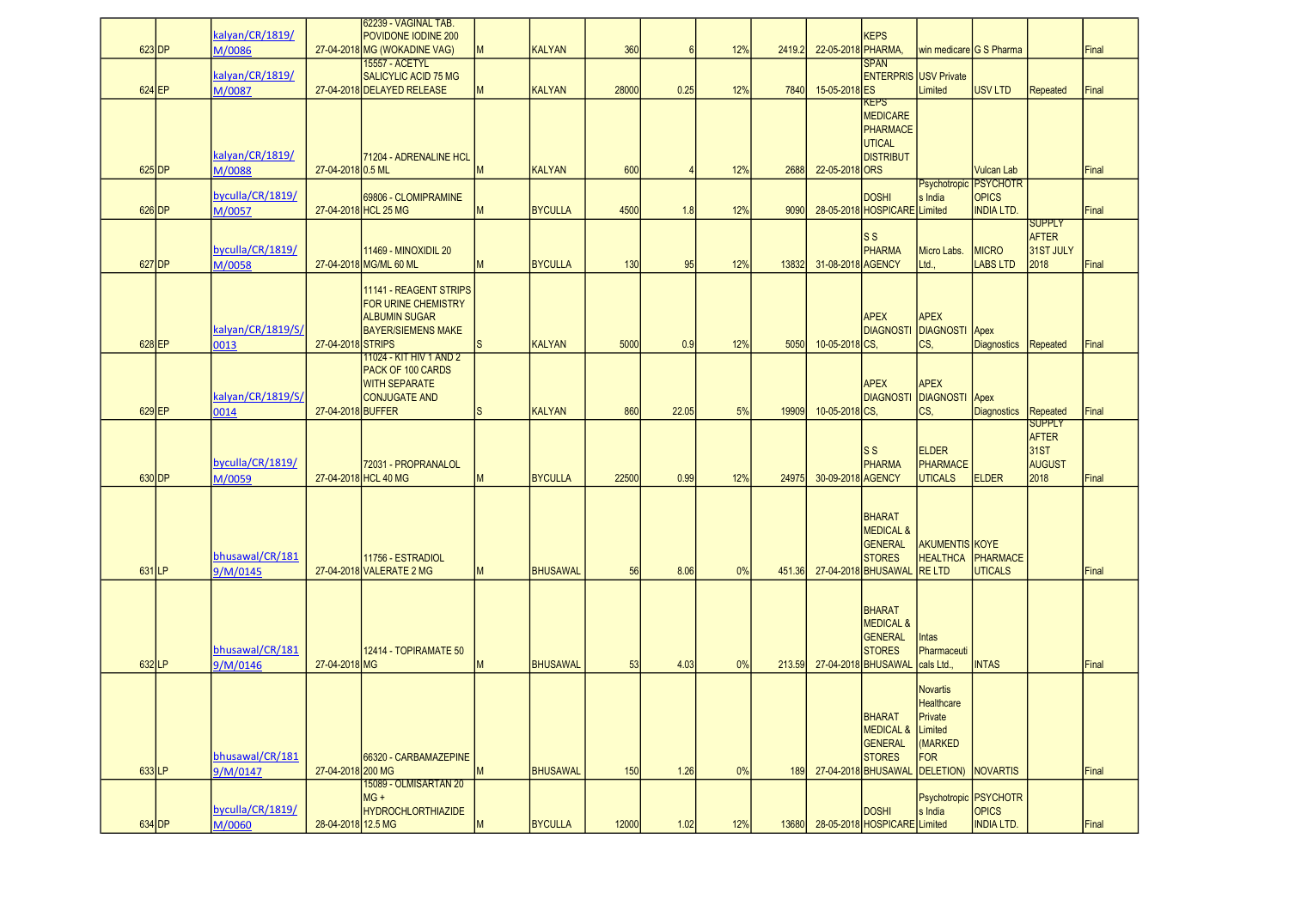|          | 623 DP             | kalyan/CR/1819/<br>M/0086           |                    | 62239 - VAGINAL TAB.<br>POVIDONE IODINE 200<br>27-04-2018 MG (WOKADINE VAG)                         | M            | <b>KALYAN</b>                  | 360          | 6               | 12%        | 2419.2       | 22-05-2018 PHARMA,              | <b>KEPS</b>                                                                                     | Iwin medicare IG S Pharma                                                   |                                                            |                                                                | Final          |
|----------|--------------------|-------------------------------------|--------------------|-----------------------------------------------------------------------------------------------------|--------------|--------------------------------|--------------|-----------------|------------|--------------|---------------------------------|-------------------------------------------------------------------------------------------------|-----------------------------------------------------------------------------|------------------------------------------------------------|----------------------------------------------------------------|----------------|
|          |                    | kalyan/CR/1819/                     |                    | <b>15557 - ACETYL</b><br><b>SALICYLIC ACID 75 MG</b>                                                |              |                                |              |                 |            |              |                                 | <b>SPAN</b>                                                                                     | <b>ENTERPRIS USV Private</b>                                                |                                                            |                                                                |                |
|          | 624 EP<br>$625$ DP | M/0087<br>kalyan/CR/1819/<br>M/0088 | 27-04-2018 0.5 ML  | 27-04-2018 DELAYED RELEASE<br>71204 - ADRENALINE HCL                                                | M<br>M       | <b>KALYAN</b><br><b>KALYAN</b> | 28000<br>600 | 0.25<br>$\vert$ | 12%<br>12% | 7840<br>2688 | 15-05-2018 ES<br>22-05-2018 ORS | KEPS<br><b>MEDICARE</b><br><b>PHARMACE</b><br><b>UTICAL</b><br><b>DISTRIBUT</b>                 | Limited                                                                     | <b>USV LTD</b><br><b>Vulcan Lab</b>                        | Repeated                                                       | Final<br>Final |
|          | 626 DP             | byculla/CR/1819/<br>M/0057          |                    | 69806 - CLOMIPRAMINE<br>27-04-2018 HCL 25 MG                                                        | M            | <b>BYCULLA</b>                 | 4500         | 1.8             | 12%        | 9090         |                                 | <b>DOSHI</b><br>28-05-2018 HOSPICARE Limited                                                    | s India                                                                     | Psychotropic PSYCHOTR<br><b>OPICS</b><br><b>INDIA LTD.</b> |                                                                | Final          |
|          | 627 DP             | byculla/CR/1819/<br>M/0058          |                    | <b>11469 - MINOXIDIL 20</b><br>27-04-2018 MG/ML 60 ML                                               | M            | <b>BYCULLA</b>                 | 130          | 95              | 12%        | 13832        | 31-08-2018 AGENCY               | ls s<br><b>PHARMA</b>                                                                           | Micro Labs.<br>Ltd.,                                                        | <b>MICRO</b><br><b>LABS LTD</b>                            | <b>SUPPLY</b><br><b>AFTER</b><br>31ST JULY<br>2018             | Final          |
| $628$ EP |                    | kalyan/CR/1819/S/<br>0013           | 27-04-2018 STRIPS  | 11141 - REAGENT STRIPS<br>FOR URINE CHEMISTRY<br><b>ALBUMIN SUGAR</b><br><b>BAYER/SIEMENS MAKE</b>  | <sub>S</sub> | <b>KALYAN</b>                  | 5000         | 0.9             | 12%        | 5050         | 10-05-2018 CS.                  | <b>APEX</b>                                                                                     | <b>APEX</b><br><b>DIAGNOSTI DIAGNOSTI Apex</b><br>ICS,                      | <b>Diagnostics</b>                                         | Repeated                                                       | Final          |
|          | 629 EP             | kalyan/CR/1819/S/<br>0014           | 27-04-2018 BUFFER  | 11024 - KIT HIV 1 AND 2<br><b>PACK OF 100 CARDS</b><br><b>WITH SEPARATE</b><br><b>CONJUGATE AND</b> | <sub>S</sub> | <b>KALYAN</b>                  | 860          | 22.05           | 5%         | 19909        | 10-05-2018 CS.                  | <b>APEX</b><br><b>DIAGNOSTI</b>                                                                 | <b>APEX</b><br>DIAGNOSTI Apex<br>ICS,                                       | <b>Diagnostics</b>                                         | Repeated                                                       | Final          |
| 630 DP   |                    | byculla/CR/1819/<br>M/0059          |                    | 72031 - PROPRANALOL<br>27-04-2018 HCL 40 MG                                                         | M            | <b>BYCULLA</b>                 | 22500        | 0.99            | 12%        | 24975        | 30-09-2018 AGENCY               | ls s<br><b>PHARMA</b>                                                                           | <b>ELDER</b><br>PHARMACE<br><b>UTICALS</b>                                  | <b>ELDER</b>                                               | <b>SUPPLY</b><br><b>AFTER</b><br>31ST<br><b>AUGUST</b><br>2018 | Final          |
| 631LP    |                    | bhusawal/CR/181<br>9/M/0145         |                    | 11756 - ESTRADIOL<br>27-04-2018 VALERATE 2 MG                                                       | M            | <b>BHUSAWAL</b>                | 56           | 8.06            | 0%         | 451.36       |                                 | <b>BHARAT</b><br><b>MEDICAL &amp;</b><br><b>GENERAL</b><br><b>STORES</b><br>27-04-2018 BHUSAWAL | <b>AKUMENTIS KOYE</b><br><b>HEALTHCA</b><br><b>IRE LTD</b>                  | PHARMACE<br><b>UTICALS</b>                                 |                                                                | Final          |
| 632LP    |                    | bhusawal/CR/181<br>9/M/0146         | 27-04-2018 MG      | <b>12414 - TOPIRAMATE 50</b>                                                                        | M            | <b>BHUSAWAL</b>                | 53           | 4.03            | 0%         | 213.59       |                                 | <b>BHARAT</b><br><b>MEDICAL &amp;</b><br><b>GENERAL</b><br><b>STORES</b><br>27-04-2018 BHUSAWAL | Intas<br>Pharmaceuti<br>cals Ltd.,                                          | <b>INTAS</b>                                               |                                                                | Final          |
| 633LP    |                    | bhusawal/CR/181<br>9/M/0147         | 27-04-2018 200 MG  | 66320 - CARBAMAZEPINE                                                                               | M            | <b>BHUSAWAL</b>                | 150          | $1.26$          | 0%         | 189          |                                 | <b>BHARAT</b><br><b>MEDICAL &amp;</b><br>GENERAL<br><b>STORES</b><br>27-04-2018 BHUSAWAL        | Novartis<br>Healthcare<br>Private<br>Limited<br>(MARKED<br>FOR<br>DELETION) | <b>NOVARTIS</b>                                            |                                                                | Final          |
|          | 634 DP             | byculla/CR/1819/<br>M/0060          | 28-04-2018 12.5 MG | 15089 - OLMISARTAN 20<br>$MG +$<br><b>HYDROCHLORTHIAZIDE</b>                                        | M            | <b>BYCULLA</b>                 | 12000        | 1.02            | 12%        | 13680        |                                 | <b>DOSHI</b><br>28-05-2018 HOSPICARE Limited                                                    | Psychotropic PSYCHOTR<br>s India                                            | <b>OPICS</b><br><b>INDIA LTD.</b>                          |                                                                | Final          |